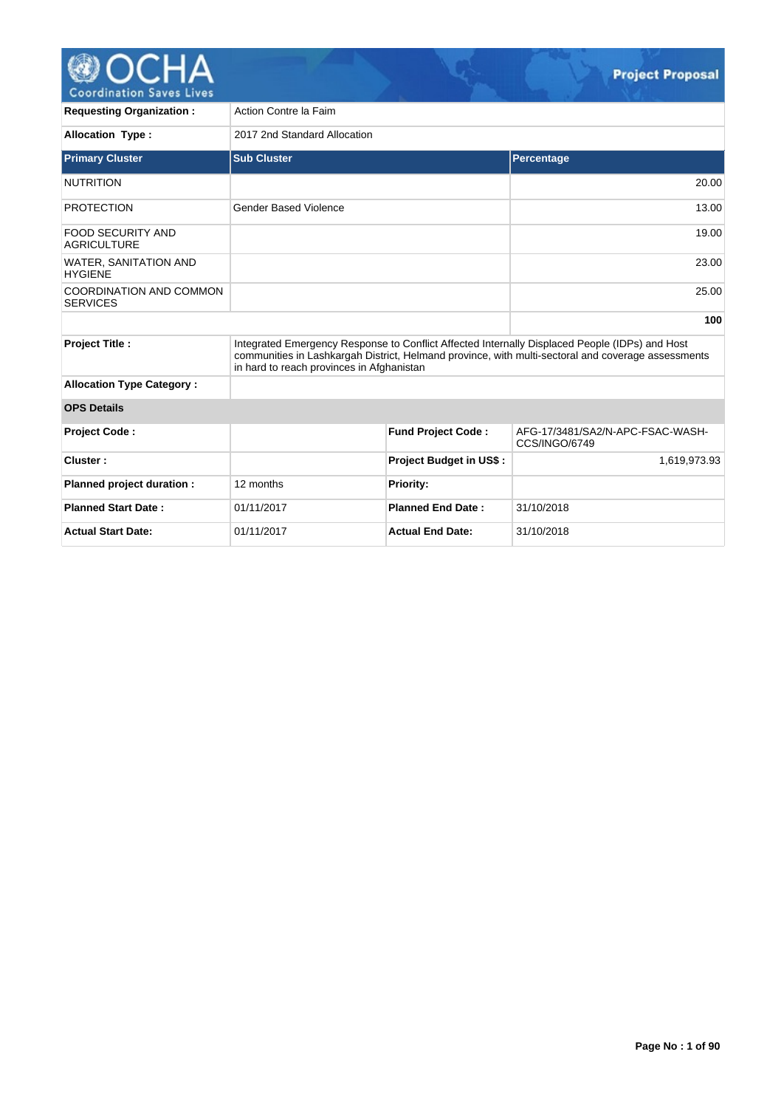

**Requesting Organization :** Action Contre la Faim **Allocation Type :** 2017 2nd Standard Allocation **Primary Cluster Contract Cluster Sub Cluster Sub Cluster Contract Cluster Sub Cluster Sub Cluster Sub Cluster** NUTRITION 20.00 PROTECTION Gender Based Violence 13.00 FOOD SECURITY AND **AGRICULTURE** 19.00 WATER, SANITATION AND **HYGIENE** 23.00 COORDINATION AND COMMON **SERVICES** 25.00 **100 Project Title :** Integrated Emergency Response to Conflict Affected Internally Displaced People (IDPs) and Host communities in Lashkargah District, Helmand province, with multi-sectoral and coverage assessments in hard to reach provinces in Afghanistan **Allocation Type Category : OPS Details Project Code : Fund Project Code :** AFG-17/3481/SA2/N-APC-FSAC-WASH-CCS/INGO/6749 **Cluster :** 1,619,973.93 **Planned project duration :** 12 months **Priority: Planned Start Date :** 01/11/2017 **Planned End Date :** 31/10/2018 **Actual Start Date:** 01/11/2017 **Actual End Date:** 31/10/2018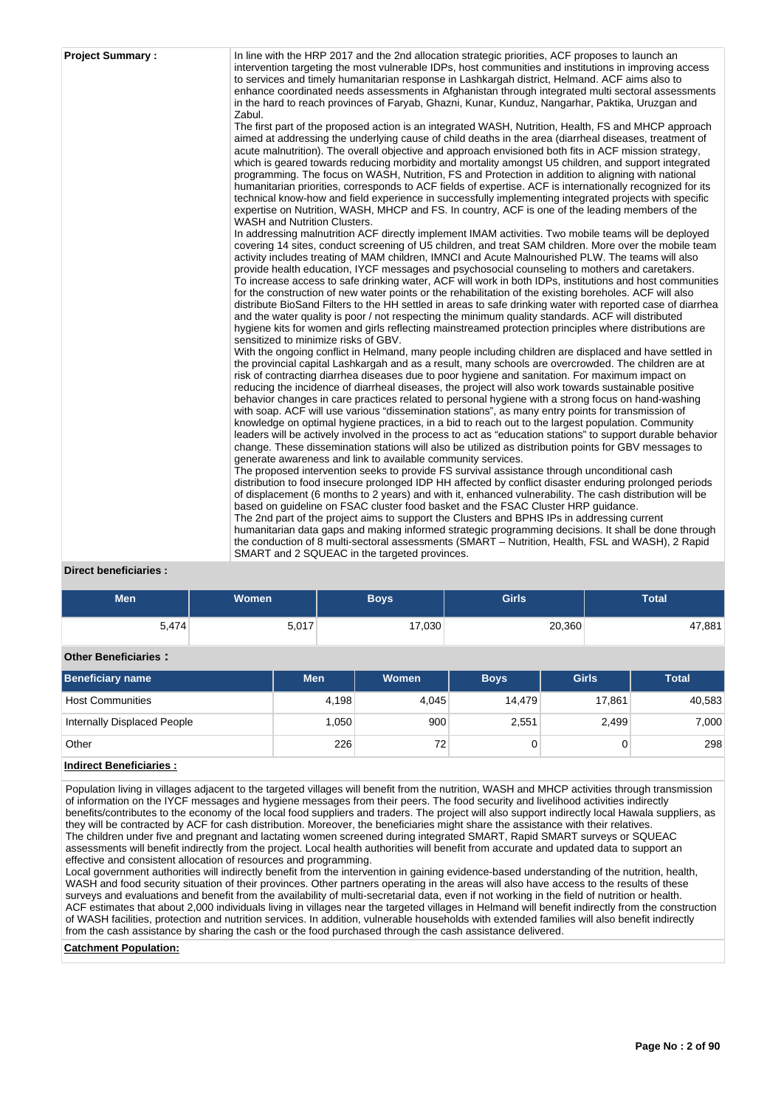| <b>Project Summary:</b> | In line with the HRP 2017 and the 2nd allocation strategic priorities, ACF proposes to launch an<br>intervention targeting the most vulnerable IDPs, host communities and institutions in improving access<br>to services and timely humanitarian response in Lashkargah district, Helmand. ACF aims also to<br>enhance coordinated needs assessments in Afghanistan through integrated multi sectoral assessments<br>in the hard to reach provinces of Faryab, Ghazni, Kunar, Kunduz, Nangarhar, Paktika, Uruzgan and<br>Zabul.                                                                                                                                                                                                                                                                                                                                                                                                                                                                                                     |
|-------------------------|--------------------------------------------------------------------------------------------------------------------------------------------------------------------------------------------------------------------------------------------------------------------------------------------------------------------------------------------------------------------------------------------------------------------------------------------------------------------------------------------------------------------------------------------------------------------------------------------------------------------------------------------------------------------------------------------------------------------------------------------------------------------------------------------------------------------------------------------------------------------------------------------------------------------------------------------------------------------------------------------------------------------------------------|
|                         | The first part of the proposed action is an integrated WASH, Nutrition, Health, FS and MHCP approach<br>aimed at addressing the underlying cause of child deaths in the area (diarrheal diseases, treatment of<br>acute malnutrition). The overall objective and approach envisioned both fits in ACF mission strategy,<br>which is geared towards reducing morbidity and mortality amongst U5 children, and support integrated<br>programming. The focus on WASH, Nutrition, FS and Protection in addition to aligning with national<br>humanitarian priorities, corresponds to ACF fields of expertise. ACF is internationally recognized for its<br>technical know-how and field experience in successfully implementing integrated projects with specific<br>expertise on Nutrition, WASH, MHCP and FS. In country, ACF is one of the leading members of the<br>WASH and Nutrition Clusters.                                                                                                                                     |
|                         | In addressing malnutrition ACF directly implement IMAM activities. Two mobile teams will be deployed<br>covering 14 sites, conduct screening of U5 children, and treat SAM children. More over the mobile team<br>activity includes treating of MAM children, IMNCI and Acute Malnourished PLW. The teams will also<br>provide health education, IYCF messages and psychosocial counseling to mothers and caretakers.<br>To increase access to safe drinking water, ACF will work in both IDPs, institutions and host communities<br>for the construction of new water points or the rehabilitation of the existing boreholes. ACF will also<br>distribute BioSand Filters to the HH settled in areas to safe drinking water with reported case of diarrhea<br>and the water quality is poor / not respecting the minimum quality standards. ACF will distributed<br>hygiene kits for women and girls reflecting mainstreamed protection principles where distributions are<br>sensitized to minimize risks of GBV.                  |
|                         | With the ongoing conflict in Helmand, many people including children are displaced and have settled in<br>the provincial capital Lashkargah and as a result, many schools are overcrowded. The children are at<br>risk of contracting diarrhea diseases due to poor hygiene and sanitation. For maximum impact on<br>reducing the incidence of diarrheal diseases, the project will also work towards sustainable positive<br>behavior changes in care practices related to personal hygiene with a strong focus on hand-washing<br>with soap. ACF will use various "dissemination stations", as many entry points for transmission of<br>knowledge on optimal hygiene practices, in a bid to reach out to the largest population. Community<br>leaders will be actively involved in the process to act as "education stations" to support durable behavior<br>change. These dissemination stations will also be utilized as distribution points for GBV messages to<br>generate awareness and link to available community services. |
|                         | The proposed intervention seeks to provide FS survival assistance through unconditional cash<br>distribution to food insecure prolonged IDP HH affected by conflict disaster enduring prolonged periods<br>of displacement (6 months to 2 years) and with it, enhanced vulnerability. The cash distribution will be<br>based on guideline on FSAC cluster food basket and the FSAC Cluster HRP guidance.<br>The 2nd part of the project aims to support the Clusters and BPHS IPs in addressing current<br>humanitarian data gaps and making informed strategic programming decisions. It shall be done through<br>the conduction of 8 multi-sectoral assessments (SMART - Nutrition, Health, FSL and WASH), 2 Rapid<br>SMART and 2 SQUEAC in the targeted provinces.                                                                                                                                                                                                                                                                |

# **Direct beneficiaries :**

| <b>Men</b> | Women | Boys   | Girls  | <b>Total</b> |
|------------|-------|--------|--------|--------------|
| 5,474      | 5,017 | 17,030 | 20,360 | 47,881       |

# **Other Beneficiaries :**

| <b>Beneficiary name</b>     | <b>Men</b> | Women | <b>Boys</b> | <b>Girls</b> | <b>Total</b> |
|-----------------------------|------------|-------|-------------|--------------|--------------|
| <b>Host Communities</b>     | 4,198      | 4,045 | 14.479      | 17,861       | 40,583       |
| Internally Displaced People | .050       | 900   | 2,551       | 2,499        | 7,000        |
| Other                       | 226        | 72    |             |              | 298          |

# **Indirect Beneficiaries :**

Population living in villages adjacent to the targeted villages will benefit from the nutrition, WASH and MHCP activities through transmission of information on the IYCF messages and hygiene messages from their peers. The food security and livelihood activities indirectly benefits/contributes to the economy of the local food suppliers and traders. The project will also support indirectly local Hawala suppliers, as they will be contracted by ACF for cash distribution. Moreover, the beneficiaries might share the assistance with their relatives. The children under five and pregnant and lactating women screened during integrated SMART, Rapid SMART surveys or SQUEAC assessments will benefit indirectly from the project. Local health authorities will benefit from accurate and updated data to support an effective and consistent allocation of resources and programming.

Local government authorities will indirectly benefit from the intervention in gaining evidence-based understanding of the nutrition, health, WASH and food security situation of their provinces. Other partners operating in the areas will also have access to the results of these surveys and evaluations and benefit from the availability of multi-secretarial data, even if not working in the field of nutrition or health. ACF estimates that about 2,000 individuals living in villages near the targeted villages in Helmand will benefit indirectly from the construction of WASH facilities, protection and nutrition services. In addition, vulnerable households with extended families will also benefit indirectly from the cash assistance by sharing the cash or the food purchased through the cash assistance delivered.

**Catchment Population:**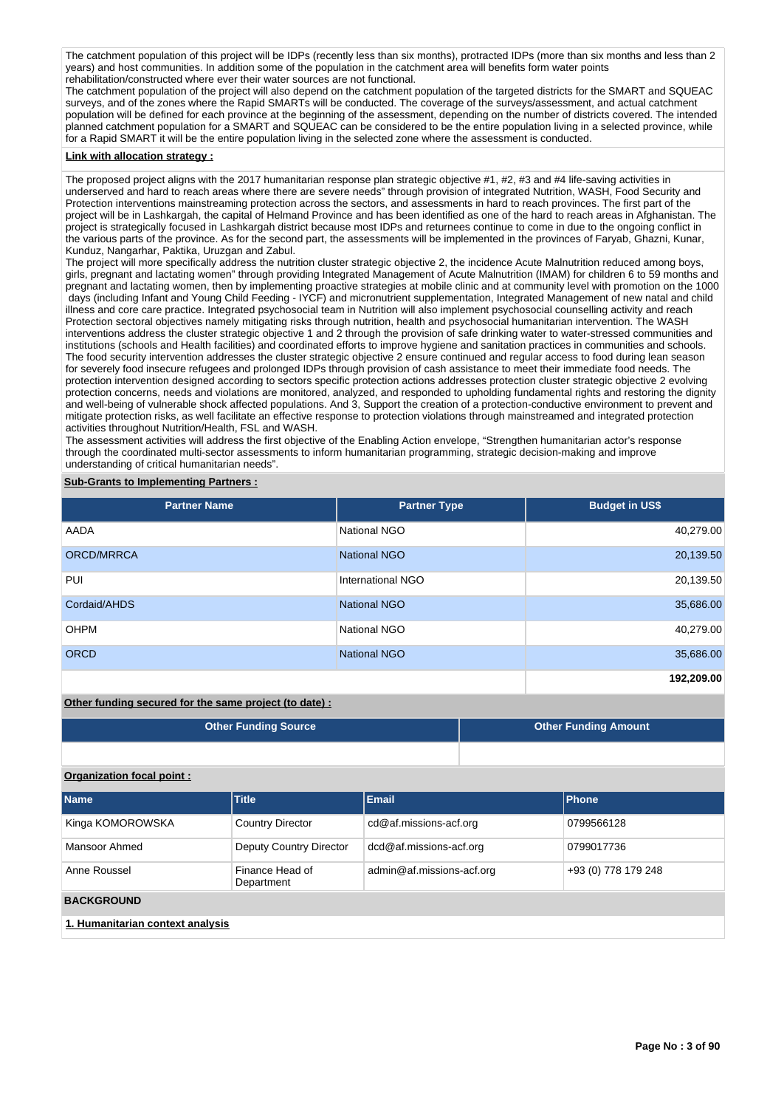The catchment population of this project will be IDPs (recently less than six months), protracted IDPs (more than six months and less than 2 years) and host communities. In addition some of the population in the catchment area will benefits form water points rehabilitation/constructed where ever their water sources are not functional.

The catchment population of the project will also depend on the catchment population of the targeted districts for the SMART and SQUEAC surveys, and of the zones where the Rapid SMARTs will be conducted. The coverage of the surveys/assessment, and actual catchment population will be defined for each province at the beginning of the assessment, depending on the number of districts covered. The intended planned catchment population for a SMART and SQUEAC can be considered to be the entire population living in a selected province, while for a Rapid SMART it will be the entire population living in the selected zone where the assessment is conducted.

#### **Link with allocation strategy :**

The proposed project aligns with the 2017 humanitarian response plan strategic objective #1, #2, #3 and #4 life-saving activities in underserved and hard to reach areas where there are severe needs" through provision of integrated Nutrition, WASH, Food Security and Protection interventions mainstreaming protection across the sectors, and assessments in hard to reach provinces. The first part of the project will be in Lashkargah, the capital of Helmand Province and has been identified as one of the hard to reach areas in Afghanistan. The project is strategically focused in Lashkargah district because most IDPs and returnees continue to come in due to the ongoing conflict in the various parts of the province. As for the second part, the assessments will be implemented in the provinces of Faryab, Ghazni, Kunar, Kunduz, Nangarhar, Paktika, Uruzgan and Zabul.

The project will more specifically address the nutrition cluster strategic objective 2, the incidence Acute Malnutrition reduced among boys, girls, pregnant and lactating women" through providing Integrated Management of Acute Malnutrition (IMAM) for children 6 to 59 months and pregnant and lactating women, then by implementing proactive strategies at mobile clinic and at community level with promotion on the 1000 days (including Infant and Young Child Feeding - IYCF) and micronutrient supplementation, Integrated Management of new natal and child illness and core care practice. Integrated psychosocial team in Nutrition will also implement psychosocial counselling activity and reach Protection sectoral objectives namely mitigating risks through nutrition, health and psychosocial humanitarian intervention. The WASH interventions address the cluster strategic objective 1 and 2 through the provision of safe drinking water to water-stressed communities and institutions (schools and Health facilities) and coordinated efforts to improve hygiene and sanitation practices in communities and schools. The food security intervention addresses the cluster strategic objective 2 ensure continued and regular access to food during lean season for severely food insecure refugees and prolonged IDPs through provision of cash assistance to meet their immediate food needs. The protection intervention designed according to sectors specific protection actions addresses protection cluster strategic objective 2 evolving protection concerns, needs and violations are monitored, analyzed, and responded to upholding fundamental rights and restoring the dignity and well-being of vulnerable shock affected populations. And 3, Support the creation of a protection-conductive environment to prevent and mitigate protection risks, as well facilitate an effective response to protection violations through mainstreamed and integrated protection activities throughout Nutrition/Health, FSL and WASH.

The assessment activities will address the first objective of the Enabling Action envelope, "Strengthen humanitarian actor's response through the coordinated multi-sector assessments to inform humanitarian programming, strategic decision-making and improve understanding of critical humanitarian needs".

### **Sub-Grants to Implementing Partners :**

| <b>Partner Name</b> | <b>Partner Type</b>      | <b>Budget in US\$</b> |
|---------------------|--------------------------|-----------------------|
| AADA                | <b>National NGO</b>      | 40,279.00             |
| <b>ORCD/MRRCA</b>   | <b>National NGO</b>      | 20,139.50             |
| PUI                 | <b>International NGO</b> | 20,139.50             |
| Cordaid/AHDS        | <b>National NGO</b>      | 35,686.00             |
| <b>OHPM</b>         | National NGO             | 40,279.00             |
| <b>ORCD</b>         | <b>National NGO</b>      | 35,686.00             |
|                     |                          | 192,209.00            |

**Other funding secured for the same project (to date) :**

| <b>Other Funding Source</b><br><b>Other Funding Amount</b> |  |  |
|------------------------------------------------------------|--|--|
|------------------------------------------------------------|--|--|

### **Organization focal point :**

| <b>Name</b>                      | <b>Title</b>                  | Email                     | Phone               |  |  |  |
|----------------------------------|-------------------------------|---------------------------|---------------------|--|--|--|
| Kinga KOMOROWSKA                 | <b>Country Director</b>       | cd@af.missions-acf.org    | 0799566128          |  |  |  |
| Mansoor Ahmed                    | Deputy Country Director       | dcd@af.missions-acf.org   | 0799017736          |  |  |  |
| Anne Roussel                     | Finance Head of<br>Department | admin@af.missions-acf.org | +93 (0) 778 179 248 |  |  |  |
| <b>BACKGROUND</b>                |                               |                           |                     |  |  |  |
| 1. Humanitarian context analysis |                               |                           |                     |  |  |  |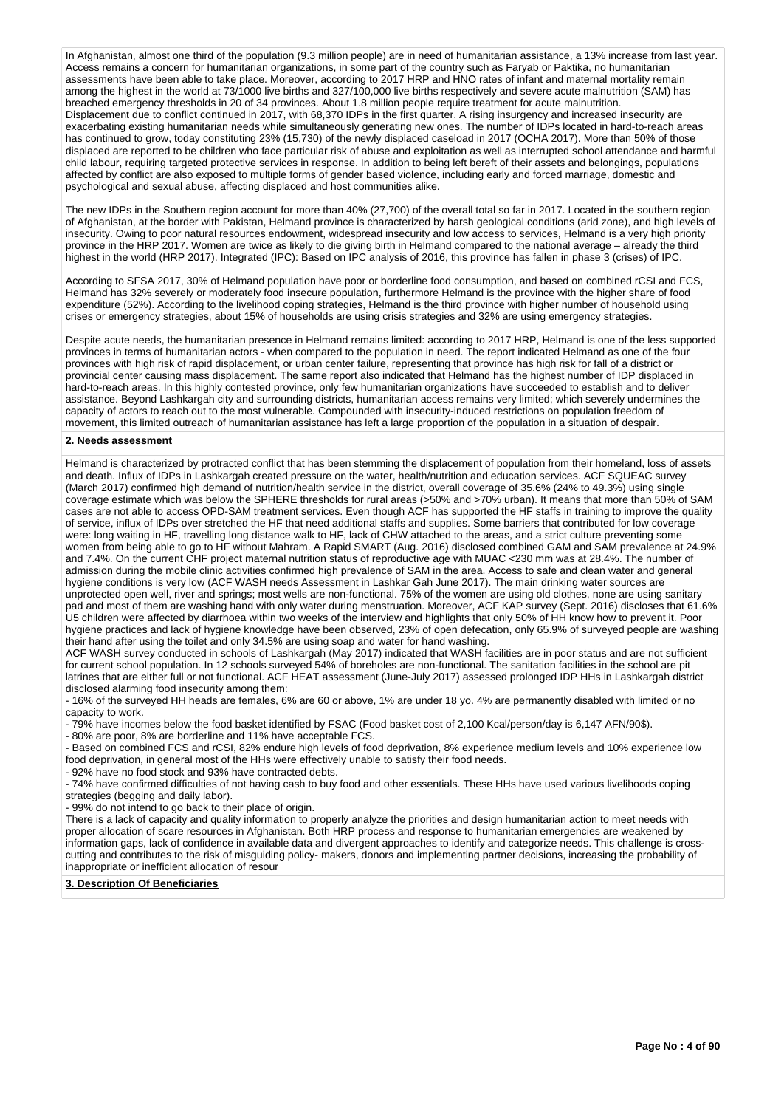In Afghanistan, almost one third of the population (9.3 million people) are in need of humanitarian assistance, a 13% increase from last year. Access remains a concern for humanitarian organizations, in some part of the country such as Faryab or Paktika, no humanitarian assessments have been able to take place. Moreover, according to 2017 HRP and HNO rates of infant and maternal mortality remain among the highest in the world at 73/1000 live births and 327/100,000 live births respectively and severe acute malnutrition (SAM) has breached emergency thresholds in 20 of 34 provinces. About 1.8 million people require treatment for acute malnutrition. Displacement due to conflict continued in 2017, with 68,370 IDPs in the first quarter. A rising insurgency and increased insecurity are exacerbating existing humanitarian needs while simultaneously generating new ones. The number of IDPs located in hard-to-reach areas has continued to grow, today constituting 23% (15,730) of the newly displaced caseload in 2017 (OCHA 2017). More than 50% of those displaced are reported to be children who face particular risk of abuse and exploitation as well as interrupted school attendance and harmful child labour, requiring targeted protective services in response. In addition to being left bereft of their assets and belongings, populations affected by conflict are also exposed to multiple forms of gender based violence, including early and forced marriage, domestic and psychological and sexual abuse, affecting displaced and host communities alike.

The new IDPs in the Southern region account for more than 40% (27,700) of the overall total so far in 2017. Located in the southern region of Afghanistan, at the border with Pakistan, Helmand province is characterized by harsh geological conditions (arid zone), and high levels of insecurity. Owing to poor natural resources endowment, widespread insecurity and low access to services, Helmand is a very high priority province in the HRP 2017. Women are twice as likely to die giving birth in Helmand compared to the national average – already the third highest in the world (HRP 2017). Integrated (IPC): Based on IPC analysis of 2016, this province has fallen in phase 3 (crises) of IPC.

According to SFSA 2017, 30% of Helmand population have poor or borderline food consumption, and based on combined rCSI and FCS, Helmand has 32% severely or moderately food insecure population, furthermore Helmand is the province with the higher share of food expenditure (52%). According to the livelihood coping strategies, Helmand is the third province with higher number of household using crises or emergency strategies, about 15% of households are using crisis strategies and 32% are using emergency strategies.

Despite acute needs, the humanitarian presence in Helmand remains limited: according to 2017 HRP, Helmand is one of the less supported provinces in terms of humanitarian actors - when compared to the population in need. The report indicated Helmand as one of the four provinces with high risk of rapid displacement, or urban center failure, representing that province has high risk for fall of a district or provincial center causing mass displacement. The same report also indicated that Helmand has the highest number of IDP displaced in hard-to-reach areas. In this highly contested province, only few humanitarian organizations have succeeded to establish and to deliver assistance. Beyond Lashkargah city and surrounding districts, humanitarian access remains very limited; which severely undermines the capacity of actors to reach out to the most vulnerable. Compounded with insecurity-induced restrictions on population freedom of movement, this limited outreach of humanitarian assistance has left a large proportion of the population in a situation of despair.

### **2. Needs assessment**

Helmand is characterized by protracted conflict that has been stemming the displacement of population from their homeland, loss of assets and death. Influx of IDPs in Lashkargah created pressure on the water, health/nutrition and education services. ACF SQUEAC survey (March 2017) confirmed high demand of nutrition/health service in the district, overall coverage of 35.6% (24% to 49.3%) using single coverage estimate which was below the SPHERE thresholds for rural areas (>50% and >70% urban). It means that more than 50% of SAM cases are not able to access OPD-SAM treatment services. Even though ACF has supported the HF staffs in training to improve the quality of service, influx of IDPs over stretched the HF that need additional staffs and supplies. Some barriers that contributed for low coverage were: long waiting in HF, travelling long distance walk to HF, lack of CHW attached to the areas, and a strict culture preventing some women from being able to go to HF without Mahram. A Rapid SMART (Aug. 2016) disclosed combined GAM and SAM prevalence at 24.9% and 7.4%. On the current CHF project maternal nutrition status of reproductive age with MUAC <230 mm was at 28.4%. The number of admission during the mobile clinic activities confirmed high prevalence of SAM in the area. Access to safe and clean water and general hygiene conditions is very low (ACF WASH needs Assessment in Lashkar Gah June 2017). The main drinking water sources are unprotected open well, river and springs; most wells are non-functional. 75% of the women are using old clothes, none are using sanitary pad and most of them are washing hand with only water during menstruation. Moreover, ACF KAP survey (Sept. 2016) discloses that 61.6% U5 children were affected by diarrhoea within two weeks of the interview and highlights that only 50% of HH know how to prevent it. Poor hygiene practices and lack of hygiene knowledge have been observed, 23% of open defecation, only 65.9% of surveyed people are washing their hand after using the toilet and only 34.5% are using soap and water for hand washing.

ACF WASH survey conducted in schools of Lashkargah (May 2017) indicated that WASH facilities are in poor status and are not sufficient for current school population. In 12 schools surveyed 54% of boreholes are non-functional. The sanitation facilities in the school are pit latrines that are either full or not functional. ACF HEAT assessment (June-July 2017) assessed prolonged IDP HHs in Lashkargah district disclosed alarming food insecurity among them:

- 16% of the surveyed HH heads are females, 6% are 60 or above, 1% are under 18 yo. 4% are permanently disabled with limited or no capacity to work.

- 79% have incomes below the food basket identified by FSAC (Food basket cost of 2,100 Kcal/person/day is 6,147 AFN/90\$).

- 80% are poor, 8% are borderline and 11% have acceptable FCS.

- Based on combined FCS and rCSI, 82% endure high levels of food deprivation, 8% experience medium levels and 10% experience low food deprivation, in general most of the HHs were effectively unable to satisfy their food needs.

- 92% have no food stock and 93% have contracted debts.

- 74% have confirmed difficulties of not having cash to buy food and other essentials. These HHs have used various livelihoods coping strategies (begging and daily labor).

- 99% do not intend to go back to their place of origin.

There is a lack of capacity and quality information to properly analyze the priorities and design humanitarian action to meet needs with proper allocation of scare resources in Afghanistan. Both HRP process and response to humanitarian emergencies are weakened by information gaps, lack of confidence in available data and divergent approaches to identify and categorize needs. This challenge is crosscutting and contributes to the risk of misguiding policy- makers, donors and implementing partner decisions, increasing the probability of inappropriate or inefficient allocation of resour

# **3. Description Of Beneficiaries**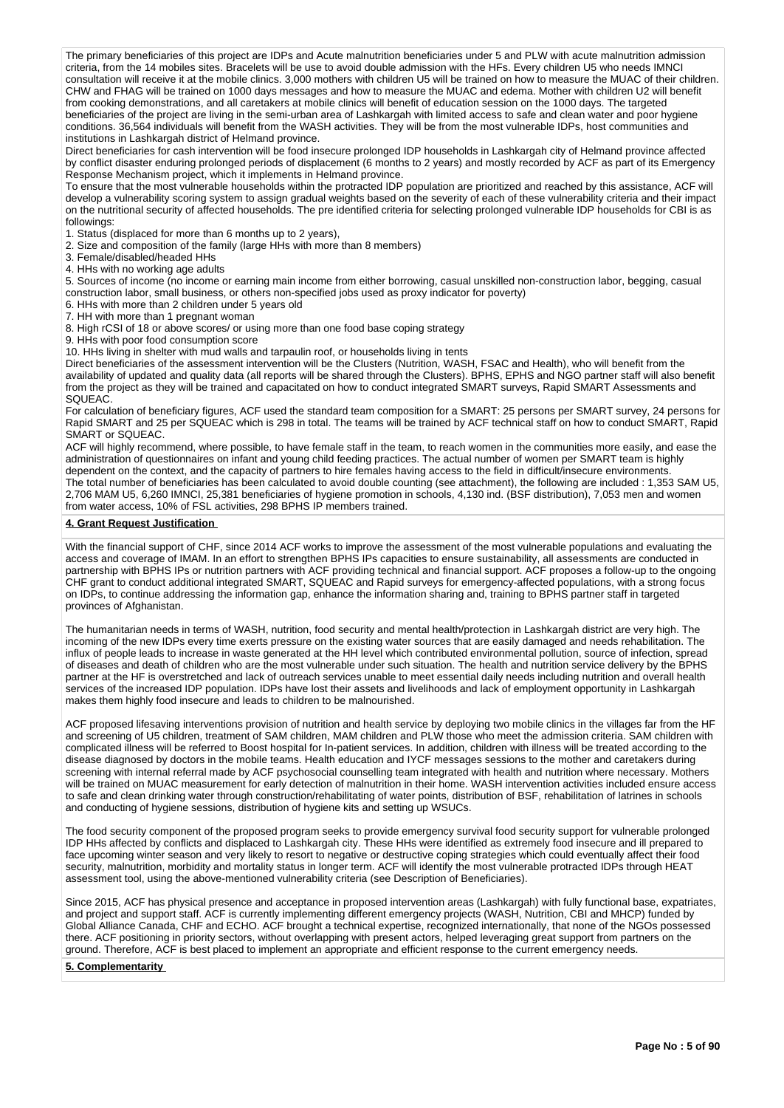The primary beneficiaries of this project are IDPs and Acute malnutrition beneficiaries under 5 and PLW with acute malnutrition admission criteria, from the 14 mobiles sites. Bracelets will be use to avoid double admission with the HFs. Every children U5 who needs IMNCI consultation will receive it at the mobile clinics. 3,000 mothers with children U5 will be trained on how to measure the MUAC of their children. CHW and FHAG will be trained on 1000 days messages and how to measure the MUAC and edema. Mother with children U2 will benefit from cooking demonstrations, and all caretakers at mobile clinics will benefit of education session on the 1000 days. The targeted beneficiaries of the project are living in the semi-urban area of Lashkargah with limited access to safe and clean water and poor hygiene conditions. 36,564 individuals will benefit from the WASH activities. They will be from the most vulnerable IDPs, host communities and institutions in Lashkargah district of Helmand province.

Direct beneficiaries for cash intervention will be food insecure prolonged IDP households in Lashkargah city of Helmand province affected by conflict disaster enduring prolonged periods of displacement (6 months to 2 years) and mostly recorded by ACF as part of its Emergency Response Mechanism project, which it implements in Helmand province.

To ensure that the most vulnerable households within the protracted IDP population are prioritized and reached by this assistance, ACF will develop a vulnerability scoring system to assign gradual weights based on the severity of each of these vulnerability criteria and their impact on the nutritional security of affected households. The pre identified criteria for selecting prolonged vulnerable IDP households for CBI is as followings:

1. Status (displaced for more than 6 months up to 2 years),

2. Size and composition of the family (large HHs with more than 8 members)

3. Female/disabled/headed HHs

4. HHs with no working age adults

5. Sources of income (no income or earning main income from either borrowing, casual unskilled non-construction labor, begging, casual construction labor, small business, or others non-specified jobs used as proxy indicator for poverty)

6. HHs with more than 2 children under 5 years old

7. HH with more than 1 pregnant woman

8. High rCSI of 18 or above scores/ or using more than one food base coping strategy

9. HHs with poor food consumption score

10. HHs living in shelter with mud walls and tarpaulin roof, or households living in tents

Direct beneficiaries of the assessment intervention will be the Clusters (Nutrition, WASH, FSAC and Health), who will benefit from the availability of updated and quality data (all reports will be shared through the Clusters). BPHS, EPHS and NGO partner staff will also benefit from the project as they will be trained and capacitated on how to conduct integrated SMART surveys, Rapid SMART Assessments and SQUEAC.

For calculation of beneficiary figures, ACF used the standard team composition for a SMART: 25 persons per SMART survey, 24 persons for Rapid SMART and 25 per SQUEAC which is 298 in total. The teams will be trained by ACF technical staff on how to conduct SMART, Rapid SMART or SQUEAC.

ACF will highly recommend, where possible, to have female staff in the team, to reach women in the communities more easily, and ease the administration of questionnaires on infant and young child feeding practices. The actual number of women per SMART team is highly dependent on the context, and the capacity of partners to hire females having access to the field in difficult/insecure environments. The total number of beneficiaries has been calculated to avoid double counting (see attachment), the following are included : 1,353 SAM U5, 2,706 MAM U5, 6,260 IMNCI, 25,381 beneficiaries of hygiene promotion in schools, 4,130 ind. (BSF distribution), 7,053 men and women from water access, 10% of FSL activities, 298 BPHS IP members trained.

### **4. Grant Request Justification**

With the financial support of CHF, since 2014 ACF works to improve the assessment of the most vulnerable populations and evaluating the access and coverage of IMAM. In an effort to strengthen BPHS IPs capacities to ensure sustainability, all assessments are conducted in partnership with BPHS IPs or nutrition partners with ACF providing technical and financial support. ACF proposes a follow-up to the ongoing CHF grant to conduct additional integrated SMART, SQUEAC and Rapid surveys for emergency-affected populations, with a strong focus on IDPs, to continue addressing the information gap, enhance the information sharing and, training to BPHS partner staff in targeted provinces of Afghanistan.

The humanitarian needs in terms of WASH, nutrition, food security and mental health/protection in Lashkargah district are very high. The incoming of the new IDPs every time exerts pressure on the existing water sources that are easily damaged and needs rehabilitation. The influx of people leads to increase in waste generated at the HH level which contributed environmental pollution, source of infection, spread of diseases and death of children who are the most vulnerable under such situation. The health and nutrition service delivery by the BPHS partner at the HF is overstretched and lack of outreach services unable to meet essential daily needs including nutrition and overall health services of the increased IDP population. IDPs have lost their assets and livelihoods and lack of employment opportunity in Lashkargah makes them highly food insecure and leads to children to be malnourished.

ACF proposed lifesaving interventions provision of nutrition and health service by deploying two mobile clinics in the villages far from the HF and screening of U5 children, treatment of SAM children, MAM children and PLW those who meet the admission criteria. SAM children with complicated illness will be referred to Boost hospital for In-patient services. In addition, children with illness will be treated according to the disease diagnosed by doctors in the mobile teams. Health education and IYCF messages sessions to the mother and caretakers during screening with internal referral made by ACF psychosocial counselling team integrated with health and nutrition where necessary. Mothers will be trained on MUAC measurement for early detection of malnutrition in their home. WASH intervention activities included ensure access to safe and clean drinking water through construction/rehabilitating of water points, distribution of BSF, rehabilitation of latrines in schools and conducting of hygiene sessions, distribution of hygiene kits and setting up WSUCs.

The food security component of the proposed program seeks to provide emergency survival food security support for vulnerable prolonged IDP HHs affected by conflicts and displaced to Lashkargah city. These HHs were identified as extremely food insecure and ill prepared to face upcoming winter season and very likely to resort to negative or destructive coping strategies which could eventually affect their food security, malnutrition, morbidity and mortality status in longer term. ACF will identify the most vulnerable protracted IDPs through HEAT assessment tool, using the above-mentioned vulnerability criteria (see Description of Beneficiaries).

Since 2015, ACF has physical presence and acceptance in proposed intervention areas (Lashkargah) with fully functional base, expatriates, and project and support staff. ACF is currently implementing different emergency projects (WASH, Nutrition, CBI and MHCP) funded by Global Alliance Canada, CHF and ECHO. ACF brought a technical expertise, recognized internationally, that none of the NGOs possessed there. ACF positioning in priority sectors, without overlapping with present actors, helped leveraging great support from partners on the ground. Therefore, ACF is best placed to implement an appropriate and efficient response to the current emergency needs.

### **5. Complementarity**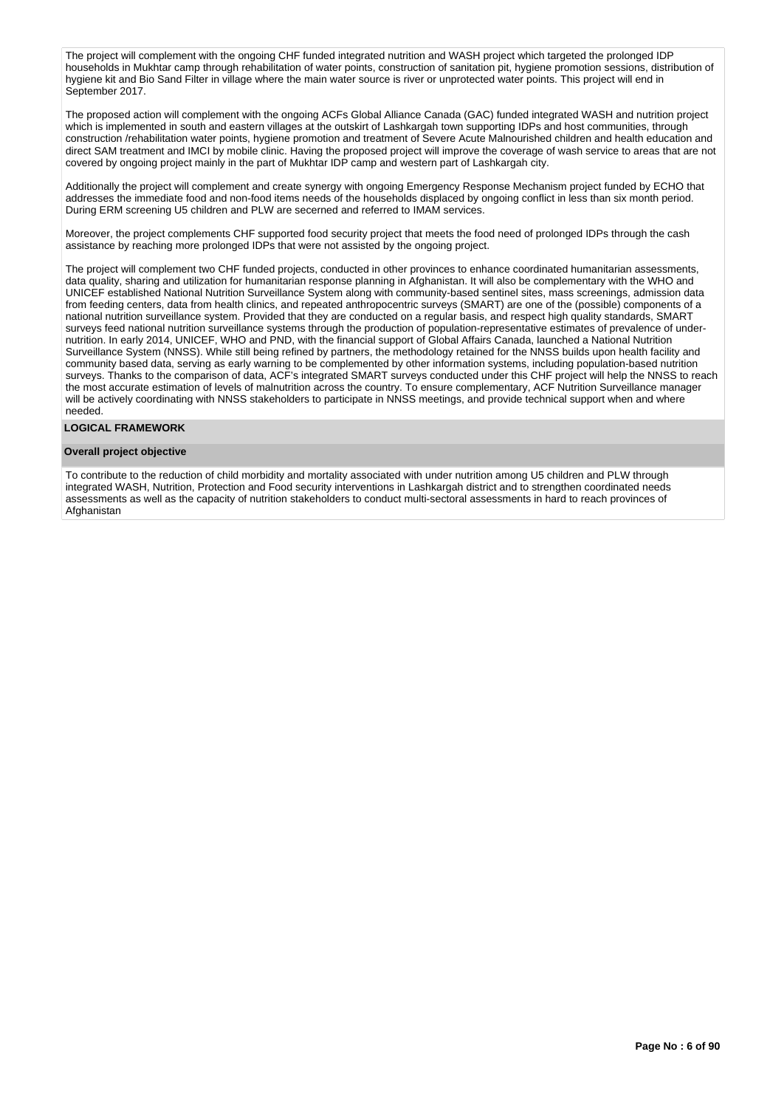The project will complement with the ongoing CHF funded integrated nutrition and WASH project which targeted the prolonged IDP households in Mukhtar camp through rehabilitation of water points, construction of sanitation pit, hygiene promotion sessions, distribution of hygiene kit and Bio Sand Filter in village where the main water source is river or unprotected water points. This project will end in September 2017.

The proposed action will complement with the ongoing ACFs Global Alliance Canada (GAC) funded integrated WASH and nutrition project which is implemented in south and eastern villages at the outskirt of Lashkargah town supporting IDPs and host communities, through construction /rehabilitation water points, hygiene promotion and treatment of Severe Acute Malnourished children and health education and direct SAM treatment and IMCI by mobile clinic. Having the proposed project will improve the coverage of wash service to areas that are not covered by ongoing project mainly in the part of Mukhtar IDP camp and western part of Lashkargah city.

Additionally the project will complement and create synergy with ongoing Emergency Response Mechanism project funded by ECHO that addresses the immediate food and non-food items needs of the households displaced by ongoing conflict in less than six month period. During ERM screening U5 children and PLW are secerned and referred to IMAM services.

Moreover, the project complements CHF supported food security project that meets the food need of prolonged IDPs through the cash assistance by reaching more prolonged IDPs that were not assisted by the ongoing project.

The project will complement two CHF funded projects, conducted in other provinces to enhance coordinated humanitarian assessments, data quality, sharing and utilization for humanitarian response planning in Afghanistan. It will also be complementary with the WHO and UNICEF established National Nutrition Surveillance System along with community-based sentinel sites, mass screenings, admission data from feeding centers, data from health clinics, and repeated anthropocentric surveys (SMART) are one of the (possible) components of a national nutrition surveillance system. Provided that they are conducted on a regular basis, and respect high quality standards, SMART surveys feed national nutrition surveillance systems through the production of population-representative estimates of prevalence of undernutrition. In early 2014, UNICEF, WHO and PND, with the financial support of Global Affairs Canada, launched a National Nutrition Surveillance System (NNSS). While still being refined by partners, the methodology retained for the NNSS builds upon health facility and community based data, serving as early warning to be complemented by other information systems, including population-based nutrition surveys. Thanks to the comparison of data, ACF's integrated SMART surveys conducted under this CHF project will help the NNSS to reach the most accurate estimation of levels of malnutrition across the country. To ensure complementary, ACF Nutrition Surveillance manager will be actively coordinating with NNSS stakeholders to participate in NNSS meetings, and provide technical support when and where needed.

### **LOGICAL FRAMEWORK**

### **Overall project objective**

To contribute to the reduction of child morbidity and mortality associated with under nutrition among U5 children and PLW through integrated WASH, Nutrition, Protection and Food security interventions in Lashkargah district and to strengthen coordinated needs assessments as well as the capacity of nutrition stakeholders to conduct multi-sectoral assessments in hard to reach provinces of Afghanistan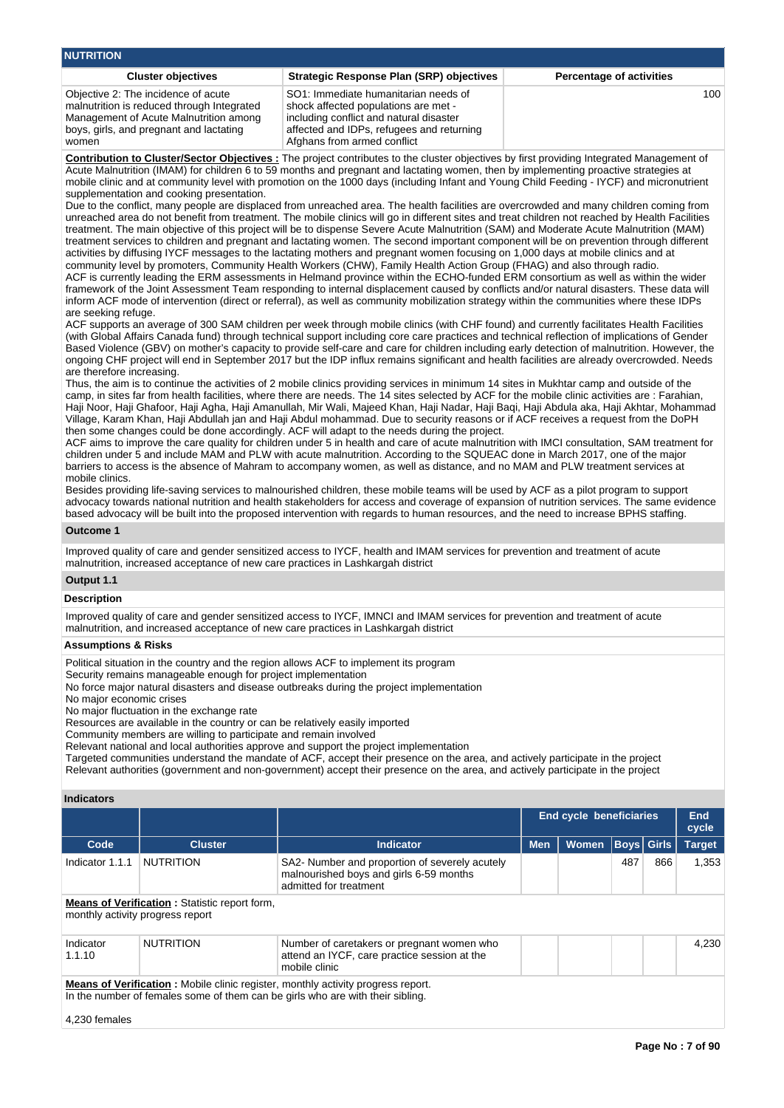| <b>NUTRITION</b>                                                                                                                                                                |                                                                                                                                                                                                     |                                 |
|---------------------------------------------------------------------------------------------------------------------------------------------------------------------------------|-----------------------------------------------------------------------------------------------------------------------------------------------------------------------------------------------------|---------------------------------|
| <b>Cluster objectives</b>                                                                                                                                                       | Strategic Response Plan (SRP) objectives                                                                                                                                                            | <b>Percentage of activities</b> |
| Objective 2: The incidence of acute<br>malnutrition is reduced through Integrated<br>Management of Acute Malnutrition among<br>boys, girls, and pregnant and lactating<br>women | SO1: Immediate humanitarian needs of<br>shock affected populations are met -<br>including conflict and natural disaster<br>affected and IDPs, refugees and returning<br>Afghans from armed conflict | 100                             |

**Contribution to Cluster/Sector Objectives :** The project contributes to the cluster objectives by first providing Integrated Management of Acute Malnutrition (IMAM) for children 6 to 59 months and pregnant and lactating women, then by implementing proactive strategies at mobile clinic and at community level with promotion on the 1000 days (including Infant and Young Child Feeding - IYCF) and micronutrient supplementation and cooking presentation.

Due to the conflict, many people are displaced from unreached area. The health facilities are overcrowded and many children coming from unreached area do not benefit from treatment. The mobile clinics will go in different sites and treat children not reached by Health Facilities treatment. The main objective of this project will be to dispense Severe Acute Malnutrition (SAM) and Moderate Acute Malnutrition (MAM) treatment services to children and pregnant and lactating women. The second important component will be on prevention through different activities by diffusing IYCF messages to the lactating mothers and pregnant women focusing on 1,000 days at mobile clinics and at community level by promoters, Community Health Workers (CHW), Family Health Action Group (FHAG) and also through radio. ACF is currently leading the ERM assessments in Helmand province within the ECHO-funded ERM consortium as well as within the wider framework of the Joint Assessment Team responding to internal displacement caused by conflicts and/or natural disasters. These data will inform ACF mode of intervention (direct or referral), as well as community mobilization strategy within the communities where these IDPs are seeking refuge.

ACF supports an average of 300 SAM children per week through mobile clinics (with CHF found) and currently facilitates Health Facilities (with Global Affairs Canada fund) through technical support including core care practices and technical reflection of implications of Gender Based Violence (GBV) on mother's capacity to provide self-care and care for children including early detection of malnutrition. However, the ongoing CHF project will end in September 2017 but the IDP influx remains significant and health facilities are already overcrowded. Needs are therefore increasing.

Thus, the aim is to continue the activities of 2 mobile clinics providing services in minimum 14 sites in Mukhtar camp and outside of the camp, in sites far from health facilities, where there are needs. The 14 sites selected by ACF for the mobile clinic activities are : Farahian, Haji Noor, Haji Ghafoor, Haji Agha, Haji Amanullah, Mir Wali, Majeed Khan, Haji Nadar, Haji Baqi, Haji Abdula aka, Haji Akhtar, Mohammad Village, Karam Khan, Haji Abdullah jan and Haji Abdul mohammad. Due to security reasons or if ACF receives a request from the DoPH then some changes could be done accordingly. ACF will adapt to the needs during the project.

ACF aims to improve the care quality for children under 5 in health and care of acute malnutrition with IMCI consultation, SAM treatment for children under 5 and include MAM and PLW with acute malnutrition. According to the SQUEAC done in March 2017, one of the major barriers to access is the absence of Mahram to accompany women, as well as distance, and no MAM and PLW treatment services at mobile clinics.

Besides providing life-saving services to malnourished children, these mobile teams will be used by ACF as a pilot program to support advocacy towards national nutrition and health stakeholders for access and coverage of expansion of nutrition services. The same evidence based advocacy will be built into the proposed intervention with regards to human resources, and the need to increase BPHS staffing.

### **Outcome 1**

Improved quality of care and gender sensitized access to IYCF, health and IMAM services for prevention and treatment of acute malnutrition, increased acceptance of new care practices in Lashkargah district

### **Output 1.1**

**Description**

Improved quality of care and gender sensitized access to IYCF, IMNCI and IMAM services for prevention and treatment of acute malnutrition, and increased acceptance of new care practices in Lashkargah district

#### **Assumptions & Risks**

Political situation in the country and the region allows ACF to implement its program

Security remains manageable enough for project implementation

No force major natural disasters and disease outbreaks during the project implementation

No major economic crises

No major fluctuation in the exchange rate

Resources are available in the country or can be relatively easily imported

Community members are willing to participate and remain involved

Relevant national and local authorities approve and support the project implementation

Targeted communities understand the mandate of ACF, accept their presence on the area, and actively participate in the project Relevant authorities (government and non-government) accept their presence on the area, and actively participate in the project

### **Indicators**

|                                                                                          |                  |                                                                                                                     | End cycle beneficiaries |              |     | <b>End</b><br>cycle |               |
|------------------------------------------------------------------------------------------|------------------|---------------------------------------------------------------------------------------------------------------------|-------------------------|--------------|-----|---------------------|---------------|
| Code                                                                                     | <b>Cluster</b>   | Indicator                                                                                                           | <b>Men</b>              | <b>Women</b> |     | <b>Boys Girls</b>   | <b>Target</b> |
| Indicator 1.1.1                                                                          | <b>NUTRITION</b> | SA2- Number and proportion of severely acutely<br>malnourished boys and girls 6-59 months<br>admitted for treatment |                         |              | 487 | 866                 | 1.353         |
| <b>Means of Verification:</b> Statistic report form,<br>monthly activity progress report |                  |                                                                                                                     |                         |              |     |                     |               |
| Indicator<br>1.1.10                                                                      | <b>NUTRITION</b> | Number of caretakers or pregnant women who<br>attend an IYCF, care practice session at the<br>mobile clinic         |                         |              |     |                     | 4.230         |

**Means of Verification :** Mobile clinic register, monthly activity progress report. In the number of females some of them can be girls who are with their sibling.

4,230 females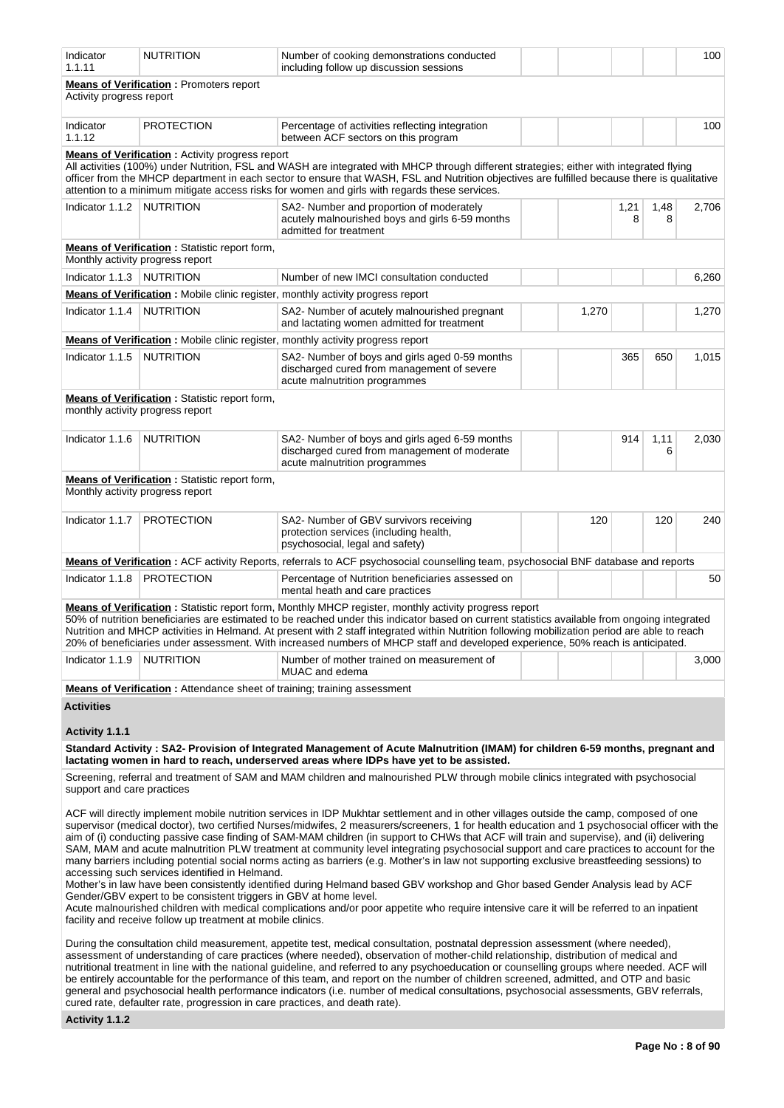| Indicator<br>1.1.11         | <b>NUTRITION</b>                                                                                                    | Number of cooking demonstrations conducted<br>including follow up discussion sessions                                                                                                                                                                                                                                                                                                                                                                                                                                                                                                                                                                                                                                                                                                                                                                                                                                                                                                                            |       |           |           | 100   |
|-----------------------------|---------------------------------------------------------------------------------------------------------------------|------------------------------------------------------------------------------------------------------------------------------------------------------------------------------------------------------------------------------------------------------------------------------------------------------------------------------------------------------------------------------------------------------------------------------------------------------------------------------------------------------------------------------------------------------------------------------------------------------------------------------------------------------------------------------------------------------------------------------------------------------------------------------------------------------------------------------------------------------------------------------------------------------------------------------------------------------------------------------------------------------------------|-------|-----------|-----------|-------|
| Activity progress report    | <b>Means of Verification:</b> Promoters report                                                                      |                                                                                                                                                                                                                                                                                                                                                                                                                                                                                                                                                                                                                                                                                                                                                                                                                                                                                                                                                                                                                  |       |           |           |       |
| Indicator<br>1.1.12         | <b>PROTECTION</b>                                                                                                   | Percentage of activities reflecting integration<br>between ACF sectors on this program                                                                                                                                                                                                                                                                                                                                                                                                                                                                                                                                                                                                                                                                                                                                                                                                                                                                                                                           |       |           |           | 100   |
|                             | <b>Means of Verification:</b> Activity progress report                                                              | All activities (100%) under Nutrition, FSL and WASH are integrated with MHCP through different strategies; either with integrated flying<br>officer from the MHCP department in each sector to ensure that WASH, FSL and Nutrition objectives are fulfilled because there is qualitative<br>attention to a minimum mitigate access risks for women and girls with regards these services.                                                                                                                                                                                                                                                                                                                                                                                                                                                                                                                                                                                                                        |       |           |           |       |
| Indicator 1.1.2   NUTRITION |                                                                                                                     | SA2- Number and proportion of moderately<br>acutely malnourished boys and girls 6-59 months<br>admitted for treatment                                                                                                                                                                                                                                                                                                                                                                                                                                                                                                                                                                                                                                                                                                                                                                                                                                                                                            |       | 1,21<br>8 | 1,48<br>8 | 2,706 |
|                             | <b>Means of Verification:</b> Statistic report form,<br>Monthly activity progress report                            |                                                                                                                                                                                                                                                                                                                                                                                                                                                                                                                                                                                                                                                                                                                                                                                                                                                                                                                                                                                                                  |       |           |           |       |
| Indicator 1.1.3   NUTRITION |                                                                                                                     | Number of new IMCI consultation conducted                                                                                                                                                                                                                                                                                                                                                                                                                                                                                                                                                                                                                                                                                                                                                                                                                                                                                                                                                                        |       |           |           | 6,260 |
|                             |                                                                                                                     | Means of Verification: Mobile clinic register, monthly activity progress report                                                                                                                                                                                                                                                                                                                                                                                                                                                                                                                                                                                                                                                                                                                                                                                                                                                                                                                                  |       |           |           |       |
| Indicator 1.1.4             | <b>NUTRITION</b>                                                                                                    | SA2- Number of acutely malnourished pregnant<br>and lactating women admitted for treatment                                                                                                                                                                                                                                                                                                                                                                                                                                                                                                                                                                                                                                                                                                                                                                                                                                                                                                                       | 1,270 |           |           | 1,270 |
|                             |                                                                                                                     | <b>Means of Verification:</b> Mobile clinic register, monthly activity progress report                                                                                                                                                                                                                                                                                                                                                                                                                                                                                                                                                                                                                                                                                                                                                                                                                                                                                                                           |       |           |           |       |
| Indicator 1.1.5             | <b>NUTRITION</b>                                                                                                    | SA2- Number of boys and girls aged 0-59 months<br>discharged cured from management of severe<br>acute malnutrition programmes                                                                                                                                                                                                                                                                                                                                                                                                                                                                                                                                                                                                                                                                                                                                                                                                                                                                                    |       | 365       | 650       | 1,015 |
|                             | Means of Verification: Statistic report form,<br>monthly activity progress report                                   |                                                                                                                                                                                                                                                                                                                                                                                                                                                                                                                                                                                                                                                                                                                                                                                                                                                                                                                                                                                                                  |       |           |           |       |
| Indicator 1.1.6             | <b>NUTRITION</b>                                                                                                    | SA2- Number of boys and girls aged 6-59 months<br>discharged cured from management of moderate<br>acute malnutrition programmes                                                                                                                                                                                                                                                                                                                                                                                                                                                                                                                                                                                                                                                                                                                                                                                                                                                                                  |       | 914       | 1,11<br>6 | 2,030 |
|                             | <b>Means of Verification:</b> Statistic report form,<br>Monthly activity progress report                            |                                                                                                                                                                                                                                                                                                                                                                                                                                                                                                                                                                                                                                                                                                                                                                                                                                                                                                                                                                                                                  |       |           |           |       |
|                             |                                                                                                                     |                                                                                                                                                                                                                                                                                                                                                                                                                                                                                                                                                                                                                                                                                                                                                                                                                                                                                                                                                                                                                  |       |           |           |       |
| Indicator 1.1.7             | <b>PROTECTION</b>                                                                                                   | SA2- Number of GBV survivors receiving<br>protection services (including health,<br>psychosocial, legal and safety)                                                                                                                                                                                                                                                                                                                                                                                                                                                                                                                                                                                                                                                                                                                                                                                                                                                                                              | 120   |           | 120       | 240   |
|                             |                                                                                                                     | Means of Verification: ACF activity Reports, referrals to ACF psychosocial counselling team, psychosocial BNF database and reports                                                                                                                                                                                                                                                                                                                                                                                                                                                                                                                                                                                                                                                                                                                                                                                                                                                                               |       |           |           |       |
| Indicator 1.1.8             | <b>PROTECTION</b>                                                                                                   | Percentage of Nutrition beneficiaries assessed on<br>mental heath and care practices                                                                                                                                                                                                                                                                                                                                                                                                                                                                                                                                                                                                                                                                                                                                                                                                                                                                                                                             |       |           |           | 50    |
|                             |                                                                                                                     | Means of Verification: Statistic report form, Monthly MHCP register, monthly activity progress report<br>50% of nutrition beneficiaries are estimated to be reached under this indicator based on current statistics available from ongoing integrated<br>Nutrition and MHCP activities in Helmand. At present with 2 staff integrated within Nutrition following mobilization period are able to reach<br>20% of beneficiaries under assessment. With increased numbers of MHCP staff and developed experience, 50% reach is anticipated.                                                                                                                                                                                                                                                                                                                                                                                                                                                                       |       |           |           |       |
| Indicator 1.1.9             | <b>NUTRITION</b>                                                                                                    | Number of mother trained on measurement of<br>MUAC and edema                                                                                                                                                                                                                                                                                                                                                                                                                                                                                                                                                                                                                                                                                                                                                                                                                                                                                                                                                     |       |           |           | 3,000 |
|                             | <b>Means of Verification:</b> Attendance sheet of training; training assessment                                     |                                                                                                                                                                                                                                                                                                                                                                                                                                                                                                                                                                                                                                                                                                                                                                                                                                                                                                                                                                                                                  |       |           |           |       |
| <b>Activities</b>           |                                                                                                                     |                                                                                                                                                                                                                                                                                                                                                                                                                                                                                                                                                                                                                                                                                                                                                                                                                                                                                                                                                                                                                  |       |           |           |       |
| Activity 1.1.1              |                                                                                                                     |                                                                                                                                                                                                                                                                                                                                                                                                                                                                                                                                                                                                                                                                                                                                                                                                                                                                                                                                                                                                                  |       |           |           |       |
|                             |                                                                                                                     | Standard Activity: SA2- Provision of Integrated Management of Acute Malnutrition (IMAM) for children 6-59 months, pregnant and<br>lactating women in hard to reach, underserved areas where IDPs have yet to be assisted.                                                                                                                                                                                                                                                                                                                                                                                                                                                                                                                                                                                                                                                                                                                                                                                        |       |           |           |       |
| support and care practices  |                                                                                                                     | Screening, referral and treatment of SAM and MAM children and malnourished PLW through mobile clinics integrated with psychosocial                                                                                                                                                                                                                                                                                                                                                                                                                                                                                                                                                                                                                                                                                                                                                                                                                                                                               |       |           |           |       |
|                             | accessing such services identified in Helmand.<br>Gender/GBV expert to be consistent triggers in GBV at home level. | ACF will directly implement mobile nutrition services in IDP Mukhtar settlement and in other villages outside the camp, composed of one<br>supervisor (medical doctor), two certified Nurses/midwifes, 2 measurers/screeners, 1 for health education and 1 psychosocial officer with the<br>aim of (i) conducting passive case finding of SAM-MAM children (in support to CHWs that ACF will train and supervise), and (ii) delivering<br>SAM, MAM and acute malnutrition PLW treatment at community level integrating psychosocial support and care practices to account for the<br>many barriers including potential social norms acting as barriers (e.g. Mother's in law not supporting exclusive breastfeeding sessions) to<br>Mother's in law have been consistently identified during Helmand based GBV workshop and Ghor based Gender Analysis lead by ACF<br>Acute malnourished children with medical complications and/or poor appetite who require intensive care it will be referred to an inpatient |       |           |           |       |
|                             | facility and receive follow up treatment at mobile clinics.                                                         |                                                                                                                                                                                                                                                                                                                                                                                                                                                                                                                                                                                                                                                                                                                                                                                                                                                                                                                                                                                                                  |       |           |           |       |

During the consultation child measurement, appetite test, medical consultation, postnatal depression assessment (where needed), assessment of understanding of care practices (where needed), observation of mother-child relationship, distribution of medical and nutritional treatment in line with the national guideline, and referred to any psychoeducation or counselling groups where needed. ACF will be entirely accountable for the performance of this team, and report on the number of children screened, admitted, and OTP and basic general and psychosocial health performance indicators (i.e. number of medical consultations, psychosocial assessments, GBV referrals, cured rate, defaulter rate, progression in care practices, and death rate).

## **Activity 1.1.2**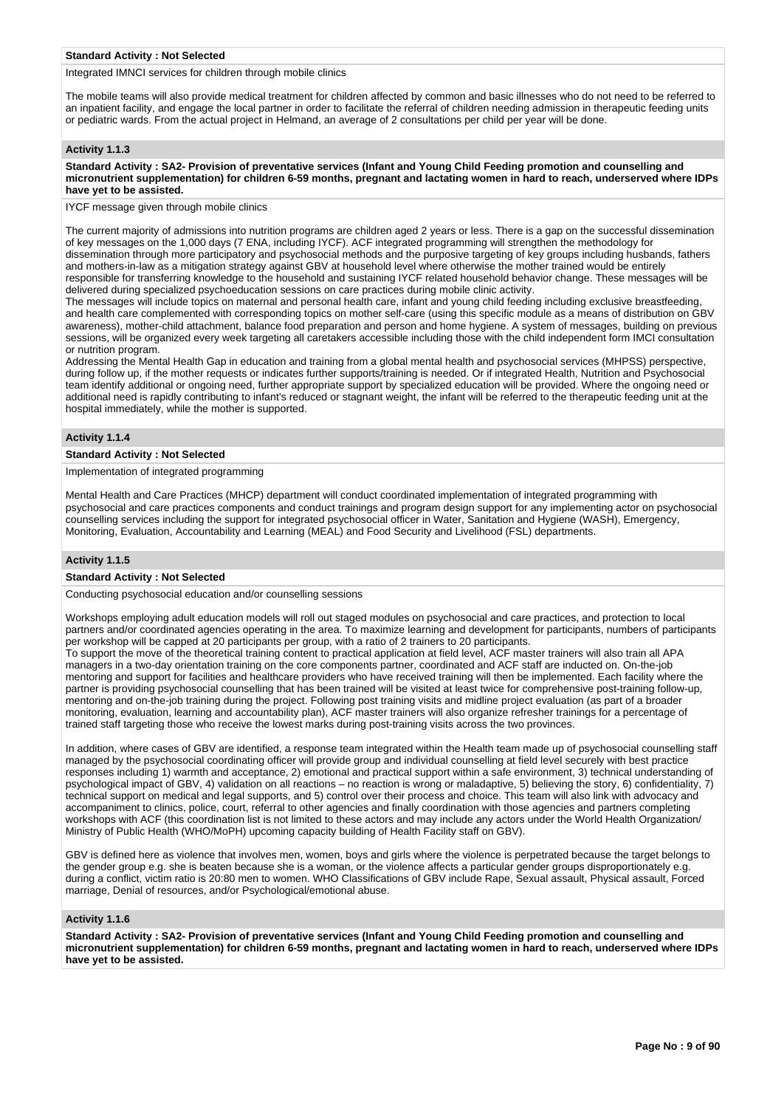#### **Standard Activity : Not Selected**

Integrated IMNCI services for children through mobile clinics

The mobile teams will also provide medical treatment for children affected by common and basic illnesses who do not need to be referred to an inpatient facility, and engage the local partner in order to facilitate the referral of children needing admission in therapeutic feeding units or pediatric wards. From the actual project in Helmand, an average of 2 consultations per child per year will be done.

#### **Activity 1.1.3**

**Standard Activity : SA2- Provision of preventative services (Infant and Young Child Feeding promotion and counselling and micronutrient supplementation) for children 6-59 months, pregnant and lactating women in hard to reach, underserved where IDPs have yet to be assisted.**

IYCF message given through mobile clinics

The current majority of admissions into nutrition programs are children aged 2 years or less. There is a gap on the successful dissemination of key messages on the 1,000 days (7 ENA, including IYCF). ACF integrated programming will strengthen the methodology for dissemination through more participatory and psychosocial methods and the purposive targeting of key groups including husbands, fathers and mothers-in-law as a mitigation strategy against GBV at household level where otherwise the mother trained would be entirely responsible for transferring knowledge to the household and sustaining IYCF related household behavior change. These messages will be delivered during specialized psychoeducation sessions on care practices during mobile clinic activity.

The messages will include topics on maternal and personal health care, infant and young child feeding including exclusive breastfeeding, and health care complemented with corresponding topics on mother self-care (using this specific module as a means of distribution on GBV awareness), mother-child attachment, balance food preparation and person and home hygiene. A system of messages, building on previous sessions, will be organized every week targeting all caretakers accessible including those with the child independent form IMCI consultation or nutrition program.

Addressing the Mental Health Gap in education and training from a global mental health and psychosocial services (MHPSS) perspective, during follow up, if the mother requests or indicates further supports/training is needed. Or if integrated Health, Nutrition and Psychosocial team identify additional or ongoing need, further appropriate support by specialized education will be provided. Where the ongoing need or additional need is rapidly contributing to infant's reduced or stagnant weight, the infant will be referred to the therapeutic feeding unit at the hospital immediately, while the mother is supported.

### **Activity 1.1.4**

### **Standard Activity : Not Selected**

Implementation of integrated programming

Mental Health and Care Practices (MHCP) department will conduct coordinated implementation of integrated programming with psychosocial and care practices components and conduct trainings and program design support for any implementing actor on psychosocial counselling services including the support for integrated psychosocial officer in Water, Sanitation and Hygiene (WASH), Emergency, Monitoring, Evaluation, Accountability and Learning (MEAL) and Food Security and Livelihood (FSL) departments.

#### **Activity 1.1.5**

#### **Standard Activity : Not Selected**

Conducting psychosocial education and/or counselling sessions

Workshops employing adult education models will roll out staged modules on psychosocial and care practices, and protection to local partners and/or coordinated agencies operating in the area. To maximize learning and development for participants, numbers of participants per workshop will be capped at 20 participants per group, with a ratio of 2 trainers to 20 participants.

To support the move of the theoretical training content to practical application at field level, ACF master trainers will also train all APA managers in a two-day orientation training on the core components partner, coordinated and ACF staff are inducted on. On-the-job mentoring and support for facilities and healthcare providers who have received training will then be implemented. Each facility where the partner is providing psychosocial counselling that has been trained will be visited at least twice for comprehensive post-training follow-up, mentoring and on-the-job training during the project. Following post training visits and midline project evaluation (as part of a broader monitoring, evaluation, learning and accountability plan), ACF master trainers will also organize refresher trainings for a percentage of trained staff targeting those who receive the lowest marks during post-training visits across the two provinces.

In addition, where cases of GBV are identified, a response team integrated within the Health team made up of psychosocial counselling staff managed by the psychosocial coordinating officer will provide group and individual counselling at field level securely with best practice responses including 1) warmth and acceptance, 2) emotional and practical support within a safe environment, 3) technical understanding of psychological impact of GBV, 4) validation on all reactions – no reaction is wrong or maladaptive, 5) believing the story, 6) confidentiality, 7) technical support on medical and legal supports, and 5) control over their process and choice. This team will also link with advocacy and accompaniment to clinics, police, court, referral to other agencies and finally coordination with those agencies and partners completing workshops with ACF (this coordination list is not limited to these actors and may include any actors under the World Health Organization/ Ministry of Public Health (WHO/MoPH) upcoming capacity building of Health Facility staff on GBV).

GBV is defined here as violence that involves men, women, boys and girls where the violence is perpetrated because the target belongs to the gender group e.g. she is beaten because she is a woman, or the violence affects a particular gender groups disproportionately e.g. during a conflict, victim ratio is 20:80 men to women. WHO Classifications of GBV include Rape, Sexual assault, Physical assault, Forced marriage, Denial of resources, and/or Psychological/emotional abuse.

#### **Activity 1.1.6**

**Standard Activity : SA2- Provision of preventative services (Infant and Young Child Feeding promotion and counselling and micronutrient supplementation) for children 6-59 months, pregnant and lactating women in hard to reach, underserved where IDPs have yet to be assisted.**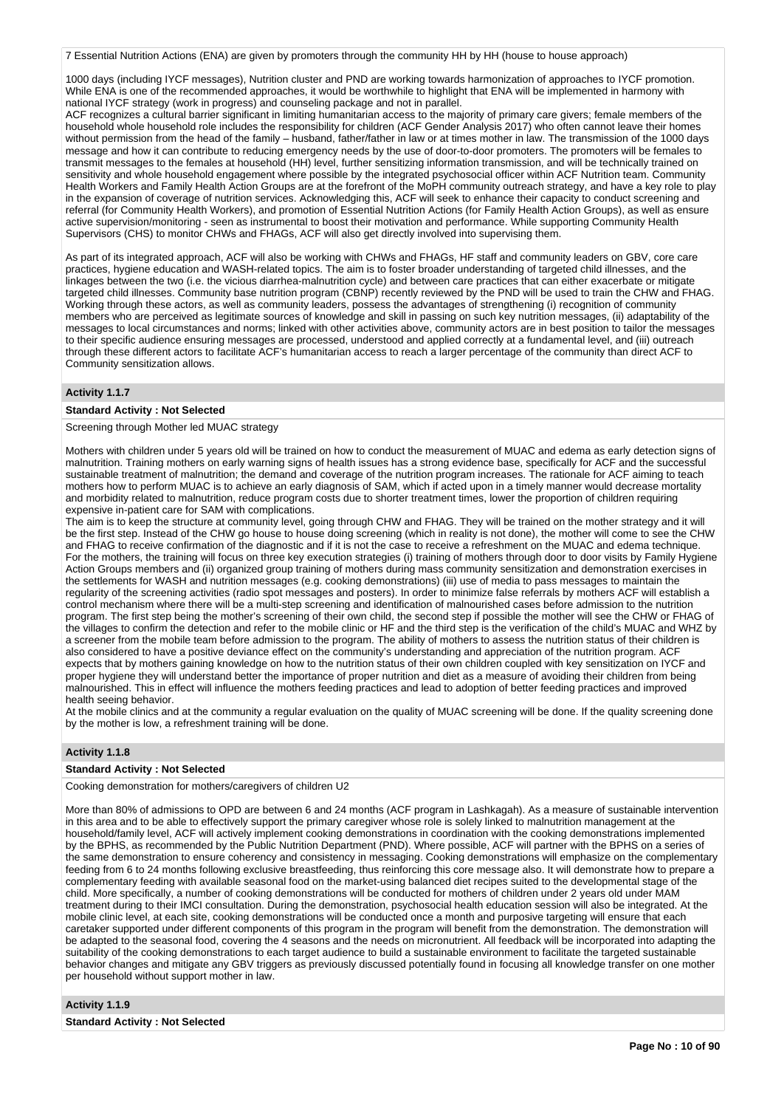7 Essential Nutrition Actions (ENA) are given by promoters through the community HH by HH (house to house approach)

1000 days (including IYCF messages), Nutrition cluster and PND are working towards harmonization of approaches to IYCF promotion. While ENA is one of the recommended approaches, it would be worthwhile to highlight that ENA will be implemented in harmony with national IYCF strategy (work in progress) and counseling package and not in parallel.

ACF recognizes a cultural barrier significant in limiting humanitarian access to the majority of primary care givers; female members of the household whole household role includes the responsibility for children (ACF Gender Analysis 2017) who often cannot leave their homes without permission from the head of the family – husband, father/father in law or at times mother in law. The transmission of the 1000 days message and how it can contribute to reducing emergency needs by the use of door-to-door promoters. The promoters will be females to transmit messages to the females at household (HH) level, further sensitizing information transmission, and will be technically trained on sensitivity and whole household engagement where possible by the integrated psychosocial officer within ACF Nutrition team. Community Health Workers and Family Health Action Groups are at the forefront of the MoPH community outreach strategy, and have a key role to play in the expansion of coverage of nutrition services. Acknowledging this, ACF will seek to enhance their capacity to conduct screening and referral (for Community Health Workers), and promotion of Essential Nutrition Actions (for Family Health Action Groups), as well as ensure active supervision/monitoring - seen as instrumental to boost their motivation and performance. While supporting Community Health Supervisors (CHS) to monitor CHWs and FHAGs, ACF will also get directly involved into supervising them.

As part of its integrated approach, ACF will also be working with CHWs and FHAGs, HF staff and community leaders on GBV, core care practices, hygiene education and WASH-related topics. The aim is to foster broader understanding of targeted child illnesses, and the linkages between the two (i.e. the vicious diarrhea-malnutrition cycle) and between care practices that can either exacerbate or mitigate targeted child illnesses. Community base nutrition program (CBNP) recently reviewed by the PND will be used to train the CHW and FHAG. Working through these actors, as well as community leaders, possess the advantages of strengthening (i) recognition of community members who are perceived as legitimate sources of knowledge and skill in passing on such key nutrition messages, (ii) adaptability of the messages to local circumstances and norms; linked with other activities above, community actors are in best position to tailor the messages to their specific audience ensuring messages are processed, understood and applied correctly at a fundamental level, and (iii) outreach through these different actors to facilitate ACF's humanitarian access to reach a larger percentage of the community than direct ACF to Community sensitization allows.

### **Activity 1.1.7**

### **Standard Activity : Not Selected**

Screening through Mother led MUAC strategy

Mothers with children under 5 years old will be trained on how to conduct the measurement of MUAC and edema as early detection signs of malnutrition. Training mothers on early warning signs of health issues has a strong evidence base, specifically for ACF and the successful sustainable treatment of malnutrition; the demand and coverage of the nutrition program increases. The rationale for ACF aiming to teach mothers how to perform MUAC is to achieve an early diagnosis of SAM, which if acted upon in a timely manner would decrease mortality and morbidity related to malnutrition, reduce program costs due to shorter treatment times, lower the proportion of children requiring expensive in-patient care for SAM with complications.

The aim is to keep the structure at community level, going through CHW and FHAG. They will be trained on the mother strategy and it will be the first step. Instead of the CHW go house to house doing screening (which in reality is not done), the mother will come to see the CHW and FHAG to receive confirmation of the diagnostic and if it is not the case to receive a refreshment on the MUAC and edema technique. For the mothers, the training will focus on three key execution strategies (i) training of mothers through door to door visits by Family Hygiene Action Groups members and (ii) organized group training of mothers during mass community sensitization and demonstration exercises in the settlements for WASH and nutrition messages (e.g. cooking demonstrations) (iii) use of media to pass messages to maintain the regularity of the screening activities (radio spot messages and posters). In order to minimize false referrals by mothers ACF will establish a control mechanism where there will be a multi-step screening and identification of malnourished cases before admission to the nutrition program. The first step being the mother's screening of their own child, the second step if possible the mother will see the CHW or FHAG of the villages to confirm the detection and refer to the mobile clinic or HF and the third step is the verification of the child's MUAC and WHZ by a screener from the mobile team before admission to the program. The ability of mothers to assess the nutrition status of their children is also considered to have a positive deviance effect on the community's understanding and appreciation of the nutrition program. ACF expects that by mothers gaining knowledge on how to the nutrition status of their own children coupled with key sensitization on IYCF and proper hygiene they will understand better the importance of proper nutrition and diet as a measure of avoiding their children from being malnourished. This in effect will influence the mothers feeding practices and lead to adoption of better feeding practices and improved health seeing behavior.

At the mobile clinics and at the community a regular evaluation on the quality of MUAC screening will be done. If the quality screening done by the mother is low, a refreshment training will be done.

### **Activity 1.1.8**

### **Standard Activity : Not Selected**

Cooking demonstration for mothers/caregivers of children U2

More than 80% of admissions to OPD are between 6 and 24 months (ACF program in Lashkagah). As a measure of sustainable intervention in this area and to be able to effectively support the primary caregiver whose role is solely linked to malnutrition management at the household/family level, ACF will actively implement cooking demonstrations in coordination with the cooking demonstrations implemented by the BPHS, as recommended by the Public Nutrition Department (PND). Where possible, ACF will partner with the BPHS on a series of the same demonstration to ensure coherency and consistency in messaging. Cooking demonstrations will emphasize on the complementary feeding from 6 to 24 months following exclusive breastfeeding, thus reinforcing this core message also. It will demonstrate how to prepare a complementary feeding with available seasonal food on the market-using balanced diet recipes suited to the developmental stage of the child. More specifically, a number of cooking demonstrations will be conducted for mothers of children under 2 years old under MAM treatment during to their IMCI consultation. During the demonstration, psychosocial health education session will also be integrated. At the mobile clinic level, at each site, cooking demonstrations will be conducted once a month and purposive targeting will ensure that each caretaker supported under different components of this program in the program will benefit from the demonstration. The demonstration will be adapted to the seasonal food, covering the 4 seasons and the needs on micronutrient. All feedback will be incorporated into adapting the suitability of the cooking demonstrations to each target audience to build a sustainable environment to facilitate the targeted sustainable behavior changes and mitigate any GBV triggers as previously discussed potentially found in focusing all knowledge transfer on one mother per household without support mother in law.

### **Activity 1.1.9**

**Standard Activity : Not Selected**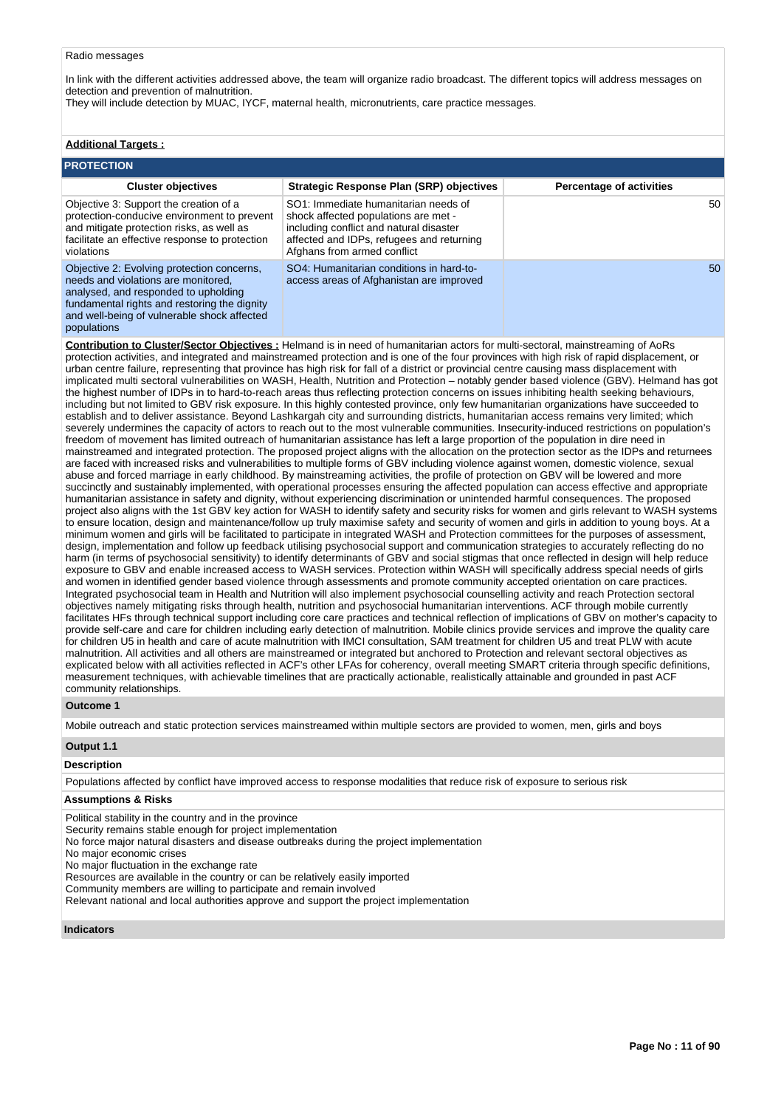#### Radio messages

In link with the different activities addressed above, the team will organize radio broadcast. The different topics will address messages on detection and prevention of malnutrition.

They will include detection by MUAC, IYCF, maternal health, micronutrients, care practice messages.

# **Additional Targets :**

| <b>PROTECTION</b>                                                                                                                                                                                                        |                                                                                                                                                                                                     |                                 |  |  |  |  |  |  |
|--------------------------------------------------------------------------------------------------------------------------------------------------------------------------------------------------------------------------|-----------------------------------------------------------------------------------------------------------------------------------------------------------------------------------------------------|---------------------------------|--|--|--|--|--|--|
| <b>Cluster objectives</b>                                                                                                                                                                                                | <b>Strategic Response Plan (SRP) objectives</b>                                                                                                                                                     | <b>Percentage of activities</b> |  |  |  |  |  |  |
| Objective 3: Support the creation of a<br>protection-conducive environment to prevent<br>and mitigate protection risks, as well as<br>facilitate an effective response to protection<br>violations                       | SO1: Immediate humanitarian needs of<br>shock affected populations are met -<br>including conflict and natural disaster<br>affected and IDPs, refugees and returning<br>Afghans from armed conflict | 50                              |  |  |  |  |  |  |
| Objective 2: Evolving protection concerns,<br>needs and violations are monitored.<br>analysed, and responded to upholding<br>fundamental rights and restoring the dignity<br>and well-being of vulnerable shock affected | SO4: Humanitarian conditions in hard-to-<br>access areas of Afghanistan are improved                                                                                                                | 50                              |  |  |  |  |  |  |

populations

**Contribution to Cluster/Sector Objectives :** Helmand is in need of humanitarian actors for multi-sectoral, mainstreaming of AoRs protection activities, and integrated and mainstreamed protection and is one of the four provinces with high risk of rapid displacement, or urban centre failure, representing that province has high risk for fall of a district or provincial centre causing mass displacement with implicated multi sectoral vulnerabilities on WASH, Health, Nutrition and Protection – notably gender based violence (GBV). Helmand has got the highest number of IDPs in to hard-to-reach areas thus reflecting protection concerns on issues inhibiting health seeking behaviours, including but not limited to GBV risk exposure. In this highly contested province, only few humanitarian organizations have succeeded to establish and to deliver assistance. Beyond Lashkargah city and surrounding districts, humanitarian access remains very limited; which severely undermines the capacity of actors to reach out to the most vulnerable communities. Insecurity-induced restrictions on population's freedom of movement has limited outreach of humanitarian assistance has left a large proportion of the population in dire need in mainstreamed and integrated protection. The proposed project aligns with the allocation on the protection sector as the IDPs and returnees are faced with increased risks and vulnerabilities to multiple forms of GBV including violence against women, domestic violence, sexual abuse and forced marriage in early childhood. By mainstreaming activities, the profile of protection on GBV will be lowered and more succinctly and sustainably implemented, with operational processes ensuring the affected population can access effective and appropriate humanitarian assistance in safety and dignity, without experiencing discrimination or unintended harmful consequences. The proposed project also aligns with the 1st GBV key action for WASH to identify safety and security risks for women and girls relevant to WASH systems to ensure location, design and maintenance/follow up truly maximise safety and security of women and girls in addition to young boys. At a minimum women and girls will be facilitated to participate in integrated WASH and Protection committees for the purposes of assessment, design, implementation and follow up feedback utilising psychosocial support and communication strategies to accurately reflecting do no harm (in terms of psychosocial sensitivity) to identify determinants of GBV and social stigmas that once reflected in design will help reduce exposure to GBV and enable increased access to WASH services. Protection within WASH will specifically address special needs of girls and women in identified gender based violence through assessments and promote community accepted orientation on care practices. Integrated psychosocial team in Health and Nutrition will also implement psychosocial counselling activity and reach Protection sectoral objectives namely mitigating risks through health, nutrition and psychosocial humanitarian interventions. ACF through mobile currently facilitates HFs through technical support including core care practices and technical reflection of implications of GBV on mother's capacity to provide self-care and care for children including early detection of malnutrition. Mobile clinics provide services and improve the quality care for children U5 in health and care of acute malnutrition with IMCI consultation, SAM treatment for children U5 and treat PLW with acute malnutrition. All activities and all others are mainstreamed or integrated but anchored to Protection and relevant sectoral objectives as explicated below with all activities reflected in ACF's other LFAs for coherency, overall meeting SMART criteria through specific definitions, measurement techniques, with achievable timelines that are practically actionable, realistically attainable and grounded in past ACF community relationships.

#### **Outcome 1**

Mobile outreach and static protection services mainstreamed within multiple sectors are provided to women, men, girls and boys

### **Output 1.1**

### **Description**

Populations affected by conflict have improved access to response modalities that reduce risk of exposure to serious risk

### **Assumptions & Risks**

Political stability in the country and in the province

Security remains stable enough for project implementation

No force major natural disasters and disease outbreaks during the project implementation

No major economic crises

No major fluctuation in the exchange rate

Resources are available in the country or can be relatively easily imported

Community members are willing to participate and remain involved

Relevant national and local authorities approve and support the project implementation

#### **Indicators**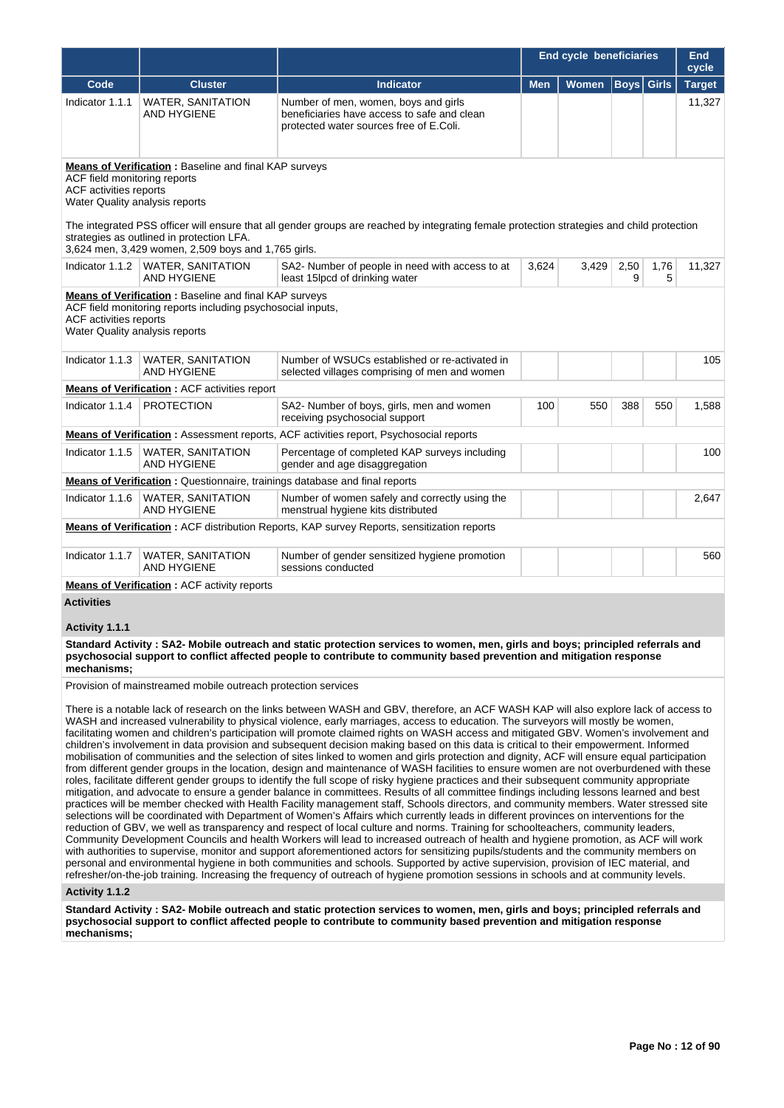|                                                                                                                                                                                                                                                                                                                                                                                                            |                                                                                                                       |                                                                                                                                | <b>End cycle beneficiaries</b> |              |           |              | End<br>cycle  |
|------------------------------------------------------------------------------------------------------------------------------------------------------------------------------------------------------------------------------------------------------------------------------------------------------------------------------------------------------------------------------------------------------------|-----------------------------------------------------------------------------------------------------------------------|--------------------------------------------------------------------------------------------------------------------------------|--------------------------------|--------------|-----------|--------------|---------------|
| Code                                                                                                                                                                                                                                                                                                                                                                                                       | <b>Cluster</b>                                                                                                        | <b>Indicator</b>                                                                                                               | <b>Men</b>                     | <b>Women</b> | Boys      | <b>Girls</b> | <b>Target</b> |
| Indicator 1.1.1                                                                                                                                                                                                                                                                                                                                                                                            | <b>WATER, SANITATION</b><br><b>AND HYGIENE</b>                                                                        | Number of men, women, boys and girls<br>beneficiaries have access to safe and clean<br>protected water sources free of E.Coli. |                                |              |           |              | 11,327        |
| Means of Verification: Baseline and final KAP surveys<br>ACF field monitoring reports<br><b>ACF</b> activities reports<br>Water Quality analysis reports<br>The integrated PSS officer will ensure that all gender groups are reached by integrating female protection strategies and child protection<br>strategies as outlined in protection LFA.<br>3,624 men, 3,429 women, 2,509 boys and 1,765 girls. |                                                                                                                       |                                                                                                                                |                                |              |           |              |               |
|                                                                                                                                                                                                                                                                                                                                                                                                            | Indicator 1.1.2   WATER, SANITATION<br>AND HYGIENE                                                                    | SA2- Number of people in need with access to at<br>least 15lpcd of drinking water                                              | 3,624                          | 3,429        | 2,50<br>9 | 1,76<br>5    | 11,327        |
| <b>ACF</b> activities reports<br>Water Quality analysis reports                                                                                                                                                                                                                                                                                                                                            | Means of Verification : Baseline and final KAP surveys<br>ACF field monitoring reports including psychosocial inputs, |                                                                                                                                |                                |              |           |              |               |
| Indicator 1.1.3                                                                                                                                                                                                                                                                                                                                                                                            | <b>WATER, SANITATION</b><br><b>AND HYGIENE</b>                                                                        | Number of WSUCs established or re-activated in<br>selected villages comprising of men and women                                |                                |              |           |              | 105           |
|                                                                                                                                                                                                                                                                                                                                                                                                            | <b>Means of Verification: ACF activities report</b>                                                                   |                                                                                                                                |                                |              |           |              |               |
| Indicator 1.1.4                                                                                                                                                                                                                                                                                                                                                                                            | <b>PROTECTION</b>                                                                                                     | SA2- Number of boys, girls, men and women<br>receiving psychosocial support                                                    | 100                            | 550          | 388       | 550          | 1,588         |
|                                                                                                                                                                                                                                                                                                                                                                                                            |                                                                                                                       | <b>Means of Verification:</b> Assessment reports, ACF activities report, Psychosocial reports                                  |                                |              |           |              |               |
| Indicator 1.1.5                                                                                                                                                                                                                                                                                                                                                                                            | <b>WATER, SANITATION</b><br>AND HYGIENE                                                                               | Percentage of completed KAP surveys including<br>gender and age disaggregation                                                 |                                |              |           |              | 100           |
|                                                                                                                                                                                                                                                                                                                                                                                                            |                                                                                                                       | Means of Verification: Questionnaire, trainings database and final reports                                                     |                                |              |           |              |               |
| Indicator 1.1.6                                                                                                                                                                                                                                                                                                                                                                                            | <b>WATER, SANITATION</b><br><b>AND HYGIENE</b>                                                                        | Number of women safely and correctly using the<br>menstrual hygiene kits distributed                                           |                                |              |           |              | 2,647         |
|                                                                                                                                                                                                                                                                                                                                                                                                            |                                                                                                                       | <b>Means of Verification:</b> ACF distribution Reports, KAP survey Reports, sensitization reports                              |                                |              |           |              |               |
| Indicator 1.1.7                                                                                                                                                                                                                                                                                                                                                                                            | <b>WATER, SANITATION</b><br><b>AND HYGIENE</b>                                                                        | Number of gender sensitized hygiene promotion<br>sessions conducted                                                            |                                |              |           |              | 560           |
|                                                                                                                                                                                                                                                                                                                                                                                                            | <b>Means of Verification: ACF activity reports</b>                                                                    |                                                                                                                                |                                |              |           |              |               |
| <b>Activities</b>                                                                                                                                                                                                                                                                                                                                                                                          |                                                                                                                       |                                                                                                                                |                                |              |           |              |               |

### **Activity 1.1.1**

**Standard Activity : SA2- Mobile outreach and static protection services to women, men, girls and boys; principled referrals and psychosocial support to conflict affected people to contribute to community based prevention and mitigation response mechanisms;**

Provision of mainstreamed mobile outreach protection services

There is a notable lack of research on the links between WASH and GBV, therefore, an ACF WASH KAP will also explore lack of access to WASH and increased vulnerability to physical violence, early marriages, access to education. The surveyors will mostly be women, facilitating women and children's participation will promote claimed rights on WASH access and mitigated GBV. Women's involvement and children's involvement in data provision and subsequent decision making based on this data is critical to their empowerment. Informed mobilisation of communities and the selection of sites linked to women and girls protection and dignity, ACF will ensure equal participation from different gender groups in the location, design and maintenance of WASH facilities to ensure women are not overburdened with these roles, facilitate different gender groups to identify the full scope of risky hygiene practices and their subsequent community appropriate mitigation, and advocate to ensure a gender balance in committees. Results of all committee findings including lessons learned and best practices will be member checked with Health Facility management staff, Schools directors, and community members. Water stressed site selections will be coordinated with Department of Women's Affairs which currently leads in different provinces on interventions for the reduction of GBV, we well as transparency and respect of local culture and norms. Training for schoolteachers, community leaders, Community Development Councils and health Workers will lead to increased outreach of health and hygiene promotion, as ACF will work with authorities to supervise, monitor and support aforementioned actors for sensitizing pupils/students and the community members on personal and environmental hygiene in both communities and schools. Supported by active supervision, provision of IEC material, and refresher/on-the-job training. Increasing the frequency of outreach of hygiene promotion sessions in schools and at community levels.

#### **Activity 1.1.2**

**Standard Activity : SA2- Mobile outreach and static protection services to women, men, girls and boys; principled referrals and psychosocial support to conflict affected people to contribute to community based prevention and mitigation response mechanisms;**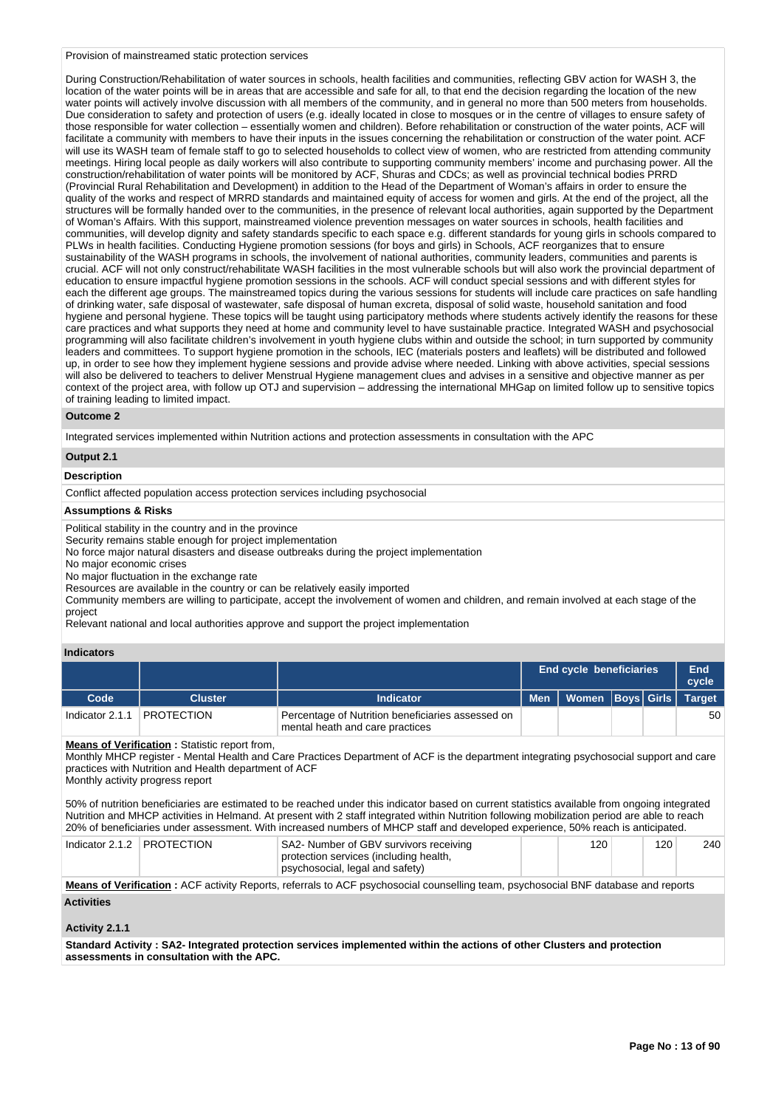#### Provision of mainstreamed static protection services

During Construction/Rehabilitation of water sources in schools, health facilities and communities, reflecting GBV action for WASH 3, the location of the water points will be in areas that are accessible and safe for all, to that end the decision regarding the location of the new water points will actively involve discussion with all members of the community, and in general no more than 500 meters from households. Due consideration to safety and protection of users (e.g. ideally located in close to mosques or in the centre of villages to ensure safety of those responsible for water collection – essentially women and children). Before rehabilitation or construction of the water points, ACF will facilitate a community with members to have their inputs in the issues concerning the rehabilitation or construction of the water point. ACF will use its WASH team of female staff to go to selected households to collect view of women, who are restricted from attending community meetings. Hiring local people as daily workers will also contribute to supporting community members' income and purchasing power. All the construction/rehabilitation of water points will be monitored by ACF, Shuras and CDCs; as well as provincial technical bodies PRRD (Provincial Rural Rehabilitation and Development) in addition to the Head of the Department of Woman's affairs in order to ensure the quality of the works and respect of MRRD standards and maintained equity of access for women and girls. At the end of the project, all the structures will be formally handed over to the communities, in the presence of relevant local authorities, again supported by the Department of Woman's Affairs. With this support, mainstreamed violence prevention messages on water sources in schools, health facilities and communities, will develop dignity and safety standards specific to each space e.g. different standards for young girls in schools compared to PLWs in health facilities. Conducting Hygiene promotion sessions (for boys and girls) in Schools, ACF reorganizes that to ensure sustainability of the WASH programs in schools, the involvement of national authorities, community leaders, communities and parents is crucial. ACF will not only construct/rehabilitate WASH facilities in the most vulnerable schools but will also work the provincial department of education to ensure impactful hygiene promotion sessions in the schools. ACF will conduct special sessions and with different styles for each the different age groups. The mainstreamed topics during the various sessions for students will include care practices on safe handling of drinking water, safe disposal of wastewater, safe disposal of human excreta, disposal of solid waste, household sanitation and food hygiene and personal hygiene. These topics will be taught using participatory methods where students actively identify the reasons for these care practices and what supports they need at home and community level to have sustainable practice. Integrated WASH and psychosocial programming will also facilitate children's involvement in youth hygiene clubs within and outside the school; in turn supported by community leaders and committees. To support hygiene promotion in the schools, IEC (materials posters and leaflets) will be distributed and followed up, in order to see how they implement hygiene sessions and provide advise where needed. Linking with above activities, special sessions will also be delivered to teachers to deliver Menstrual Hygiene management clues and advises in a sensitive and objective manner as per context of the project area, with follow up OTJ and supervision – addressing the international MHGap on limited follow up to sensitive topics of training leading to limited impact.

### **Outcome 2**

Integrated services implemented within Nutrition actions and protection assessments in consultation with the APC

# **Output 2.1**

### **Description**

Conflict affected population access protection services including psychosocial

### **Assumptions & Risks**

Political stability in the country and in the province

Security remains stable enough for project implementation

No force major natural disasters and disease outbreaks during the project implementation

No major economic crises

No major fluctuation in the exchange rate

Resources are available in the country or can be relatively easily imported

Community members are willing to participate, accept the involvement of women and children, and remain involved at each stage of the project

Relevant national and local authorities approve and support the project implementation

#### **Indicators**

|                                                                                                                                                                                                                                                                                                                                                                                                                                                                                                                                                                                                                                                                                                                                  |                   |                                                                                                                     | <b>End cycle beneficiaries</b> |              |  | <b>End</b><br>cycle |               |
|----------------------------------------------------------------------------------------------------------------------------------------------------------------------------------------------------------------------------------------------------------------------------------------------------------------------------------------------------------------------------------------------------------------------------------------------------------------------------------------------------------------------------------------------------------------------------------------------------------------------------------------------------------------------------------------------------------------------------------|-------------------|---------------------------------------------------------------------------------------------------------------------|--------------------------------|--------------|--|---------------------|---------------|
| Code                                                                                                                                                                                                                                                                                                                                                                                                                                                                                                                                                                                                                                                                                                                             | <b>Cluster</b>    | <b>Indicator</b>                                                                                                    | <b>Men</b>                     | <b>Women</b> |  | <b>Boys</b> Girls   | <b>Target</b> |
| Indicator 2.1.1                                                                                                                                                                                                                                                                                                                                                                                                                                                                                                                                                                                                                                                                                                                  | <b>PROTECTION</b> | Percentage of Nutrition beneficiaries assessed on<br>mental heath and care practices                                |                                |              |  |                     | 50            |
| <b>Means of Verification:</b> Statistic report from,<br>Monthly MHCP register - Mental Health and Care Practices Department of ACF is the department integrating psychosocial support and care<br>practices with Nutrition and Health department of ACF<br>Monthly activity progress report<br>50% of nutrition beneficiaries are estimated to be reached under this indicator based on current statistics available from ongoing integrated<br>Nutrition and MHCP activities in Helmand. At present with 2 staff integrated within Nutrition following mobilization period are able to reach<br>20% of beneficiaries under assessment. With increased numbers of MHCP staff and developed experience, 50% reach is anticipated. |                   |                                                                                                                     |                                |              |  |                     |               |
| Indicator 2.1.2                                                                                                                                                                                                                                                                                                                                                                                                                                                                                                                                                                                                                                                                                                                  | <b>PROTECTION</b> | SA2- Number of GBV survivors receiving<br>protection services (including health,<br>psychosocial, legal and safety) |                                | 120          |  | 120                 | 240           |
| Means of Verification: ACF activity Reports, referrals to ACF psychosocial counselling team, psychosocial BNF database and reports                                                                                                                                                                                                                                                                                                                                                                                                                                                                                                                                                                                               |                   |                                                                                                                     |                                |              |  |                     |               |
| <b>Activities</b>                                                                                                                                                                                                                                                                                                                                                                                                                                                                                                                                                                                                                                                                                                                |                   |                                                                                                                     |                                |              |  |                     |               |
| Activity 2.1.1                                                                                                                                                                                                                                                                                                                                                                                                                                                                                                                                                                                                                                                                                                                   |                   |                                                                                                                     |                                |              |  |                     |               |

**Standard Activity : SA2- Integrated protection services implemented within the actions of other Clusters and protection assessments in consultation with the APC.**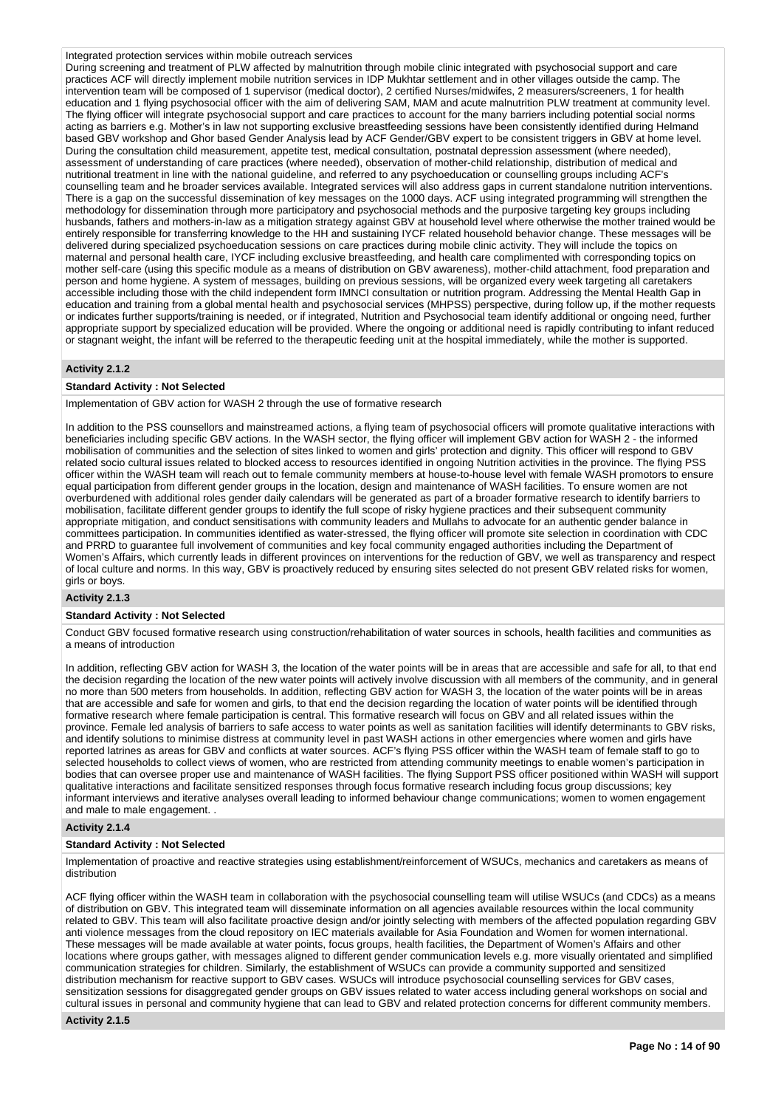Integrated protection services within mobile outreach services

During screening and treatment of PLW affected by malnutrition through mobile clinic integrated with psychosocial support and care practices ACF will directly implement mobile nutrition services in IDP Mukhtar settlement and in other villages outside the camp. The intervention team will be composed of 1 supervisor (medical doctor), 2 certified Nurses/midwifes, 2 measurers/screeners, 1 for health education and 1 flying psychosocial officer with the aim of delivering SAM, MAM and acute malnutrition PLW treatment at community level. The flying officer will integrate psychosocial support and care practices to account for the many barriers including potential social norms acting as barriers e.g. Mother's in law not supporting exclusive breastfeeding sessions have been consistently identified during Helmand based GBV workshop and Ghor based Gender Analysis lead by ACF Gender/GBV expert to be consistent triggers in GBV at home level. During the consultation child measurement, appetite test, medical consultation, postnatal depression assessment (where needed), assessment of understanding of care practices (where needed), observation of mother-child relationship, distribution of medical and nutritional treatment in line with the national guideline, and referred to any psychoeducation or counselling groups including ACF's counselling team and he broader services available. Integrated services will also address gaps in current standalone nutrition interventions. There is a gap on the successful dissemination of key messages on the 1000 days. ACF using integrated programming will strengthen the methodology for dissemination through more participatory and psychosocial methods and the purposive targeting key groups including husbands, fathers and mothers-in-law as a mitigation strategy against GBV at household level where otherwise the mother trained would be entirely responsible for transferring knowledge to the HH and sustaining IYCF related household behavior change. These messages will be delivered during specialized psychoeducation sessions on care practices during mobile clinic activity. They will include the topics on maternal and personal health care, IYCF including exclusive breastfeeding, and health care complimented with corresponding topics on mother self-care (using this specific module as a means of distribution on GBV awareness), mother-child attachment, food preparation and person and home hygiene. A system of messages, building on previous sessions, will be organized every week targeting all caretakers accessible including those with the child independent form IMNCI consultation or nutrition program. Addressing the Mental Health Gap in education and training from a global mental health and psychosocial services (MHPSS) perspective, during follow up, if the mother requests or indicates further supports/training is needed, or if integrated, Nutrition and Psychosocial team identify additional or ongoing need, further appropriate support by specialized education will be provided. Where the ongoing or additional need is rapidly contributing to infant reduced or stagnant weight, the infant will be referred to the therapeutic feeding unit at the hospital immediately, while the mother is supported.

### **Activity 2.1.2**

### **Standard Activity : Not Selected**

Implementation of GBV action for WASH 2 through the use of formative research

In addition to the PSS counsellors and mainstreamed actions, a flying team of psychosocial officers will promote qualitative interactions with beneficiaries including specific GBV actions. In the WASH sector, the flying officer will implement GBV action for WASH 2 - the informed mobilisation of communities and the selection of sites linked to women and girls' protection and dignity. This officer will respond to GBV related socio cultural issues related to blocked access to resources identified in ongoing Nutrition activities in the province. The flying PSS officer within the WASH team will reach out to female community members at house-to-house level with female WASH promotors to ensure equal participation from different gender groups in the location, design and maintenance of WASH facilities. To ensure women are not overburdened with additional roles gender daily calendars will be generated as part of a broader formative research to identify barriers to mobilisation, facilitate different gender groups to identify the full scope of risky hygiene practices and their subsequent community appropriate mitigation, and conduct sensitisations with community leaders and Mullahs to advocate for an authentic gender balance in committees participation. In communities identified as water-stressed, the flying officer will promote site selection in coordination with CDC and PRRD to guarantee full involvement of communities and key focal community engaged authorities including the Department of Women's Affairs, which currently leads in different provinces on interventions for the reduction of GBV, we well as transparency and respect of local culture and norms. In this way, GBV is proactively reduced by ensuring sites selected do not present GBV related risks for women, girls or boys.

# **Activity 2.1.3**

### **Standard Activity : Not Selected**

Conduct GBV focused formative research using construction/rehabilitation of water sources in schools, health facilities and communities as a means of introduction

In addition, reflecting GBV action for WASH 3, the location of the water points will be in areas that are accessible and safe for all, to that end the decision regarding the location of the new water points will actively involve discussion with all members of the community, and in general no more than 500 meters from households. In addition, reflecting GBV action for WASH 3, the location of the water points will be in areas that are accessible and safe for women and girls, to that end the decision regarding the location of water points will be identified through formative research where female participation is central. This formative research will focus on GBV and all related issues within the province. Female led analysis of barriers to safe access to water points as well as sanitation facilities will identify determinants to GBV risks, and identify solutions to minimise distress at community level in past WASH actions in other emergencies where women and girls have reported latrines as areas for GBV and conflicts at water sources. ACF's flying PSS officer within the WASH team of female staff to go to selected households to collect views of women, who are restricted from attending community meetings to enable women's participation in bodies that can oversee proper use and maintenance of WASH facilities. The flying Support PSS officer positioned within WASH will support qualitative interactions and facilitate sensitized responses through focus formative research including focus group discussions; key informant interviews and iterative analyses overall leading to informed behaviour change communications; women to women engagement and male to male engagement. .

### **Activity 2.1.4**

### **Standard Activity : Not Selected**

Implementation of proactive and reactive strategies using establishment/reinforcement of WSUCs, mechanics and caretakers as means of distribution

ACF flying officer within the WASH team in collaboration with the psychosocial counselling team will utilise WSUCs (and CDCs) as a means of distribution on GBV. This integrated team will disseminate information on all agencies available resources within the local community related to GBV. This team will also facilitate proactive design and/or jointly selecting with members of the affected population regarding GBV anti violence messages from the cloud repository on IEC materials available for Asia Foundation and Women for women international. These messages will be made available at water points, focus groups, health facilities, the Department of Women's Affairs and other locations where groups gather, with messages aligned to different gender communication levels e.g. more visually orientated and simplified communication strategies for children. Similarly, the establishment of WSUCs can provide a community supported and sensitized distribution mechanism for reactive support to GBV cases. WSUCs will introduce psychosocial counselling services for GBV cases, sensitization sessions for disaggregated gender groups on GBV issues related to water access including general workshops on social and cultural issues in personal and community hygiene that can lead to GBV and related protection concerns for different community members.

#### **Activity 2.1.5**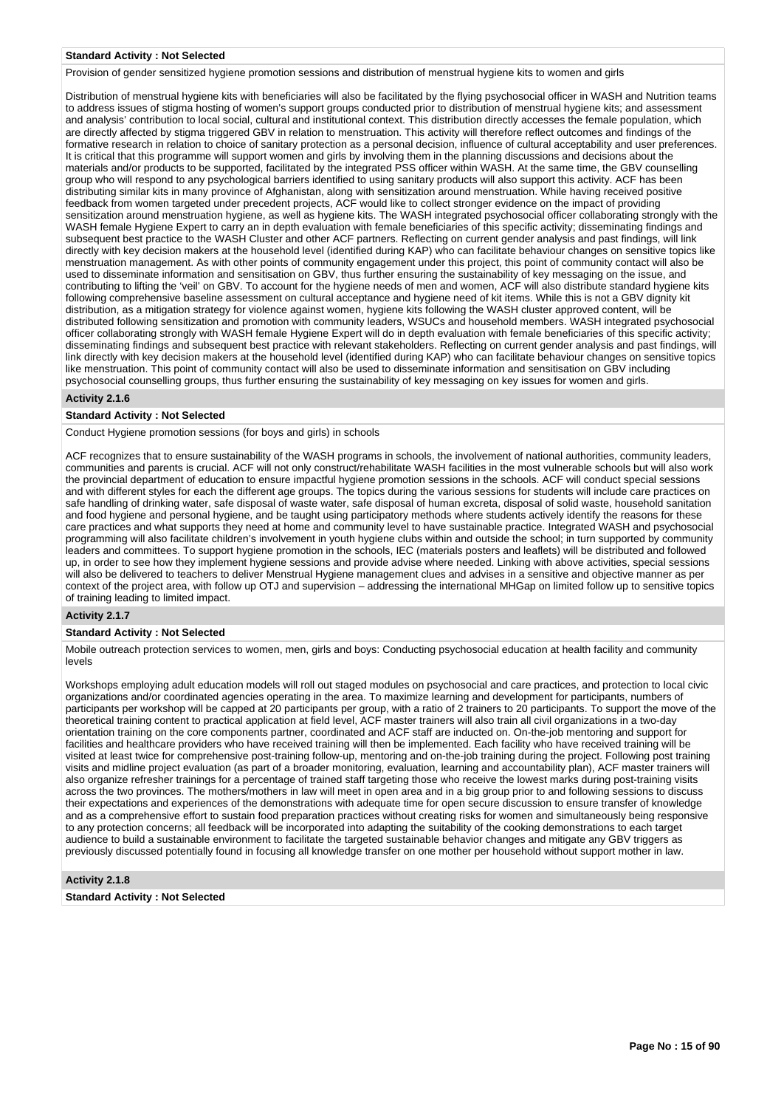#### **Standard Activity : Not Selected**

Provision of gender sensitized hygiene promotion sessions and distribution of menstrual hygiene kits to women and girls

Distribution of menstrual hygiene kits with beneficiaries will also be facilitated by the flying psychosocial officer in WASH and Nutrition teams to address issues of stigma hosting of women's support groups conducted prior to distribution of menstrual hygiene kits; and assessment and analysis' contribution to local social, cultural and institutional context. This distribution directly accesses the female population, which are directly affected by stigma triggered GBV in relation to menstruation. This activity will therefore reflect outcomes and findings of the formative research in relation to choice of sanitary protection as a personal decision, influence of cultural acceptability and user preferences. It is critical that this programme will support women and girls by involving them in the planning discussions and decisions about the materials and/or products to be supported, facilitated by the integrated PSS officer within WASH. At the same time, the GBV counselling group who will respond to any psychological barriers identified to using sanitary products will also support this activity. ACF has been distributing similar kits in many province of Afghanistan, along with sensitization around menstruation. While having received positive feedback from women targeted under precedent projects, ACF would like to collect stronger evidence on the impact of providing sensitization around menstruation hygiene, as well as hygiene kits. The WASH integrated psychosocial officer collaborating strongly with the WASH female Hygiene Expert to carry an in depth evaluation with female beneficiaries of this specific activity; disseminating findings and subsequent best practice to the WASH Cluster and other ACF partners. Reflecting on current gender analysis and past findings, will link directly with key decision makers at the household level (identified during KAP) who can facilitate behaviour changes on sensitive topics like menstruation management. As with other points of community engagement under this project, this point of community contact will also be used to disseminate information and sensitisation on GBV, thus further ensuring the sustainability of key messaging on the issue, and contributing to lifting the 'veil' on GBV. To account for the hygiene needs of men and women, ACF will also distribute standard hygiene kits following comprehensive baseline assessment on cultural acceptance and hygiene need of kit items. While this is not a GBV dignity kit distribution, as a mitigation strategy for violence against women, hygiene kits following the WASH cluster approved content, will be distributed following sensitization and promotion with community leaders, WSUCs and household members. WASH integrated psychosocial officer collaborating strongly with WASH female Hygiene Expert will do in depth evaluation with female beneficiaries of this specific activity; disseminating findings and subsequent best practice with relevant stakeholders. Reflecting on current gender analysis and past findings, will link directly with key decision makers at the household level (identified during KAP) who can facilitate behaviour changes on sensitive topics like menstruation. This point of community contact will also be used to disseminate information and sensitisation on GBV including psychosocial counselling groups, thus further ensuring the sustainability of key messaging on key issues for women and girls.

### **Activity 2.1.6**

#### **Standard Activity : Not Selected**

Conduct Hygiene promotion sessions (for boys and girls) in schools

ACF recognizes that to ensure sustainability of the WASH programs in schools, the involvement of national authorities, community leaders, communities and parents is crucial. ACF will not only construct/rehabilitate WASH facilities in the most vulnerable schools but will also work the provincial department of education to ensure impactful hygiene promotion sessions in the schools. ACF will conduct special sessions and with different styles for each the different age groups. The topics during the various sessions for students will include care practices on safe handling of drinking water, safe disposal of waste water, safe disposal of human excreta, disposal of solid waste, household sanitation and food hygiene and personal hygiene, and be taught using participatory methods where students actively identify the reasons for these care practices and what supports they need at home and community level to have sustainable practice. Integrated WASH and psychosocial programming will also facilitate children's involvement in youth hygiene clubs within and outside the school; in turn supported by community leaders and committees. To support hygiene promotion in the schools, IEC (materials posters and leaflets) will be distributed and followed up, in order to see how they implement hygiene sessions and provide advise where needed. Linking with above activities, special sessions will also be delivered to teachers to deliver Menstrual Hygiene management clues and advises in a sensitive and objective manner as per context of the project area, with follow up OTJ and supervision – addressing the international MHGap on limited follow up to sensitive topics of training leading to limited impact.

#### **Activity 2.1.7**

#### **Standard Activity : Not Selected**

Mobile outreach protection services to women, men, girls and boys: Conducting psychosocial education at health facility and community levels

Workshops employing adult education models will roll out staged modules on psychosocial and care practices, and protection to local civic organizations and/or coordinated agencies operating in the area. To maximize learning and development for participants, numbers of participants per workshop will be capped at 20 participants per group, with a ratio of 2 trainers to 20 participants. To support the move of the theoretical training content to practical application at field level, ACF master trainers will also train all civil organizations in a two-day orientation training on the core components partner, coordinated and ACF staff are inducted on. On-the-job mentoring and support for facilities and healthcare providers who have received training will then be implemented. Each facility who have received training will be visited at least twice for comprehensive post-training follow-up, mentoring and on-the-job training during the project. Following post training visits and midline project evaluation (as part of a broader monitoring, evaluation, learning and accountability plan), ACF master trainers will also organize refresher trainings for a percentage of trained staff targeting those who receive the lowest marks during post-training visits across the two provinces. The mothers/mothers in law will meet in open area and in a big group prior to and following sessions to discuss their expectations and experiences of the demonstrations with adequate time for open secure discussion to ensure transfer of knowledge and as a comprehensive effort to sustain food preparation practices without creating risks for women and simultaneously being responsive to any protection concerns; all feedback will be incorporated into adapting the suitability of the cooking demonstrations to each target audience to build a sustainable environment to facilitate the targeted sustainable behavior changes and mitigate any GBV triggers as previously discussed potentially found in focusing all knowledge transfer on one mother per household without support mother in law.

### **Activity 2.1.8**

**Standard Activity : Not Selected**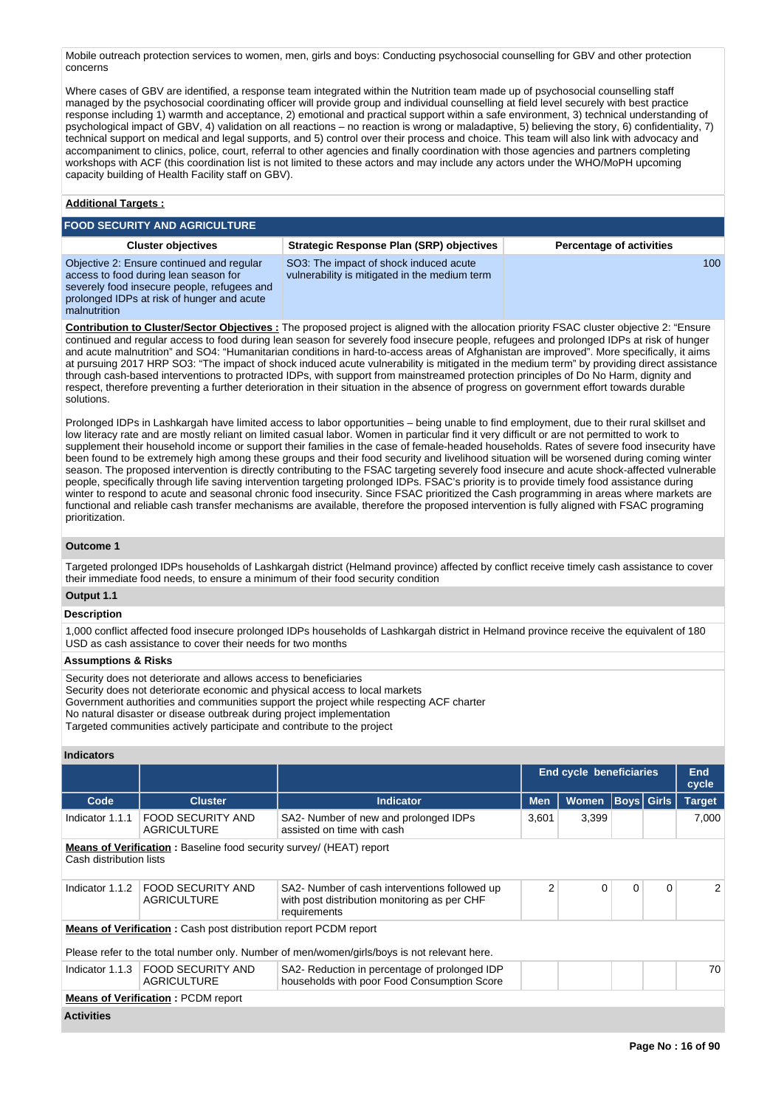Mobile outreach protection services to women, men, girls and boys: Conducting psychosocial counselling for GBV and other protection concerns

Where cases of GBV are identified, a response team integrated within the Nutrition team made up of psychosocial counselling staff managed by the psychosocial coordinating officer will provide group and individual counselling at field level securely with best practice response including 1) warmth and acceptance, 2) emotional and practical support within a safe environment, 3) technical understanding of psychological impact of GBV, 4) validation on all reactions – no reaction is wrong or maladaptive, 5) believing the story, 6) confidentiality, 7) technical support on medical and legal supports, and 5) control over their process and choice. This team will also link with advocacy and accompaniment to clinics, police, court, referral to other agencies and finally coordination with those agencies and partners completing workshops with ACF (this coordination list is not limited to these actors and may include any actors under the WHO/MoPH upcoming capacity building of Health Facility staff on GBV).

# **Additional Targets :**

#### **FOOD SECURITY AND AGRICULTURE Cluster objectives Strategic Response Plan (SRP) objectives Percentage of activities** Objective 2: Ensure continued and regular access to food during lean season for severely food insecure people, refugees and prolonged IDPs at risk of hunger and acute malnutrition SO3: The impact of shock induced acute vulnerability is mitigated in the medium term 100

**Contribution to Cluster/Sector Objectives :** The proposed project is aligned with the allocation priority FSAC cluster objective 2: "Ensure continued and regular access to food during lean season for severely food insecure people, refugees and prolonged IDPs at risk of hunger and acute malnutrition" and SO4: "Humanitarian conditions in hard-to-access areas of Afghanistan are improved". More specifically, it aims at pursuing 2017 HRP SO3: "The impact of shock induced acute vulnerability is mitigated in the medium term" by providing direct assistance through cash-based interventions to protracted IDPs, with support from mainstreamed protection principles of Do No Harm, dignity and respect, therefore preventing a further deterioration in their situation in the absence of progress on government effort towards durable solutions.

Prolonged IDPs in Lashkargah have limited access to labor opportunities – being unable to find employment, due to their rural skillset and low literacy rate and are mostly reliant on limited casual labor. Women in particular find it very difficult or are not permitted to work to supplement their household income or support their families in the case of female-headed households. Rates of severe food insecurity have been found to be extremely high among these groups and their food security and livelihood situation will be worsened during coming winter season. The proposed intervention is directly contributing to the FSAC targeting severely food insecure and acute shock-affected vulnerable people, specifically through life saving intervention targeting prolonged IDPs. FSAC's priority is to provide timely food assistance during winter to respond to acute and seasonal chronic food insecurity. Since FSAC prioritized the Cash programming in areas where markets are functional and reliable cash transfer mechanisms are available, therefore the proposed intervention is fully aligned with FSAC programing prioritization.

## **Outcome 1**

Targeted prolonged IDPs households of Lashkargah district (Helmand province) affected by conflict receive timely cash assistance to cover their immediate food needs, to ensure a minimum of their food security condition

# **Output 1.1**

# **Description**

1,000 conflict affected food insecure prolonged IDPs households of Lashkargah district in Helmand province receive the equivalent of 180 USD as cash assistance to cover their needs for two months

### **Assumptions & Risks**

Security does not deteriorate and allows access to beneficiaries Security does not deteriorate economic and physical access to local markets Government authorities and communities support the project while respecting ACF charter No natural disaster or disease outbreak during project implementation Targeted communities actively participate and contribute to the project

### **Indicators**

|                         |                                                                            |                                                                                                               |            | End cycle beneficiaries |   |                   | End<br>cycle  |
|-------------------------|----------------------------------------------------------------------------|---------------------------------------------------------------------------------------------------------------|------------|-------------------------|---|-------------------|---------------|
| Code                    | <b>Cluster</b>                                                             | <b>Indicator</b>                                                                                              | <b>Men</b> | <b>Women</b>            |   | <b>Boys</b> Girls | <b>Target</b> |
| Indicator 1.1.1         | <b>FOOD SECURITY AND</b><br><b>AGRICULTURE</b>                             | SA2- Number of new and prolonged IDPs<br>assisted on time with cash                                           | 3,601      | 3,399                   |   |                   | 7,000         |
| Cash distribution lists | <b>Means of Verification:</b> Baseline food security survey/ (HEAT) report |                                                                                                               |            |                         |   |                   |               |
| Indicator 1.1.2         | <b>FOOD SECURITY AND</b><br><b>AGRICULTURE</b>                             | SA2- Number of cash interventions followed up<br>with post distribution monitoring as per CHF<br>requirements | 2          | 0                       | 0 | $\Omega$          | 2             |
|                         | <b>Means of Verification:</b> Cash post distribution report PCDM report    | Please refer to the total number only. Number of men/women/girls/boys is not relevant here.                   |            |                         |   |                   |               |
| Indicator 1.1.3         | <b>FOOD SECURITY AND</b><br><b>AGRICULTURE</b>                             | SA2- Reduction in percentage of prolonged IDP<br>households with poor Food Consumption Score                  |            |                         |   |                   | 70            |
|                         | <b>Means of Verification: PCDM report</b>                                  |                                                                                                               |            |                         |   |                   |               |
| <b>Activities</b>       |                                                                            |                                                                                                               |            |                         |   |                   |               |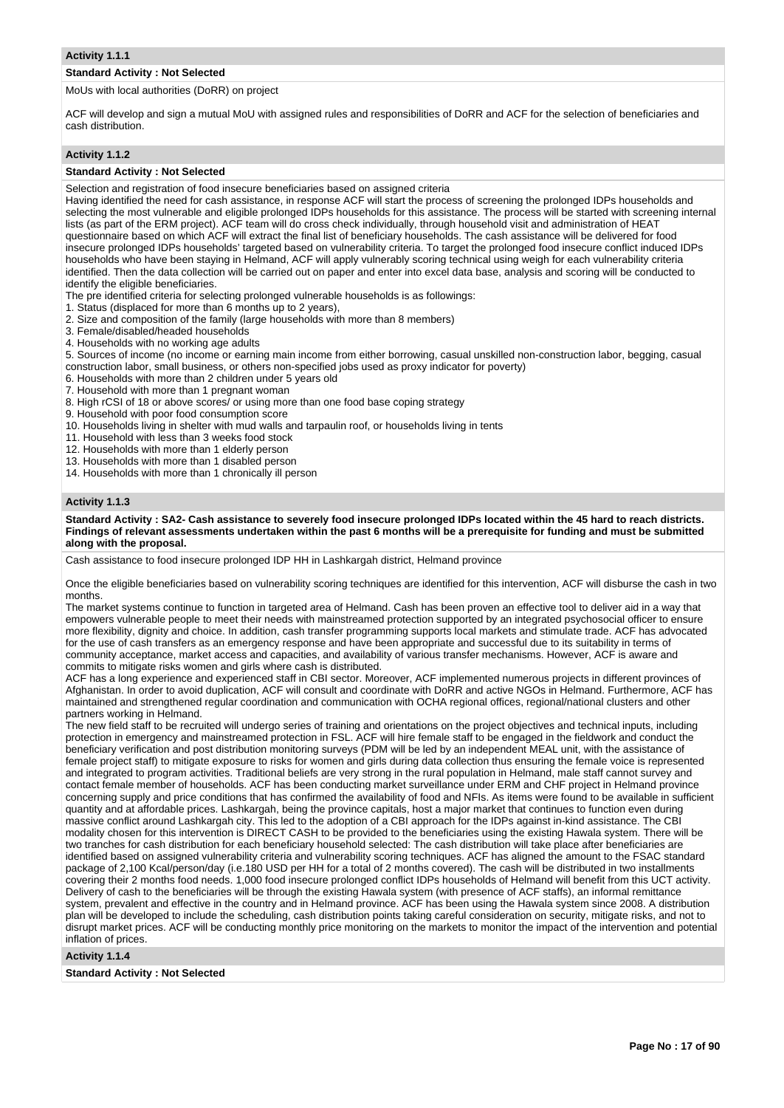### **Standard Activity : Not Selected**

MoUs with local authorities (DoRR) on project

ACF will develop and sign a mutual MoU with assigned rules and responsibilities of DoRR and ACF for the selection of beneficiaries and cash distribution.

#### **Activity 1.1.2**

### **Standard Activity : Not Selected**

Selection and registration of food insecure beneficiaries based on assigned criteria

Having identified the need for cash assistance, in response ACF will start the process of screening the prolonged IDPs households and selecting the most vulnerable and eligible prolonged IDPs households for this assistance. The process will be started with screening internal lists (as part of the ERM project). ACF team will do cross check individually, through household visit and administration of HEAT questionnaire based on which ACF will extract the final list of beneficiary households. The cash assistance will be delivered for food insecure prolonged IDPs households' targeted based on vulnerability criteria. To target the prolonged food insecure conflict induced IDPs households who have been staying in Helmand, ACF will apply vulnerably scoring technical using weigh for each vulnerability criteria identified. Then the data collection will be carried out on paper and enter into excel data base, analysis and scoring will be conducted to identify the eligible beneficiaries.

The pre identified criteria for selecting prolonged vulnerable households is as followings:

- 1. Status (displaced for more than 6 months up to 2 years),
- 2. Size and composition of the family (large households with more than 8 members)
- 3. Female/disabled/headed households
- 4. Households with no working age adults

5. Sources of income (no income or earning main income from either borrowing, casual unskilled non-construction labor, begging, casual construction labor, small business, or others non-specified jobs used as proxy indicator for poverty)

- 6. Households with more than 2 children under 5 years old
- 7. Household with more than 1 pregnant woman
- 8. High rCSI of 18 or above scores/ or using more than one food base coping strategy
- 9. Household with poor food consumption score
- 10. Households living in shelter with mud walls and tarpaulin roof, or households living in tents
- 11. Household with less than 3 weeks food stock
- 12. Households with more than 1 elderly person
- 13. Households with more than 1 disabled person
- 14. Households with more than 1 chronically ill person

### **Activity 1.1.3**

**Standard Activity : SA2- Cash assistance to severely food insecure prolonged IDPs located within the 45 hard to reach districts. Findings of relevant assessments undertaken within the past 6 months will be a prerequisite for funding and must be submitted along with the proposal.**

Cash assistance to food insecure prolonged IDP HH in Lashkargah district, Helmand province

Once the eligible beneficiaries based on vulnerability scoring techniques are identified for this intervention, ACF will disburse the cash in two months.

The market systems continue to function in targeted area of Helmand. Cash has been proven an effective tool to deliver aid in a way that empowers vulnerable people to meet their needs with mainstreamed protection supported by an integrated psychosocial officer to ensure more flexibility, dignity and choice. In addition, cash transfer programming supports local markets and stimulate trade. ACF has advocated for the use of cash transfers as an emergency response and have been appropriate and successful due to its suitability in terms of community acceptance, market access and capacities, and availability of various transfer mechanisms. However, ACF is aware and commits to mitigate risks women and girls where cash is distributed.

ACF has a long experience and experienced staff in CBI sector. Moreover, ACF implemented numerous projects in different provinces of Afghanistan. In order to avoid duplication, ACF will consult and coordinate with DoRR and active NGOs in Helmand. Furthermore, ACF has maintained and strengthened regular coordination and communication with OCHA regional offices, regional/national clusters and other partners working in Helmand.

The new field staff to be recruited will undergo series of training and orientations on the project objectives and technical inputs, including protection in emergency and mainstreamed protection in FSL. ACF will hire female staff to be engaged in the fieldwork and conduct the beneficiary verification and post distribution monitoring surveys (PDM will be led by an independent MEAL unit, with the assistance of female project staff) to mitigate exposure to risks for women and girls during data collection thus ensuring the female voice is represented and integrated to program activities. Traditional beliefs are very strong in the rural population in Helmand, male staff cannot survey and contact female member of households. ACF has been conducting market surveillance under ERM and CHF project in Helmand province concerning supply and price conditions that has confirmed the availability of food and NFIs. As items were found to be available in sufficient quantity and at affordable prices. Lashkargah, being the province capitals, host a major market that continues to function even during massive conflict around Lashkargah city. This led to the adoption of a CBI approach for the IDPs against in-kind assistance. The CBI modality chosen for this intervention is DIRECT CASH to be provided to the beneficiaries using the existing Hawala system. There will be two tranches for cash distribution for each beneficiary household selected: The cash distribution will take place after beneficiaries are identified based on assigned vulnerability criteria and vulnerability scoring techniques. ACF has aligned the amount to the FSAC standard package of 2,100 Kcal/person/day (i.e.180 USD per HH for a total of 2 months covered). The cash will be distributed in two installments covering their 2 months food needs. 1,000 food insecure prolonged conflict IDPs households of Helmand will benefit from this UCT activity. Delivery of cash to the beneficiaries will be through the existing Hawala system (with presence of ACF staffs), an informal remittance system, prevalent and effective in the country and in Helmand province. ACF has been using the Hawala system since 2008. A distribution plan will be developed to include the scheduling, cash distribution points taking careful consideration on security, mitigate risks, and not to disrupt market prices. ACF will be conducting monthly price monitoring on the markets to monitor the impact of the intervention and potential inflation of prices.

**Activity 1.1.4** 

**Standard Activity : Not Selected**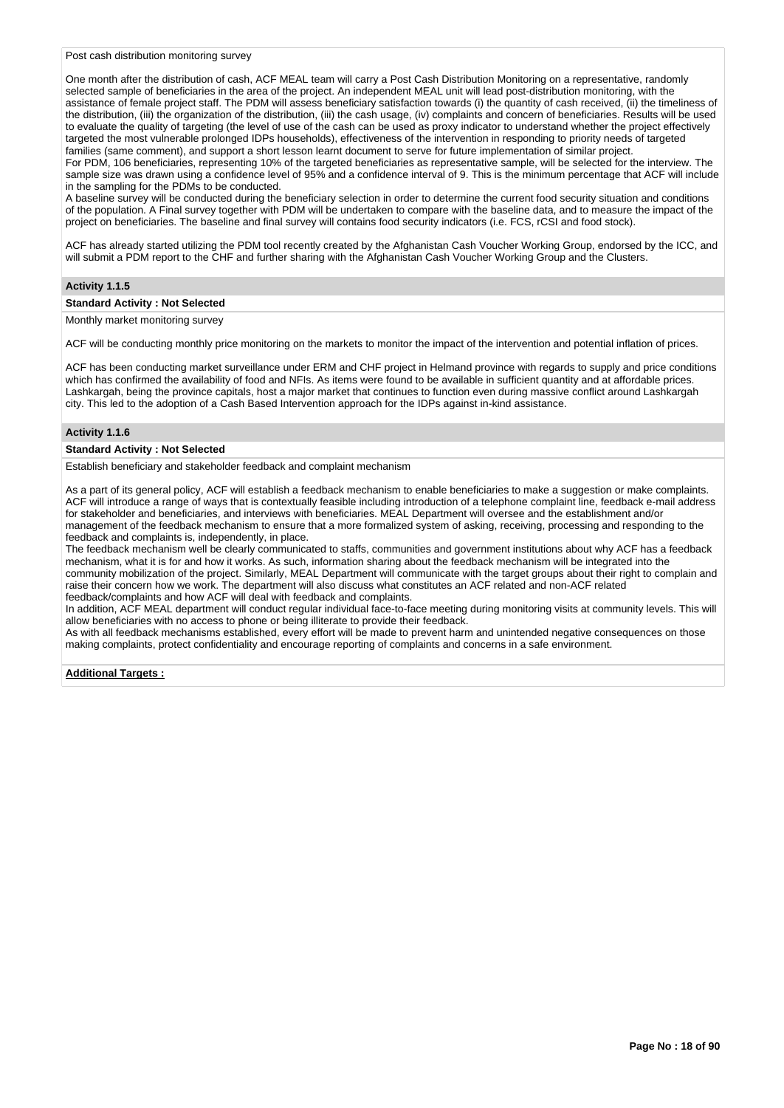Post cash distribution monitoring survey

One month after the distribution of cash, ACF MEAL team will carry a Post Cash Distribution Monitoring on a representative, randomly selected sample of beneficiaries in the area of the project. An independent MEAL unit will lead post-distribution monitoring, with the assistance of female project staff. The PDM will assess beneficiary satisfaction towards (i) the quantity of cash received, (ii) the timeliness of the distribution, (iii) the organization of the distribution, (iii) the cash usage, (iv) complaints and concern of beneficiaries. Results will be used to evaluate the quality of targeting (the level of use of the cash can be used as proxy indicator to understand whether the project effectively targeted the most vulnerable prolonged IDPs households), effectiveness of the intervention in responding to priority needs of targeted families (same comment), and support a short lesson learnt document to serve for future implementation of similar project. For PDM, 106 beneficiaries, representing 10% of the targeted beneficiaries as representative sample, will be selected for the interview. The

sample size was drawn using a confidence level of 95% and a confidence interval of 9. This is the minimum percentage that ACF will include in the sampling for the PDMs to be conducted.

A baseline survey will be conducted during the beneficiary selection in order to determine the current food security situation and conditions of the population. A Final survey together with PDM will be undertaken to compare with the baseline data, and to measure the impact of the project on beneficiaries. The baseline and final survey will contains food security indicators (i.e. FCS, rCSI and food stock).

ACF has already started utilizing the PDM tool recently created by the Afghanistan Cash Voucher Working Group, endorsed by the ICC, and will submit a PDM report to the CHF and further sharing with the Afghanistan Cash Voucher Working Group and the Clusters.

### **Activity 1.1.5**

#### **Standard Activity : Not Selected**

Monthly market monitoring survey

ACF will be conducting monthly price monitoring on the markets to monitor the impact of the intervention and potential inflation of prices.

ACF has been conducting market surveillance under ERM and CHF project in Helmand province with regards to supply and price conditions which has confirmed the availability of food and NFIs. As items were found to be available in sufficient quantity and at affordable prices. Lashkargah, being the province capitals, host a major market that continues to function even during massive conflict around Lashkargah city. This led to the adoption of a Cash Based Intervention approach for the IDPs against in-kind assistance.

#### **Activity 1.1.6**

#### **Standard Activity : Not Selected**

Establish beneficiary and stakeholder feedback and complaint mechanism

As a part of its general policy, ACF will establish a feedback mechanism to enable beneficiaries to make a suggestion or make complaints. ACF will introduce a range of ways that is contextually feasible including introduction of a telephone complaint line, feedback e-mail address for stakeholder and beneficiaries, and interviews with beneficiaries. MEAL Department will oversee and the establishment and/or management of the feedback mechanism to ensure that a more formalized system of asking, receiving, processing and responding to the feedback and complaints is, independently, in place.

The feedback mechanism well be clearly communicated to staffs, communities and government institutions about why ACF has a feedback mechanism, what it is for and how it works. As such, information sharing about the feedback mechanism will be integrated into the community mobilization of the project. Similarly, MEAL Department will communicate with the target groups about their right to complain and raise their concern how we work. The department will also discuss what constitutes an ACF related and non-ACF related feedback/complaints and how ACF will deal with feedback and complaints.

In addition, ACF MEAL department will conduct regular individual face-to-face meeting during monitoring visits at community levels. This will allow beneficiaries with no access to phone or being illiterate to provide their feedback.

As with all feedback mechanisms established, every effort will be made to prevent harm and unintended negative consequences on those making complaints, protect confidentiality and encourage reporting of complaints and concerns in a safe environment.

**Additional Targets :**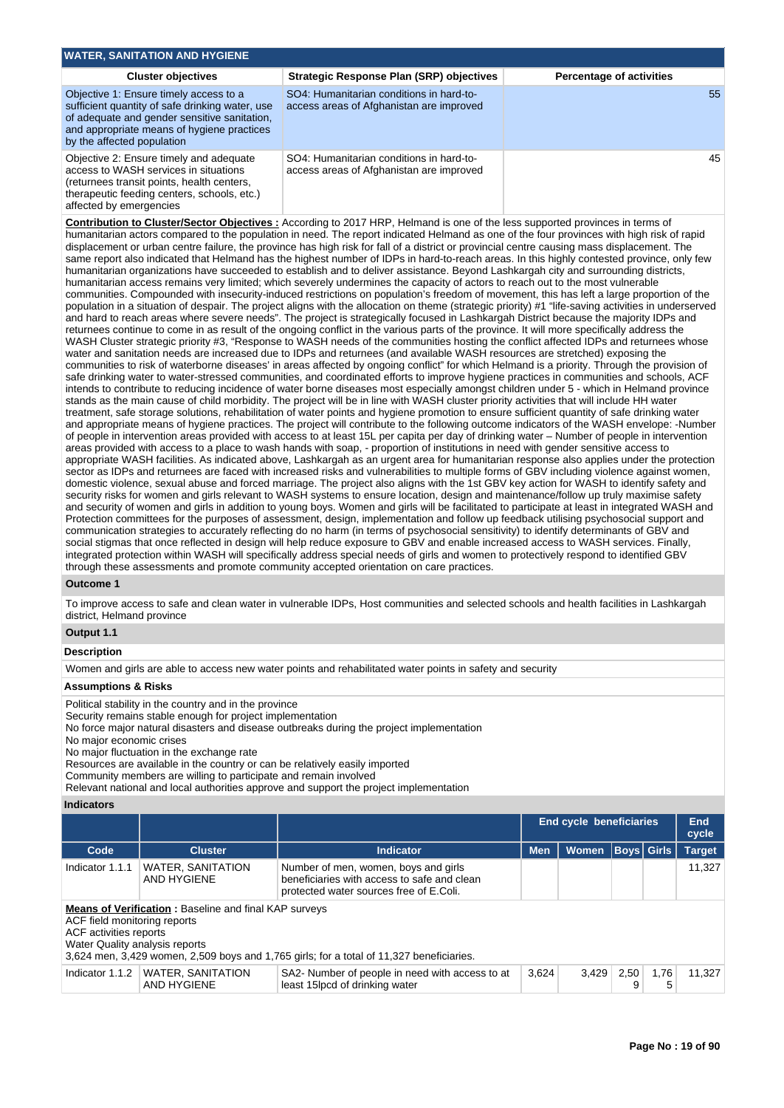| <b>WATER, SANITATION AND HYGIENE</b>                                                                                                                                                                                  |                                                                                      |                                 |
|-----------------------------------------------------------------------------------------------------------------------------------------------------------------------------------------------------------------------|--------------------------------------------------------------------------------------|---------------------------------|
| <b>Cluster objectives</b>                                                                                                                                                                                             | Strategic Response Plan (SRP) objectives                                             | <b>Percentage of activities</b> |
| Objective 1: Ensure timely access to a<br>sufficient quantity of safe drinking water, use<br>of adequate and gender sensitive sanitation,<br>and appropriate means of hygiene practices<br>by the affected population | SO4: Humanitarian conditions in hard-to-<br>access areas of Afghanistan are improved | 55                              |
| Objective 2: Ensure timely and adequate<br>access to WASH services in situations<br>(returnees transit points, health centers,<br>therapeutic feeding centers, schools, etc.)<br>affected by emergencies              | SO4: Humanitarian conditions in hard-to-<br>access areas of Afghanistan are improved | 45                              |

**Contribution to Cluster/Sector Objectives :** According to 2017 HRP, Helmand is one of the less supported provinces in terms of humanitarian actors compared to the population in need. The report indicated Helmand as one of the four provinces with high risk of rapid displacement or urban centre failure, the province has high risk for fall of a district or provincial centre causing mass displacement. The same report also indicated that Helmand has the highest number of IDPs in hard-to-reach areas. In this highly contested province, only few humanitarian organizations have succeeded to establish and to deliver assistance. Beyond Lashkargah city and surrounding districts, humanitarian access remains very limited; which severely undermines the capacity of actors to reach out to the most vulnerable communities. Compounded with insecurity-induced restrictions on population's freedom of movement, this has left a large proportion of the population in a situation of despair. The project aligns with the allocation on theme (strategic priority) #1 "life-saving activities in underserved and hard to reach areas where severe needs". The project is strategically focused in Lashkargah District because the majority IDPs and returnees continue to come in as result of the ongoing conflict in the various parts of the province. It will more specifically address the WASH Cluster strategic priority #3, "Response to WASH needs of the communities hosting the conflict affected IDPs and returnees whose water and sanitation needs are increased due to IDPs and returnees (and available WASH resources are stretched) exposing the communities to risk of waterborne diseases' in areas affected by ongoing conflict" for which Helmand is a priority. Through the provision of safe drinking water to water-stressed communities, and coordinated efforts to improve hygiene practices in communities and schools, ACF intends to contribute to reducing incidence of water borne diseases most especially amongst children under 5 - which in Helmand province stands as the main cause of child morbidity. The project will be in line with WASH cluster priority activities that will include HH water treatment, safe storage solutions, rehabilitation of water points and hygiene promotion to ensure sufficient quantity of safe drinking water and appropriate means of hygiene practices. The project will contribute to the following outcome indicators of the WASH envelope: -Number of people in intervention areas provided with access to at least 15L per capita per day of drinking water – Number of people in intervention areas provided with access to a place to wash hands with soap, - proportion of institutions in need with gender sensitive access to appropriate WASH facilities. As indicated above, Lashkargah as an urgent area for humanitarian response also applies under the protection sector as IDPs and returnees are faced with increased risks and vulnerabilities to multiple forms of GBV including violence against women, domestic violence, sexual abuse and forced marriage. The project also aligns with the 1st GBV key action for WASH to identify safety and security risks for women and girls relevant to WASH systems to ensure location, design and maintenance/follow up truly maximise safety and security of women and girls in addition to young boys. Women and girls will be facilitated to participate at least in integrated WASH and Protection committees for the purposes of assessment, design, implementation and follow up feedback utilising psychosocial support and communication strategies to accurately reflecting do no harm (in terms of psychosocial sensitivity) to identify determinants of GBV and social stigmas that once reflected in design will help reduce exposure to GBV and enable increased access to WASH services. Finally, integrated protection within WASH will specifically address special needs of girls and women to protectively respond to identified GBV through these assessments and promote community accepted orientation on care practices.

### **Outcome 1**

To improve access to safe and clean water in vulnerable IDPs, Host communities and selected schools and health facilities in Lashkargah district, Helmand province

# **Output 1.1**

#### **Description**

Women and girls are able to access new water points and rehabilitated water points in safety and security

#### **Assumptions & Risks**

Political stability in the country and in the province

Security remains stable enough for project implementation

No force major natural disasters and disease outbreaks during the project implementation

No major economic crises

No major fluctuation in the exchange rate

Resources are available in the country or can be relatively easily imported Community members are willing to participate and remain involved

Relevant national and local authorities approve and support the project implementation

### **Indicators**

|                                                                                          |                                                              |                                                                                                                                |            | End cycle beneficiaries |             |           | <b>End</b><br>cycle |
|------------------------------------------------------------------------------------------|--------------------------------------------------------------|--------------------------------------------------------------------------------------------------------------------------------|------------|-------------------------|-------------|-----------|---------------------|
| Code                                                                                     | <b>Cluster</b>                                               | <b>Indicator</b>                                                                                                               | <b>Men</b> | <b>Women</b>            | Boys  Girls |           | <b>Target</b>       |
| Indicator 1.1.1                                                                          | <b>WATER, SANITATION</b><br>AND HYGIENE                      | Number of men, women, boys and girls<br>beneficiaries with access to safe and clean<br>protected water sources free of E.Coli. |            |                         |             |           | 11,327              |
| ACF field monitoring reports<br>ACF activities reports<br>Water Quality analysis reports | <b>Means of Verification:</b> Baseline and final KAP surveys | 3,624 men, 3,429 women, 2,509 boys and 1,765 girls; for a total of 11,327 beneficiaries.                                       |            |                         |             |           |                     |
| Indicator 1.1.2                                                                          | WATER, SANITATION<br>AND HYGIENE                             | SA2- Number of people in need with access to at<br>least 15lpcd of drinking water                                              | 3,624      | 3.429                   | 2.50<br>9   | 1.76<br>5 | 11.327              |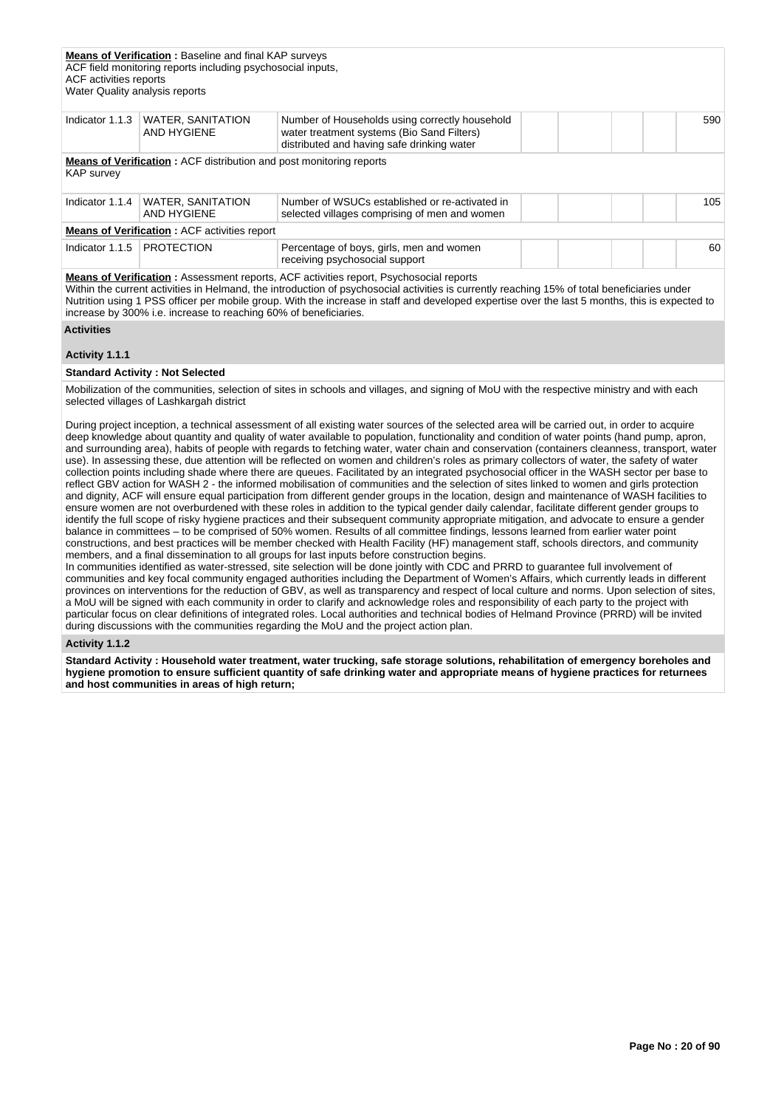| ACF activities reports<br>Water Quality analysis reports | <b>Means of Verification:</b> Baseline and final KAP surveys<br>ACF field monitoring reports including psychosocial inputs, |                                                                                                                                            |     |
|----------------------------------------------------------|-----------------------------------------------------------------------------------------------------------------------------|--------------------------------------------------------------------------------------------------------------------------------------------|-----|
| Indicator 1.1.3                                          | <b>WATER, SANITATION</b><br>AND HYGIENE                                                                                     | Number of Households using correctly household<br>water treatment systems (Bio Sand Filters)<br>distributed and having safe drinking water | 590 |
| <b>KAP</b> survey                                        | <b>Means of Verification:</b> ACF distribution and post monitoring reports                                                  |                                                                                                                                            |     |
| Indicator 1.1.4                                          | <b>WATER, SANITATION</b><br>AND HYGIENE                                                                                     | Number of WSUCs established or re-activated in<br>selected villages comprising of men and women                                            | 105 |
|                                                          | <b>Means of Verification: ACF activities report</b>                                                                         |                                                                                                                                            |     |
| Indicator 1.1.5                                          | <b>PROTECTION</b>                                                                                                           | Percentage of boys, girls, men and women<br>receiving psychosocial support                                                                 | 60  |

**Means of Verification :** Assessment reports, ACF activities report, Psychosocial reports

Within the current activities in Helmand, the introduction of psychosocial activities is currently reaching 15% of total beneficiaries under Nutrition using 1 PSS officer per mobile group. With the increase in staff and developed expertise over the last 5 months, this is expected to increase by 300% i.e. increase to reaching 60% of beneficiaries.

### **Activities**

### **Activity 1.1.1**

#### **Standard Activity : Not Selected**

Mobilization of the communities, selection of sites in schools and villages, and signing of MoU with the respective ministry and with each selected villages of Lashkargah district

During project inception, a technical assessment of all existing water sources of the selected area will be carried out, in order to acquire deep knowledge about quantity and quality of water available to population, functionality and condition of water points (hand pump, apron, and surrounding area), habits of people with regards to fetching water, water chain and conservation (containers cleanness, transport, water use). In assessing these, due attention will be reflected on women and children's roles as primary collectors of water, the safety of water collection points including shade where there are queues. Facilitated by an integrated psychosocial officer in the WASH sector per base to reflect GBV action for WASH 2 - the informed mobilisation of communities and the selection of sites linked to women and girls protection and dignity, ACF will ensure equal participation from different gender groups in the location, design and maintenance of WASH facilities to ensure women are not overburdened with these roles in addition to the typical gender daily calendar, facilitate different gender groups to identify the full scope of risky hygiene practices and their subsequent community appropriate mitigation, and advocate to ensure a gender balance in committees – to be comprised of 50% women. Results of all committee findings, lessons learned from earlier water point constructions, and best practices will be member checked with Health Facility (HF) management staff, schools directors, and community members, and a final dissemination to all groups for last inputs before construction begins.

In communities identified as water-stressed, site selection will be done jointly with CDC and PRRD to guarantee full involvement of communities and key focal community engaged authorities including the Department of Women's Affairs, which currently leads in different provinces on interventions for the reduction of GBV, as well as transparency and respect of local culture and norms. Upon selection of sites, a MoU will be signed with each community in order to clarify and acknowledge roles and responsibility of each party to the project with particular focus on clear definitions of integrated roles. Local authorities and technical bodies of Helmand Province (PRRD) will be invited during discussions with the communities regarding the MoU and the project action plan.

#### **Activity 1.1.2**

**Standard Activity : Household water treatment, water trucking, safe storage solutions, rehabilitation of emergency boreholes and hygiene promotion to ensure sufficient quantity of safe drinking water and appropriate means of hygiene practices for returnees and host communities in areas of high return;**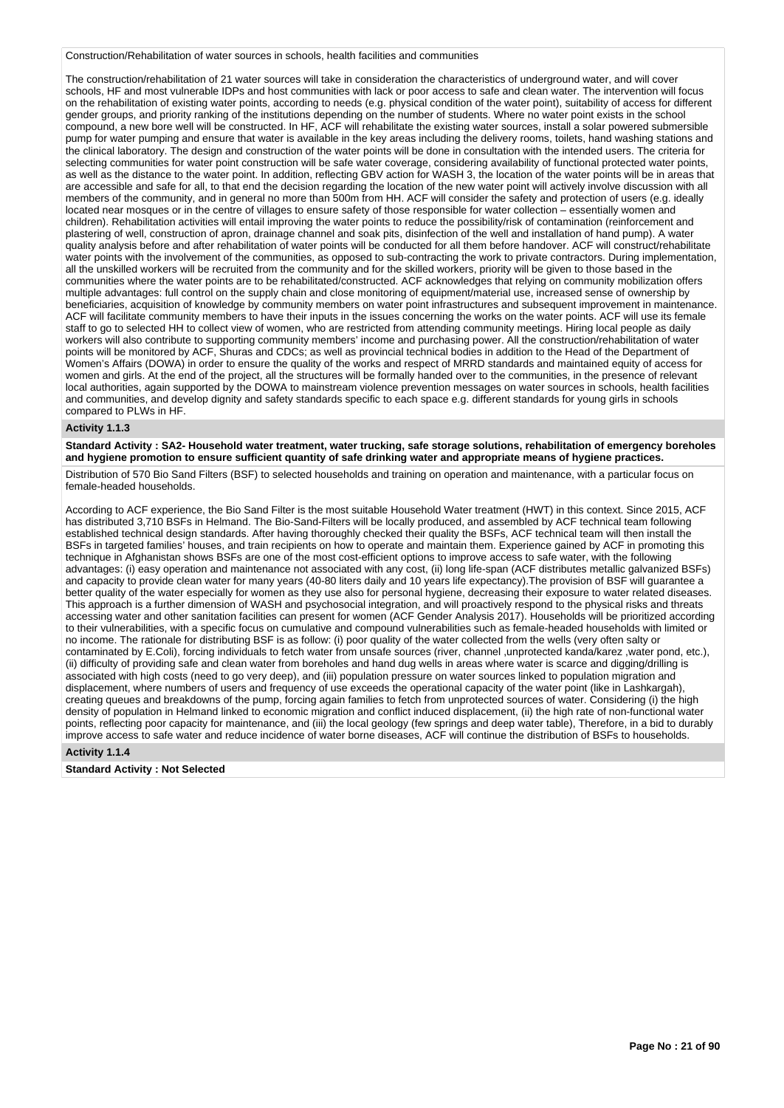Construction/Rehabilitation of water sources in schools, health facilities and communities

The construction/rehabilitation of 21 water sources will take in consideration the characteristics of underground water, and will cover schools, HF and most vulnerable IDPs and host communities with lack or poor access to safe and clean water. The intervention will focus on the rehabilitation of existing water points, according to needs (e.g. physical condition of the water point), suitability of access for different gender groups, and priority ranking of the institutions depending on the number of students. Where no water point exists in the school compound, a new bore well will be constructed. In HF, ACF will rehabilitate the existing water sources, install a solar powered submersible pump for water pumping and ensure that water is available in the key areas including the delivery rooms, toilets, hand washing stations and the clinical laboratory. The design and construction of the water points will be done in consultation with the intended users. The criteria for selecting communities for water point construction will be safe water coverage, considering availability of functional protected water points, as well as the distance to the water point. In addition, reflecting GBV action for WASH 3, the location of the water points will be in areas that are accessible and safe for all, to that end the decision regarding the location of the new water point will actively involve discussion with all members of the community, and in general no more than 500m from HH. ACF will consider the safety and protection of users (e.g. ideally located near mosques or in the centre of villages to ensure safety of those responsible for water collection – essentially women and children). Rehabilitation activities will entail improving the water points to reduce the possibility/risk of contamination (reinforcement and plastering of well, construction of apron, drainage channel and soak pits, disinfection of the well and installation of hand pump). A water quality analysis before and after rehabilitation of water points will be conducted for all them before handover. ACF will construct/rehabilitate water points with the involvement of the communities, as opposed to sub-contracting the work to private contractors. During implementation, all the unskilled workers will be recruited from the community and for the skilled workers, priority will be given to those based in the communities where the water points are to be rehabilitated/constructed. ACF acknowledges that relying on community mobilization offers multiple advantages: full control on the supply chain and close monitoring of equipment/material use, increased sense of ownership by beneficiaries, acquisition of knowledge by community members on water point infrastructures and subsequent improvement in maintenance. ACF will facilitate community members to have their inputs in the issues concerning the works on the water points. ACF will use its female staff to go to selected HH to collect view of women, who are restricted from attending community meetings. Hiring local people as daily workers will also contribute to supporting community members' income and purchasing power. All the construction/rehabilitation of water points will be monitored by ACF, Shuras and CDCs; as well as provincial technical bodies in addition to the Head of the Department of Women's Affairs (DOWA) in order to ensure the quality of the works and respect of MRRD standards and maintained equity of access for women and girls. At the end of the project, all the structures will be formally handed over to the communities, in the presence of relevant local authorities, again supported by the DOWA to mainstream violence prevention messages on water sources in schools, health facilities and communities, and develop dignity and safety standards specific to each space e.g. different standards for young girls in schools compared to PLWs in HF.

### **Activity 1.1.3**

**Standard Activity : SA2- Household water treatment, water trucking, safe storage solutions, rehabilitation of emergency boreholes and hygiene promotion to ensure sufficient quantity of safe drinking water and appropriate means of hygiene practices.**

Distribution of 570 Bio Sand Filters (BSF) to selected households and training on operation and maintenance, with a particular focus on female-headed households.

According to ACF experience, the Bio Sand Filter is the most suitable Household Water treatment (HWT) in this context. Since 2015, ACF has distributed 3,710 BSFs in Helmand. The Bio-Sand-Filters will be locally produced, and assembled by ACF technical team following established technical design standards. After having thoroughly checked their quality the BSFs, ACF technical team will then install the BSFs in targeted families' houses, and train recipients on how to operate and maintain them. Experience gained by ACF in promoting this technique in Afghanistan shows BSFs are one of the most cost-efficient options to improve access to safe water, with the following advantages: (i) easy operation and maintenance not associated with any cost, (ii) long life-span (ACF distributes metallic galvanized BSFs) and capacity to provide clean water for many years (40-80 liters daily and 10 years life expectancy).The provision of BSF will guarantee a better quality of the water especially for women as they use also for personal hygiene, decreasing their exposure to water related diseases. This approach is a further dimension of WASH and psychosocial integration, and will proactively respond to the physical risks and threats accessing water and other sanitation facilities can present for women (ACF Gender Analysis 2017). Households will be prioritized according to their vulnerabilities, with a specific focus on cumulative and compound vulnerabilities such as female-headed households with limited or no income. The rationale for distributing BSF is as follow: (i) poor quality of the water collected from the wells (very often salty or contaminated by E.Coli), forcing individuals to fetch water from unsafe sources (river, channel ,unprotected kanda/karez ,water pond, etc.), (ii) difficulty of providing safe and clean water from boreholes and hand dug wells in areas where water is scarce and digging/drilling is associated with high costs (need to go very deep), and (iii) population pressure on water sources linked to population migration and displacement, where numbers of users and frequency of use exceeds the operational capacity of the water point (like in Lashkargah), creating queues and breakdowns of the pump, forcing again families to fetch from unprotected sources of water. Considering (i) the high density of population in Helmand linked to economic migration and conflict induced displacement, (ii) the high rate of non-functional water points, reflecting poor capacity for maintenance, and (iii) the local geology (few springs and deep water table), Therefore, in a bid to durably improve access to safe water and reduce incidence of water borne diseases, ACF will continue the distribution of BSFs to households.

### **Activity 1.1.4**

### **Standard Activity : Not Selected**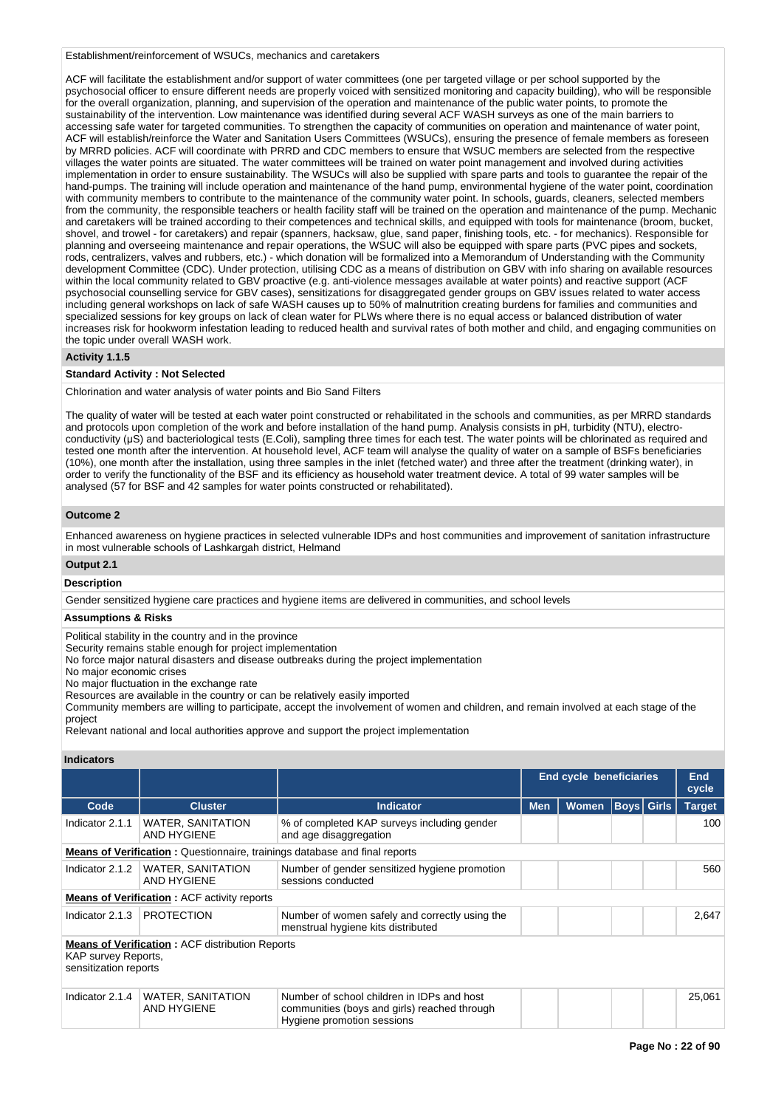Establishment/reinforcement of WSUCs, mechanics and caretakers

ACF will facilitate the establishment and/or support of water committees (one per targeted village or per school supported by the psychosocial officer to ensure different needs are properly voiced with sensitized monitoring and capacity building), who will be responsible for the overall organization, planning, and supervision of the operation and maintenance of the public water points, to promote the sustainability of the intervention. Low maintenance was identified during several ACF WASH surveys as one of the main barriers to accessing safe water for targeted communities. To strengthen the capacity of communities on operation and maintenance of water point, ACF will establish/reinforce the Water and Sanitation Users Committees (WSUCs), ensuring the presence of female members as foreseen by MRRD policies. ACF will coordinate with PRRD and CDC members to ensure that WSUC members are selected from the respective villages the water points are situated. The water committees will be trained on water point management and involved during activities implementation in order to ensure sustainability. The WSUCs will also be supplied with spare parts and tools to guarantee the repair of the hand-pumps. The training will include operation and maintenance of the hand pump, environmental hygiene of the water point, coordination with community members to contribute to the maintenance of the community water point. In schools, guards, cleaners, selected members from the community, the responsible teachers or health facility staff will be trained on the operation and maintenance of the pump. Mechanic and caretakers will be trained according to their competences and technical skills, and equipped with tools for maintenance (broom, bucket, shovel, and trowel - for caretakers) and repair (spanners, hacksaw, glue, sand paper, finishing tools, etc. - for mechanics). Responsible for planning and overseeing maintenance and repair operations, the WSUC will also be equipped with spare parts (PVC pipes and sockets, rods, centralizers, valves and rubbers, etc.) - which donation will be formalized into a Memorandum of Understanding with the Community development Committee (CDC). Under protection, utilising CDC as a means of distribution on GBV with info sharing on available resources within the local community related to GBV proactive (e.g. anti-violence messages available at water points) and reactive support (ACF psychosocial counselling service for GBV cases), sensitizations for disaggregated gender groups on GBV issues related to water access including general workshops on lack of safe WASH causes up to 50% of malnutrition creating burdens for families and communities and specialized sessions for key groups on lack of clean water for PLWs where there is no equal access or balanced distribution of water increases risk for hookworm infestation leading to reduced health and survival rates of both mother and child, and engaging communities on the topic under overall WASH work.

### **Activity 1.1.5**

### **Standard Activity : Not Selected**

Chlorination and water analysis of water points and Bio Sand Filters

The quality of water will be tested at each water point constructed or rehabilitated in the schools and communities, as per MRRD standards and protocols upon completion of the work and before installation of the hand pump. Analysis consists in pH, turbidity (NTU), electroconductivity (µS) and bacteriological tests (E.Coli), sampling three times for each test. The water points will be chlorinated as required and tested one month after the intervention. At household level, ACF team will analyse the quality of water on a sample of BSFs beneficiaries (10%), one month after the installation, using three samples in the inlet (fetched water) and three after the treatment (drinking water), in order to verify the functionality of the BSF and its efficiency as household water treatment device. A total of 99 water samples will be analysed (57 for BSF and 42 samples for water points constructed or rehabilitated).

### **Outcome 2**

Enhanced awareness on hygiene practices in selected vulnerable IDPs and host communities and improvement of sanitation infrastructure in most vulnerable schools of Lashkargah district, Helmand

### **Output 2.1**

# **Description**

Gender sensitized hygiene care practices and hygiene items are delivered in communities, and school levels

# **Assumptions & Risks**

Political stability in the country and in the province

Security remains stable enough for project implementation

No force major natural disasters and disease outbreaks during the project implementation

No major economic crises

No major fluctuation in the exchange rate

Resources are available in the country or can be relatively easily imported

Community members are willing to participate, accept the involvement of women and children, and remain involved at each stage of the project

Relevant national and local authorities approve and support the project implementation

#### **Indicators**

|                                              |                                                        |                                                                                                                          |            | <b>End cycle beneficiaries</b> |                   | End<br>cycle  |
|----------------------------------------------|--------------------------------------------------------|--------------------------------------------------------------------------------------------------------------------------|------------|--------------------------------|-------------------|---------------|
| Code                                         | <b>Cluster</b>                                         | <b>Indicator</b>                                                                                                         | <b>Men</b> | <b>Women</b>                   | <b>Boys Girls</b> | <b>Target</b> |
| Indicator 2.1.1                              | <b>WATER, SANITATION</b><br>AND HYGIENE                | % of completed KAP surveys including gender<br>and age disaggregation                                                    |            |                                |                   | 100           |
|                                              |                                                        | <b>Means of Verification:</b> Questionnaire, trainings database and final reports                                        |            |                                |                   |               |
| Indicator 2.1.2                              | <b>WATER, SANITATION</b><br>AND HYGIENE                | Number of gender sensitized hygiene promotion<br>sessions conducted                                                      |            |                                |                   | 560           |
|                                              | <b>Means of Verification:</b> ACF activity reports     |                                                                                                                          |            |                                |                   |               |
| Indicator 2.1.3                              | <b>PROTECTION</b>                                      | Number of women safely and correctly using the<br>menstrual hygiene kits distributed                                     |            |                                |                   | 2.647         |
| KAP survey Reports,<br>sensitization reports | <b>Means of Verification: ACF distribution Reports</b> |                                                                                                                          |            |                                |                   |               |
| Indicator 2.1.4                              | <b>WATER, SANITATION</b><br><b>AND HYGIENE</b>         | Number of school children in IDPs and host<br>communities (boys and girls) reached through<br>Hygiene promotion sessions |            |                                |                   | 25,061        |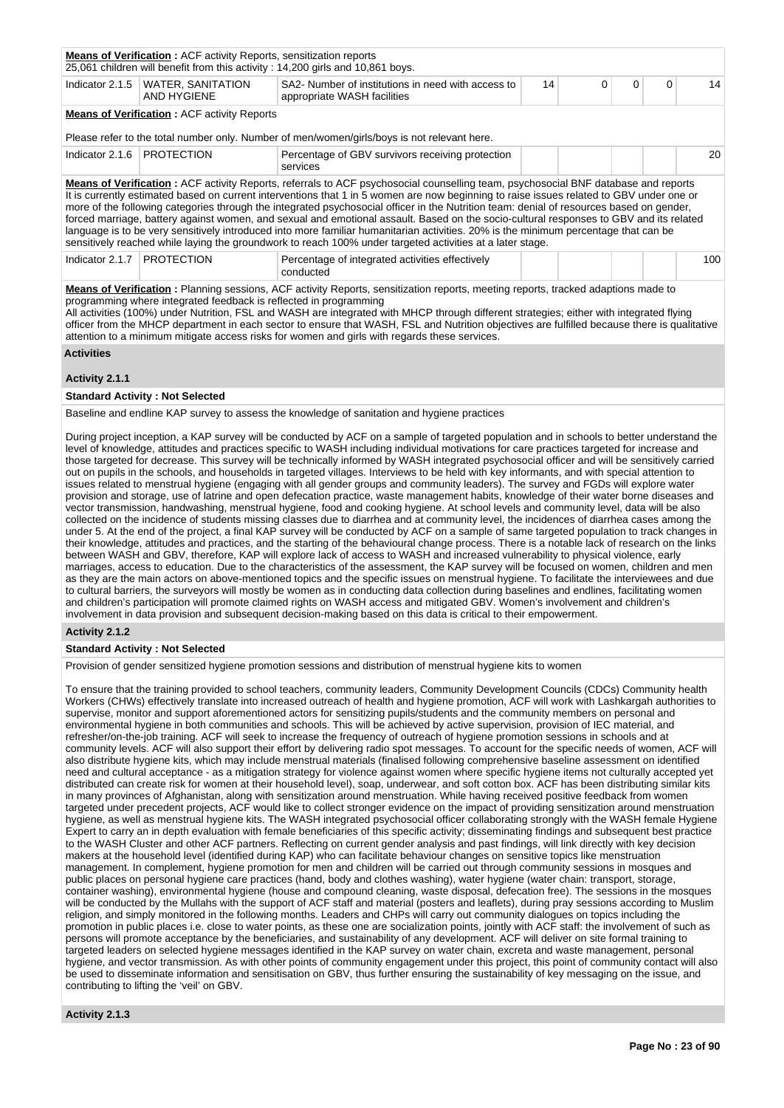|                              | <b>Means of Verification:</b> ACF activity Reports, sensitization reports<br>25,061 children will benefit from this activity : 14,200 girls and 10,861 boys. |                                                                                                                                                                                                                                                                                                                                                                                                                                                                                                                                                                                                                                                                                                                                                                                                                          |    |          |          |          |     |
|------------------------------|--------------------------------------------------------------------------------------------------------------------------------------------------------------|--------------------------------------------------------------------------------------------------------------------------------------------------------------------------------------------------------------------------------------------------------------------------------------------------------------------------------------------------------------------------------------------------------------------------------------------------------------------------------------------------------------------------------------------------------------------------------------------------------------------------------------------------------------------------------------------------------------------------------------------------------------------------------------------------------------------------|----|----------|----------|----------|-----|
|                              | Indicator 2.1.5   WATER, SANITATION<br>AND HYGIENE                                                                                                           | SA2- Number of institutions in need with access to<br>appropriate WASH facilities                                                                                                                                                                                                                                                                                                                                                                                                                                                                                                                                                                                                                                                                                                                                        | 14 | $\Omega$ | $\Omega$ | $\Omega$ | 14  |
|                              | <b>Means of Verification: ACF activity Reports</b>                                                                                                           |                                                                                                                                                                                                                                                                                                                                                                                                                                                                                                                                                                                                                                                                                                                                                                                                                          |    |          |          |          |     |
|                              |                                                                                                                                                              | Please refer to the total number only. Number of men/women/girls/boys is not relevant here.                                                                                                                                                                                                                                                                                                                                                                                                                                                                                                                                                                                                                                                                                                                              |    |          |          |          |     |
| Indicator 2.1.6   PROTECTION |                                                                                                                                                              | Percentage of GBV survivors receiving protection<br>services                                                                                                                                                                                                                                                                                                                                                                                                                                                                                                                                                                                                                                                                                                                                                             |    |          |          |          | 20  |
|                              |                                                                                                                                                              | Means of Verification: ACF activity Reports, referrals to ACF psychosocial counselling team, psychosocial BNF database and reports<br>It is currently estimated based on current interventions that 1 in 5 women are now beginning to raise issues related to GBV under one or<br>more of the following categories through the integrated psychosocial officer in the Nutrition team: denial of resources based on gender,<br>forced marriage, battery against women, and sexual and emotional assault. Based on the socio-cultural responses to GBV and its related<br>language is to be very sensitively introduced into more familiar humanitarian activities. 20% is the minimum percentage that can be<br>sensitively reached while laying the groundwork to reach 100% under targeted activities at a later stage. |    |          |          |          |     |
| Indicator 2.1.7              | <b>PROTECTION</b>                                                                                                                                            | Percentage of integrated activities effectively<br>conducted                                                                                                                                                                                                                                                                                                                                                                                                                                                                                                                                                                                                                                                                                                                                                             |    |          |          |          | 100 |
|                              | programming where integrated feedback is reflected in programming                                                                                            | <b>Means of Verification</b> : Planning sessions, ACF activity Reports, sensitization reports, meeting reports, tracked adaptions made to<br>All activities (100%) under Nutrition, FSL and WASH are integrated with MHCP through different strategies; either with integrated flying<br>officer from the MHCP department in each sector to ensure that WASH, FSL and Nutrition objectives are fulfilled because there is qualitative<br>attention to a minimum mitigate access risks for women and girls with regards these services.                                                                                                                                                                                                                                                                                   |    |          |          |          |     |
| <b>Activities</b>            |                                                                                                                                                              |                                                                                                                                                                                                                                                                                                                                                                                                                                                                                                                                                                                                                                                                                                                                                                                                                          |    |          |          |          |     |

### **Activity 2.1.1**

### **Standard Activity : Not Selected**

Baseline and endline KAP survey to assess the knowledge of sanitation and hygiene practices

During project inception, a KAP survey will be conducted by ACF on a sample of targeted population and in schools to better understand the level of knowledge, attitudes and practices specific to WASH including individual motivations for care practices targeted for increase and those targeted for decrease. This survey will be technically informed by WASH integrated psychosocial officer and will be sensitively carried out on pupils in the schools, and households in targeted villages. Interviews to be held with key informants, and with special attention to issues related to menstrual hygiene (engaging with all gender groups and community leaders). The survey and FGDs will explore water provision and storage, use of latrine and open defecation practice, waste management habits, knowledge of their water borne diseases and vector transmission, handwashing, menstrual hygiene, food and cooking hygiene. At school levels and community level, data will be also collected on the incidence of students missing classes due to diarrhea and at community level, the incidences of diarrhea cases among the under 5. At the end of the project, a final KAP survey will be conducted by ACF on a sample of same targeted population to track changes in their knowledge, attitudes and practices, and the starting of the behavioural change process. There is a notable lack of research on the links between WASH and GBV, therefore, KAP will explore lack of access to WASH and increased vulnerability to physical violence, early marriages, access to education. Due to the characteristics of the assessment, the KAP survey will be focused on women, children and men as they are the main actors on above-mentioned topics and the specific issues on menstrual hygiene. To facilitate the interviewees and due to cultural barriers, the surveyors will mostly be women as in conducting data collection during baselines and endlines, facilitating women and children's participation will promote claimed rights on WASH access and mitigated GBV. Women's involvement and children's involvement in data provision and subsequent decision-making based on this data is critical to their empowerment.

#### **Activity 2.1.2**

#### **Standard Activity : Not Selected**

Provision of gender sensitized hygiene promotion sessions and distribution of menstrual hygiene kits to women

To ensure that the training provided to school teachers, community leaders, Community Development Councils (CDCs) Community health Workers (CHWs) effectively translate into increased outreach of health and hygiene promotion, ACF will work with Lashkargah authorities to supervise, monitor and support aforementioned actors for sensitizing pupils/students and the community members on personal and environmental hygiene in both communities and schools. This will be achieved by active supervision, provision of IEC material, and refresher/on-the-job training. ACF will seek to increase the frequency of outreach of hygiene promotion sessions in schools and at community levels. ACF will also support their effort by delivering radio spot messages. To account for the specific needs of women, ACF will also distribute hygiene kits, which may include menstrual materials (finalised following comprehensive baseline assessment on identified need and cultural acceptance - as a mitigation strategy for violence against women where specific hygiene items not culturally accepted yet distributed can create risk for women at their household level), soap, underwear, and soft cotton box. ACF has been distributing similar kits in many provinces of Afghanistan, along with sensitization around menstruation. While having received positive feedback from women targeted under precedent projects, ACF would like to collect stronger evidence on the impact of providing sensitization around menstruation hygiene, as well as menstrual hygiene kits. The WASH integrated psychosocial officer collaborating strongly with the WASH female Hygiene Expert to carry an in depth evaluation with female beneficiaries of this specific activity; disseminating findings and subsequent best practice to the WASH Cluster and other ACF partners. Reflecting on current gender analysis and past findings, will link directly with key decision makers at the household level (identified during KAP) who can facilitate behaviour changes on sensitive topics like menstruation management. In complement, hygiene promotion for men and children will be carried out through community sessions in mosques and public places on personal hygiene care practices (hand, body and clothes washing), water hygiene (water chain: transport, storage, container washing), environmental hygiene (house and compound cleaning, waste disposal, defecation free). The sessions in the mosques will be conducted by the Mullahs with the support of ACF staff and material (posters and leaflets), during pray sessions according to Muslim religion, and simply monitored in the following months. Leaders and CHPs will carry out community dialogues on topics including the promotion in public places i.e. close to water points, as these one are socialization points, jointly with ACF staff: the involvement of such as persons will promote acceptance by the beneficiaries, and sustainability of any development. ACF will deliver on site formal training to targeted leaders on selected hygiene messages identified in the KAP survey on water chain, excreta and waste management, personal hygiene, and vector transmission. As with other points of community engagement under this project, this point of community contact will also be used to disseminate information and sensitisation on GBV, thus further ensuring the sustainability of key messaging on the issue, and contributing to lifting the 'veil' on GBV.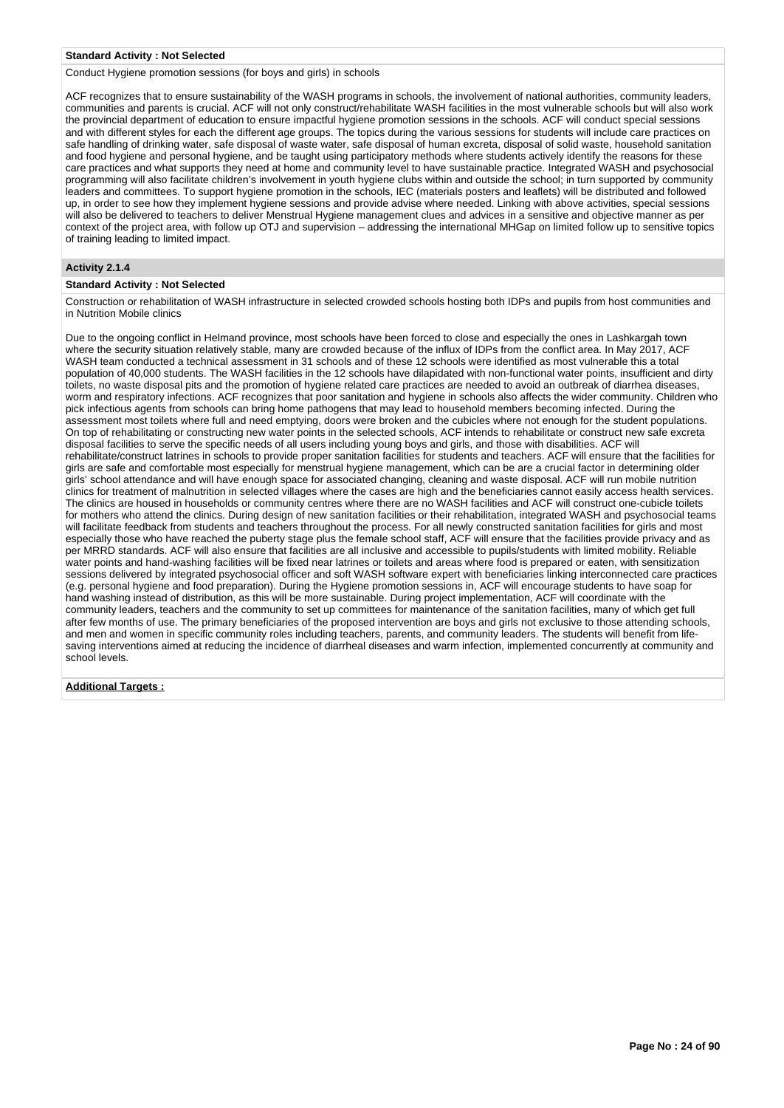#### **Standard Activity : Not Selected**

Conduct Hygiene promotion sessions (for boys and girls) in schools

ACF recognizes that to ensure sustainability of the WASH programs in schools, the involvement of national authorities, community leaders, communities and parents is crucial. ACF will not only construct/rehabilitate WASH facilities in the most vulnerable schools but will also work the provincial department of education to ensure impactful hygiene promotion sessions in the schools. ACF will conduct special sessions and with different styles for each the different age groups. The topics during the various sessions for students will include care practices on safe handling of drinking water, safe disposal of waste water, safe disposal of human excreta, disposal of solid waste, household sanitation and food hygiene and personal hygiene, and be taught using participatory methods where students actively identify the reasons for these care practices and what supports they need at home and community level to have sustainable practice. Integrated WASH and psychosocial programming will also facilitate children's involvement in youth hygiene clubs within and outside the school; in turn supported by community leaders and committees. To support hygiene promotion in the schools, IEC (materials posters and leaflets) will be distributed and followed up, in order to see how they implement hygiene sessions and provide advise where needed. Linking with above activities, special sessions will also be delivered to teachers to deliver Menstrual Hygiene management clues and advices in a sensitive and objective manner as per context of the project area, with follow up OTJ and supervision – addressing the international MHGap on limited follow up to sensitive topics of training leading to limited impact.

### **Activity 2.1.4**

### **Standard Activity : Not Selected**

Construction or rehabilitation of WASH infrastructure in selected crowded schools hosting both IDPs and pupils from host communities and in Nutrition Mobile clinics

Due to the ongoing conflict in Helmand province, most schools have been forced to close and especially the ones in Lashkargah town where the security situation relatively stable, many are crowded because of the influx of IDPs from the conflict area. In May 2017, ACF WASH team conducted a technical assessment in 31 schools and of these 12 schools were identified as most vulnerable this a total population of 40,000 students. The WASH facilities in the 12 schools have dilapidated with non-functional water points, insufficient and dirty toilets, no waste disposal pits and the promotion of hygiene related care practices are needed to avoid an outbreak of diarrhea diseases, worm and respiratory infections. ACF recognizes that poor sanitation and hygiene in schools also affects the wider community. Children who pick infectious agents from schools can bring home pathogens that may lead to household members becoming infected. During the assessment most toilets where full and need emptying, doors were broken and the cubicles where not enough for the student populations. On top of rehabilitating or constructing new water points in the selected schools, ACF intends to rehabilitate or construct new safe excreta disposal facilities to serve the specific needs of all users including young boys and girls, and those with disabilities. ACF will rehabilitate/construct latrines in schools to provide proper sanitation facilities for students and teachers. ACF will ensure that the facilities for girls are safe and comfortable most especially for menstrual hygiene management, which can be are a crucial factor in determining older girls' school attendance and will have enough space for associated changing, cleaning and waste disposal. ACF will run mobile nutrition clinics for treatment of malnutrition in selected villages where the cases are high and the beneficiaries cannot easily access health services. The clinics are housed in households or community centres where there are no WASH facilities and ACF will construct one-cubicle toilets for mothers who attend the clinics. During design of new sanitation facilities or their rehabilitation, integrated WASH and psychosocial teams will facilitate feedback from students and teachers throughout the process. For all newly constructed sanitation facilities for girls and most especially those who have reached the puberty stage plus the female school staff, ACF will ensure that the facilities provide privacy and as per MRRD standards. ACF will also ensure that facilities are all inclusive and accessible to pupils/students with limited mobility. Reliable water points and hand-washing facilities will be fixed near latrines or toilets and areas where food is prepared or eaten, with sensitization sessions delivered by integrated psychosocial officer and soft WASH software expert with beneficiaries linking interconnected care practices (e.g. personal hygiene and food preparation). During the Hygiene promotion sessions in, ACF will encourage students to have soap for hand washing instead of distribution, as this will be more sustainable. During project implementation, ACF will coordinate with the community leaders, teachers and the community to set up committees for maintenance of the sanitation facilities, many of which get full after few months of use. The primary beneficiaries of the proposed intervention are boys and girls not exclusive to those attending schools, and men and women in specific community roles including teachers, parents, and community leaders. The students will benefit from lifesaving interventions aimed at reducing the incidence of diarrheal diseases and warm infection, implemented concurrently at community and school levels.

### **Additional Targets :**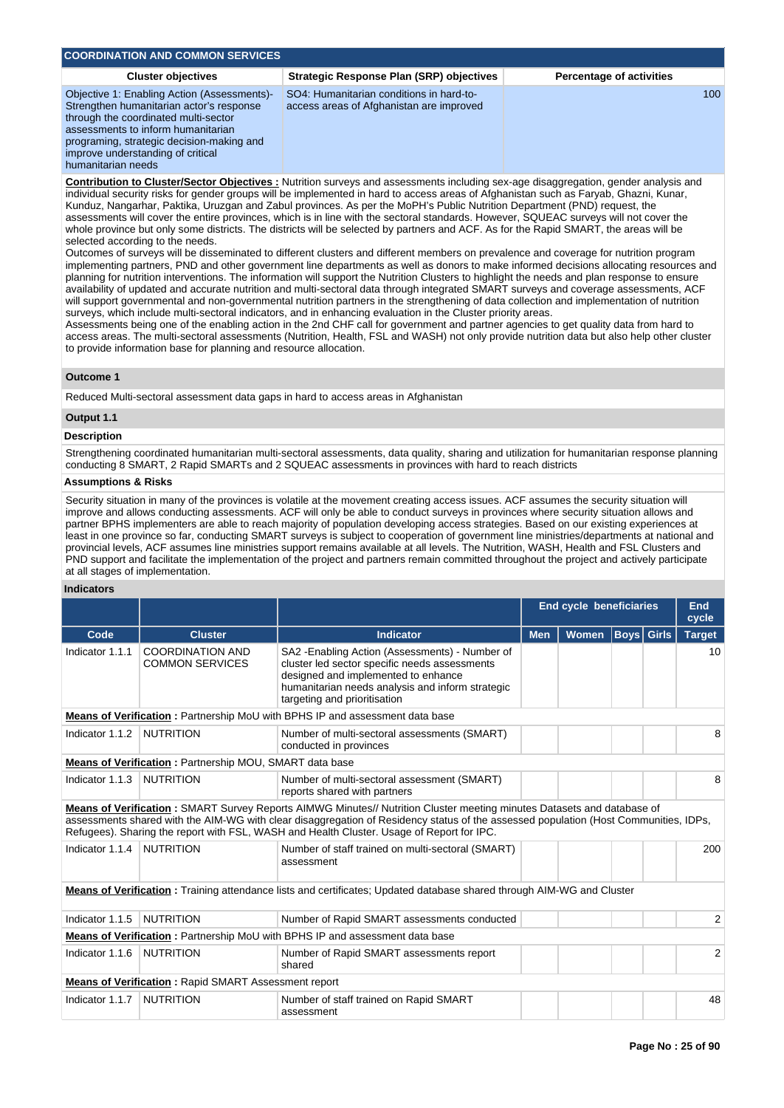| <b>COORDINATION AND COMMON SERVICES.</b>                                                                                                                                                                                                                                      |                                                                                      |                                 |
|-------------------------------------------------------------------------------------------------------------------------------------------------------------------------------------------------------------------------------------------------------------------------------|--------------------------------------------------------------------------------------|---------------------------------|
| <b>Cluster objectives</b>                                                                                                                                                                                                                                                     | Strategic Response Plan (SRP) objectives                                             | <b>Percentage of activities</b> |
| Objective 1: Enabling Action (Assessments)-<br>Strengthen humanitarian actor's response<br>through the coordinated multi-sector<br>assessments to inform humanitarian<br>programing, strategic decision-making and<br>improve understanding of critical<br>humanitarian needs | SO4: Humanitarian conditions in hard-to-<br>access areas of Afghanistan are improved | 100                             |

**Contribution to Cluster/Sector Objectives :** Nutrition surveys and assessments including sex-age disaggregation, gender analysis and individual security risks for gender groups will be implemented in hard to access areas of Afghanistan such as Faryab, Ghazni, Kunar, Kunduz, Nangarhar, Paktika, Uruzgan and Zabul provinces. As per the MoPH's Public Nutrition Department (PND) request, the assessments will cover the entire provinces, which is in line with the sectoral standards. However, SQUEAC surveys will not cover the whole province but only some districts. The districts will be selected by partners and ACF. As for the Rapid SMART, the areas will be selected according to the needs.

Outcomes of surveys will be disseminated to different clusters and different members on prevalence and coverage for nutrition program implementing partners, PND and other government line departments as well as donors to make informed decisions allocating resources and planning for nutrition interventions. The information will support the Nutrition Clusters to highlight the needs and plan response to ensure availability of updated and accurate nutrition and multi-sectoral data through integrated SMART surveys and coverage assessments, ACF will support governmental and non-governmental nutrition partners in the strengthening of data collection and implementation of nutrition surveys, which include multi-sectoral indicators, and in enhancing evaluation in the Cluster priority areas.

Assessments being one of the enabling action in the 2nd CHF call for government and partner agencies to get quality data from hard to access areas. The multi-sectoral assessments (Nutrition, Health, FSL and WASH) not only provide nutrition data but also help other cluster to provide information base for planning and resource allocation.

## **Outcome 1**

Reduced Multi-sectoral assessment data gaps in hard to access areas in Afghanistan

# **Output 1.1**

### **Description**

Strengthening coordinated humanitarian multi-sectoral assessments, data quality, sharing and utilization for humanitarian response planning conducting 8 SMART, 2 Rapid SMARTs and 2 SQUEAC assessments in provinces with hard to reach districts

### **Assumptions & Risks**

Security situation in many of the provinces is volatile at the movement creating access issues. ACF assumes the security situation will improve and allows conducting assessments. ACF will only be able to conduct surveys in provinces where security situation allows and partner BPHS implementers are able to reach majority of population developing access strategies. Based on our existing experiences at least in one province so far, conducting SMART surveys is subject to cooperation of government line ministries/departments at national and provincial levels, ACF assumes line ministries support remains available at all levels. The Nutrition, WASH, Health and FSL Clusters and PND support and facilitate the implementation of the project and partners remain committed throughout the project and actively participate at all stages of implementation.

### **Indicators**

|                 |                                                                |                                                                                                                                                                                                                                                                                                                                                             |            | <b>End cycle beneficiaries</b> |  | <b>End</b><br>cycle |
|-----------------|----------------------------------------------------------------|-------------------------------------------------------------------------------------------------------------------------------------------------------------------------------------------------------------------------------------------------------------------------------------------------------------------------------------------------------------|------------|--------------------------------|--|---------------------|
| Code            | <b>Cluster</b>                                                 | <b>Indicator</b>                                                                                                                                                                                                                                                                                                                                            | <b>Men</b> | Women   Boys   Girls           |  | <b>Target</b>       |
| Indicator 1.1.1 | <b>COORDINATION AND</b><br><b>COMMON SERVICES</b>              | SA2 - Enabling Action (Assessments) - Number of<br>cluster led sector specific needs assessments<br>designed and implemented to enhance<br>humanitarian needs analysis and inform strategic<br>targeting and prioritisation                                                                                                                                 |            |                                |  | 10                  |
|                 |                                                                | Means of Verification: Partnership MoU with BPHS IP and assessment data base                                                                                                                                                                                                                                                                                |            |                                |  |                     |
| Indicator 1.1.2 | <b>NUTRITION</b>                                               | Number of multi-sectoral assessments (SMART)<br>conducted in provinces                                                                                                                                                                                                                                                                                      |            |                                |  | 8                   |
|                 | <b>Means of Verification:</b> Partnership MOU, SMART data base |                                                                                                                                                                                                                                                                                                                                                             |            |                                |  |                     |
| Indicator 1.1.3 | <b>NUTRITION</b>                                               | Number of multi-sectoral assessment (SMART)<br>reports shared with partners                                                                                                                                                                                                                                                                                 |            |                                |  | 8                   |
|                 |                                                                | Means of Verification: SMART Survey Reports AIMWG Minutes// Nutrition Cluster meeting minutes Datasets and database of<br>assessments shared with the AIM-WG with clear disaggregation of Residency status of the assessed population (Host Communities, IDPs,<br>Refugees). Sharing the report with FSL, WASH and Health Cluster. Usage of Report for IPC. |            |                                |  |                     |
| Indicator 1.1.4 | <b>NUTRITION</b>                                               | Number of staff trained on multi-sectoral (SMART)<br>assessment                                                                                                                                                                                                                                                                                             |            |                                |  | 200                 |
|                 |                                                                | Means of Verification: Training attendance lists and certificates; Updated database shared through AIM-WG and Cluster                                                                                                                                                                                                                                       |            |                                |  |                     |
| Indicator 1.1.5 | <b>NUTRITION</b>                                               | Number of Rapid SMART assessments conducted                                                                                                                                                                                                                                                                                                                 |            |                                |  | $\overline{2}$      |
|                 |                                                                | <b>Means of Verification:</b> Partnership MoU with BPHS IP and assessment data base                                                                                                                                                                                                                                                                         |            |                                |  |                     |
| Indicator 1.1.6 | <b>NUTRITION</b>                                               | Number of Rapid SMART assessments report<br>shared                                                                                                                                                                                                                                                                                                          |            |                                |  | $\overline{2}$      |
|                 | <b>Means of Verification:</b> Rapid SMART Assessment report    |                                                                                                                                                                                                                                                                                                                                                             |            |                                |  |                     |
| Indicator 1.1.7 | <b>NUTRITION</b>                                               | Number of staff trained on Rapid SMART<br>assessment                                                                                                                                                                                                                                                                                                        |            |                                |  | 48                  |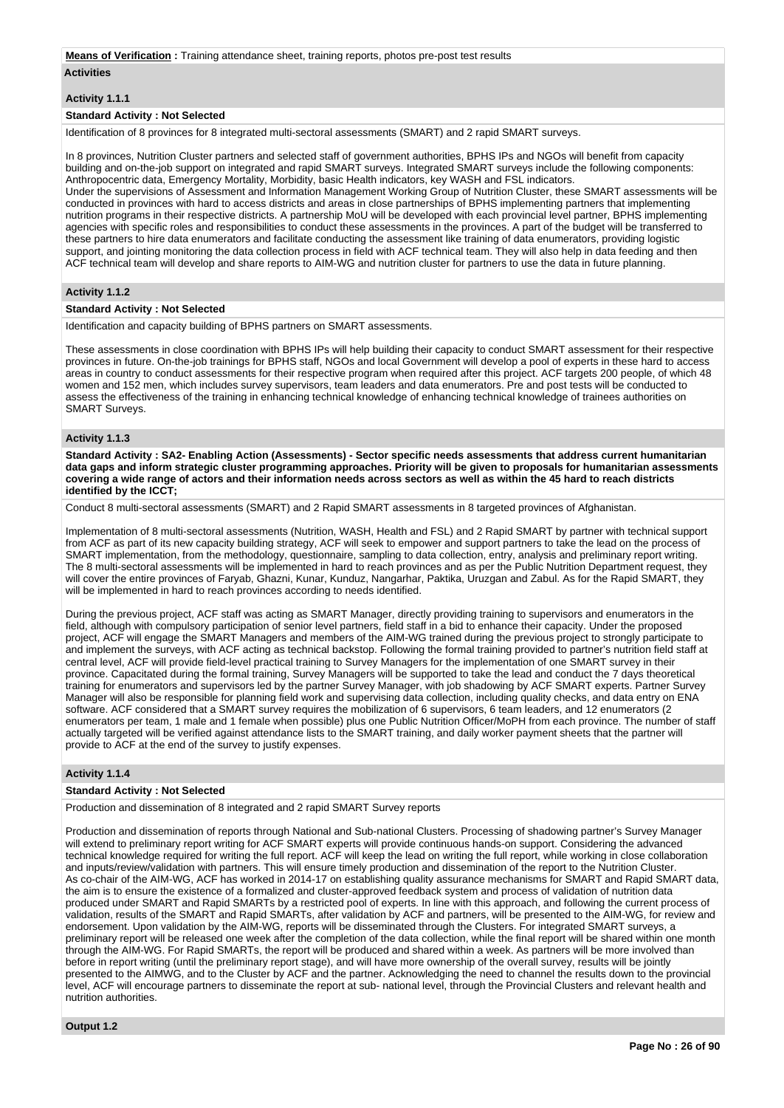#### **Means of Verification :** Training attendance sheet, training reports, photos pre-post test results

#### **Activities**

### **Activity 1.1.1**

#### **Standard Activity : Not Selected**

Identification of 8 provinces for 8 integrated multi-sectoral assessments (SMART) and 2 rapid SMART surveys.

In 8 provinces, Nutrition Cluster partners and selected staff of government authorities, BPHS IPs and NGOs will benefit from capacity building and on-the-job support on integrated and rapid SMART surveys. Integrated SMART surveys include the following components: Anthropocentric data, Emergency Mortality, Morbidity, basic Health indicators, key WASH and FSL indicators. Under the supervisions of Assessment and Information Management Working Group of Nutrition Cluster, these SMART assessments will be conducted in provinces with hard to access districts and areas in close partnerships of BPHS implementing partners that implementing nutrition programs in their respective districts. A partnership MoU will be developed with each provincial level partner, BPHS implementing agencies with specific roles and responsibilities to conduct these assessments in the provinces. A part of the budget will be transferred to these partners to hire data enumerators and facilitate conducting the assessment like training of data enumerators, providing logistic support, and jointing monitoring the data collection process in field with ACF technical team. They will also help in data feeding and then ACF technical team will develop and share reports to AIM-WG and nutrition cluster for partners to use the data in future planning.

#### **Activity 1.1.2**

### **Standard Activity : Not Selected**

Identification and capacity building of BPHS partners on SMART assessments.

These assessments in close coordination with BPHS IPs will help building their capacity to conduct SMART assessment for their respective provinces in future. On-the-job trainings for BPHS staff, NGOs and local Government will develop a pool of experts in these hard to access areas in country to conduct assessments for their respective program when required after this project. ACF targets 200 people, of which 48 women and 152 men, which includes survey supervisors, team leaders and data enumerators. Pre and post tests will be conducted to assess the effectiveness of the training in enhancing technical knowledge of enhancing technical knowledge of trainees authorities on SMART Surveys.

### **Activity 1.1.3**

**Standard Activity : SA2- Enabling Action (Assessments) - Sector specific needs assessments that address current humanitarian data gaps and inform strategic cluster programming approaches. Priority will be given to proposals for humanitarian assessments covering a wide range of actors and their information needs across sectors as well as within the 45 hard to reach districts identified by the ICCT;**

Conduct 8 multi-sectoral assessments (SMART) and 2 Rapid SMART assessments in 8 targeted provinces of Afghanistan.

Implementation of 8 multi-sectoral assessments (Nutrition, WASH, Health and FSL) and 2 Rapid SMART by partner with technical support from ACF as part of its new capacity building strategy, ACF will seek to empower and support partners to take the lead on the process of SMART implementation, from the methodology, questionnaire, sampling to data collection, entry, analysis and preliminary report writing. The 8 multi-sectoral assessments will be implemented in hard to reach provinces and as per the Public Nutrition Department request, they will cover the entire provinces of Faryab, Ghazni, Kunar, Kunduz, Nangarhar, Paktika, Uruzgan and Zabul. As for the Rapid SMART, they will be implemented in hard to reach provinces according to needs identified.

During the previous project, ACF staff was acting as SMART Manager, directly providing training to supervisors and enumerators in the field, although with compulsory participation of senior level partners, field staff in a bid to enhance their capacity. Under the proposed project, ACF will engage the SMART Managers and members of the AIM-WG trained during the previous project to strongly participate to and implement the surveys, with ACF acting as technical backstop. Following the formal training provided to partner's nutrition field staff at central level, ACF will provide field-level practical training to Survey Managers for the implementation of one SMART survey in their province. Capacitated during the formal training, Survey Managers will be supported to take the lead and conduct the 7 days theoretical training for enumerators and supervisors led by the partner Survey Manager, with job shadowing by ACF SMART experts. Partner Survey Manager will also be responsible for planning field work and supervising data collection, including quality checks, and data entry on ENA software. ACF considered that a SMART survey requires the mobilization of 6 supervisors, 6 team leaders, and 12 enumerators (2 enumerators per team, 1 male and 1 female when possible) plus one Public Nutrition Officer/MoPH from each province. The number of staff actually targeted will be verified against attendance lists to the SMART training, and daily worker payment sheets that the partner will provide to ACF at the end of the survey to justify expenses.

### **Activity 1.1.4**

#### **Standard Activity : Not Selected**

Production and dissemination of 8 integrated and 2 rapid SMART Survey reports

Production and dissemination of reports through National and Sub-national Clusters. Processing of shadowing partner's Survey Manager will extend to preliminary report writing for ACF SMART experts will provide continuous hands-on support. Considering the advanced technical knowledge required for writing the full report. ACF will keep the lead on writing the full report, while working in close collaboration and inputs/review/validation with partners. This will ensure timely production and dissemination of the report to the Nutrition Cluster. As co-chair of the AIM-WG, ACF has worked in 2014-17 on establishing quality assurance mechanisms for SMART and Rapid SMART data, the aim is to ensure the existence of a formalized and cluster-approved feedback system and process of validation of nutrition data produced under SMART and Rapid SMARTs by a restricted pool of experts. In line with this approach, and following the current process of validation, results of the SMART and Rapid SMARTs, after validation by ACF and partners, will be presented to the AIM-WG, for review and endorsement. Upon validation by the AIM-WG, reports will be disseminated through the Clusters. For integrated SMART surveys, a preliminary report will be released one week after the completion of the data collection, while the final report will be shared within one month through the AIM-WG. For Rapid SMARTs, the report will be produced and shared within a week. As partners will be more involved than before in report writing (until the preliminary report stage), and will have more ownership of the overall survey, results will be jointly presented to the AIMWG, and to the Cluster by ACF and the partner. Acknowledging the need to channel the results down to the provincial level, ACF will encourage partners to disseminate the report at sub- national level, through the Provincial Clusters and relevant health and nutrition authorities.

**Output 1.2**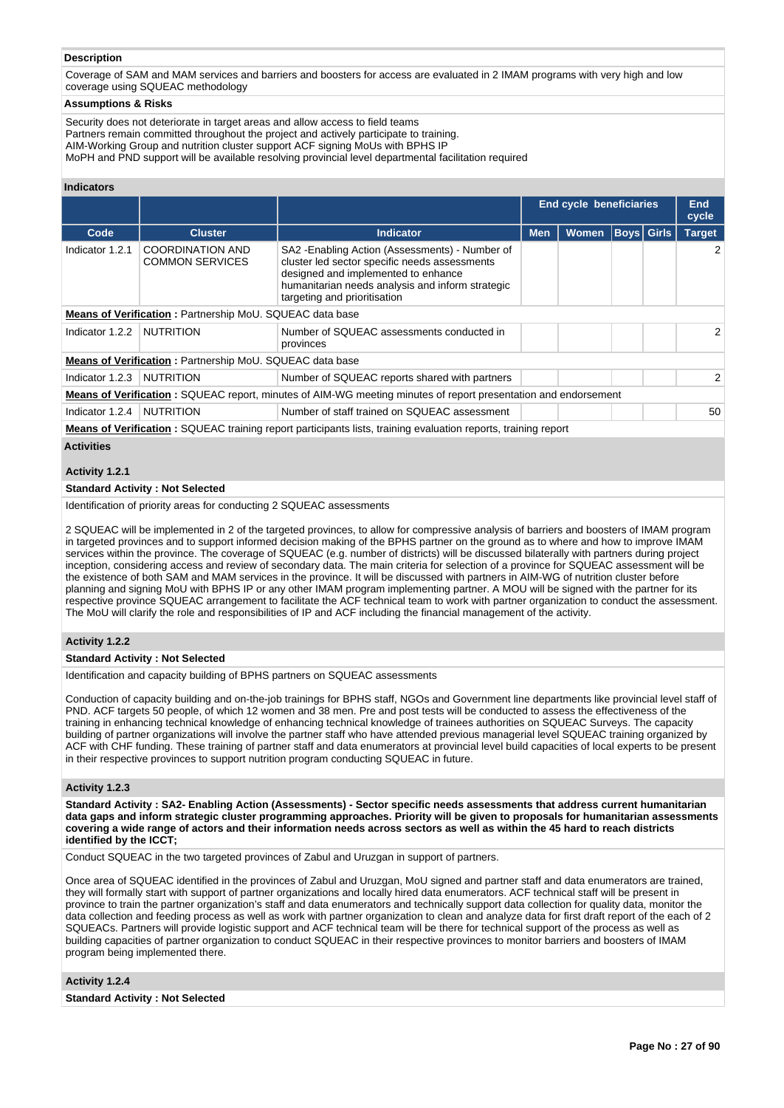### **Description**

Coverage of SAM and MAM services and barriers and boosters for access are evaluated in 2 IMAM programs with very high and low coverage using SQUEAC methodology

### **Assumptions & Risks**

Security does not deteriorate in target areas and allow access to field teams Partners remain committed throughout the project and actively participate to training. AIM-Working Group and nutrition cluster support ACF signing MoUs with BPHS IP MoPH and PND support will be available resolving provincial level departmental facilitation required

### **Indicators**

|                 |                                                                 |                                                                                                                                                                                                                             |            | <b>End cycle beneficiaries</b> |             | <b>End</b><br>cycle |
|-----------------|-----------------------------------------------------------------|-----------------------------------------------------------------------------------------------------------------------------------------------------------------------------------------------------------------------------|------------|--------------------------------|-------------|---------------------|
| Code            | <b>Cluster</b>                                                  | <b>Indicator</b>                                                                                                                                                                                                            | <b>Men</b> | Women                          | Boys  Girls | <b>Target</b>       |
| Indicator 1.2.1 | <b>COORDINATION AND</b><br><b>COMMON SERVICES</b>               | SA2 - Enabling Action (Assessments) - Number of<br>cluster led sector specific needs assessments<br>designed and implemented to enhance<br>humanitarian needs analysis and inform strategic<br>targeting and prioritisation |            |                                |             | 2                   |
|                 | <b>Means of Verification:</b> Partnership MoU. SQUEAC data base |                                                                                                                                                                                                                             |            |                                |             |                     |
| Indicator 1.2.2 | <b>NUTRITION</b>                                                | Number of SQUEAC assessments conducted in<br>provinces                                                                                                                                                                      |            |                                |             | $\overline{2}$      |
|                 | <b>Means of Verification:</b> Partnership MoU. SQUEAC data base |                                                                                                                                                                                                                             |            |                                |             |                     |
| Indicator 1.2.3 | <b>NUTRITION</b>                                                | Number of SQUEAC reports shared with partners                                                                                                                                                                               |            |                                |             | $\mathcal{P}$       |
|                 |                                                                 | <b>Means of Verification:</b> SQUEAC report, minutes of AIM-WG meeting minutes of report presentation and endorsement                                                                                                       |            |                                |             |                     |
| Indicator 1.2.4 | <b>NUTRITION</b>                                                | Number of staff trained on SQUEAC assessment                                                                                                                                                                                |            |                                |             | 50                  |
|                 |                                                                 | Means of Varification . SOUEAC training report participants lists, training evaluation reports, training report                                                                                                             |            |                                |             |                     |

 $\mathsf{N}$ g report participants lists, training evaluation reports, training report **Activities**

# **Activity 1.2.1**

# **Standard Activity : Not Selected**

Identification of priority areas for conducting 2 SQUEAC assessments

2 SQUEAC will be implemented in 2 of the targeted provinces, to allow for compressive analysis of barriers and boosters of IMAM program in targeted provinces and to support informed decision making of the BPHS partner on the ground as to where and how to improve IMAM services within the province. The coverage of SQUEAC (e.g. number of districts) will be discussed bilaterally with partners during project inception, considering access and review of secondary data. The main criteria for selection of a province for SQUEAC assessment will be the existence of both SAM and MAM services in the province. It will be discussed with partners in AIM-WG of nutrition cluster before planning and signing MoU with BPHS IP or any other IMAM program implementing partner. A MOU will be signed with the partner for its respective province SQUEAC arrangement to facilitate the ACF technical team to work with partner organization to conduct the assessment. The MoU will clarify the role and responsibilities of IP and ACF including the financial management of the activity.

### **Activity 1.2.2**

### **Standard Activity : Not Selected**

Identification and capacity building of BPHS partners on SQUEAC assessments

Conduction of capacity building and on-the-job trainings for BPHS staff, NGOs and Government line departments like provincial level staff of PND. ACF targets 50 people, of which 12 women and 38 men. Pre and post tests will be conducted to assess the effectiveness of the training in enhancing technical knowledge of enhancing technical knowledge of trainees authorities on SQUEAC Surveys. The capacity building of partner organizations will involve the partner staff who have attended previous managerial level SQUEAC training organized by ACF with CHF funding. These training of partner staff and data enumerators at provincial level build capacities of local experts to be present in their respective provinces to support nutrition program conducting SQUEAC in future.

#### **Activity 1.2.3**

**Standard Activity : SA2- Enabling Action (Assessments) - Sector specific needs assessments that address current humanitarian data gaps and inform strategic cluster programming approaches. Priority will be given to proposals for humanitarian assessments covering a wide range of actors and their information needs across sectors as well as within the 45 hard to reach districts identified by the ICCT;**

Conduct SQUEAC in the two targeted provinces of Zabul and Uruzgan in support of partners.

Once area of SQUEAC identified in the provinces of Zabul and Uruzgan, MoU signed and partner staff and data enumerators are trained, they will formally start with support of partner organizations and locally hired data enumerators. ACF technical staff will be present in province to train the partner organization's staff and data enumerators and technically support data collection for quality data, monitor the data collection and feeding process as well as work with partner organization to clean and analyze data for first draft report of the each of 2 SQUEACs. Partners will provide logistic support and ACF technical team will be there for technical support of the process as well as building capacities of partner organization to conduct SQUEAC in their respective provinces to monitor barriers and boosters of IMAM program being implemented there.

# **Activity 1.2.4**

### **Standard Activity : Not Selected**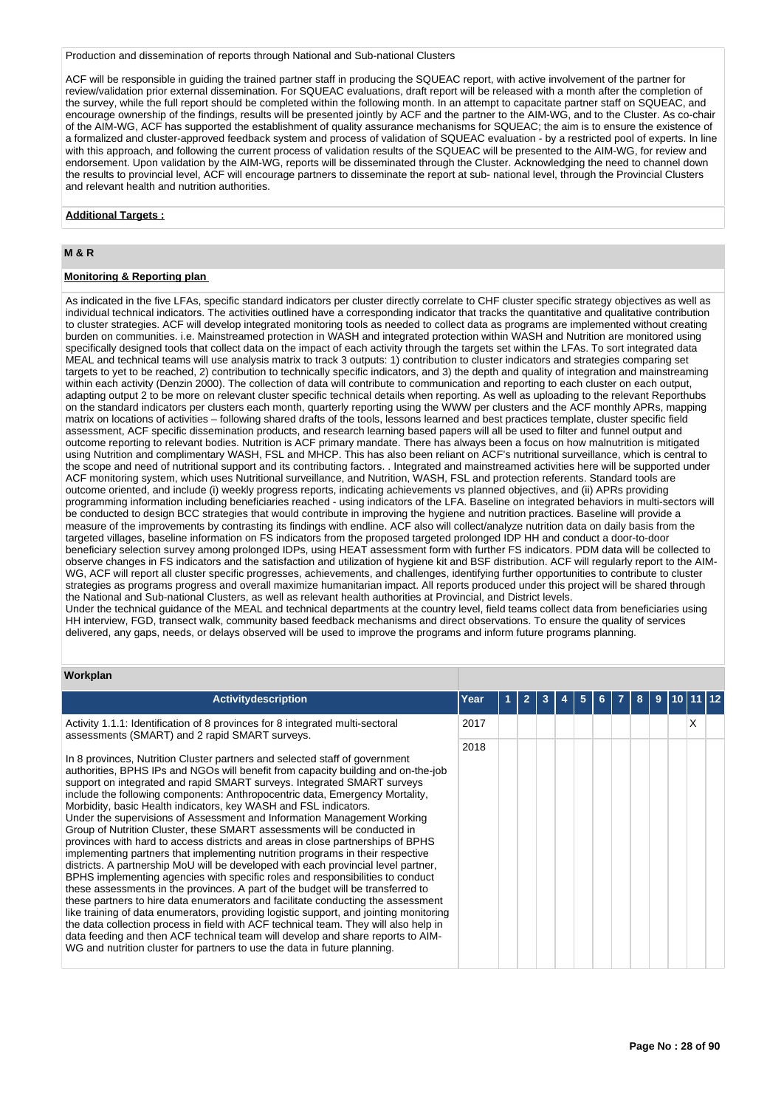Production and dissemination of reports through National and Sub-national Clusters

ACF will be responsible in guiding the trained partner staff in producing the SQUEAC report, with active involvement of the partner for review/validation prior external dissemination. For SQUEAC evaluations, draft report will be released with a month after the completion of the survey, while the full report should be completed within the following month. In an attempt to capacitate partner staff on SQUEAC, and encourage ownership of the findings, results will be presented jointly by ACF and the partner to the AIM-WG, and to the Cluster. As co-chair of the AIM-WG, ACF has supported the establishment of quality assurance mechanisms for SQUEAC; the aim is to ensure the existence of a formalized and cluster-approved feedback system and process of validation of SQUEAC evaluation - by a restricted pool of experts. In line with this approach, and following the current process of validation results of the SQUEAC will be presented to the AIM-WG, for review and endorsement. Upon validation by the AIM-WG, reports will be disseminated through the Cluster. Acknowledging the need to channel down the results to provincial level, ACF will encourage partners to disseminate the report at sub- national level, through the Provincial Clusters and relevant health and nutrition authorities.

### **Additional Targets :**

# **M & R**

### **Monitoring & Reporting plan**

As indicated in the five LFAs, specific standard indicators per cluster directly correlate to CHF cluster specific strategy objectives as well as individual technical indicators. The activities outlined have a corresponding indicator that tracks the quantitative and qualitative contribution to cluster strategies. ACF will develop integrated monitoring tools as needed to collect data as programs are implemented without creating burden on communities. i.e. Mainstreamed protection in WASH and integrated protection within WASH and Nutrition are monitored using specifically designed tools that collect data on the impact of each activity through the targets set within the LFAs. To sort integrated data MEAL and technical teams will use analysis matrix to track 3 outputs: 1) contribution to cluster indicators and strategies comparing set targets to yet to be reached, 2) contribution to technically specific indicators, and 3) the depth and quality of integration and mainstreaming within each activity (Denzin 2000). The collection of data will contribute to communication and reporting to each cluster on each output, adapting output 2 to be more on relevant cluster specific technical details when reporting. As well as uploading to the relevant Reporthubs on the standard indicators per clusters each month, quarterly reporting using the WWW per clusters and the ACF monthly APRs, mapping matrix on locations of activities – following shared drafts of the tools, lessons learned and best practices template, cluster specific field assessment, ACF specific dissemination products, and research learning based papers will all be used to filter and funnel output and outcome reporting to relevant bodies. Nutrition is ACF primary mandate. There has always been a focus on how malnutrition is mitigated using Nutrition and complimentary WASH, FSL and MHCP. This has also been reliant on ACF's nutritional surveillance, which is central to the scope and need of nutritional support and its contributing factors. . Integrated and mainstreamed activities here will be supported under ACF monitoring system, which uses Nutritional surveillance, and Nutrition, WASH, FSL and protection referents. Standard tools are outcome oriented, and include (i) weekly progress reports, indicating achievements vs planned objectives, and (ii) APRs providing programming information including beneficiaries reached - using indicators of the LFA. Baseline on integrated behaviors in multi-sectors will be conducted to design BCC strategies that would contribute in improving the hygiene and nutrition practices. Baseline will provide a measure of the improvements by contrasting its findings with endline. ACF also will collect/analyze nutrition data on daily basis from the targeted villages, baseline information on FS indicators from the proposed targeted prolonged IDP HH and conduct a door-to-door beneficiary selection survey among prolonged IDPs, using HEAT assessment form with further FS indicators. PDM data will be collected to observe changes in FS indicators and the satisfaction and utilization of hygiene kit and BSF distribution. ACF will regularly report to the AIM-WG, ACF will report all cluster specific progresses, achievements, and challenges, identifying further opportunities to contribute to cluster strategies as programs progress and overall maximize humanitarian impact. All reports produced under this project will be shared through the National and Sub-national Clusters, as well as relevant health authorities at Provincial, and District levels. Under the technical guidance of the MEAL and technical departments at the country level, field teams collect data from beneficiaries using HH interview, FGD, transect walk, community based feedback mechanisms and direct observations. To ensure the quality of services delivered, any gaps, needs, or delays observed will be used to improve the programs and inform future programs planning.

#### **Workplan**

| <b>Activitydescription</b>                                                                                                                                                                                                                                                                                                                                                                                                                                                                                                                                                                                                                                                                                                                                                                                                                                                                                                                                                                                                                                                                                                                                                                                                                                                                                                                                                                                                   | Year |  |  |  |  |  |   |  |
|------------------------------------------------------------------------------------------------------------------------------------------------------------------------------------------------------------------------------------------------------------------------------------------------------------------------------------------------------------------------------------------------------------------------------------------------------------------------------------------------------------------------------------------------------------------------------------------------------------------------------------------------------------------------------------------------------------------------------------------------------------------------------------------------------------------------------------------------------------------------------------------------------------------------------------------------------------------------------------------------------------------------------------------------------------------------------------------------------------------------------------------------------------------------------------------------------------------------------------------------------------------------------------------------------------------------------------------------------------------------------------------------------------------------------|------|--|--|--|--|--|---|--|
| Activity 1.1.1: Identification of 8 provinces for 8 integrated multi-sectoral<br>assessments (SMART) and 2 rapid SMART surveys.                                                                                                                                                                                                                                                                                                                                                                                                                                                                                                                                                                                                                                                                                                                                                                                                                                                                                                                                                                                                                                                                                                                                                                                                                                                                                              | 2017 |  |  |  |  |  | x |  |
| In 8 provinces, Nutrition Cluster partners and selected staff of government<br>authorities, BPHS IPs and NGOs will benefit from capacity building and on-the-job<br>support on integrated and rapid SMART surveys. Integrated SMART surveys<br>include the following components: Anthropocentric data, Emergency Mortality,<br>Morbidity, basic Health indicators, key WASH and FSL indicators.<br>Under the supervisions of Assessment and Information Management Working<br>Group of Nutrition Cluster, these SMART assessments will be conducted in<br>provinces with hard to access districts and areas in close partnerships of BPHS<br>implementing partners that implementing nutrition programs in their respective<br>districts. A partnership MoU will be developed with each provincial level partner,<br>BPHS implementing agencies with specific roles and responsibilities to conduct<br>these assessments in the provinces. A part of the budget will be transferred to<br>these partners to hire data enumerators and facilitate conducting the assessment<br>like training of data enumerators, providing logistic support, and jointing monitoring<br>the data collection process in field with ACF technical team. They will also help in<br>data feeding and then ACF technical team will develop and share reports to AIM-<br>WG and nutrition cluster for partners to use the data in future planning. | 2018 |  |  |  |  |  |   |  |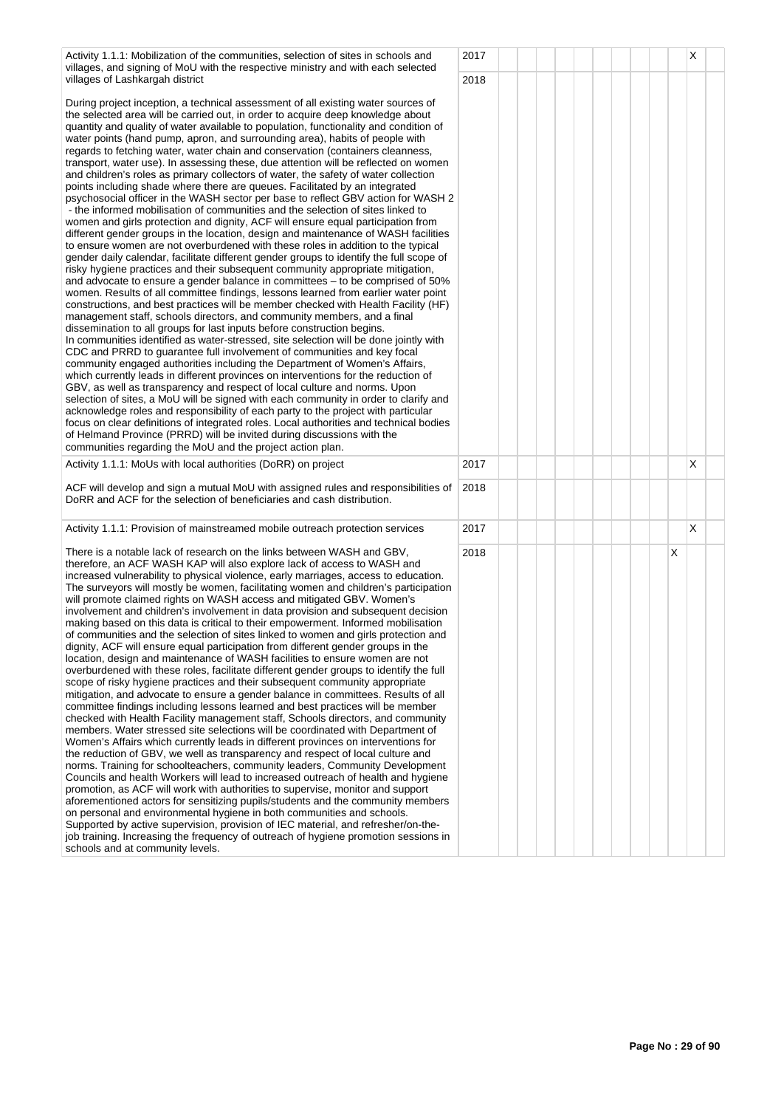| Activity 1.1.1: Mobilization of the communities, selection of sites in schools and<br>villages, and signing of MoU with the respective ministry and with each selected                                                                                                                                                                                                                                                                                                                                                                                                                                                                                                                                                                                                                                                                                                                                                                                                                                                                                                                                                                                                                                                                                                                                                                                                                                                                                                                                                                                                                                                                                                                                                                                                                                                                                                                                                                                                                                                                                                                                                                                                                                                                                                                                                                                                                                                                                                                                                                                                                                     | 2017 |  |  |  |   | х |  |
|------------------------------------------------------------------------------------------------------------------------------------------------------------------------------------------------------------------------------------------------------------------------------------------------------------------------------------------------------------------------------------------------------------------------------------------------------------------------------------------------------------------------------------------------------------------------------------------------------------------------------------------------------------------------------------------------------------------------------------------------------------------------------------------------------------------------------------------------------------------------------------------------------------------------------------------------------------------------------------------------------------------------------------------------------------------------------------------------------------------------------------------------------------------------------------------------------------------------------------------------------------------------------------------------------------------------------------------------------------------------------------------------------------------------------------------------------------------------------------------------------------------------------------------------------------------------------------------------------------------------------------------------------------------------------------------------------------------------------------------------------------------------------------------------------------------------------------------------------------------------------------------------------------------------------------------------------------------------------------------------------------------------------------------------------------------------------------------------------------------------------------------------------------------------------------------------------------------------------------------------------------------------------------------------------------------------------------------------------------------------------------------------------------------------------------------------------------------------------------------------------------------------------------------------------------------------------------------------------------|------|--|--|--|---|---|--|
| villages of Lashkargah district<br>During project inception, a technical assessment of all existing water sources of<br>the selected area will be carried out, in order to acquire deep knowledge about<br>quantity and quality of water available to population, functionality and condition of<br>water points (hand pump, apron, and surrounding area), habits of people with<br>regards to fetching water, water chain and conservation (containers cleanness,<br>transport, water use). In assessing these, due attention will be reflected on women<br>and children's roles as primary collectors of water, the safety of water collection<br>points including shade where there are queues. Facilitated by an integrated<br>psychosocial officer in the WASH sector per base to reflect GBV action for WASH 2<br>- the informed mobilisation of communities and the selection of sites linked to<br>women and girls protection and dignity, ACF will ensure equal participation from<br>different gender groups in the location, design and maintenance of WASH facilities<br>to ensure women are not overburdened with these roles in addition to the typical<br>gender daily calendar, facilitate different gender groups to identify the full scope of<br>risky hygiene practices and their subsequent community appropriate mitigation,<br>and advocate to ensure a gender balance in committees - to be comprised of 50%<br>women. Results of all committee findings, lessons learned from earlier water point<br>constructions, and best practices will be member checked with Health Facility (HF)<br>management staff, schools directors, and community members, and a final<br>dissemination to all groups for last inputs before construction begins.<br>In communities identified as water-stressed, site selection will be done jointly with<br>CDC and PRRD to guarantee full involvement of communities and key focal<br>community engaged authorities including the Department of Women's Affairs,<br>which currently leads in different provinces on interventions for the reduction of<br>GBV, as well as transparency and respect of local culture and norms. Upon<br>selection of sites, a MoU will be signed with each community in order to clarify and<br>acknowledge roles and responsibility of each party to the project with particular<br>focus on clear definitions of integrated roles. Local authorities and technical bodies<br>of Helmand Province (PRRD) will be invited during discussions with the<br>communities regarding the MoU and the project action plan. | 2018 |  |  |  |   |   |  |
| Activity 1.1.1: MoUs with local authorities (DoRR) on project                                                                                                                                                                                                                                                                                                                                                                                                                                                                                                                                                                                                                                                                                                                                                                                                                                                                                                                                                                                                                                                                                                                                                                                                                                                                                                                                                                                                                                                                                                                                                                                                                                                                                                                                                                                                                                                                                                                                                                                                                                                                                                                                                                                                                                                                                                                                                                                                                                                                                                                                              | 2017 |  |  |  |   | X |  |
| ACF will develop and sign a mutual MoU with assigned rules and responsibilities of<br>DoRR and ACF for the selection of beneficiaries and cash distribution.                                                                                                                                                                                                                                                                                                                                                                                                                                                                                                                                                                                                                                                                                                                                                                                                                                                                                                                                                                                                                                                                                                                                                                                                                                                                                                                                                                                                                                                                                                                                                                                                                                                                                                                                                                                                                                                                                                                                                                                                                                                                                                                                                                                                                                                                                                                                                                                                                                               | 2018 |  |  |  |   |   |  |
| Activity 1.1.1: Provision of mainstreamed mobile outreach protection services                                                                                                                                                                                                                                                                                                                                                                                                                                                                                                                                                                                                                                                                                                                                                                                                                                                                                                                                                                                                                                                                                                                                                                                                                                                                                                                                                                                                                                                                                                                                                                                                                                                                                                                                                                                                                                                                                                                                                                                                                                                                                                                                                                                                                                                                                                                                                                                                                                                                                                                              | 2017 |  |  |  |   | X |  |
| There is a notable lack of research on the links between WASH and GBV,<br>therefore, an ACF WASH KAP will also explore lack of access to WASH and<br>increased vulnerability to physical violence, early marriages, access to education.<br>The surveyors will mostly be women, facilitating women and children's participation<br>will promote claimed rights on WASH access and mitigated GBV. Women's<br>involvement and children's involvement in data provision and subsequent decision<br>making based on this data is critical to their empowerment. Informed mobilisation<br>of communities and the selection of sites linked to women and girls protection and<br>dignity, ACF will ensure equal participation from different gender groups in the<br>location, design and maintenance of WASH facilities to ensure women are not<br>overburdened with these roles, facilitate different gender groups to identify the full<br>scope of risky hygiene practices and their subsequent community appropriate<br>mitigation, and advocate to ensure a gender balance in committees. Results of all<br>committee findings including lessons learned and best practices will be member<br>checked with Health Facility management staff, Schools directors, and community<br>members. Water stressed site selections will be coordinated with Department of<br>Women's Affairs which currently leads in different provinces on interventions for<br>the reduction of GBV, we well as transparency and respect of local culture and<br>norms. Training for schoolteachers, community leaders, Community Development<br>Councils and health Workers will lead to increased outreach of health and hygiene<br>promotion, as ACF will work with authorities to supervise, monitor and support<br>aforementioned actors for sensitizing pupils/students and the community members<br>on personal and environmental hygiene in both communities and schools.<br>Supported by active supervision, provision of IEC material, and refresher/on-the-<br>job training. Increasing the frequency of outreach of hygiene promotion sessions in<br>schools and at community levels.                                                                                                                                                                                                                                                                                                                                                                                                                                 | 2018 |  |  |  | Х |   |  |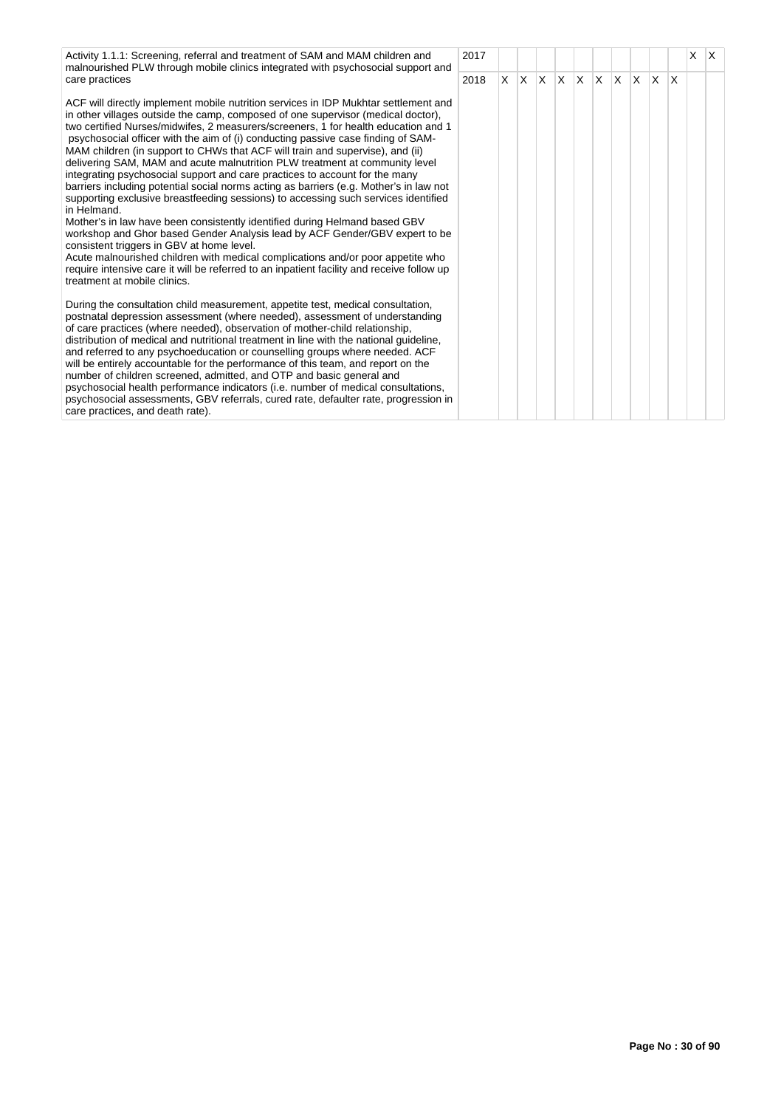Activity 1.1.1: Screening, referral and treatment of SAM and MAM children and malnourished PLW through mobile clinics integrated with psychosocial support and care practices

ACF will directly implement mobile nutrition services in IDP Mukhtar settlement and in other villages outside the camp, composed of one supervisor (medical doctor), two certified Nurses/midwifes, 2 measurers/screeners, 1 for health education and 1 psychosocial officer with the aim of (i) conducting passive case finding of SAM-MAM children (in support to CHWs that ACF will train and supervise), and (ii) delivering SAM, MAM and acute malnutrition PLW treatment at community level integrating psychosocial support and care practices to account for the many barriers including potential social norms acting as barriers (e.g. Mother's in law not supporting exclusive breastfeeding sessions) to accessing such services identified in Helmand.

Mother's in law have been consistently identified during Helmand based GBV workshop and Ghor based Gender Analysis lead by ACF Gender/GBV expert to be consistent triggers in GBV at home level.

Acute malnourished children with medical complications and/or poor appetite who require intensive care it will be referred to an inpatient facility and receive follow up treatment at mobile clinics.

During the consultation child measurement, appetite test, medical consultation, postnatal depression assessment (where needed), assessment of understanding of care practices (where needed), observation of mother-child relationship, distribution of medical and nutritional treatment in line with the national guideline, and referred to any psychoeducation or counselling groups where needed. ACF will be entirely accountable for the performance of this team, and report on the number of children screened, admitted, and OTP and basic general and psychosocial health performance indicators (i.e. number of medical consultations, psychosocial assessments, GBV referrals, cured rate, defaulter rate, progression in care practices, and death rate).

| 2017 |             |                         |                |                         |  |                          |             |                         | $\mathsf{X}^-$ | $\boldsymbol{\mathsf{X}}$ |
|------|-------------|-------------------------|----------------|-------------------------|--|--------------------------|-------------|-------------------------|----------------|---------------------------|
| 2018 | $\mathsf X$ | $\overline{\mathsf{X}}$ | $\overline{X}$ | $\overline{\mathsf{X}}$ |  | $x \mid x \mid x \mid x$ | $\mathsf X$ | $\overline{\mathsf{x}}$ |                |                           |
|      |             |                         |                |                         |  |                          |             |                         |                |                           |
|      |             |                         |                |                         |  |                          |             |                         |                |                           |
|      |             |                         |                |                         |  |                          |             |                         |                |                           |
|      |             |                         |                |                         |  |                          |             |                         |                |                           |
|      |             |                         |                |                         |  |                          |             |                         |                |                           |
|      |             |                         |                |                         |  |                          |             |                         |                |                           |
|      |             |                         |                |                         |  |                          |             |                         |                |                           |
|      |             |                         |                |                         |  |                          |             |                         |                |                           |
|      |             |                         |                |                         |  |                          |             |                         |                |                           |
|      |             |                         |                |                         |  |                          |             |                         |                |                           |
|      |             |                         |                |                         |  |                          |             |                         |                |                           |
|      |             |                         |                |                         |  |                          |             |                         |                |                           |
|      |             |                         |                |                         |  |                          |             |                         |                |                           |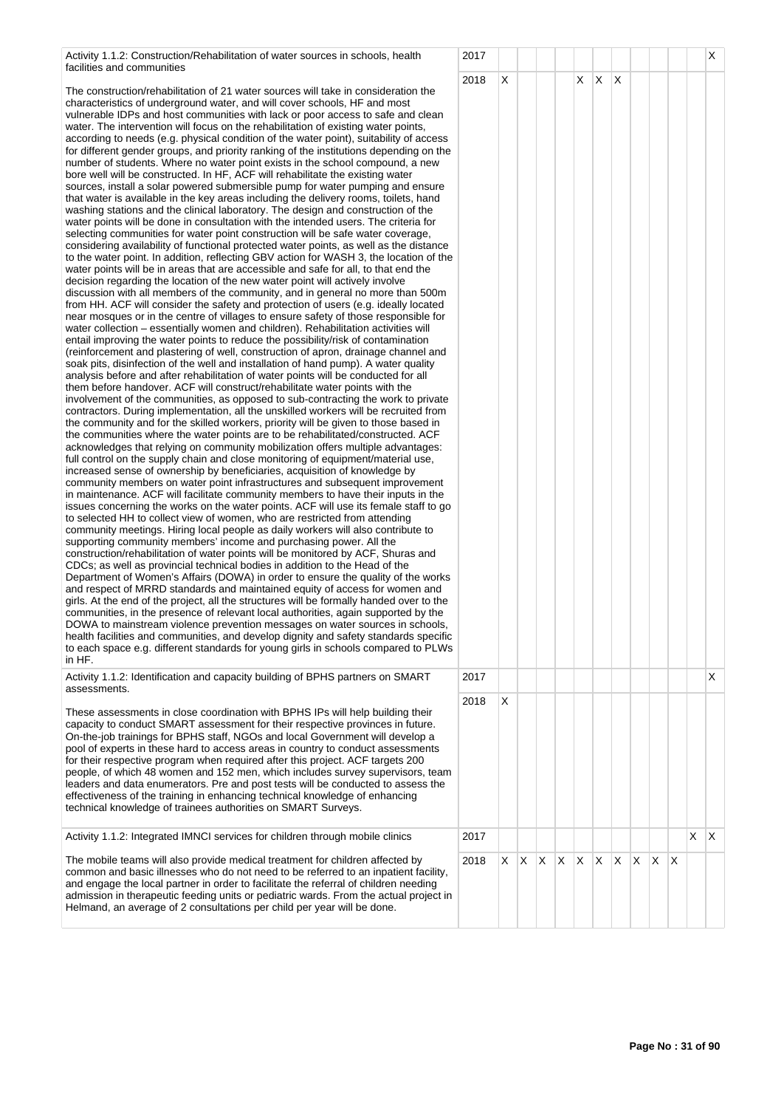| Activity 1.1.2: Construction/Rehabilitation of water sources in schools, health |  |
|---------------------------------------------------------------------------------|--|
| facilities and communities                                                      |  |

The construction/rehabilitation of 21 water sources will take in consideration the characteristics of underground water, and will cover schools, HF and most vulnerable IDPs and host communities with lack or poor access to safe and clean water. The intervention will focus on the rehabilitation of existing water points, according to needs (e.g. physical condition of the water point), suitability of access for different gender groups, and priority ranking of the institutions depending on th number of students. Where no water point exists in the school compound, a new bore well will be constructed. In HF, ACF will rehabilitate the existing water sources, install a solar powered submersible pump for water pumping and ensure that water is available in the key areas including the delivery rooms, toilets, hand washing stations and the clinical laboratory. The design and construction of the water points will be done in consultation with the intended users. The criteria for selecting communities for water point construction will be safe water coverage, considering availability of functional protected water points, as well as the distanc to the water point. In addition, reflecting GBV action for WASH 3, the location of t water points will be in areas that are accessible and safe for all, to that end the decision regarding the location of the new water point will actively involve discussion with all members of the community, and in general no more than 500m from HH. ACF will consider the safety and protection of users (e.g. ideally located near mosques or in the centre of villages to ensure safety of those responsible for water collection – essentially women and children). Rehabilitation activities will entail improving the water points to reduce the possibility/risk of contamination (reinforcement and plastering of well, construction of apron, drainage channel and soak pits, disinfection of the well and installation of hand pump). A water quality analysis before and after rehabilitation of water points will be conducted for all them before handover. ACF will construct/rehabilitate water points with the involvement of the communities, as opposed to sub-contracting the work to private contractors. During implementation, all the unskilled workers will be recruited from the community and for the skilled workers, priority will be given to those based in the communities where the water points are to be rehabilitated/constructed. ACF acknowledges that relying on community mobilization offers multiple advantages: full control on the supply chain and close monitoring of equipment/material use, increased sense of ownership by beneficiaries, acquisition of knowledge by community members on water point infrastructures and subsequent improvement in maintenance. ACF will facilitate community members to have their inputs in the issues concerning the works on the water points. ACF will use its female staff to g to selected HH to collect view of women, who are restricted from attending community meetings. Hiring local people as daily workers will also contribute to supporting community members' income and purchasing power. All the construction/rehabilitation of water points will be monitored by ACF, Shuras and CDCs; as well as provincial technical bodies in addition to the Head of the Department of Women's Affairs (DOWA) in order to ensure the quality of the work and respect of MRRD standards and maintained equity of access for women and girls. At the end of the project, all the structures will be formally handed over to th communities, in the presence of relevant local authorities, again supported by the DOWA to mainstream violence prevention messages on water sources in schools, health facilities and communities, and develop dignity and safety standards speci to each space e.g. different standards for young girls in schools compared to PLV in HF.

Activity 1.1.2: Identification and capacity building of BPHS partners on SMART assessments.

These assessments in close coordination with BPHS IPs will help building their capacity to conduct SMART assessment for their respective provinces in future. On-the-job trainings for BPHS staff, NGOs and local Government will develop a pool of experts in these hard to access areas in country to conduct assessments for their respective program when required after this project. ACF targets 200 people, of which 48 women and 152 men, which includes survey supervisors, tea leaders and data enumerators. Pre and post tests will be conducted to assess the effectiveness of the training in enhancing technical knowledge of enhancing technical knowledge of trainees authorities on SMART Surveys.

Activity 1.1.2: Integrated IMNCI services for children through mobile clinics

The mobile teams will also provide medical treatment for children affected by common and basic illnesses who do not need to be referred to an inpatient facility, and engage the local partner in order to facilitate the referral of children needing admission in therapeutic feeding units or pediatric wards. From the actual project Helmand, an average of 2 consultations per child per year will be done.

|                                                                                                                                      | 2017 |                         |                         |                         |                         |                         |                         |                         |                         |                         |   |                         | $\overline{\mathsf{x}}$ |
|--------------------------------------------------------------------------------------------------------------------------------------|------|-------------------------|-------------------------|-------------------------|-------------------------|-------------------------|-------------------------|-------------------------|-------------------------|-------------------------|---|-------------------------|-------------------------|
|                                                                                                                                      | 2018 | $\overline{\mathsf{X}}$ |                         |                         |                         | $\overline{\mathsf{x}}$ | $\overline{\mathsf{x}}$ | $\overline{\mathsf{x}}$ |                         |                         |   |                         |                         |
| <sup>I</sup>                                                                                                                         |      |                         |                         |                         |                         |                         |                         |                         |                         |                         |   |                         |                         |
| S                                                                                                                                    |      |                         |                         |                         |                         |                         |                         |                         |                         |                         |   |                         |                         |
| ٦e                                                                                                                                   |      |                         |                         |                         |                         |                         |                         |                         |                         |                         |   |                         |                         |
| e                                                                                                                                    |      |                         |                         |                         |                         |                         |                         |                         |                         |                         |   |                         |                         |
|                                                                                                                                      |      |                         |                         |                         |                         |                         |                         |                         |                         |                         |   |                         |                         |
|                                                                                                                                      |      |                         |                         |                         |                         |                         |                         |                         |                         |                         |   |                         |                         |
| e:<br>he                                                                                                                             |      |                         |                         |                         |                         |                         |                         |                         |                         |                         |   |                         |                         |
|                                                                                                                                      |      |                         |                         |                         |                         |                         |                         |                         |                         |                         |   |                         |                         |
| n<br>I<br>r                                                                                                                          |      |                         |                         |                         |                         |                         |                         |                         |                         |                         |   |                         |                         |
|                                                                                                                                      |      |                         |                         |                         |                         |                         |                         |                         |                         |                         |   |                         |                         |
| d                                                                                                                                    |      |                         |                         |                         |                         |                         |                         |                         |                         |                         |   |                         |                         |
|                                                                                                                                      |      |                         |                         |                         |                         |                         |                         |                         |                         |                         |   |                         |                         |
| te                                                                                                                                   |      |                         |                         |                         |                         |                         |                         |                         |                         |                         |   |                         |                         |
| n                                                                                                                                    |      |                         |                         |                         |                         |                         |                         |                         |                         |                         |   |                         |                         |
|                                                                                                                                      |      |                         |                         |                         |                         |                         |                         |                         |                         |                         |   |                         |                         |
|                                                                                                                                      |      |                         |                         |                         |                         |                         |                         |                         |                         |                         |   |                         |                         |
| Ì.                                                                                                                                   |      |                         |                         |                         |                         |                         |                         |                         |                         |                         |   |                         |                         |
| e<br>go                                                                                                                              |      |                         |                         |                         |                         |                         |                         |                         |                         |                         |   |                         |                         |
|                                                                                                                                      |      |                         |                         |                         |                         |                         |                         |                         |                         |                         |   |                         |                         |
|                                                                                                                                      |      |                         |                         |                         |                         |                         |                         |                         |                         |                         |   |                         |                         |
| <s< td=""><td></td><td></td><td></td><td></td><td></td><td></td><td></td><td></td><td></td><td></td><td></td><td></td><td></td></s<> |      |                         |                         |                         |                         |                         |                         |                         |                         |                         |   |                         |                         |
| e                                                                                                                                    |      |                         |                         |                         |                         |                         |                         |                         |                         |                         |   |                         |                         |
| )<br>S,<br>fic                                                                                                                       |      |                         |                         |                         |                         |                         |                         |                         |                         |                         |   |                         |                         |
| Vs                                                                                                                                   |      |                         |                         |                         |                         |                         |                         |                         |                         |                         |   |                         |                         |
|                                                                                                                                      | 2017 |                         |                         |                         |                         |                         |                         |                         |                         |                         |   |                         | X                       |
|                                                                                                                                      | 2018 | X                       |                         |                         |                         |                         |                         |                         |                         |                         |   |                         |                         |
|                                                                                                                                      |      |                         |                         |                         |                         |                         |                         |                         |                         |                         |   |                         |                         |
|                                                                                                                                      |      |                         |                         |                         |                         |                         |                         |                         |                         |                         |   |                         |                         |
| ım<br>e                                                                                                                              |      |                         |                         |                         |                         |                         |                         |                         |                         |                         |   |                         |                         |
|                                                                                                                                      |      |                         |                         |                         |                         |                         |                         |                         |                         |                         |   |                         |                         |
|                                                                                                                                      |      |                         |                         |                         |                         |                         |                         |                         |                         |                         |   |                         |                         |
|                                                                                                                                      | 2017 |                         |                         |                         |                         |                         |                         |                         |                         |                         |   | $\overline{\mathsf{x}}$ | $\overline{\mathsf{x}}$ |
| y,                                                                                                                                   | 2018 | $\mathsf X$             | $\overline{\mathsf{x}}$ | $\overline{\mathsf{X}}$ | $\overline{\mathsf{x}}$ | $\overline{\mathsf{x}}$ | $\overline{\mathsf{X}}$ | $\overline{\mathsf{x}}$ | $\overline{\mathsf{X}}$ | $\overline{\mathsf{x}}$ | X |                         |                         |
| $\mathsf{in}$                                                                                                                        |      |                         |                         |                         |                         |                         |                         |                         |                         |                         |   |                         |                         |
|                                                                                                                                      |      |                         |                         |                         |                         |                         |                         |                         |                         |                         |   |                         |                         |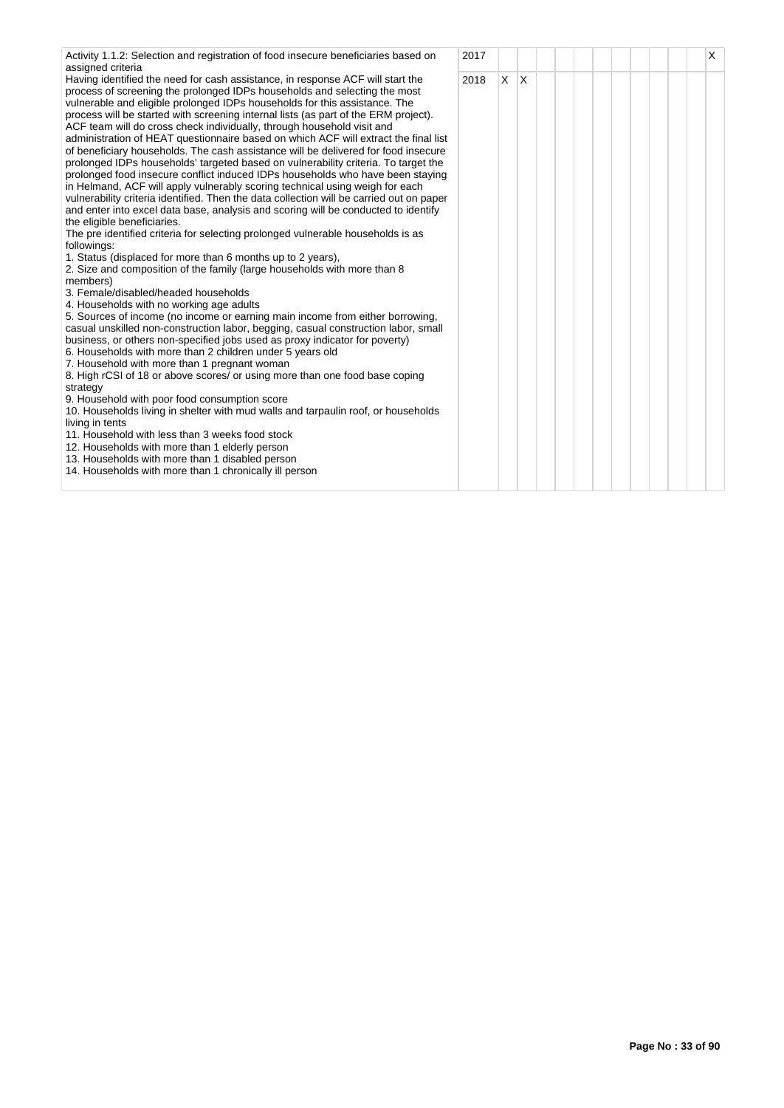| Activity 1.1.2: Selection and registration of food insecure beneficiaries based on                                                                                                                                                                                                                                                                                                                                                                                                                                                                                                                                                                                                                                                                                                                                                                                                                                                                                                                                                                                                                                                                                                                                                                                                                                                                                                                                                                                                                                                                                                                        | 2017 |              |     |  |  |  | X |
|-----------------------------------------------------------------------------------------------------------------------------------------------------------------------------------------------------------------------------------------------------------------------------------------------------------------------------------------------------------------------------------------------------------------------------------------------------------------------------------------------------------------------------------------------------------------------------------------------------------------------------------------------------------------------------------------------------------------------------------------------------------------------------------------------------------------------------------------------------------------------------------------------------------------------------------------------------------------------------------------------------------------------------------------------------------------------------------------------------------------------------------------------------------------------------------------------------------------------------------------------------------------------------------------------------------------------------------------------------------------------------------------------------------------------------------------------------------------------------------------------------------------------------------------------------------------------------------------------------------|------|--------------|-----|--|--|--|---|
| assigned criteria<br>Having identified the need for cash assistance, in response ACF will start the<br>process of screening the prolonged IDPs households and selecting the most<br>vulnerable and eligible prolonged IDPs households for this assistance. The<br>process will be started with screening internal lists (as part of the ERM project).<br>ACF team will do cross check individually, through household visit and<br>administration of HEAT questionnaire based on which ACF will extract the final list<br>of beneficiary households. The cash assistance will be delivered for food insecure<br>prolonged IDPs households' targeted based on vulnerability criteria. To target the<br>prolonged food insecure conflict induced IDPs households who have been staying<br>in Helmand, ACF will apply vulnerably scoring technical using weigh for each<br>vulnerability criteria identified. Then the data collection will be carried out on paper<br>and enter into excel data base, analysis and scoring will be conducted to identify<br>the eligible beneficiaries.<br>The pre identified criteria for selecting prolonged vulnerable households is as<br>followings:<br>1. Status (displaced for more than 6 months up to 2 years),<br>2. Size and composition of the family (large households with more than 8<br>members)<br>3. Female/disabled/headed households<br>4. Households with no working age adults<br>5. Sources of income (no income or earning main income from either borrowing,<br>casual unskilled non-construction labor, begging, casual construction labor, small | 2018 | $\mathsf{X}$ | ΙX. |  |  |  |   |
| business, or others non-specified jobs used as proxy indicator for poverty)<br>6. Households with more than 2 children under 5 years old                                                                                                                                                                                                                                                                                                                                                                                                                                                                                                                                                                                                                                                                                                                                                                                                                                                                                                                                                                                                                                                                                                                                                                                                                                                                                                                                                                                                                                                                  |      |              |     |  |  |  |   |
| 7. Household with more than 1 pregnant woman<br>8. High rCSI of 18 or above scores/ or using more than one food base coping                                                                                                                                                                                                                                                                                                                                                                                                                                                                                                                                                                                                                                                                                                                                                                                                                                                                                                                                                                                                                                                                                                                                                                                                                                                                                                                                                                                                                                                                               |      |              |     |  |  |  |   |
| strategy                                                                                                                                                                                                                                                                                                                                                                                                                                                                                                                                                                                                                                                                                                                                                                                                                                                                                                                                                                                                                                                                                                                                                                                                                                                                                                                                                                                                                                                                                                                                                                                                  |      |              |     |  |  |  |   |
| 9. Household with poor food consumption score<br>10. Households living in shelter with mud walls and tarpaulin roof, or households<br>living in tents                                                                                                                                                                                                                                                                                                                                                                                                                                                                                                                                                                                                                                                                                                                                                                                                                                                                                                                                                                                                                                                                                                                                                                                                                                                                                                                                                                                                                                                     |      |              |     |  |  |  |   |
| 11. Household with less than 3 weeks food stock                                                                                                                                                                                                                                                                                                                                                                                                                                                                                                                                                                                                                                                                                                                                                                                                                                                                                                                                                                                                                                                                                                                                                                                                                                                                                                                                                                                                                                                                                                                                                           |      |              |     |  |  |  |   |
| 12. Households with more than 1 elderly person<br>13. Households with more than 1 disabled person<br>14. Households with more than 1 chronically ill person                                                                                                                                                                                                                                                                                                                                                                                                                                                                                                                                                                                                                                                                                                                                                                                                                                                                                                                                                                                                                                                                                                                                                                                                                                                                                                                                                                                                                                               |      |              |     |  |  |  |   |
|                                                                                                                                                                                                                                                                                                                                                                                                                                                                                                                                                                                                                                                                                                                                                                                                                                                                                                                                                                                                                                                                                                                                                                                                                                                                                                                                                                                                                                                                                                                                                                                                           |      |              |     |  |  |  |   |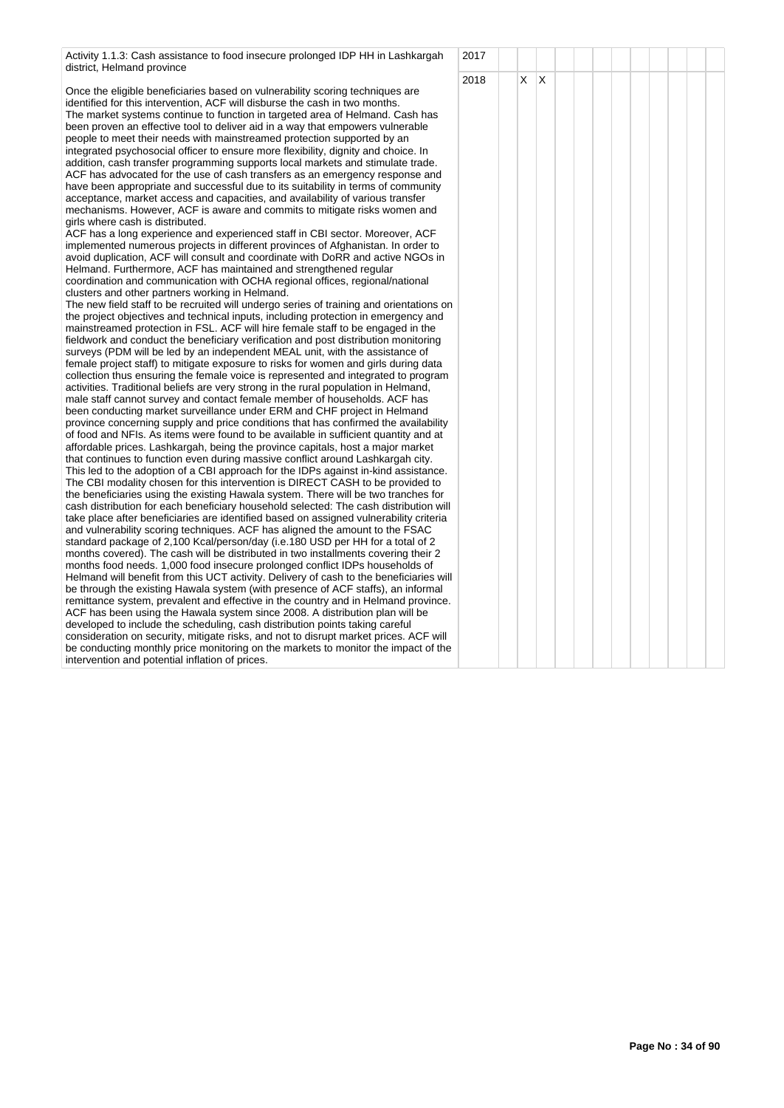Activity 1.1.3: Cash assistance to food insecure prolonged IDP HH in Lashkargah district, Helmand province

Once the eligible beneficiaries based on vulnerability scoring techniques are identified for this intervention, ACF will disburse the cash in two months. The market systems continue to function in targeted area of Helmand. Cash has been proven an effective tool to deliver aid in a way that empowers vulnerable people to meet their needs with mainstreamed protection supported by an integrated psychosocial officer to ensure more flexibility, dignity and choice. In addition, cash transfer programming supports local markets and stimulate trade. ACF has advocated for the use of cash transfers as an emergency response and have been appropriate and successful due to its suitability in terms of community acceptance, market access and capacities, and availability of various transfer mechanisms. However, ACF is aware and commits to mitigate risks women and girls where cash is distributed.

ACF has a long experience and experienced staff in CBI sector. Moreover, ACF implemented numerous projects in different provinces of Afghanistan. In order to avoid duplication, ACF will consult and coordinate with DoRR and active NGOs in Helmand. Furthermore, ACF has maintained and strengthened regular coordination and communication with OCHA regional offices, regional/national clusters and other partners working in Helmand.

The new field staff to be recruited will undergo series of training and orientations on the project objectives and technical inputs, including protection in emergency and mainstreamed protection in FSL. ACF will hire female staff to be engaged in the fieldwork and conduct the beneficiary verification and post distribution monitoring surveys (PDM will be led by an independent MEAL unit, with the assistance of female project staff) to mitigate exposure to risks for women and girls during data collection thus ensuring the female voice is represented and integrated to program activities. Traditional beliefs are very strong in the rural population in Helmand, male staff cannot survey and contact female member of households. ACF has been conducting market surveillance under ERM and CHF project in Helmand province concerning supply and price conditions that has confirmed the availability of food and NFIs. As items were found to be available in sufficient quantity and at affordable prices. Lashkargah, being the province capitals, host a major market that continues to function even during massive conflict around Lashkargah city. This led to the adoption of a CBI approach for the IDPs against in-kind assistance. The CBI modality chosen for this intervention is DIRECT CASH to be provided to the beneficiaries using the existing Hawala system. There will be two tranches for cash distribution for each beneficiary household selected: The cash distribution will take place after beneficiaries are identified based on assigned vulnerability criteria and vulnerability scoring techniques. ACF has aligned the amount to the FSAC standard package of 2,100 Kcal/person/day (i.e.180 USD per HH for a total of 2 months covered). The cash will be distributed in two installments covering their 2 months food needs. 1,000 food insecure prolonged conflict IDPs households of Helmand will benefit from this UCT activity. Delivery of cash to the beneficiaries will be through the existing Hawala system (with presence of ACF staffs), an informal remittance system, prevalent and effective in the country and in Helmand province. ACF has been using the Hawala system since 2008. A distribution plan will be developed to include the scheduling, cash distribution points taking careful consideration on security, mitigate risks, and not to disrupt market prices. ACF will be conducting monthly price monitoring on the markets to monitor the impact of the intervention and potential inflation of prices.

|                | 2017 |                         |                         |  |  |  |  |  |
|----------------|------|-------------------------|-------------------------|--|--|--|--|--|
|                | 2018 | $\overline{\mathsf{x}}$ | $\overline{\mathsf{x}}$ |  |  |  |  |  |
| ı              |      |                         |                         |  |  |  |  |  |
| $\overline{a}$ |      |                         |                         |  |  |  |  |  |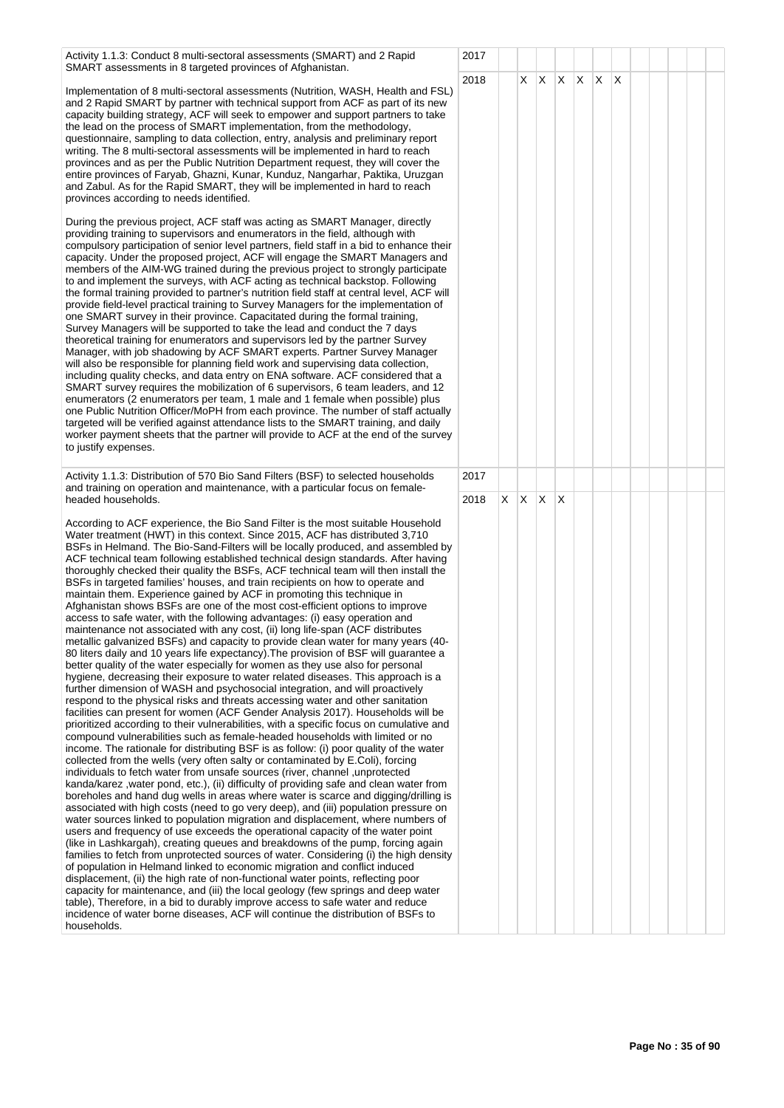Activity 1.1.3: Conduct 8 multi-sectoral assessments (SMART) and 2 Rapid SMART assessments in 8 targeted provinces of Afghanistan.

Implementation of 8 multi-sectoral assessments (Nutrition, WASH, Health and FSL) and 2 Rapid SMART by partner with technical support from ACF as part of its new capacity building strategy, ACF will seek to empower and support partners to take the lead on the process of SMART implementation, from the methodology, questionnaire, sampling to data collection, entry, analysis and preliminary report writing. The 8 multi-sectoral assessments will be implemented in hard to reach provinces and as per the Public Nutrition Department request, they will cover the entire provinces of Faryab, Ghazni, Kunar, Kunduz, Nangarhar, Paktika, Uruzgan and Zabul. As for the Rapid SMART, they will be implemented in hard to reach provinces according to needs identified.

During the previous project, ACF staff was acting as SMART Manager, directly providing training to supervisors and enumerators in the field, although with compulsory participation of senior level partners, field staff in a bid to enhance their capacity. Under the proposed project, ACF will engage the SMART Managers and members of the AIM-WG trained during the previous project to strongly participate to and implement the surveys, with ACF acting as technical backstop. Following the formal training provided to partner's nutrition field staff at central level, ACF will provide field-level practical training to Survey Managers for the implementation of one SMART survey in their province. Capacitated during the formal training, Survey Managers will be supported to take the lead and conduct the 7 days theoretical training for enumerators and supervisors led by the partner Survey Manager, with job shadowing by ACF SMART experts. Partner Survey Manager will also be responsible for planning field work and supervising data collection, including quality checks, and data entry on ENA software. ACF considered that a SMART survey requires the mobilization of 6 supervisors, 6 team leaders, and 12 enumerators (2 enumerators per team, 1 male and 1 female when possible) plus one Public Nutrition Officer/MoPH from each province. The number of staff actually targeted will be verified against attendance lists to the SMART training, and daily worker payment sheets that the partner will provide to ACF at the end of the survey to justify expenses.

Activity 1.1.3: Distribution of 570 Bio Sand Filters (BSF) to selected households and training on operation and maintenance, with a particular focus on femaleheaded households.

According to ACF experience, the Bio Sand Filter is the most suitable Household Water treatment (HWT) in this context. Since 2015, ACF has distributed 3,710 BSFs in Helmand. The Bio-Sand-Filters will be locally produced, and assembled by ACF technical team following established technical design standards. After having thoroughly checked their quality the BSFs, ACF technical team will then install the BSFs in targeted families' houses, and train recipients on how to operate and maintain them. Experience gained by ACF in promoting this technique in Afghanistan shows BSFs are one of the most cost-efficient options to improve access to safe water, with the following advantages: (i) easy operation and maintenance not associated with any cost, (ii) long life-span (ACF distributes metallic galvanized BSFs) and capacity to provide clean water for many years (40- 80 liters daily and 10 years life expectancy). The provision of BSF will guarantee a better quality of the water especially for women as they use also for personal hygiene, decreasing their exposure to water related diseases. This approach is a further dimension of WASH and psychosocial integration, and will proactively respond to the physical risks and threats accessing water and other sanitation facilities can present for women (ACF Gender Analysis 2017). Households will be prioritized according to their vulnerabilities, with a specific focus on cumulative and compound vulnerabilities such as female-headed households with limited or no income. The rationale for distributing BSF is as follow: (i) poor quality of the water collected from the wells (very often salty or contaminated by E.Coli), forcing individuals to fetch water from unsafe sources (river, channel ,unprotected kanda/karez ,water pond, etc.), (ii) difficulty of providing safe and clean water from boreholes and hand dug wells in areas where water is scarce and digging/drilling is associated with high costs (need to go very deep), and (iii) population pressure on water sources linked to population migration and displacement, where numbers of users and frequency of use exceeds the operational capacity of the water point (like in Lashkargah), creating queues and breakdowns of the pump, forcing again families to fetch from unprotected sources of water. Considering (i) the high density of population in Helmand linked to economic migration and conflict induced displacement, (ii) the high rate of non-functional water points, reflecting poor capacity for maintenance, and (iii) the local geology (few springs and deep water table), Therefore, in a bid to durably improve access to safe water and reduce incidence of water borne diseases, ACF will continue the distribution of BSFs to households.

| 2017 |                |                         |                |                         |            |                         |  |  |  |
|------|----------------|-------------------------|----------------|-------------------------|------------|-------------------------|--|--|--|
| 2018 |                | $\overline{\mathsf{x}}$ | $\mathsf X^-$  | $\overline{\mathsf{x}}$ | $x \mid x$ | $\overline{\mathsf{x}}$ |  |  |  |
| 2017 |                |                         |                |                         |            |                         |  |  |  |
| 2018 | $\overline{X}$ | $\overline{\mathsf{x}}$ | $\overline{X}$ | $\mathsf X$             |            |                         |  |  |  |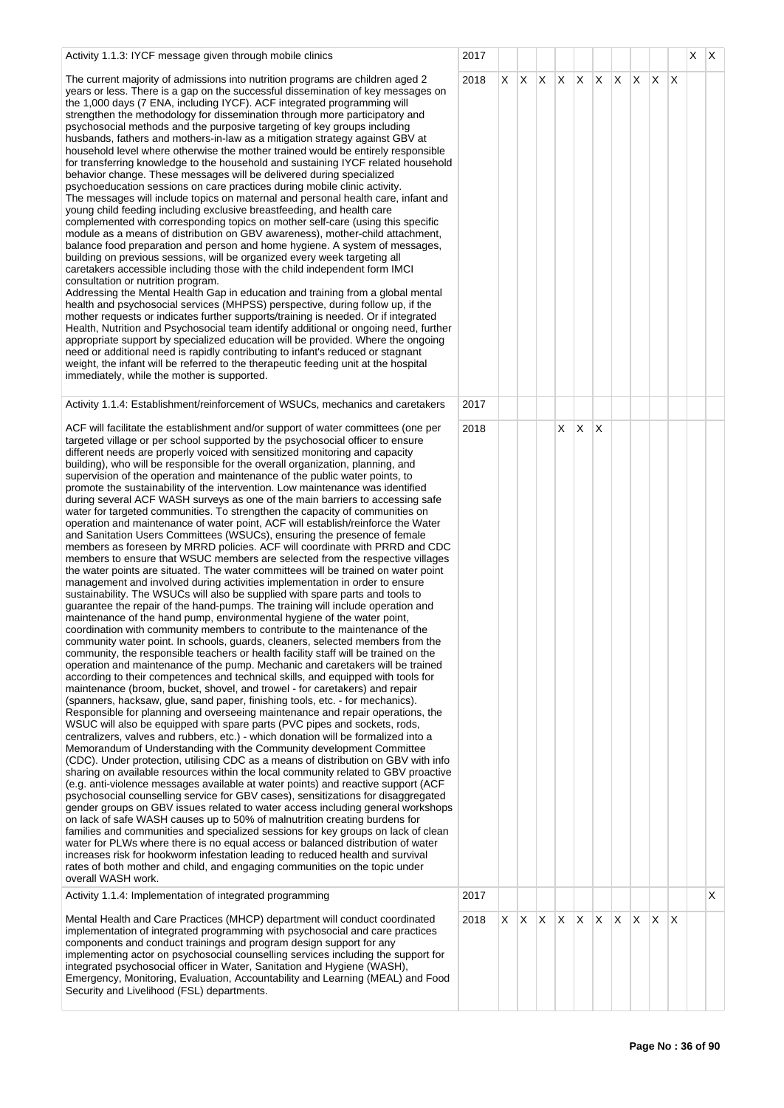| Activity 1.1.3: IYCF message given through mobile clinics                                                                                                                                                                                                                                                                                                                                                                                                                                                                                                                                                                                                                                                                                                                                                                                                                                                                                                                                                                                                                                                                                                                                                                                                                                                                                                                                                                                                                                                                                                                                                                                                                                                                                                                                                                                                                                                                                                                                                                                                                                                                                                                                                                                                                                                                                                                                                                                                                                                                                                                                                                                                                                                                                                                                                                                                                                                                                                                                                                                                                                                                                                                                                                                   | 2017 |    |              |              |   |    |   |                 |   |              |              | $X \mid X$ |   |
|---------------------------------------------------------------------------------------------------------------------------------------------------------------------------------------------------------------------------------------------------------------------------------------------------------------------------------------------------------------------------------------------------------------------------------------------------------------------------------------------------------------------------------------------------------------------------------------------------------------------------------------------------------------------------------------------------------------------------------------------------------------------------------------------------------------------------------------------------------------------------------------------------------------------------------------------------------------------------------------------------------------------------------------------------------------------------------------------------------------------------------------------------------------------------------------------------------------------------------------------------------------------------------------------------------------------------------------------------------------------------------------------------------------------------------------------------------------------------------------------------------------------------------------------------------------------------------------------------------------------------------------------------------------------------------------------------------------------------------------------------------------------------------------------------------------------------------------------------------------------------------------------------------------------------------------------------------------------------------------------------------------------------------------------------------------------------------------------------------------------------------------------------------------------------------------------------------------------------------------------------------------------------------------------------------------------------------------------------------------------------------------------------------------------------------------------------------------------------------------------------------------------------------------------------------------------------------------------------------------------------------------------------------------------------------------------------------------------------------------------------------------------------------------------------------------------------------------------------------------------------------------------------------------------------------------------------------------------------------------------------------------------------------------------------------------------------------------------------------------------------------------------------------------------------------------------------------------------------------------------|------|----|--------------|--------------|---|----|---|-----------------|---|--------------|--------------|------------|---|
| The current majority of admissions into nutrition programs are children aged 2<br>years or less. There is a gap on the successful dissemination of key messages on<br>the 1,000 days (7 ENA, including IYCF). ACF integrated programming will<br>strengthen the methodology for dissemination through more participatory and<br>psychosocial methods and the purposive targeting of key groups including<br>husbands, fathers and mothers-in-law as a mitigation strategy against GBV at<br>household level where otherwise the mother trained would be entirely responsible<br>for transferring knowledge to the household and sustaining IYCF related household<br>behavior change. These messages will be delivered during specialized<br>psychoeducation sessions on care practices during mobile clinic activity.<br>The messages will include topics on maternal and personal health care, infant and<br>young child feeding including exclusive breastfeeding, and health care<br>complemented with corresponding topics on mother self-care (using this specific<br>module as a means of distribution on GBV awareness), mother-child attachment,<br>balance food preparation and person and home hygiene. A system of messages,<br>building on previous sessions, will be organized every week targeting all<br>caretakers accessible including those with the child independent form IMCI<br>consultation or nutrition program.<br>Addressing the Mental Health Gap in education and training from a global mental<br>health and psychosocial services (MHPSS) perspective, during follow up, if the<br>mother requests or indicates further supports/training is needed. Or if integrated<br>Health, Nutrition and Psychosocial team identify additional or ongoing need, further<br>appropriate support by specialized education will be provided. Where the ongoing<br>need or additional need is rapidly contributing to infant's reduced or stagnant<br>weight, the infant will be referred to the therapeutic feeding unit at the hospital<br>immediately, while the mother is supported.                                                                                                                                                                                                                                                                                                                                                                                                                                                                                                                                                                                                                                                                                                                                                                                                                                                                                                                                                                                                                                                                                                                                   | 2018 | X. |              | $X \times X$ |   | X. |   | $X$ $X$ $X$ $X$ |   |              | $\mathsf{X}$ |            |   |
| Activity 1.1.4: Establishment/reinforcement of WSUCs, mechanics and caretakers                                                                                                                                                                                                                                                                                                                                                                                                                                                                                                                                                                                                                                                                                                                                                                                                                                                                                                                                                                                                                                                                                                                                                                                                                                                                                                                                                                                                                                                                                                                                                                                                                                                                                                                                                                                                                                                                                                                                                                                                                                                                                                                                                                                                                                                                                                                                                                                                                                                                                                                                                                                                                                                                                                                                                                                                                                                                                                                                                                                                                                                                                                                                                              | 2017 |    |              |              |   |    |   |                 |   |              |              |            |   |
| ACF will facilitate the establishment and/or support of water committees (one per<br>targeted village or per school supported by the psychosocial officer to ensure<br>different needs are properly voiced with sensitized monitoring and capacity<br>building), who will be responsible for the overall organization, planning, and<br>supervision of the operation and maintenance of the public water points, to<br>promote the sustainability of the intervention. Low maintenance was identified<br>during several ACF WASH surveys as one of the main barriers to accessing safe<br>water for targeted communities. To strengthen the capacity of communities on<br>operation and maintenance of water point, ACF will establish/reinforce the Water<br>and Sanitation Users Committees (WSUCs), ensuring the presence of female<br>members as foreseen by MRRD policies. ACF will coordinate with PRRD and CDC<br>members to ensure that WSUC members are selected from the respective villages<br>the water points are situated. The water committees will be trained on water point<br>management and involved during activities implementation in order to ensure<br>sustainability. The WSUCs will also be supplied with spare parts and tools to<br>guarantee the repair of the hand-pumps. The training will include operation and<br>maintenance of the hand pump, environmental hygiene of the water point,<br>coordination with community members to contribute to the maintenance of the<br>community water point. In schools, guards, cleaners, selected members from the<br>community, the responsible teachers or health facility staff will be trained on the<br>operation and maintenance of the pump. Mechanic and caretakers will be trained<br>according to their competences and technical skills, and equipped with tools for<br>maintenance (broom, bucket, shovel, and trowel - for caretakers) and repair<br>(spanners, hacksaw, glue, sand paper, finishing tools, etc. - for mechanics).<br>Responsible for planning and overseeing maintenance and repair operations, the<br>WSUC will also be equipped with spare parts (PVC pipes and sockets, rods,<br>centralizers, valves and rubbers, etc.) - which donation will be formalized into a<br>Memorandum of Understanding with the Community development Committee<br>(CDC). Under protection, utilising CDC as a means of distribution on GBV with info<br>sharing on available resources within the local community related to GBV proactive<br>(e.g. anti-violence messages available at water points) and reactive support (ACF<br>psychosocial counselling service for GBV cases), sensitizations for disaggregated<br>gender groups on GBV issues related to water access including general workshops<br>on lack of safe WASH causes up to 50% of malnutrition creating burdens for<br>families and communities and specialized sessions for key groups on lack of clean<br>water for PLWs where there is no equal access or balanced distribution of water<br>increases risk for hookworm infestation leading to reduced health and survival<br>rates of both mother and child, and engaging communities on the topic under<br>overall WASH work. | 2018 |    |              |              | X | Χ  | Х |                 |   |              |              |            |   |
| Activity 1.1.4: Implementation of integrated programming                                                                                                                                                                                                                                                                                                                                                                                                                                                                                                                                                                                                                                                                                                                                                                                                                                                                                                                                                                                                                                                                                                                                                                                                                                                                                                                                                                                                                                                                                                                                                                                                                                                                                                                                                                                                                                                                                                                                                                                                                                                                                                                                                                                                                                                                                                                                                                                                                                                                                                                                                                                                                                                                                                                                                                                                                                                                                                                                                                                                                                                                                                                                                                                    | 2017 |    |              |              |   |    |   |                 |   |              |              |            | X |
| Mental Health and Care Practices (MHCP) department will conduct coordinated<br>implementation of integrated programming with psychosocial and care practices<br>components and conduct trainings and program design support for any<br>implementing actor on psychosocial counselling services including the support for<br>integrated psychosocial officer in Water, Sanitation and Hygiene (WASH),<br>Emergency, Monitoring, Evaluation, Accountability and Learning (MEAL) and Food<br>Security and Livelihood (FSL) departments.                                                                                                                                                                                                                                                                                                                                                                                                                                                                                                                                                                                                                                                                                                                                                                                                                                                                                                                                                                                                                                                                                                                                                                                                                                                                                                                                                                                                                                                                                                                                                                                                                                                                                                                                                                                                                                                                                                                                                                                                                                                                                                                                                                                                                                                                                                                                                                                                                                                                                                                                                                                                                                                                                                        | 2018 | X. | $\mathsf{X}$ | $\mathsf{X}$ | X | X  | X | $\mathsf{X}$    | X | $\mathsf{X}$ | $\times$     |            |   |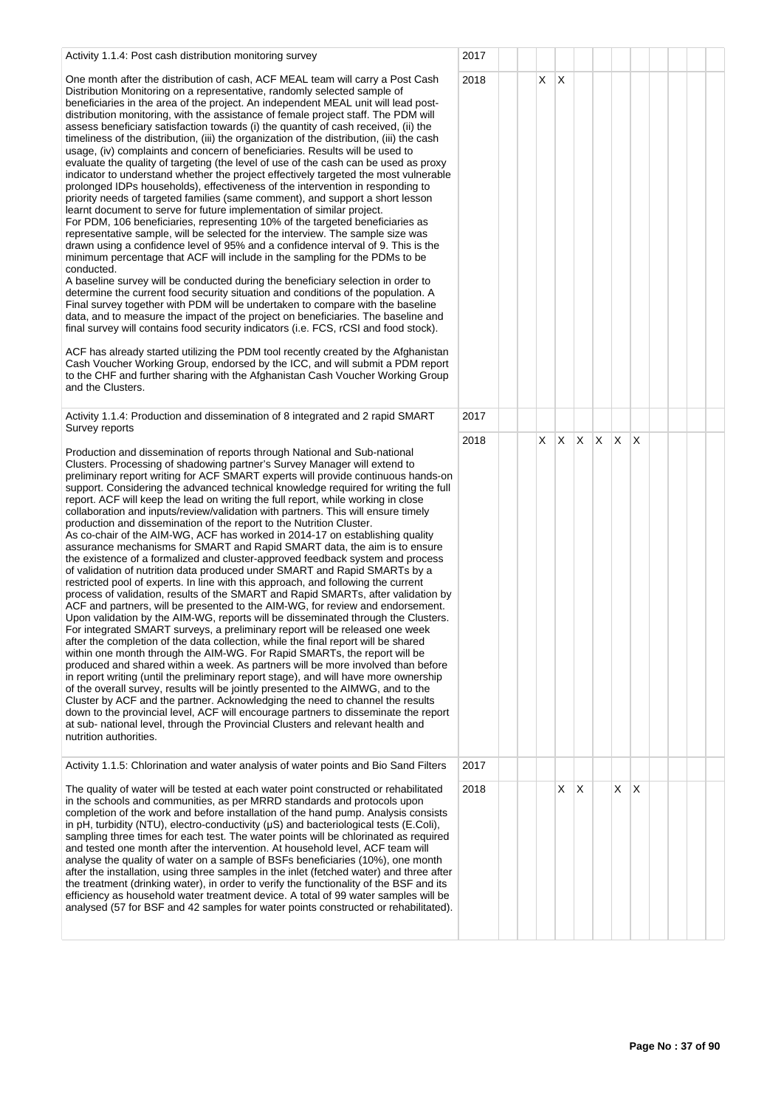| Activity 1.1.4: Post cash distribution monitoring survey                                                                                                                                                                                                                                                                                                                                                                                                                                                                                                                                                                                                                                                                                                                                                                                                                                                                                                                                                                                                                                                                                                                                                                                                                                                                                                                                                                                                                                                                                                                                                                                                                                                                                                                                                                                                                                                                                                                                                                                                                    | 2017 |    |              |   |   |    |   |  |  |
|-----------------------------------------------------------------------------------------------------------------------------------------------------------------------------------------------------------------------------------------------------------------------------------------------------------------------------------------------------------------------------------------------------------------------------------------------------------------------------------------------------------------------------------------------------------------------------------------------------------------------------------------------------------------------------------------------------------------------------------------------------------------------------------------------------------------------------------------------------------------------------------------------------------------------------------------------------------------------------------------------------------------------------------------------------------------------------------------------------------------------------------------------------------------------------------------------------------------------------------------------------------------------------------------------------------------------------------------------------------------------------------------------------------------------------------------------------------------------------------------------------------------------------------------------------------------------------------------------------------------------------------------------------------------------------------------------------------------------------------------------------------------------------------------------------------------------------------------------------------------------------------------------------------------------------------------------------------------------------------------------------------------------------------------------------------------------------|------|----|--------------|---|---|----|---|--|--|
| One month after the distribution of cash, ACF MEAL team will carry a Post Cash<br>Distribution Monitoring on a representative, randomly selected sample of<br>beneficiaries in the area of the project. An independent MEAL unit will lead post-<br>distribution monitoring, with the assistance of female project staff. The PDM will<br>assess beneficiary satisfaction towards (i) the quantity of cash received, (ii) the<br>timeliness of the distribution, (iii) the organization of the distribution, (iii) the cash<br>usage, (iv) complaints and concern of beneficiaries. Results will be used to<br>evaluate the quality of targeting (the level of use of the cash can be used as proxy<br>indicator to understand whether the project effectively targeted the most vulnerable<br>prolonged IDPs households), effectiveness of the intervention in responding to<br>priority needs of targeted families (same comment), and support a short lesson<br>learnt document to serve for future implementation of similar project.<br>For PDM, 106 beneficiaries, representing 10% of the targeted beneficiaries as<br>representative sample, will be selected for the interview. The sample size was<br>drawn using a confidence level of 95% and a confidence interval of 9. This is the<br>minimum percentage that ACF will include in the sampling for the PDMs to be<br>conducted.<br>A baseline survey will be conducted during the beneficiary selection in order to<br>determine the current food security situation and conditions of the population. A<br>Final survey together with PDM will be undertaken to compare with the baseline<br>data, and to measure the impact of the project on beneficiaries. The baseline and<br>final survey will contains food security indicators (i.e. FCS, rCSI and food stock).                                                                                                                                                                                                                                      | 2018 | X. | $\mathsf{X}$ |   |   |    |   |  |  |
| ACF has already started utilizing the PDM tool recently created by the Afghanistan<br>Cash Voucher Working Group, endorsed by the ICC, and will submit a PDM report<br>to the CHF and further sharing with the Afghanistan Cash Voucher Working Group<br>and the Clusters.                                                                                                                                                                                                                                                                                                                                                                                                                                                                                                                                                                                                                                                                                                                                                                                                                                                                                                                                                                                                                                                                                                                                                                                                                                                                                                                                                                                                                                                                                                                                                                                                                                                                                                                                                                                                  |      |    |              |   |   |    |   |  |  |
| Activity 1.1.4: Production and dissemination of 8 integrated and 2 rapid SMART<br>Survey reports                                                                                                                                                                                                                                                                                                                                                                                                                                                                                                                                                                                                                                                                                                                                                                                                                                                                                                                                                                                                                                                                                                                                                                                                                                                                                                                                                                                                                                                                                                                                                                                                                                                                                                                                                                                                                                                                                                                                                                            | 2017 |    |              |   |   |    |   |  |  |
| Production and dissemination of reports through National and Sub-national<br>Clusters. Processing of shadowing partner's Survey Manager will extend to<br>preliminary report writing for ACF SMART experts will provide continuous hands-on<br>support. Considering the advanced technical knowledge required for writing the full<br>report. ACF will keep the lead on writing the full report, while working in close<br>collaboration and inputs/review/validation with partners. This will ensure timely<br>production and dissemination of the report to the Nutrition Cluster.<br>As co-chair of the AIM-WG, ACF has worked in 2014-17 on establishing quality<br>assurance mechanisms for SMART and Rapid SMART data, the aim is to ensure<br>the existence of a formalized and cluster-approved feedback system and process<br>of validation of nutrition data produced under SMART and Rapid SMARTs by a<br>restricted pool of experts. In line with this approach, and following the current<br>process of validation, results of the SMART and Rapid SMARTs, after validation by<br>ACF and partners, will be presented to the AIM-WG, for review and endorsement.<br>Upon validation by the AIM-WG, reports will be disseminated through the Clusters.<br>For integrated SMART surveys, a preliminary report will be released one week<br>after the completion of the data collection, while the final report will be shared<br>within one month through the AIM-WG. For Rapid SMARTs, the report will be<br>produced and shared within a week. As partners will be more involved than before<br>in report writing (until the preliminary report stage), and will have more ownership<br>of the overall survey, results will be jointly presented to the AIMWG, and to the<br>Cluster by ACF and the partner. Acknowledging the need to channel the results<br>down to the provincial level, ACF will encourage partners to disseminate the report<br>at sub- national level, through the Provincial Clusters and relevant health and<br>nutrition authorities. | 2018 | X. | X.           | X | X | X. | X |  |  |
| Activity 1.1.5: Chlorination and water analysis of water points and Bio Sand Filters                                                                                                                                                                                                                                                                                                                                                                                                                                                                                                                                                                                                                                                                                                                                                                                                                                                                                                                                                                                                                                                                                                                                                                                                                                                                                                                                                                                                                                                                                                                                                                                                                                                                                                                                                                                                                                                                                                                                                                                        | 2017 |    |              |   |   |    |   |  |  |
| The quality of water will be tested at each water point constructed or rehabilitated<br>in the schools and communities, as per MRRD standards and protocols upon<br>completion of the work and before installation of the hand pump. Analysis consists<br>in pH, turbidity (NTU), electro-conductivity $(\mu S)$ and bacteriological tests (E.Coli),<br>sampling three times for each test. The water points will be chlorinated as required<br>and tested one month after the intervention. At household level, ACF team will<br>analyse the quality of water on a sample of BSFs beneficiaries (10%), one month<br>after the installation, using three samples in the inlet (fetched water) and three after<br>the treatment (drinking water), in order to verify the functionality of the BSF and its<br>efficiency as household water treatment device. A total of 99 water samples will be<br>analysed (57 for BSF and 42 samples for water points constructed or rehabilitated).                                                                                                                                                                                                                                                                                                                                                                                                                                                                                                                                                                                                                                                                                                                                                                                                                                                                                                                                                                                                                                                                                      | 2018 |    | X.           | X |   | XX |   |  |  |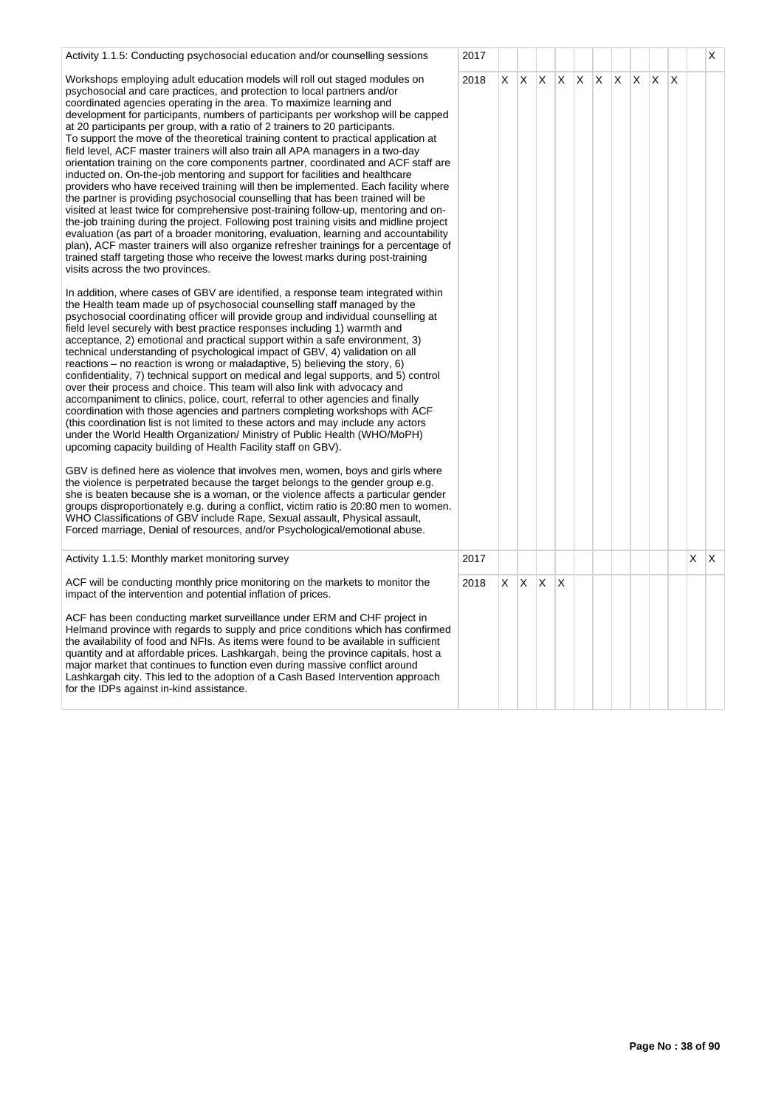| Activity 1.1.5: Conducting psychosocial education and/or counselling sessions                                                                                                                                                                                                                                                                                                                                                                                                                                                                                                                                                                                                                                                                                                                                                                                                                                                                                                                                                                                                                                                                                                                                                                                                                                                                                                                                        | 2017 |   |     |                         |              |              |     |              |     |              |   |    | X            |
|----------------------------------------------------------------------------------------------------------------------------------------------------------------------------------------------------------------------------------------------------------------------------------------------------------------------------------------------------------------------------------------------------------------------------------------------------------------------------------------------------------------------------------------------------------------------------------------------------------------------------------------------------------------------------------------------------------------------------------------------------------------------------------------------------------------------------------------------------------------------------------------------------------------------------------------------------------------------------------------------------------------------------------------------------------------------------------------------------------------------------------------------------------------------------------------------------------------------------------------------------------------------------------------------------------------------------------------------------------------------------------------------------------------------|------|---|-----|-------------------------|--------------|--------------|-----|--------------|-----|--------------|---|----|--------------|
| Workshops employing adult education models will roll out staged modules on<br>psychosocial and care practices, and protection to local partners and/or<br>coordinated agencies operating in the area. To maximize learning and<br>development for participants, numbers of participants per workshop will be capped<br>at 20 participants per group, with a ratio of 2 trainers to 20 participants.<br>To support the move of the theoretical training content to practical application at<br>field level, ACF master trainers will also train all APA managers in a two-day<br>orientation training on the core components partner, coordinated and ACF staff are<br>inducted on. On-the-job mentoring and support for facilities and healthcare<br>providers who have received training will then be implemented. Each facility where<br>the partner is providing psychosocial counselling that has been trained will be<br>visited at least twice for comprehensive post-training follow-up, mentoring and on-<br>the-job training during the project. Following post training visits and midline project<br>evaluation (as part of a broader monitoring, evaluation, learning and accountability<br>plan), ACF master trainers will also organize refresher trainings for a percentage of<br>trained staff targeting those who receive the lowest marks during post-training<br>visits across the two provinces. | 2018 | X | ΙX. | $\mathsf{X} \mathsf{X}$ |              | $\mathsf{X}$ | IX. | $\mathsf{X}$ | IX. | $\mathsf{X}$ | X |    |              |
| In addition, where cases of GBV are identified, a response team integrated within<br>the Health team made up of psychosocial counselling staff managed by the<br>psychosocial coordinating officer will provide group and individual counselling at<br>field level securely with best practice responses including 1) warmth and<br>acceptance, 2) emotional and practical support within a safe environment, 3)<br>technical understanding of psychological impact of GBV, 4) validation on all<br>reactions – no reaction is wrong or maladaptive, 5) believing the story, 6)<br>confidentiality, 7) technical support on medical and legal supports, and 5) control<br>over their process and choice. This team will also link with advocacy and<br>accompaniment to clinics, police, court, referral to other agencies and finally<br>coordination with those agencies and partners completing workshops with ACF<br>(this coordination list is not limited to these actors and may include any actors<br>under the World Health Organization/ Ministry of Public Health (WHO/MoPH)<br>upcoming capacity building of Health Facility staff on GBV).<br>GBV is defined here as violence that involves men, women, boys and girls where<br>the violence is perpetrated because the target belongs to the gender group e.g.                                                                                         |      |   |     |                         |              |              |     |              |     |              |   |    |              |
| she is beaten because she is a woman, or the violence affects a particular gender<br>groups disproportionately e.g. during a conflict, victim ratio is 20:80 men to women.<br>WHO Classifications of GBV include Rape, Sexual assault, Physical assault,<br>Forced marriage, Denial of resources, and/or Psychological/emotional abuse.                                                                                                                                                                                                                                                                                                                                                                                                                                                                                                                                                                                                                                                                                                                                                                                                                                                                                                                                                                                                                                                                              |      |   |     |                         |              |              |     |              |     |              |   |    |              |
| Activity 1.1.5: Monthly market monitoring survey                                                                                                                                                                                                                                                                                                                                                                                                                                                                                                                                                                                                                                                                                                                                                                                                                                                                                                                                                                                                                                                                                                                                                                                                                                                                                                                                                                     | 2017 |   |     |                         |              |              |     |              |     |              |   | X. | $\mathsf{X}$ |
| ACF will be conducting monthly price monitoring on the markets to monitor the<br>impact of the intervention and potential inflation of prices.<br>ACF has been conducting market surveillance under ERM and CHF project in<br>Helmand province with regards to supply and price conditions which has confirmed<br>the availability of food and NFIs. As items were found to be available in sufficient<br>quantity and at affordable prices. Lashkargah, being the province capitals, host a<br>major market that continues to function even during massive conflict around<br>Lashkargah city. This led to the adoption of a Cash Based Intervention approach<br>for the IDPs against in-kind assistance.                                                                                                                                                                                                                                                                                                                                                                                                                                                                                                                                                                                                                                                                                                           | 2018 | X | ΙX. | <sup>X</sup>            | <sup>X</sup> |              |     |              |     |              |   |    |              |
|                                                                                                                                                                                                                                                                                                                                                                                                                                                                                                                                                                                                                                                                                                                                                                                                                                                                                                                                                                                                                                                                                                                                                                                                                                                                                                                                                                                                                      |      |   |     |                         |              |              |     |              |     |              |   |    |              |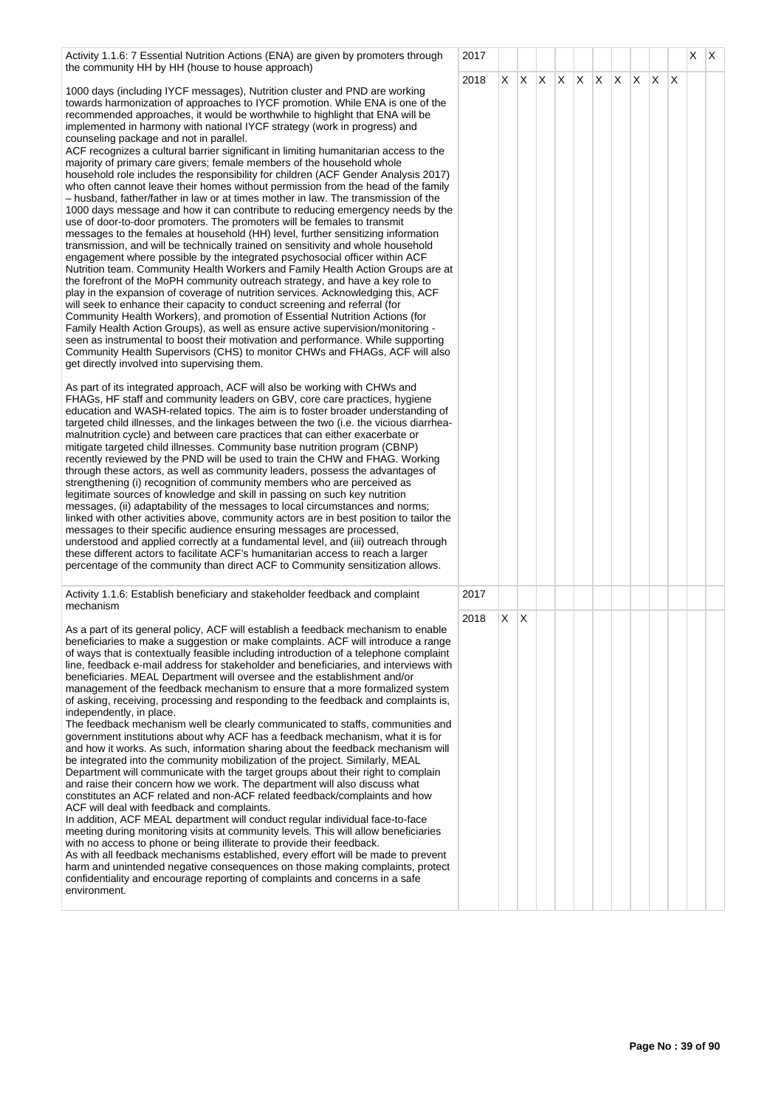| Activity 1.1.6: 7 Essential Nutrition Actions (ENA) are given by promoters through                                                                                                                                                                                                                                                                                                                                                                                                                                                                                                                                                                                                                                                                                                                                                                                                                                                                                                                                                                                                                                                                                                                                                                                                                                                                                                                                                                                                                                                                                                                                                                                                                                                                                                                                                                                                                                                                                                                                                                                                                                                                                                                                                                                                                                                                                                                                                                                                                                                                                                                                                                                                                                                                                                                                                                                                                                                                                                                                                                                                                                                                                                                                                                                                                                                                              | 2017 |    |     |                         |  |              |              |   | X | ΙX |
|-----------------------------------------------------------------------------------------------------------------------------------------------------------------------------------------------------------------------------------------------------------------------------------------------------------------------------------------------------------------------------------------------------------------------------------------------------------------------------------------------------------------------------------------------------------------------------------------------------------------------------------------------------------------------------------------------------------------------------------------------------------------------------------------------------------------------------------------------------------------------------------------------------------------------------------------------------------------------------------------------------------------------------------------------------------------------------------------------------------------------------------------------------------------------------------------------------------------------------------------------------------------------------------------------------------------------------------------------------------------------------------------------------------------------------------------------------------------------------------------------------------------------------------------------------------------------------------------------------------------------------------------------------------------------------------------------------------------------------------------------------------------------------------------------------------------------------------------------------------------------------------------------------------------------------------------------------------------------------------------------------------------------------------------------------------------------------------------------------------------------------------------------------------------------------------------------------------------------------------------------------------------------------------------------------------------------------------------------------------------------------------------------------------------------------------------------------------------------------------------------------------------------------------------------------------------------------------------------------------------------------------------------------------------------------------------------------------------------------------------------------------------------------------------------------------------------------------------------------------------------------------------------------------------------------------------------------------------------------------------------------------------------------------------------------------------------------------------------------------------------------------------------------------------------------------------------------------------------------------------------------------------------------------------------------------------------------------------------------------------|------|----|-----|-------------------------|--|--------------|--------------|---|---|----|
| the community HH by HH (house to house approach)<br>1000 days (including IYCF messages), Nutrition cluster and PND are working<br>towards harmonization of approaches to IYCF promotion. While ENA is one of the<br>recommended approaches, it would be worthwhile to highlight that ENA will be<br>implemented in harmony with national IYCF strategy (work in progress) and<br>counseling package and not in parallel.<br>ACF recognizes a cultural barrier significant in limiting humanitarian access to the<br>majority of primary care givers; female members of the household whole<br>household role includes the responsibility for children (ACF Gender Analysis 2017)<br>who often cannot leave their homes without permission from the head of the family<br>- husband, father/father in law or at times mother in law. The transmission of the<br>1000 days message and how it can contribute to reducing emergency needs by the<br>use of door-to-door promoters. The promoters will be females to transmit<br>messages to the females at household (HH) level, further sensitizing information<br>transmission, and will be technically trained on sensitivity and whole household<br>engagement where possible by the integrated psychosocial officer within ACF<br>Nutrition team. Community Health Workers and Family Health Action Groups are at<br>the forefront of the MoPH community outreach strategy, and have a key role to<br>play in the expansion of coverage of nutrition services. Acknowledging this, ACF<br>will seek to enhance their capacity to conduct screening and referral (for<br>Community Health Workers), and promotion of Essential Nutrition Actions (for<br>Family Health Action Groups), as well as ensure active supervision/monitoring -<br>seen as instrumental to boost their motivation and performance. While supporting<br>Community Health Supervisors (CHS) to monitor CHWs and FHAGs, ACF will also<br>get directly involved into supervising them.<br>As part of its integrated approach, ACF will also be working with CHWs and<br>FHAGs, HF staff and community leaders on GBV, core care practices, hygiene<br>education and WASH-related topics. The aim is to foster broader understanding of<br>targeted child illnesses, and the linkages between the two (i.e. the vicious diarrhea-<br>malnutrition cycle) and between care practices that can either exacerbate or<br>mitigate targeted child illnesses. Community base nutrition program (CBNP)<br>recently reviewed by the PND will be used to train the CHW and FHAG. Working<br>through these actors, as well as community leaders, possess the advantages of<br>strengthening (i) recognition of community members who are perceived as<br>legitimate sources of knowledge and skill in passing on such key nutrition<br>messages, (ii) adaptability of the messages to local circumstances and norms;<br>linked with other activities above, community actors are in best position to tailor the<br>messages to their specific audience ensuring messages are processed,<br>understood and applied correctly at a fundamental level, and (iii) outreach through<br>these different actors to facilitate ACF's humanitarian access to reach a larger<br>percentage of the community than direct ACF to Community sensitization allows. | 2018 | X. | IX. | $ X $ $ X $ $ X $ $ X $ |  | $\mathsf{X}$ | $\mathsf{X}$ | X |   |    |
| Activity 1.1.6: Establish beneficiary and stakeholder feedback and complaint                                                                                                                                                                                                                                                                                                                                                                                                                                                                                                                                                                                                                                                                                                                                                                                                                                                                                                                                                                                                                                                                                                                                                                                                                                                                                                                                                                                                                                                                                                                                                                                                                                                                                                                                                                                                                                                                                                                                                                                                                                                                                                                                                                                                                                                                                                                                                                                                                                                                                                                                                                                                                                                                                                                                                                                                                                                                                                                                                                                                                                                                                                                                                                                                                                                                                    | 2017 |    |     |                         |  |              |              |   |   |    |
| mechanism                                                                                                                                                                                                                                                                                                                                                                                                                                                                                                                                                                                                                                                                                                                                                                                                                                                                                                                                                                                                                                                                                                                                                                                                                                                                                                                                                                                                                                                                                                                                                                                                                                                                                                                                                                                                                                                                                                                                                                                                                                                                                                                                                                                                                                                                                                                                                                                                                                                                                                                                                                                                                                                                                                                                                                                                                                                                                                                                                                                                                                                                                                                                                                                                                                                                                                                                                       | 2018 | X. | ΙX. |                         |  |              |              |   |   |    |
| As a part of its general policy, ACF will establish a feedback mechanism to enable<br>beneficiaries to make a suggestion or make complaints. ACF will introduce a range<br>of ways that is contextually feasible including introduction of a telephone complaint<br>line, feedback e-mail address for stakeholder and beneficiaries, and interviews with<br>beneficiaries. MEAL Department will oversee and the establishment and/or<br>management of the feedback mechanism to ensure that a more formalized system<br>of asking, receiving, processing and responding to the feedback and complaints is,<br>independently, in place.<br>The feedback mechanism well be clearly communicated to staffs, communities and<br>government institutions about why ACF has a feedback mechanism, what it is for<br>and how it works. As such, information sharing about the feedback mechanism will<br>be integrated into the community mobilization of the project. Similarly, MEAL<br>Department will communicate with the target groups about their right to complain<br>and raise their concern how we work. The department will also discuss what<br>constitutes an ACF related and non-ACF related feedback/complaints and how<br>ACF will deal with feedback and complaints.<br>In addition, ACF MEAL department will conduct regular individual face-to-face<br>meeting during monitoring visits at community levels. This will allow beneficiaries<br>with no access to phone or being illiterate to provide their feedback.<br>As with all feedback mechanisms established, every effort will be made to prevent<br>harm and unintended negative consequences on those making complaints, protect<br>confidentiality and encourage reporting of complaints and concerns in a safe<br>environment.                                                                                                                                                                                                                                                                                                                                                                                                                                                                                                                                                                                                                                                                                                                                                                                                                                                                                                                                                                                                                                                                                                                                                                                                                                                                                                                                                                                                                                                                                                                                                          |      |    |     |                         |  |              |              |   |   |    |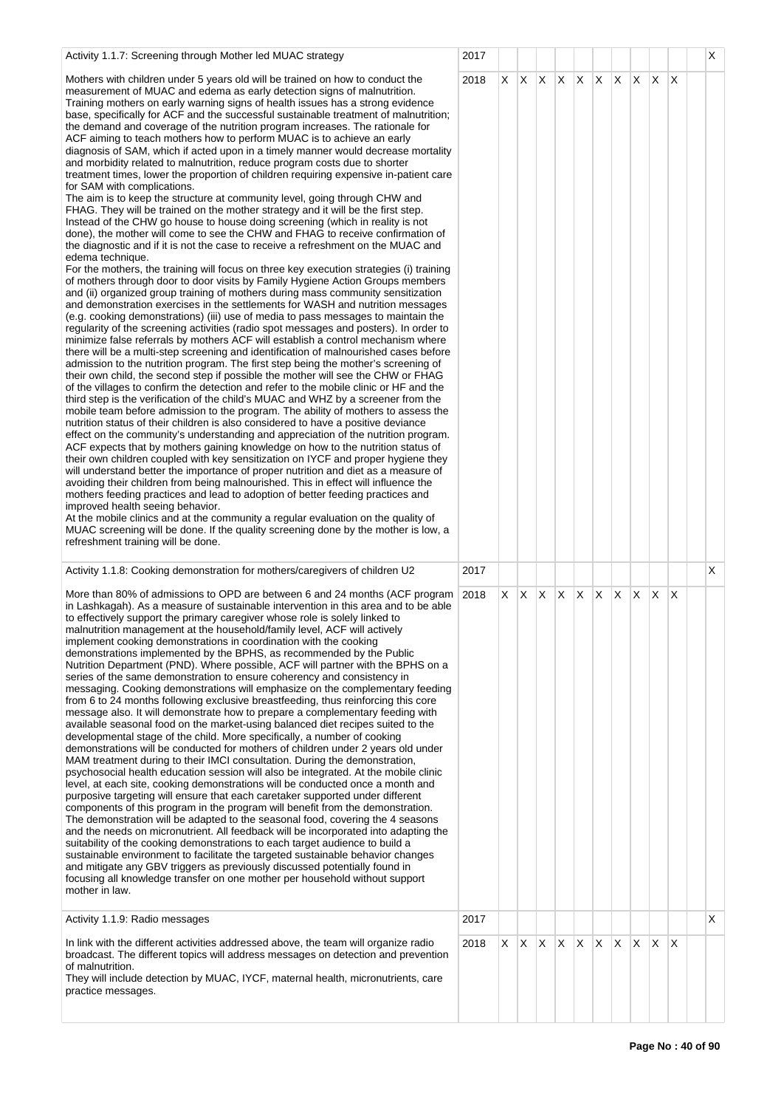| Activity 1.1.7: Screening through Mother led MUAC strategy                                                                                                                                                                                                                                                                                                                                                                                                                                                                                                                                                                                                                                                                                                                                                                                                                                                                                                                                                                                                                                                                                                                                                                                                                                                                                                                                                                                                                                                                                                                                                                                                                                                                                                                                                                                                                                                                                                                                                                                                                                                                                                                                                                                                                                                                                                                                                                                                                                                                                                                                                                                                                                                                                                                                                                                                                                                                                                                                                                                                                                                                                                                                                                                                             | 2017 |    |         |    |    |              |              |    |          |              |     | X  |
|------------------------------------------------------------------------------------------------------------------------------------------------------------------------------------------------------------------------------------------------------------------------------------------------------------------------------------------------------------------------------------------------------------------------------------------------------------------------------------------------------------------------------------------------------------------------------------------------------------------------------------------------------------------------------------------------------------------------------------------------------------------------------------------------------------------------------------------------------------------------------------------------------------------------------------------------------------------------------------------------------------------------------------------------------------------------------------------------------------------------------------------------------------------------------------------------------------------------------------------------------------------------------------------------------------------------------------------------------------------------------------------------------------------------------------------------------------------------------------------------------------------------------------------------------------------------------------------------------------------------------------------------------------------------------------------------------------------------------------------------------------------------------------------------------------------------------------------------------------------------------------------------------------------------------------------------------------------------------------------------------------------------------------------------------------------------------------------------------------------------------------------------------------------------------------------------------------------------------------------------------------------------------------------------------------------------------------------------------------------------------------------------------------------------------------------------------------------------------------------------------------------------------------------------------------------------------------------------------------------------------------------------------------------------------------------------------------------------------------------------------------------------------------------------------------------------------------------------------------------------------------------------------------------------------------------------------------------------------------------------------------------------------------------------------------------------------------------------------------------------------------------------------------------------------------------------------------------------------------------------------------------------|------|----|---------|----|----|--------------|--------------|----|----------|--------------|-----|----|
| Mothers with children under 5 years old will be trained on how to conduct the<br>measurement of MUAC and edema as early detection signs of malnutrition.<br>Training mothers on early warning signs of health issues has a strong evidence<br>base, specifically for ACF and the successful sustainable treatment of malnutrition;<br>the demand and coverage of the nutrition program increases. The rationale for<br>ACF aiming to teach mothers how to perform MUAC is to achieve an early<br>diagnosis of SAM, which if acted upon in a timely manner would decrease mortality<br>and morbidity related to malnutrition, reduce program costs due to shorter<br>treatment times, lower the proportion of children requiring expensive in-patient care<br>for SAM with complications.<br>The aim is to keep the structure at community level, going through CHW and<br>FHAG. They will be trained on the mother strategy and it will be the first step.<br>Instead of the CHW go house to house doing screening (which in reality is not<br>done), the mother will come to see the CHW and FHAG to receive confirmation of<br>the diagnostic and if it is not the case to receive a refreshment on the MUAC and<br>edema technique.<br>For the mothers, the training will focus on three key execution strategies (i) training<br>of mothers through door to door visits by Family Hygiene Action Groups members<br>and (ii) organized group training of mothers during mass community sensitization<br>and demonstration exercises in the settlements for WASH and nutrition messages<br>(e.g. cooking demonstrations) (iii) use of media to pass messages to maintain the<br>regularity of the screening activities (radio spot messages and posters). In order to<br>minimize false referrals by mothers ACF will establish a control mechanism where<br>there will be a multi-step screening and identification of malnourished cases before<br>admission to the nutrition program. The first step being the mother's screening of<br>their own child, the second step if possible the mother will see the CHW or FHAG<br>of the villages to confirm the detection and refer to the mobile clinic or HF and the<br>third step is the verification of the child's MUAC and WHZ by a screener from the<br>mobile team before admission to the program. The ability of mothers to assess the<br>nutrition status of their children is also considered to have a positive deviance<br>effect on the community's understanding and appreciation of the nutrition program.<br>ACF expects that by mothers gaining knowledge on how to the nutrition status of<br>their own children coupled with key sensitization on IYCF and proper hygiene they<br>will understand better the importance of proper nutrition and diet as a measure of<br>avoiding their children from being malnourished. This in effect will influence the<br>mothers feeding practices and lead to adoption of better feeding practices and<br>improved health seeing behavior.<br>At the mobile clinics and at the community a regular evaluation on the quality of<br>MUAC screening will be done. If the quality screening done by the mother is low, a<br>refreshment training will be done. | 2018 |    | $X$ $X$ | X. | X. | $\mathsf{X}$ | $\mathsf{X}$ | X. | X.       | $\mathsf{X}$ | ΙX. |    |
| Activity 1.1.8: Cooking demonstration for mothers/caregivers of children U2                                                                                                                                                                                                                                                                                                                                                                                                                                                                                                                                                                                                                                                                                                                                                                                                                                                                                                                                                                                                                                                                                                                                                                                                                                                                                                                                                                                                                                                                                                                                                                                                                                                                                                                                                                                                                                                                                                                                                                                                                                                                                                                                                                                                                                                                                                                                                                                                                                                                                                                                                                                                                                                                                                                                                                                                                                                                                                                                                                                                                                                                                                                                                                                            | 2017 |    |         |    |    |              |              |    |          |              |     | X  |
| More than 80% of admissions to OPD are between 6 and 24 months (ACF program 2018<br>in Lashkagah). As a measure of sustainable intervention in this area and to be able<br>to effectively support the primary caregiver whose role is solely linked to<br>malnutrition management at the household/family level, ACF will actively<br>implement cooking demonstrations in coordination with the cooking<br>demonstrations implemented by the BPHS, as recommended by the Public<br>Nutrition Department (PND). Where possible, ACF will partner with the BPHS on a<br>series of the same demonstration to ensure coherency and consistency in<br>messaging. Cooking demonstrations will emphasize on the complementary feeding<br>from 6 to 24 months following exclusive breastfeeding, thus reinforcing this core<br>message also. It will demonstrate how to prepare a complementary feeding with<br>available seasonal food on the market-using balanced diet recipes suited to the<br>developmental stage of the child. More specifically, a number of cooking<br>demonstrations will be conducted for mothers of children under 2 years old under<br>MAM treatment during to their IMCI consultation. During the demonstration,<br>psychosocial health education session will also be integrated. At the mobile clinic<br>level, at each site, cooking demonstrations will be conducted once a month and<br>purposive targeting will ensure that each caretaker supported under different<br>components of this program in the program will benefit from the demonstration.<br>The demonstration will be adapted to the seasonal food, covering the 4 seasons<br>and the needs on micronutrient. All feedback will be incorporated into adapting the<br>suitability of the cooking demonstrations to each target audience to build a<br>sustainable environment to facilitate the targeted sustainable behavior changes<br>and mitigate any GBV triggers as previously discussed potentially found in<br>focusing all knowledge transfer on one mother per household without support<br>mother in law.                                                                                                                                                                                                                                                                                                                                                                                                                                                                                                                                                                                                                                                                                                                                                                                                                                                                                                                                                                                                                                                                                                                                                           |      | X. | X.      | X. | X. | $\times$     | X.           | X. | <b>X</b> | $\mathsf{X}$ | ΙX. |    |
| Activity 1.1.9: Radio messages                                                                                                                                                                                                                                                                                                                                                                                                                                                                                                                                                                                                                                                                                                                                                                                                                                                                                                                                                                                                                                                                                                                                                                                                                                                                                                                                                                                                                                                                                                                                                                                                                                                                                                                                                                                                                                                                                                                                                                                                                                                                                                                                                                                                                                                                                                                                                                                                                                                                                                                                                                                                                                                                                                                                                                                                                                                                                                                                                                                                                                                                                                                                                                                                                                         | 2017 |    |         |    |    |              |              |    |          |              |     | X. |
| In link with the different activities addressed above, the team will organize radio<br>broadcast. The different topics will address messages on detection and prevention<br>of malnutrition.<br>They will include detection by MUAC, IYCF, maternal health, micronutrients, care<br>practice messages.                                                                                                                                                                                                                                                                                                                                                                                                                                                                                                                                                                                                                                                                                                                                                                                                                                                                                                                                                                                                                                                                                                                                                                                                                                                                                                                                                                                                                                                                                                                                                                                                                                                                                                                                                                                                                                                                                                                                                                                                                                                                                                                                                                                                                                                                                                                                                                                                                                                                                                                                                                                                                                                                                                                                                                                                                                                                                                                                                                 | 2018 | X  | IX.     | X  | X  | X            | X.           | X. | X.       | ΙX.          | ΙX. |    |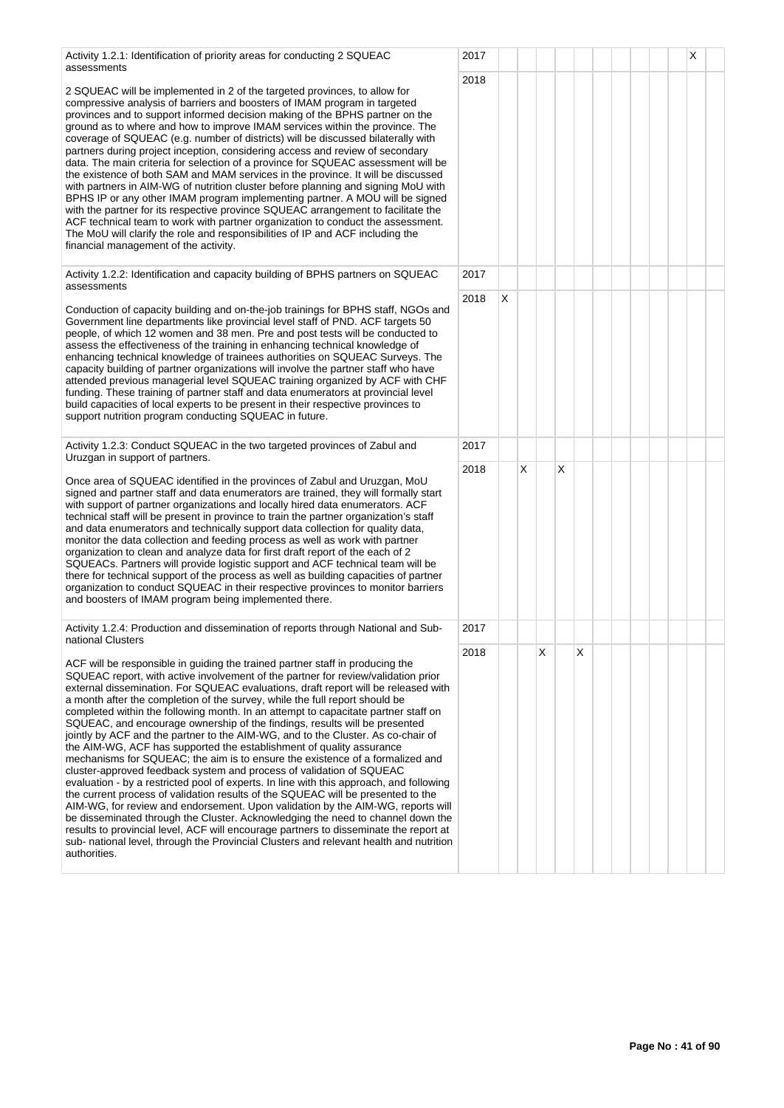| Activity 1.2.1: Identification of priority areas for conducting 2 SQUEAC<br>assessments                                                                                                                                                                                                                                                                                                                                                                                                                                                                                                                                                                                                                                                                                                                                                                                                                                                                                                                                                                                                                                                                                                                                                                                                                                                                                                  | 2017 |   |   |   |   |   |  |  | X |
|------------------------------------------------------------------------------------------------------------------------------------------------------------------------------------------------------------------------------------------------------------------------------------------------------------------------------------------------------------------------------------------------------------------------------------------------------------------------------------------------------------------------------------------------------------------------------------------------------------------------------------------------------------------------------------------------------------------------------------------------------------------------------------------------------------------------------------------------------------------------------------------------------------------------------------------------------------------------------------------------------------------------------------------------------------------------------------------------------------------------------------------------------------------------------------------------------------------------------------------------------------------------------------------------------------------------------------------------------------------------------------------|------|---|---|---|---|---|--|--|---|
| 2 SQUEAC will be implemented in 2 of the targeted provinces, to allow for<br>compressive analysis of barriers and boosters of IMAM program in targeted<br>provinces and to support informed decision making of the BPHS partner on the<br>ground as to where and how to improve IMAM services within the province. The<br>coverage of SQUEAC (e.g. number of districts) will be discussed bilaterally with<br>partners during project inception, considering access and review of secondary<br>data. The main criteria for selection of a province for SQUEAC assessment will be<br>the existence of both SAM and MAM services in the province. It will be discussed<br>with partners in AIM-WG of nutrition cluster before planning and signing MoU with<br>BPHS IP or any other IMAM program implementing partner. A MOU will be signed<br>with the partner for its respective province SQUEAC arrangement to facilitate the<br>ACF technical team to work with partner organization to conduct the assessment.<br>The MoU will clarify the role and responsibilities of IP and ACF including the<br>financial management of the activity.                                                                                                                                                                                                                                             | 2018 |   |   |   |   |   |  |  |   |
| Activity 1.2.2: Identification and capacity building of BPHS partners on SQUEAC<br>assessments                                                                                                                                                                                                                                                                                                                                                                                                                                                                                                                                                                                                                                                                                                                                                                                                                                                                                                                                                                                                                                                                                                                                                                                                                                                                                           | 2017 |   |   |   |   |   |  |  |   |
| Conduction of capacity building and on-the-job trainings for BPHS staff, NGOs and<br>Government line departments like provincial level staff of PND. ACF targets 50<br>people, of which 12 women and 38 men. Pre and post tests will be conducted to<br>assess the effectiveness of the training in enhancing technical knowledge of<br>enhancing technical knowledge of trainees authorities on SQUEAC Surveys. The<br>capacity building of partner organizations will involve the partner staff who have<br>attended previous managerial level SQUEAC training organized by ACF with CHF<br>funding. These training of partner staff and data enumerators at provincial level<br>build capacities of local experts to be present in their respective provinces to<br>support nutrition program conducting SQUEAC in future.                                                                                                                                                                                                                                                                                                                                                                                                                                                                                                                                                            | 2018 | X |   |   |   |   |  |  |   |
| Activity 1.2.3: Conduct SQUEAC in the two targeted provinces of Zabul and<br>Uruzgan in support of partners.                                                                                                                                                                                                                                                                                                                                                                                                                                                                                                                                                                                                                                                                                                                                                                                                                                                                                                                                                                                                                                                                                                                                                                                                                                                                             | 2017 |   |   |   |   |   |  |  |   |
| Once area of SQUEAC identified in the provinces of Zabul and Uruzgan, MoU<br>signed and partner staff and data enumerators are trained, they will formally start<br>with support of partner organizations and locally hired data enumerators. ACF<br>technical staff will be present in province to train the partner organization's staff<br>and data enumerators and technically support data collection for quality data,<br>monitor the data collection and feeding process as well as work with partner<br>organization to clean and analyze data for first draft report of the each of 2<br>SQUEACs. Partners will provide logistic support and ACF technical team will be<br>there for technical support of the process as well as building capacities of partner<br>organization to conduct SQUEAC in their respective provinces to monitor barriers<br>and boosters of IMAM program being implemented there.                                                                                                                                                                                                                                                                                                                                                                                                                                                                    | 2018 |   | X |   | X |   |  |  |   |
| Activity 1.2.4: Production and dissemination of reports through National and Sub-<br>national Clusters                                                                                                                                                                                                                                                                                                                                                                                                                                                                                                                                                                                                                                                                                                                                                                                                                                                                                                                                                                                                                                                                                                                                                                                                                                                                                   | 2017 |   |   |   |   |   |  |  |   |
| ACF will be responsible in guiding the trained partner staff in producing the<br>SQUEAC report, with active involvement of the partner for review/validation prior<br>external dissemination. For SQUEAC evaluations, draft report will be released with<br>a month after the completion of the survey, while the full report should be<br>completed within the following month. In an attempt to capacitate partner staff on<br>SQUEAC, and encourage ownership of the findings, results will be presented<br>jointly by ACF and the partner to the AIM-WG, and to the Cluster. As co-chair of<br>the AIM-WG, ACF has supported the establishment of quality assurance<br>mechanisms for SQUEAC; the aim is to ensure the existence of a formalized and<br>cluster-approved feedback system and process of validation of SQUEAC<br>evaluation - by a restricted pool of experts. In line with this approach, and following<br>the current process of validation results of the SQUEAC will be presented to the<br>AIM-WG, for review and endorsement. Upon validation by the AIM-WG, reports will<br>be disseminated through the Cluster. Acknowledging the need to channel down the<br>results to provincial level, ACF will encourage partners to disseminate the report at<br>sub- national level, through the Provincial Clusters and relevant health and nutrition<br>authorities. | 2018 |   |   | X |   | X |  |  |   |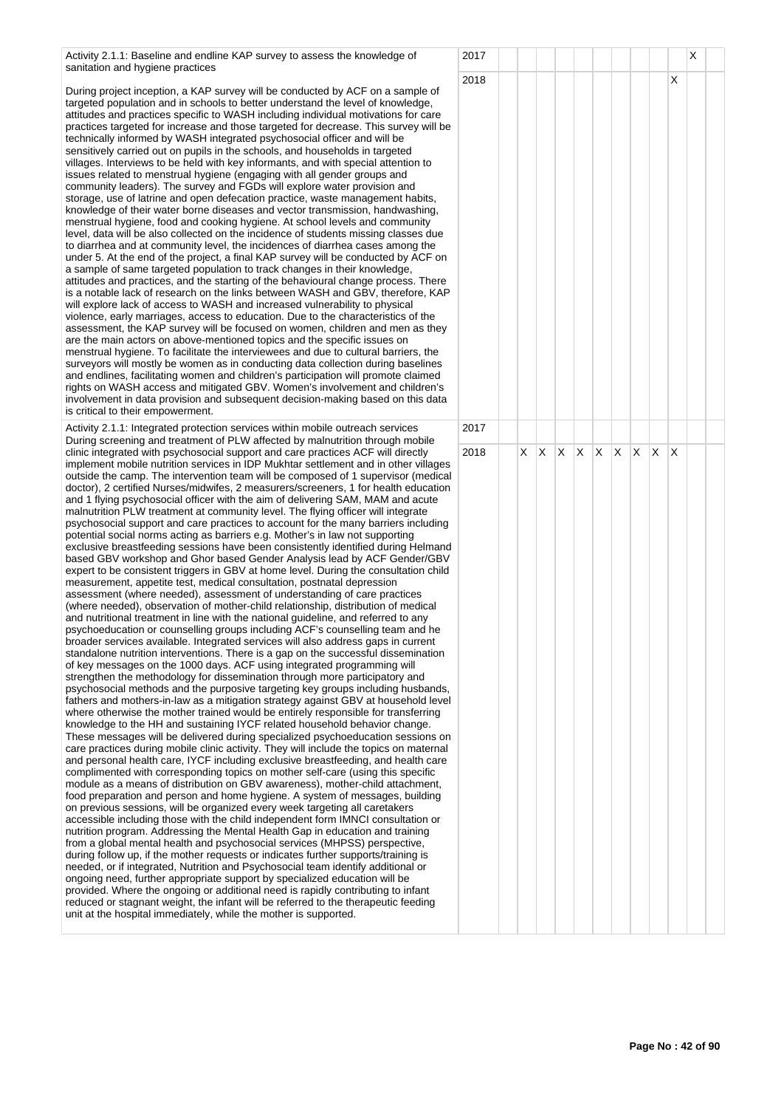Activity 2.1.1: Baseline and endline KAP survey to assess the knowledge of sanitation and hygiene practices

During project inception, a KAP survey will be conducted by ACF on a sample of targeted population and in schools to better understand the level of knowledge, attitudes and practices specific to WASH including individual motivations for care practices targeted for increase and those targeted for decrease. This survey will be technically informed by WASH integrated psychosocial officer and will be sensitively carried out on pupils in the schools, and households in targeted villages. Interviews to be held with key informants, and with special attention to issues related to menstrual hygiene (engaging with all gender groups and community leaders). The survey and FGDs will explore water provision and storage, use of latrine and open defecation practice, waste management habits, knowledge of their water borne diseases and vector transmission, handwashing, menstrual hygiene, food and cooking hygiene. At school levels and community level, data will be also collected on the incidence of students missing classes due to diarrhea and at community level, the incidences of diarrhea cases among the under 5. At the end of the project, a final KAP survey will be conducted by ACF on a sample of same targeted population to track changes in their knowledge, attitudes and practices, and the starting of the behavioural change process. There is a notable lack of research on the links between WASH and GBV, therefore, KAP will explore lack of access to WASH and increased vulnerability to physical violence, early marriages, access to education. Due to the characteristics of the assessment, the KAP survey will be focused on women, children and men as they are the main actors on above-mentioned topics and the specific issues on menstrual hygiene. To facilitate the interviewees and due to cultural barriers, the surveyors will mostly be women as in conducting data collection during baselines and endlines, facilitating women and children's participation will promote claimed rights on WASH access and mitigated GBV. Women's involvement and children's involvement in data provision and subsequent decision-making based on this data is critical to their empowerment.

Activity 2.1.1: Integrated protection services within mobile outreach services During screening and treatment of PLW affected by malnutrition through mobile clinic integrated with psychosocial support and care practices ACF will directly implement mobile nutrition services in IDP Mukhtar settlement and in other villages outside the camp. The intervention team will be composed of 1 supervisor (medical doctor), 2 certified Nurses/midwifes, 2 measurers/screeners, 1 for health education and 1 flying psychosocial officer with the aim of delivering SAM, MAM and acute malnutrition PLW treatment at community level. The flying officer will integrate psychosocial support and care practices to account for the many barriers including potential social norms acting as barriers e.g. Mother's in law not supporting exclusive breastfeeding sessions have been consistently identified during Helmand based GBV workshop and Ghor based Gender Analysis lead by ACF Gender/GBV expert to be consistent triggers in GBV at home level. During the consultation child measurement, appetite test, medical consultation, postnatal depression assessment (where needed), assessment of understanding of care practices (where needed), observation of mother-child relationship, distribution of medical and nutritional treatment in line with the national guideline, and referred to any psychoeducation or counselling groups including ACF's counselling team and he broader services available. Integrated services will also address gaps in current standalone nutrition interventions. There is a gap on the successful dissemination of key messages on the 1000 days. ACF using integrated programming will strengthen the methodology for dissemination through more participatory and psychosocial methods and the purposive targeting key groups including husbands, fathers and mothers-in-law as a mitigation strategy against GBV at household level where otherwise the mother trained would be entirely responsible for transferring knowledge to the HH and sustaining IYCF related household behavior change. These messages will be delivered during specialized psychoeducation sessions on care practices during mobile clinic activity. They will include the topics on maternal and personal health care, IYCF including exclusive breastfeeding, and health care complimented with corresponding topics on mother self-care (using this specific module as a means of distribution on GBV awareness), mother-child attachment, food preparation and person and home hygiene. A system of messages, building on previous sessions, will be organized every week targeting all caretakers accessible including those with the child independent form IMNCI consultation or nutrition program. Addressing the Mental Health Gap in education and training from a global mental health and psychosocial services (MHPSS) perspective, during follow up, if the mother requests or indicates further supports/training is needed, or if integrated, Nutrition and Psychosocial team identify additional or ongoing need, further appropriate support by specialized education will be provided. Where the ongoing or additional need is rapidly contributing to infant reduced or stagnant weight, the infant will be referred to the therapeutic feeding unit at the hospital immediately, while the mother is supported.

| $\epsilon$                      | 2017<br>2018 |                         |                         |             |                         |                         |                         |                         |                         | $\overline{\mathsf{x}}$ | X |  |
|---------------------------------|--------------|-------------------------|-------------------------|-------------|-------------------------|-------------------------|-------------------------|-------------------------|-------------------------|-------------------------|---|--|
| $\overline{\phantom{a}}$        |              |                         |                         |             |                         |                         |                         |                         |                         |                         |   |  |
|                                 | 2017         |                         |                         |             |                         |                         |                         |                         |                         |                         |   |  |
| ธ<br>ป<br>า<br>ļ<br>d<br>/<br>i | 2018         | $\overline{\mathsf{x}}$ | $\overline{\mathsf{x}}$ | $\mathsf X$ | $\overline{\mathsf{x}}$ | $\overline{\mathsf{x}}$ | $\overline{\mathsf{x}}$ | $\overline{\mathsf{x}}$ | $\overline{\mathsf{x}}$ | $\mathsf{x}$            |   |  |
| ,<br>I                          |              |                         |                         |             |                         |                         |                         |                         |                         |                         |   |  |
| <sup>1</sup>                    |              |                         |                         |             |                         |                         |                         |                         |                         |                         |   |  |
|                                 |              |                         |                         |             |                         |                         |                         |                         |                         |                         |   |  |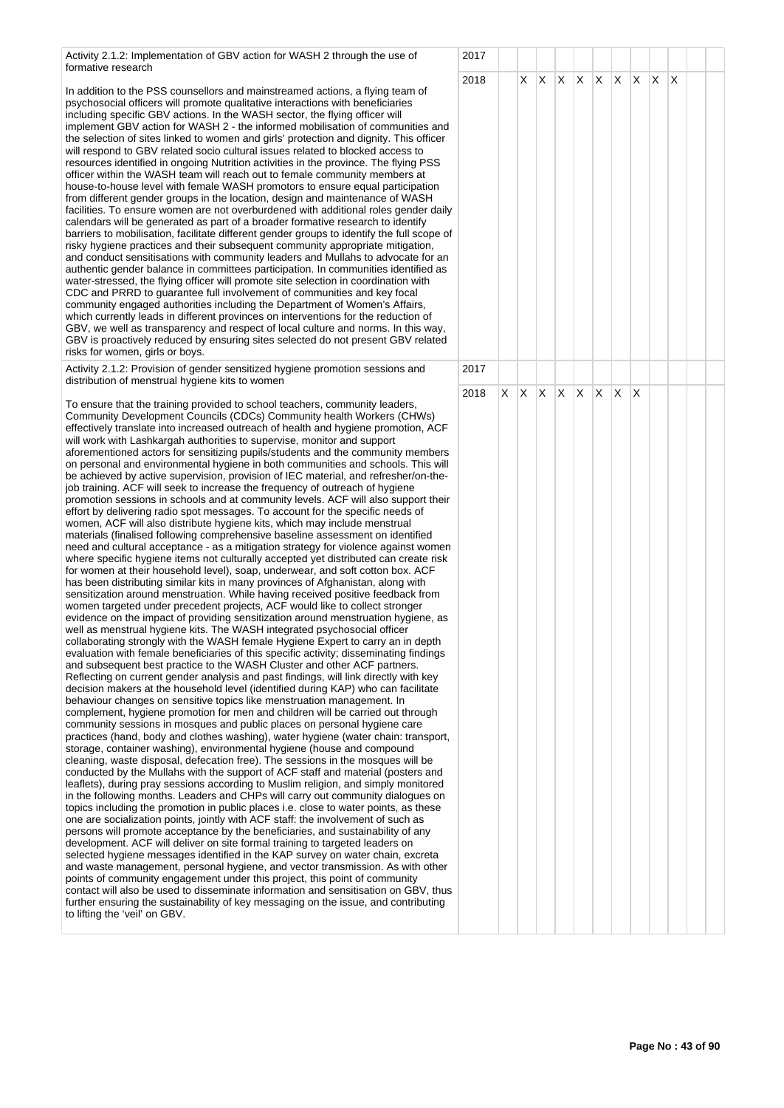Activity 2.1.2: Implementation of GBV action for WASH 2 through the use of formative research

In addition to the PSS counsellors and mainstreamed actions, a flying team of psychosocial officers will promote qualitative interactions with beneficiaries including specific GBV actions. In the WASH sector, the flying officer will implement GBV action for WASH 2 - the informed mobilisation of communities and the selection of sites linked to women and girls' protection and dignity. This officer will respond to GBV related socio cultural issues related to blocked access to resources identified in ongoing Nutrition activities in the province. The flying PSS officer within the WASH team will reach out to female community members at house-to-house level with female WASH promotors to ensure equal participation from different gender groups in the location, design and maintenance of WASH facilities. To ensure women are not overburdened with additional roles gender daily calendars will be generated as part of a broader formative research to identify barriers to mobilisation, facilitate different gender groups to identify the full scope o risky hygiene practices and their subsequent community appropriate mitigation, and conduct sensitisations with community leaders and Mullahs to advocate for an authentic gender balance in committees participation. In communities identified as water-stressed, the flying officer will promote site selection in coordination with CDC and PRRD to guarantee full involvement of communities and key focal community engaged authorities including the Department of Women's Affairs, which currently leads in different provinces on interventions for the reduction of GBV, we well as transparency and respect of local culture and norms. In this way, GBV is proactively reduced by ensuring sites selected do not present GBV related risks for women, girls or boys.

Activity 2.1.2: Provision of gender sensitized hygiene promotion sessions and distribution of menstrual hygiene kits to women

To ensure that the training provided to school teachers, community leaders, Community Development Councils (CDCs) Community health Workers (CHWs) effectively translate into increased outreach of health and hygiene promotion, ACF will work with Lashkargah authorities to supervise, monitor and support aforementioned actors for sensitizing pupils/students and the community members on personal and environmental hygiene in both communities and schools. This will be achieved by active supervision, provision of IEC material, and refresher/on-thejob training. ACF will seek to increase the frequency of outreach of hygiene promotion sessions in schools and at community levels. ACF will also support their effort by delivering radio spot messages. To account for the specific needs of women, ACF will also distribute hygiene kits, which may include menstrual materials (finalised following comprehensive baseline assessment on identified need and cultural acceptance - as a mitigation strategy for violence against women where specific hygiene items not culturally accepted yet distributed can create risk for women at their household level), soap, underwear, and soft cotton box. ACF has been distributing similar kits in many provinces of Afghanistan, along with sensitization around menstruation. While having received positive feedback from women targeted under precedent projects, ACF would like to collect stronger evidence on the impact of providing sensitization around menstruation hygiene, as well as menstrual hygiene kits. The WASH integrated psychosocial officer collaborating strongly with the WASH female Hygiene Expert to carry an in depth evaluation with female beneficiaries of this specific activity; disseminating findings and subsequent best practice to the WASH Cluster and other ACF partners. Reflecting on current gender analysis and past findings, will link directly with key decision makers at the household level (identified during KAP) who can facilitate behaviour changes on sensitive topics like menstruation management. In complement, hygiene promotion for men and children will be carried out through community sessions in mosques and public places on personal hygiene care practices (hand, body and clothes washing), water hygiene (water chain: transport, storage, container washing), environmental hygiene (house and compound cleaning, waste disposal, defecation free). The sessions in the mosques will be conducted by the Mullahs with the support of ACF staff and material (posters and leaflets), during pray sessions according to Muslim religion, and simply monitored in the following months. Leaders and CHPs will carry out community dialogues on topics including the promotion in public places i.e. close to water points, as these one are socialization points, jointly with ACF staff: the involvement of such as persons will promote acceptance by the beneficiaries, and sustainability of any development. ACF will deliver on site formal training to targeted leaders on selected hygiene messages identified in the KAP survey on water chain, excreta and waste management, personal hygiene, and vector transmission. As with other points of community engagement under this project, this point of community contact will also be used to disseminate information and sensitisation on GBV, thus further ensuring the sustainability of key messaging on the issue, and contributing to lifting the 'veil' on GBV.

|                               | 2018 |                         | $\overline{X}$          |                         |                         |                         |                         |                         |                         |                         |             |  |  |
|-------------------------------|------|-------------------------|-------------------------|-------------------------|-------------------------|-------------------------|-------------------------|-------------------------|-------------------------|-------------------------|-------------|--|--|
| $\overline{\phantom{a}}$<br>f |      |                         |                         | $\mathsf X$             | $\overline{\mathsf{x}}$ | $\overline{\mathsf{x}}$ | $\overline{\mathsf{x}}$ | $\overline{\mathsf{X}}$ | $\mathsf X$             | $\overline{\mathsf{x}}$ | $\mathsf X$ |  |  |
|                               | 2017 |                         |                         |                         |                         |                         |                         |                         |                         |                         |             |  |  |
| $\overline{a}$<br>ò           | 2018 | $\overline{\mathsf{X}}$ | $\overline{\mathsf{X}}$ | $\overline{\mathsf{X}}$ | $\overline{\mathsf{X}}$ | $\overline{\mathsf{x}}$ | $\overline{X}$          | $\overline{\mathsf{X}}$ | $\overline{\mathsf{x}}$ |                         |             |  |  |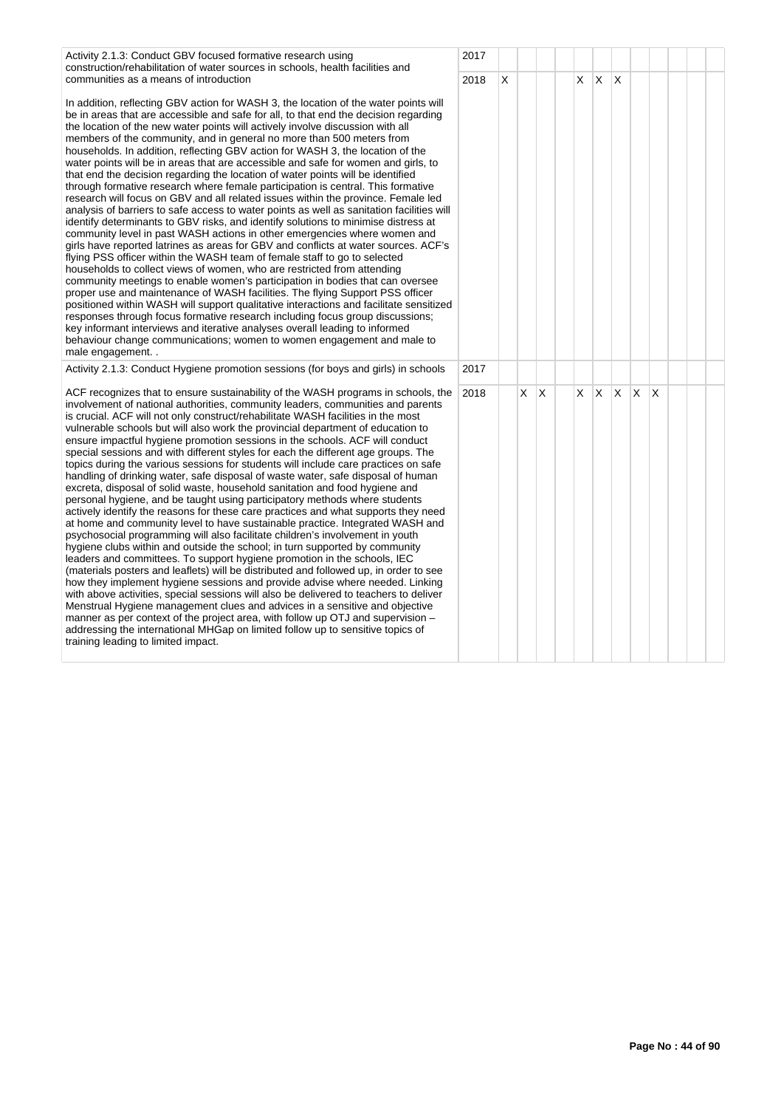| Activity 2.1.3: Conduct GBV focused formative research using<br>construction/rehabilitation of water sources in schools, health facilities and<br>communities as a means of introduction                                                                                                                                                                                                                                                                                                                                                                                                                                                                                                                                                                                                                                                                                                                                                                                                                                                                                                                                                                                                                                                                                                                                                                                                                                                                                                                                                                                                                                                                                                                                                                                                                                                 | 2017<br>2018 | X |    |   | X. | X        | X   |              |     |  |  |
|------------------------------------------------------------------------------------------------------------------------------------------------------------------------------------------------------------------------------------------------------------------------------------------------------------------------------------------------------------------------------------------------------------------------------------------------------------------------------------------------------------------------------------------------------------------------------------------------------------------------------------------------------------------------------------------------------------------------------------------------------------------------------------------------------------------------------------------------------------------------------------------------------------------------------------------------------------------------------------------------------------------------------------------------------------------------------------------------------------------------------------------------------------------------------------------------------------------------------------------------------------------------------------------------------------------------------------------------------------------------------------------------------------------------------------------------------------------------------------------------------------------------------------------------------------------------------------------------------------------------------------------------------------------------------------------------------------------------------------------------------------------------------------------------------------------------------------------|--------------|---|----|---|----|----------|-----|--------------|-----|--|--|
| In addition, reflecting GBV action for WASH 3, the location of the water points will<br>be in areas that are accessible and safe for all, to that end the decision regarding<br>the location of the new water points will actively involve discussion with all<br>members of the community, and in general no more than 500 meters from<br>households. In addition, reflecting GBV action for WASH 3, the location of the<br>water points will be in areas that are accessible and safe for women and girls, to<br>that end the decision regarding the location of water points will be identified<br>through formative research where female participation is central. This formative<br>research will focus on GBV and all related issues within the province. Female led<br>analysis of barriers to safe access to water points as well as sanitation facilities will<br>identify determinants to GBV risks, and identify solutions to minimise distress at<br>community level in past WASH actions in other emergencies where women and<br>girls have reported latrines as areas for GBV and conflicts at water sources. ACF's<br>flying PSS officer within the WASH team of female staff to go to selected<br>households to collect views of women, who are restricted from attending<br>community meetings to enable women's participation in bodies that can oversee<br>proper use and maintenance of WASH facilities. The flying Support PSS officer<br>positioned within WASH will support qualitative interactions and facilitate sensitized<br>responses through focus formative research including focus group discussions;<br>key informant interviews and iterative analyses overall leading to informed<br>behaviour change communications; women to women engagement and male to<br>male engagement                      |              |   |    |   |    |          |     |              |     |  |  |
| Activity 2.1.3: Conduct Hygiene promotion sessions (for boys and girls) in schools                                                                                                                                                                                                                                                                                                                                                                                                                                                                                                                                                                                                                                                                                                                                                                                                                                                                                                                                                                                                                                                                                                                                                                                                                                                                                                                                                                                                                                                                                                                                                                                                                                                                                                                                                       | 2017         |   |    |   |    |          |     |              |     |  |  |
| ACF recognizes that to ensure sustainability of the WASH programs in schools, the<br>involvement of national authorities, community leaders, communities and parents<br>is crucial. ACF will not only construct/rehabilitate WASH facilities in the most<br>vulnerable schools but will also work the provincial department of education to<br>ensure impactful hygiene promotion sessions in the schools. ACF will conduct<br>special sessions and with different styles for each the different age groups. The<br>topics during the various sessions for students will include care practices on safe<br>handling of drinking water, safe disposal of waste water, safe disposal of human<br>excreta, disposal of solid waste, household sanitation and food hygiene and<br>personal hygiene, and be taught using participatory methods where students<br>actively identify the reasons for these care practices and what supports they need<br>at home and community level to have sustainable practice. Integrated WASH and<br>psychosocial programming will also facilitate children's involvement in youth<br>hygiene clubs within and outside the school; in turn supported by community<br>leaders and committees. To support hygiene promotion in the schools, IEC<br>(materials posters and leaflets) will be distributed and followed up, in order to see<br>how they implement hygiene sessions and provide advise where needed. Linking<br>with above activities, special sessions will also be delivered to teachers to deliver<br>Menstrual Hygiene management clues and advices in a sensitive and objective<br>manner as per context of the project area, with follow up OTJ and supervision -<br>addressing the international MHGap on limited follow up to sensitive topics of<br>training leading to limited impact. | 2018         |   | X. | X | X. | $\times$ | IX. | $\mathsf{X}$ | ΙX. |  |  |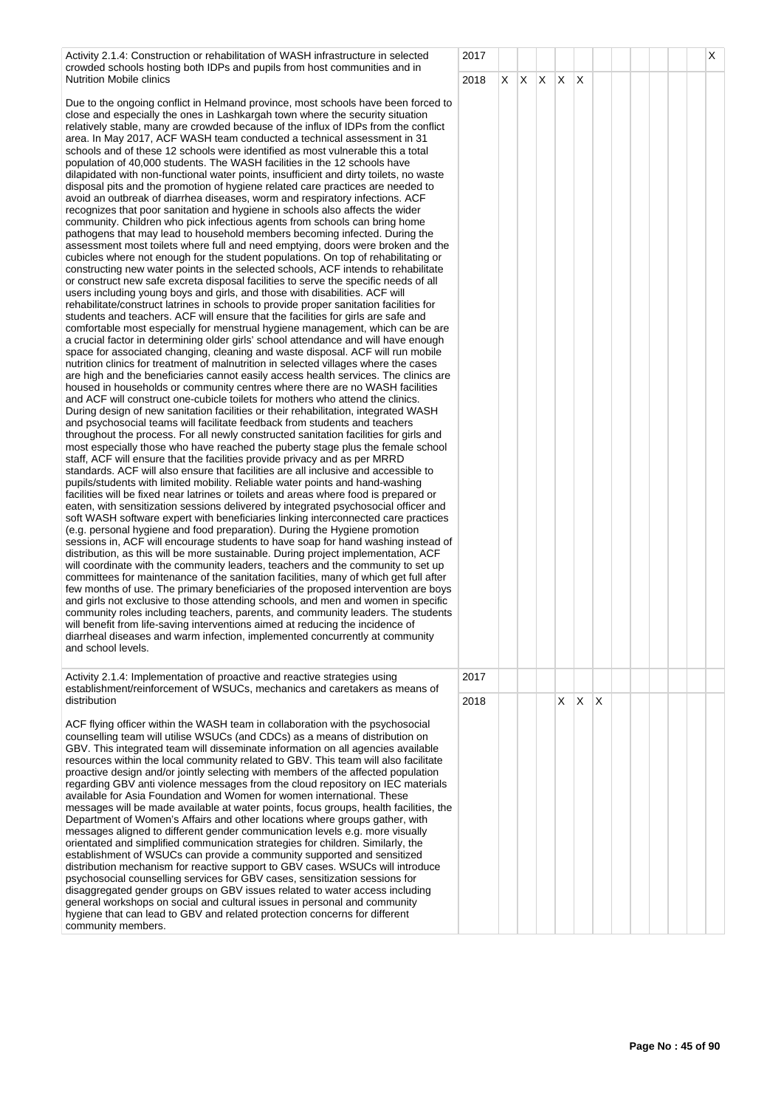Activity 2.1.4: Construction or rehabilitation of WASH infrastructure in selected crowded schools hosting both IDPs and pupils from host communities and in Nutrition Mobile clinics

Due to the ongoing conflict in Helmand province, most schools have been forced to close and especially the ones in Lashkargah town where the security situation relatively stable, many are crowded because of the influx of IDPs from the conflict area. In May 2017, ACF WASH team conducted a technical assessment in 31 schools and of these 12 schools were identified as most vulnerable this a total population of 40,000 students. The WASH facilities in the 12 schools have dilapidated with non-functional water points, insufficient and dirty toilets, no waste disposal pits and the promotion of hygiene related care practices are needed to avoid an outbreak of diarrhea diseases, worm and respiratory infections. ACF recognizes that poor sanitation and hygiene in schools also affects the wider community. Children who pick infectious agents from schools can bring home pathogens that may lead to household members becoming infected. During the assessment most toilets where full and need emptying, doors were broken and the cubicles where not enough for the student populations. On top of rehabilitating or constructing new water points in the selected schools, ACF intends to rehabilitate or construct new safe excreta disposal facilities to serve the specific needs of all users including young boys and girls, and those with disabilities. ACF will rehabilitate/construct latrines in schools to provide proper sanitation facilities for students and teachers. ACF will ensure that the facilities for girls are safe and comfortable most especially for menstrual hygiene management, which can be are a crucial factor in determining older girls' school attendance and will have enough space for associated changing, cleaning and waste disposal. ACF will run mobile nutrition clinics for treatment of malnutrition in selected villages where the cases are high and the beneficiaries cannot easily access health services. The clinics are housed in households or community centres where there are no WASH facilities and ACF will construct one-cubicle toilets for mothers who attend the clinics. During design of new sanitation facilities or their rehabilitation, integrated WASH and psychosocial teams will facilitate feedback from students and teachers throughout the process. For all newly constructed sanitation facilities for girls and most especially those who have reached the puberty stage plus the female school staff, ACF will ensure that the facilities provide privacy and as per MRRD standards. ACF will also ensure that facilities are all inclusive and accessible to pupils/students with limited mobility. Reliable water points and hand-washing facilities will be fixed near latrines or toilets and areas where food is prepared or eaten, with sensitization sessions delivered by integrated psychosocial officer and soft WASH software expert with beneficiaries linking interconnected care practices (e.g. personal hygiene and food preparation). During the Hygiene promotion sessions in, ACF will encourage students to have soap for hand washing instead of distribution, as this will be more sustainable. During project implementation, ACF will coordinate with the community leaders, teachers and the community to set up committees for maintenance of the sanitation facilities, many of which get full after few months of use. The primary beneficiaries of the proposed intervention are boys and girls not exclusive to those attending schools, and men and women in specific community roles including teachers, parents, and community leaders. The students will benefit from life-saving interventions aimed at reducing the incidence of diarrheal diseases and warm infection, implemented concurrently at community and school levels.

Activity 2.1.4: Implementation of proactive and reactive strategies using establishment/reinforcement of WSUCs, mechanics and caretakers as means of distribution

ACF flying officer within the WASH team in collaboration with the psychosocial counselling team will utilise WSUCs (and CDCs) as a means of distribution on GBV. This integrated team will disseminate information on all agencies available resources within the local community related to GBV. This team will also facilitate proactive design and/or jointly selecting with members of the affected population regarding GBV anti violence messages from the cloud repository on IEC materials available for Asia Foundation and Women for women international. These messages will be made available at water points, focus groups, health facilities, the Department of Women's Affairs and other locations where groups gather, with messages aligned to different gender communication levels e.g. more visually orientated and simplified communication strategies for children. Similarly, the establishment of WSUCs can provide a community supported and sensitized distribution mechanism for reactive support to GBV cases. WSUCs will introduce psychosocial counselling services for GBV cases, sensitization sessions for disaggregated gender groups on GBV issues related to water access including general workshops on social and cultural issues in personal and community hygiene that can lead to GBV and related protection concerns for different community members.

|                      | 2017 |                         |                         |                         |                         |                         |                         |  |  | $\overline{\mathsf{x}}$ |
|----------------------|------|-------------------------|-------------------------|-------------------------|-------------------------|-------------------------|-------------------------|--|--|-------------------------|
|                      | 2018 | $\overline{\mathsf{x}}$ | $\overline{\mathsf{x}}$ | $\overline{\mathsf{x}}$ | $\overline{\mathsf{x}}$ | $\overline{\mathsf{x}}$ |                         |  |  |                         |
| $\mathsf{C}$         |      |                         |                         |                         |                         |                         |                         |  |  |                         |
|                      |      |                         |                         |                         |                         |                         |                         |  |  |                         |
|                      |      |                         |                         |                         |                         |                         |                         |  |  |                         |
|                      |      |                         |                         |                         |                         |                         |                         |  |  |                         |
|                      |      |                         |                         |                         |                         |                         |                         |  |  |                         |
|                      |      |                         |                         |                         |                         |                         |                         |  |  |                         |
| $\overline{a}$       |      |                         |                         |                         |                         |                         |                         |  |  |                         |
|                      |      |                         |                         |                         |                         |                         |                         |  |  |                         |
|                      |      |                         |                         |                         |                         |                         |                         |  |  |                         |
|                      |      |                         |                         |                         |                         |                         |                         |  |  |                         |
| $\ddot{\phantom{0}}$ |      |                         |                         |                         |                         |                         |                         |  |  |                         |
| è                    |      |                         |                         |                         |                         |                         |                         |  |  |                         |
|                      |      |                         |                         |                         |                         |                         |                         |  |  |                         |
|                      |      |                         |                         |                         |                         |                         |                         |  |  |                         |
|                      |      |                         |                         |                         |                         |                         |                         |  |  |                         |
|                      |      |                         |                         |                         |                         |                         |                         |  |  |                         |
|                      |      |                         |                         |                         |                         |                         |                         |  |  |                         |
|                      |      |                         |                         |                         |                         |                         |                         |  |  |                         |
| f                    |      |                         |                         |                         |                         |                         |                         |  |  |                         |
|                      |      |                         |                         |                         |                         |                         |                         |  |  |                         |
| 3                    |      |                         |                         |                         |                         |                         |                         |  |  |                         |
| s                    |      |                         |                         |                         |                         |                         |                         |  |  |                         |
|                      |      |                         |                         |                         |                         |                         |                         |  |  |                         |
|                      |      |                         |                         |                         |                         |                         |                         |  |  |                         |
|                      | 2017 |                         |                         |                         |                         |                         |                         |  |  |                         |
|                      | 2018 |                         |                         |                         | $\overline{\mathsf{x}}$ | $\overline{\mathsf{x}}$ | $\overline{\mathsf{x}}$ |  |  |                         |
|                      |      |                         |                         |                         |                         |                         |                         |  |  |                         |
|                      |      |                         |                         |                         |                         |                         |                         |  |  |                         |
|                      |      |                         |                         |                         |                         |                         |                         |  |  |                         |
| e                    |      |                         |                         |                         |                         |                         |                         |  |  |                         |
|                      |      |                         |                         |                         |                         |                         |                         |  |  |                         |
|                      |      |                         |                         |                         |                         |                         |                         |  |  |                         |
|                      |      |                         |                         |                         |                         |                         |                         |  |  |                         |
|                      |      |                         |                         |                         |                         |                         |                         |  |  |                         |
|                      |      |                         |                         |                         |                         |                         |                         |  |  |                         |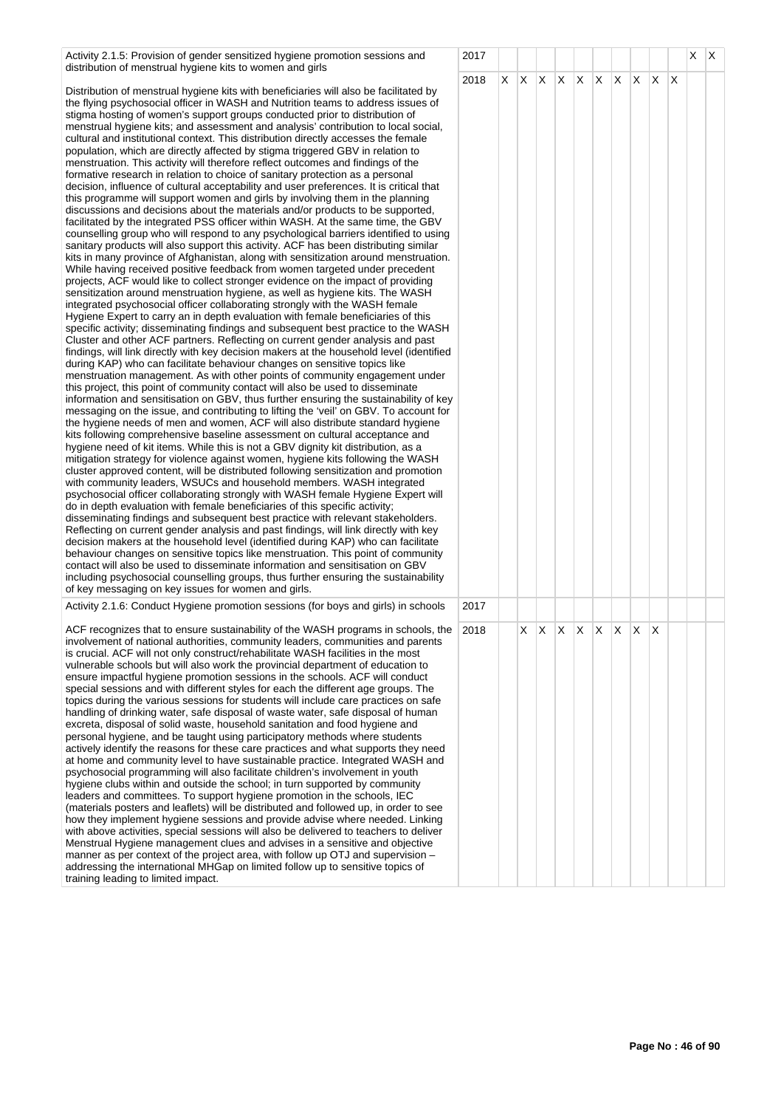| Activity 2.1.5: Provision of gender sensitized hygiene promotion sessions and                                                                                                                                                                                                                                                                                                                                                                                                                                                                                                                                                                                                                                                                                                                                                                                                                                                                                                                                                                                                                                                                                                                                                                                                                                                                                                                                                                                                                                                                                                                                                                                                                                                                                                                                                                                                                                                                                                                                                                                                                                                                                                                                                                                                                                                                                                                                                                                                                                                                                                                                                                                                                                                                                                                                                                                                                                                                                                                                                                                                                                                                                                                                                                                                                                                                                                                                                                                                                                                                                                                                                                                                                                    | 2017 |    |                         |              |    |     |     |    |          | Χ | ΙX |
|------------------------------------------------------------------------------------------------------------------------------------------------------------------------------------------------------------------------------------------------------------------------------------------------------------------------------------------------------------------------------------------------------------------------------------------------------------------------------------------------------------------------------------------------------------------------------------------------------------------------------------------------------------------------------------------------------------------------------------------------------------------------------------------------------------------------------------------------------------------------------------------------------------------------------------------------------------------------------------------------------------------------------------------------------------------------------------------------------------------------------------------------------------------------------------------------------------------------------------------------------------------------------------------------------------------------------------------------------------------------------------------------------------------------------------------------------------------------------------------------------------------------------------------------------------------------------------------------------------------------------------------------------------------------------------------------------------------------------------------------------------------------------------------------------------------------------------------------------------------------------------------------------------------------------------------------------------------------------------------------------------------------------------------------------------------------------------------------------------------------------------------------------------------------------------------------------------------------------------------------------------------------------------------------------------------------------------------------------------------------------------------------------------------------------------------------------------------------------------------------------------------------------------------------------------------------------------------------------------------------------------------------------------------------------------------------------------------------------------------------------------------------------------------------------------------------------------------------------------------------------------------------------------------------------------------------------------------------------------------------------------------------------------------------------------------------------------------------------------------------------------------------------------------------------------------------------------------------------------------------------------------------------------------------------------------------------------------------------------------------------------------------------------------------------------------------------------------------------------------------------------------------------------------------------------------------------------------------------------------------------------------------------------------------------------------------------------------|------|----|-------------------------|--------------|----|-----|-----|----|----------|---|----|
| distribution of menstrual hygiene kits to women and girls<br>Distribution of menstrual hygiene kits with beneficiaries will also be facilitated by<br>the flying psychosocial officer in WASH and Nutrition teams to address issues of<br>stigma hosting of women's support groups conducted prior to distribution of<br>menstrual hygiene kits; and assessment and analysis' contribution to local social,<br>cultural and institutional context. This distribution directly accesses the female<br>population, which are directly affected by stigma triggered GBV in relation to<br>menstruation. This activity will therefore reflect outcomes and findings of the<br>formative research in relation to choice of sanitary protection as a personal<br>decision, influence of cultural acceptability and user preferences. It is critical that<br>this programme will support women and girls by involving them in the planning<br>discussions and decisions about the materials and/or products to be supported,<br>facilitated by the integrated PSS officer within WASH. At the same time, the GBV<br>counselling group who will respond to any psychological barriers identified to using<br>sanitary products will also support this activity. ACF has been distributing similar<br>kits in many province of Afghanistan, along with sensitization around menstruation.<br>While having received positive feedback from women targeted under precedent<br>projects, ACF would like to collect stronger evidence on the impact of providing<br>sensitization around menstruation hygiene, as well as hygiene kits. The WASH<br>integrated psychosocial officer collaborating strongly with the WASH female<br>Hygiene Expert to carry an in depth evaluation with female beneficiaries of this<br>specific activity; disseminating findings and subsequent best practice to the WASH<br>Cluster and other ACF partners. Reflecting on current gender analysis and past<br>findings, will link directly with key decision makers at the household level (identified<br>during KAP) who can facilitate behaviour changes on sensitive topics like<br>menstruation management. As with other points of community engagement under<br>this project, this point of community contact will also be used to disseminate<br>information and sensitisation on GBV, thus further ensuring the sustainability of key<br>messaging on the issue, and contributing to lifting the 'veil' on GBV. To account for<br>the hygiene needs of men and women, ACF will also distribute standard hygiene<br>kits following comprehensive baseline assessment on cultural acceptance and<br>hygiene need of kit items. While this is not a GBV dignity kit distribution, as a<br>mitigation strategy for violence against women, hygiene kits following the WASH<br>cluster approved content, will be distributed following sensitization and promotion<br>with community leaders, WSUCs and household members. WASH integrated<br>psychosocial officer collaborating strongly with WASH female Hygiene Expert will<br>do in depth evaluation with female beneficiaries of this specific activity;<br>disseminating findings and subsequent best practice with relevant stakeholders.<br>Reflecting on current gender analysis and past findings, will link directly with key<br>decision makers at the household level (identified during KAP) who can facilitate<br>behaviour changes on sensitive topics like menstruation. This point of community<br>contact will also be used to disseminate information and sensitisation on GBV<br>including psychosocial counselling groups, thus further ensuring the sustainability | 2018 | X. | X X X                   | $\mathsf{X}$ | X. | IX. | IX. | X. | $\times$ |   |    |
| of key messaging on key issues for women and girls.<br>Activity 2.1.6: Conduct Hygiene promotion sessions (for boys and girls) in schools                                                                                                                                                                                                                                                                                                                                                                                                                                                                                                                                                                                                                                                                                                                                                                                                                                                                                                                                                                                                                                                                                                                                                                                                                                                                                                                                                                                                                                                                                                                                                                                                                                                                                                                                                                                                                                                                                                                                                                                                                                                                                                                                                                                                                                                                                                                                                                                                                                                                                                                                                                                                                                                                                                                                                                                                                                                                                                                                                                                                                                                                                                                                                                                                                                                                                                                                                                                                                                                                                                                                                                        | 2017 |    |                         |              |    |     |     |    |          |   |    |
| ACF recognizes that to ensure sustainability of the WASH programs in schools, the<br>involvement of national authorities, community leaders, communities and parents<br>is crucial. ACF will not only construct/rehabilitate WASH facilities in the most<br>vulnerable schools but will also work the provincial department of education to<br>ensure impactful hygiene promotion sessions in the schools. ACF will conduct<br>special sessions and with different styles for each the different age groups. The<br>topics during the various sessions for students will include care practices on safe<br>handling of drinking water, safe disposal of waste water, safe disposal of human<br>excreta, disposal of solid waste, household sanitation and food hygiene and<br>personal hygiene, and be taught using participatory methods where students<br>actively identify the reasons for these care practices and what supports they need<br>at home and community level to have sustainable practice. Integrated WASH and<br>psychosocial programming will also facilitate children's involvement in youth<br>hygiene clubs within and outside the school; in turn supported by community<br>leaders and committees. To support hygiene promotion in the schools, IEC<br>(materials posters and leaflets) will be distributed and followed up, in order to see<br>how they implement hygiene sessions and provide advise where needed. Linking<br>with above activities, special sessions will also be delivered to teachers to deliver<br>Menstrual Hygiene management clues and advises in a sensitive and objective<br>manner as per context of the project area, with follow up OTJ and supervision -<br>addressing the international MHGap on limited follow up to sensitive topics of<br>training leading to limited impact.                                                                                                                                                                                                                                                                                                                                                                                                                                                                                                                                                                                                                                                                                                                                                                                                                                                                                                                                                                                                                                                                                                                                                                                                                                                                                                                                                                                                                                                                                                                                                                                                                                                                                                                                                                                                                                                                         | 2018 |    | $X$ $X$ $X$ $X$ $X$ $X$ |              |    |     |     | X  |          |   |    |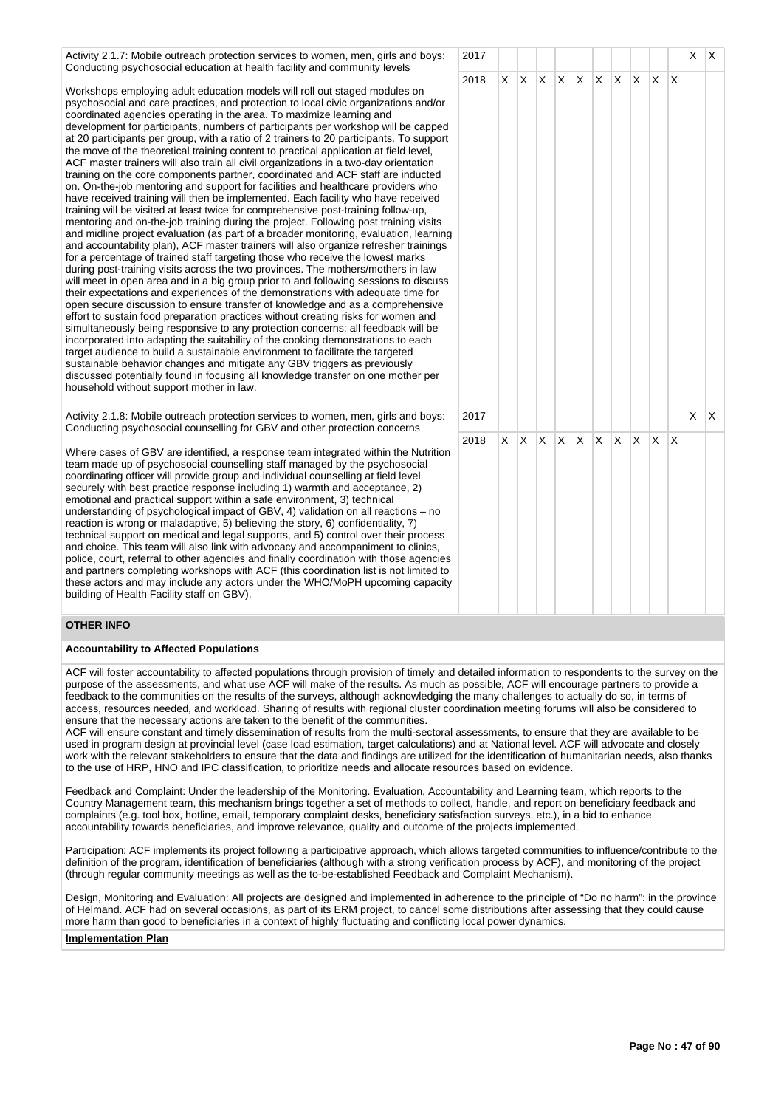| Activity 2.1.7: Mobile outreach protection services to women, men, girls and boys:<br>Conducting psychosocial education at health facility and community levels                                                                                                                                                                                                                                                                                                                                                                                                                                                                                                                                                                                                                                                                                                                                                                                                                                                                                                                                                                                                                                                                                                                                                                                                                                                                                                                                                                                                                                                                                                                                                                                                                                                                                                                                                                                                                                                                                                                                                                                                                                                                  | 2017 |          |                 |  |             |     |     |              |              | X.       | $\mathsf{X}$ |
|----------------------------------------------------------------------------------------------------------------------------------------------------------------------------------------------------------------------------------------------------------------------------------------------------------------------------------------------------------------------------------------------------------------------------------------------------------------------------------------------------------------------------------------------------------------------------------------------------------------------------------------------------------------------------------------------------------------------------------------------------------------------------------------------------------------------------------------------------------------------------------------------------------------------------------------------------------------------------------------------------------------------------------------------------------------------------------------------------------------------------------------------------------------------------------------------------------------------------------------------------------------------------------------------------------------------------------------------------------------------------------------------------------------------------------------------------------------------------------------------------------------------------------------------------------------------------------------------------------------------------------------------------------------------------------------------------------------------------------------------------------------------------------------------------------------------------------------------------------------------------------------------------------------------------------------------------------------------------------------------------------------------------------------------------------------------------------------------------------------------------------------------------------------------------------------------------------------------------------|------|----------|-----------------|--|-------------|-----|-----|--------------|--------------|----------|--------------|
| Workshops employing adult education models will roll out staged modules on<br>psychosocial and care practices, and protection to local civic organizations and/or<br>coordinated agencies operating in the area. To maximize learning and<br>development for participants, numbers of participants per workshop will be capped<br>at 20 participants per group, with a ratio of 2 trainers to 20 participants. To support<br>the move of the theoretical training content to practical application at field level,<br>ACF master trainers will also train all civil organizations in a two-day orientation<br>training on the core components partner, coordinated and ACF staff are inducted<br>on. On-the-job mentoring and support for facilities and healthcare providers who<br>have received training will then be implemented. Each facility who have received<br>training will be visited at least twice for comprehensive post-training follow-up,<br>mentoring and on-the-job training during the project. Following post training visits<br>and midline project evaluation (as part of a broader monitoring, evaluation, learning<br>and accountability plan), ACF master trainers will also organize refresher trainings<br>for a percentage of trained staff targeting those who receive the lowest marks<br>during post-training visits across the two provinces. The mothers/mothers in law<br>will meet in open area and in a big group prior to and following sessions to discuss<br>their expectations and experiences of the demonstrations with adequate time for<br>open secure discussion to ensure transfer of knowledge and as a comprehensive<br>effort to sustain food preparation practices without creating risks for women and<br>simultaneously being responsive to any protection concerns; all feedback will be<br>incorporated into adapting the suitability of the cooking demonstrations to each<br>target audience to build a sustainable environment to facilitate the targeted<br>sustainable behavior changes and mitigate any GBV triggers as previously<br>discussed potentially found in focusing all knowledge transfer on one mother per<br>household without support mother in law. | 2018 |          | $X$ $X$ $X$ $X$ |  | X X         | IX. | ΙX. | $\mathsf{X}$ | $\mathsf{X}$ |          |              |
| Activity 2.1.8: Mobile outreach protection services to women, men, girls and boys:<br>Conducting psychosocial counselling for GBV and other protection concerns                                                                                                                                                                                                                                                                                                                                                                                                                                                                                                                                                                                                                                                                                                                                                                                                                                                                                                                                                                                                                                                                                                                                                                                                                                                                                                                                                                                                                                                                                                                                                                                                                                                                                                                                                                                                                                                                                                                                                                                                                                                                  | 2017 |          |                 |  |             |     |     |              |              | $\times$ | $\mathsf{I}$ |
| Where cases of GBV are identified, a response team integrated within the Nutrition<br>team made up of psychosocial counselling staff managed by the psychosocial<br>coordinating officer will provide group and individual counselling at field level<br>securely with best practice response including 1) warmth and acceptance, 2)<br>emotional and practical support within a safe environment, 3) technical<br>understanding of psychological impact of GBV, 4) validation on all reactions – no<br>reaction is wrong or maladaptive, 5) believing the story, 6) confidentiality, 7)<br>technical support on medical and legal supports, and 5) control over their process<br>and choice. This team will also link with advocacy and accompaniment to clinics,                                                                                                                                                                                                                                                                                                                                                                                                                                                                                                                                                                                                                                                                                                                                                                                                                                                                                                                                                                                                                                                                                                                                                                                                                                                                                                                                                                                                                                                               | 2018 | $\times$ | X X X           |  | $X$ $X$ $X$ |     | ΙX. | $\mathsf{X}$ | ΙX           |          |              |

# **OTHER INFO**

### **Accountability to Affected Populations**

building of Health Facility staff on GBV).

police, court, referral to other agencies and finally coordination with those agencies and partners completing workshops with ACF (this coordination list is not limited to these actors and may include any actors under the WHO/MoPH upcoming capacity

ACF will foster accountability to affected populations through provision of timely and detailed information to respondents to the survey on the purpose of the assessments, and what use ACF will make of the results. As much as possible, ACF will encourage partners to provide a feedback to the communities on the results of the surveys, although acknowledging the many challenges to actually do so, in terms of access, resources needed, and workload. Sharing of results with regional cluster coordination meeting forums will also be considered to ensure that the necessary actions are taken to the benefit of the communities.

ACF will ensure constant and timely dissemination of results from the multi-sectoral assessments, to ensure that they are available to be used in program design at provincial level (case load estimation, target calculations) and at National level. ACF will advocate and closely work with the relevant stakeholders to ensure that the data and findings are utilized for the identification of humanitarian needs, also thanks to the use of HRP, HNO and IPC classification, to prioritize needs and allocate resources based on evidence.

Feedback and Complaint: Under the leadership of the Monitoring. Evaluation, Accountability and Learning team, which reports to the Country Management team, this mechanism brings together a set of methods to collect, handle, and report on beneficiary feedback and complaints (e.g. tool box, hotline, email, temporary complaint desks, beneficiary satisfaction surveys, etc.), in a bid to enhance accountability towards beneficiaries, and improve relevance, quality and outcome of the projects implemented.

Participation: ACF implements its project following a participative approach, which allows targeted communities to influence/contribute to the definition of the program, identification of beneficiaries (although with a strong verification process by ACF), and monitoring of the project (through regular community meetings as well as the to-be-established Feedback and Complaint Mechanism).

Design, Monitoring and Evaluation: All projects are designed and implemented in adherence to the principle of "Do no harm": in the province of Helmand. ACF had on several occasions, as part of its ERM project, to cancel some distributions after assessing that they could cause more harm than good to beneficiaries in a context of highly fluctuating and conflicting local power dynamics.

### **Implementation Plan**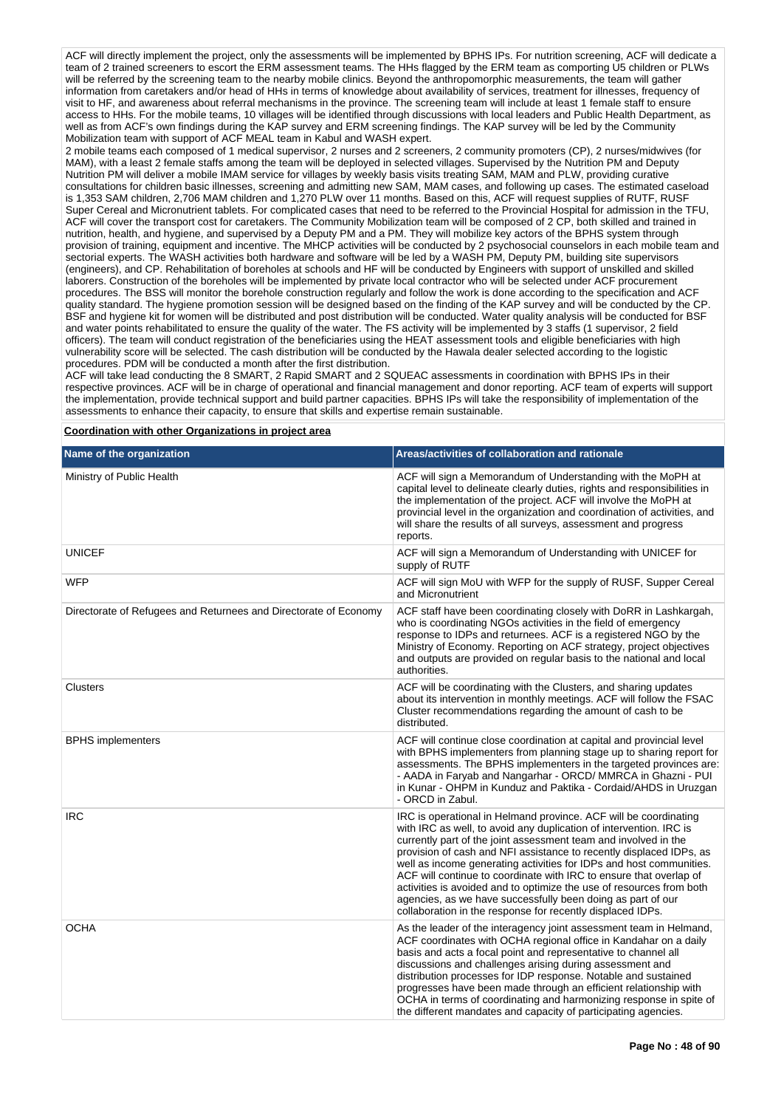ACF will directly implement the project, only the assessments will be implemented by BPHS IPs. For nutrition screening, ACF will dedicate a team of 2 trained screeners to escort the ERM assessment teams. The HHs flagged by the ERM team as comporting U5 children or PLWs will be referred by the screening team to the nearby mobile clinics. Beyond the anthropomorphic measurements, the team will gather information from caretakers and/or head of HHs in terms of knowledge about availability of services, treatment for illnesses, frequency of visit to HF, and awareness about referral mechanisms in the province. The screening team will include at least 1 female staff to ensure access to HHs. For the mobile teams, 10 villages will be identified through discussions with local leaders and Public Health Department, as well as from ACF's own findings during the KAP survey and ERM screening findings. The KAP survey will be led by the Community Mobilization team with support of ACF MEAL team in Kabul and WASH expert.

2 mobile teams each composed of 1 medical supervisor, 2 nurses and 2 screeners, 2 community promoters (CP), 2 nurses/midwives (for MAM), with a least 2 female staffs among the team will be deployed in selected villages. Supervised by the Nutrition PM and Deputy Nutrition PM will deliver a mobile IMAM service for villages by weekly basis visits treating SAM, MAM and PLW, providing curative consultations for children basic illnesses, screening and admitting new SAM, MAM cases, and following up cases. The estimated caseload is 1,353 SAM children, 2,706 MAM children and 1,270 PLW over 11 months. Based on this, ACF will request supplies of RUTF, RUSF Super Cereal and Micronutrient tablets. For complicated cases that need to be referred to the Provincial Hospital for admission in the TFU, ACF will cover the transport cost for caretakers. The Community Mobilization team will be composed of 2 CP, both skilled and trained in nutrition, health, and hygiene, and supervised by a Deputy PM and a PM. They will mobilize key actors of the BPHS system through provision of training, equipment and incentive. The MHCP activities will be conducted by 2 psychosocial counselors in each mobile team and sectorial experts. The WASH activities both hardware and software will be led by a WASH PM, Deputy PM, building site supervisors (engineers), and CP. Rehabilitation of boreholes at schools and HF will be conducted by Engineers with support of unskilled and skilled laborers. Construction of the boreholes will be implemented by private local contractor who will be selected under ACF procurement procedures. The BSS will monitor the borehole construction regularly and follow the work is done according to the specification and ACF quality standard. The hygiene promotion session will be designed based on the finding of the KAP survey and will be conducted by the CP. BSF and hygiene kit for women will be distributed and post distribution will be conducted. Water quality analysis will be conducted for BSF and water points rehabilitated to ensure the quality of the water. The FS activity will be implemented by 3 staffs (1 supervisor, 2 field officers). The team will conduct registration of the beneficiaries using the HEAT assessment tools and eligible beneficiaries with high vulnerability score will be selected. The cash distribution will be conducted by the Hawala dealer selected according to the logistic procedures. PDM will be conducted a month after the first distribution.

ACF will take lead conducting the 8 SMART, 2 Rapid SMART and 2 SQUEAC assessments in coordination with BPHS IPs in their respective provinces. ACF will be in charge of operational and financial management and donor reporting. ACF team of experts will support the implementation, provide technical support and build partner capacities. BPHS IPs will take the responsibility of implementation of the assessments to enhance their capacity, to ensure that skills and expertise remain sustainable.

**Coordination with other Organizations in project area**

| Name of the organization                                         | Areas/activities of collaboration and rationale                                                                                                                                                                                                                                                                                                                                                                                                                                                                                                                                                                                    |
|------------------------------------------------------------------|------------------------------------------------------------------------------------------------------------------------------------------------------------------------------------------------------------------------------------------------------------------------------------------------------------------------------------------------------------------------------------------------------------------------------------------------------------------------------------------------------------------------------------------------------------------------------------------------------------------------------------|
| Ministry of Public Health                                        | ACF will sign a Memorandum of Understanding with the MoPH at<br>capital level to delineate clearly duties, rights and responsibilities in<br>the implementation of the project. ACF will involve the MoPH at<br>provincial level in the organization and coordination of activities, and<br>will share the results of all surveys, assessment and progress<br>reports.                                                                                                                                                                                                                                                             |
| <b>UNICEF</b>                                                    | ACF will sign a Memorandum of Understanding with UNICEF for<br>supply of RUTF                                                                                                                                                                                                                                                                                                                                                                                                                                                                                                                                                      |
| <b>WFP</b>                                                       | ACF will sign MoU with WFP for the supply of RUSF, Supper Cereal<br>and Micronutrient                                                                                                                                                                                                                                                                                                                                                                                                                                                                                                                                              |
| Directorate of Refugees and Returnees and Directorate of Economy | ACF staff have been coordinating closely with DoRR in Lashkargah,<br>who is coordinating NGOs activities in the field of emergency<br>response to IDPs and returnees. ACF is a registered NGO by the<br>Ministry of Economy. Reporting on ACF strategy, project objectives<br>and outputs are provided on regular basis to the national and local<br>authorities.                                                                                                                                                                                                                                                                  |
| Clusters                                                         | ACF will be coordinating with the Clusters, and sharing updates<br>about its intervention in monthly meetings. ACF will follow the FSAC<br>Cluster recommendations regarding the amount of cash to be<br>distributed.                                                                                                                                                                                                                                                                                                                                                                                                              |
| <b>BPHS</b> implementers                                         | ACF will continue close coordination at capital and provincial level<br>with BPHS implementers from planning stage up to sharing report for<br>assessments. The BPHS implementers in the targeted provinces are:<br>- AADA in Faryab and Nangarhar - ORCD/ MMRCA in Ghazni - PUI<br>in Kunar - OHPM in Kunduz and Paktika - Cordaid/AHDS in Uruzgan<br>- ORCD in Zabul.                                                                                                                                                                                                                                                            |
| <b>IRC</b>                                                       | IRC is operational in Helmand province. ACF will be coordinating<br>with IRC as well, to avoid any duplication of intervention. IRC is<br>currently part of the joint assessment team and involved in the<br>provision of cash and NFI assistance to recently displaced IDPs, as<br>well as income generating activities for IDPs and host communities.<br>ACF will continue to coordinate with IRC to ensure that overlap of<br>activities is avoided and to optimize the use of resources from both<br>agencies, as we have successfully been doing as part of our<br>collaboration in the response for recently displaced IDPs. |
| <b>OCHA</b>                                                      | As the leader of the interagency joint assessment team in Helmand,<br>ACF coordinates with OCHA regional office in Kandahar on a daily<br>basis and acts a focal point and representative to channel all<br>discussions and challenges arising during assessment and<br>distribution processes for IDP response. Notable and sustained<br>progresses have been made through an efficient relationship with<br>OCHA in terms of coordinating and harmonizing response in spite of<br>the different mandates and capacity of participating agencies.                                                                                 |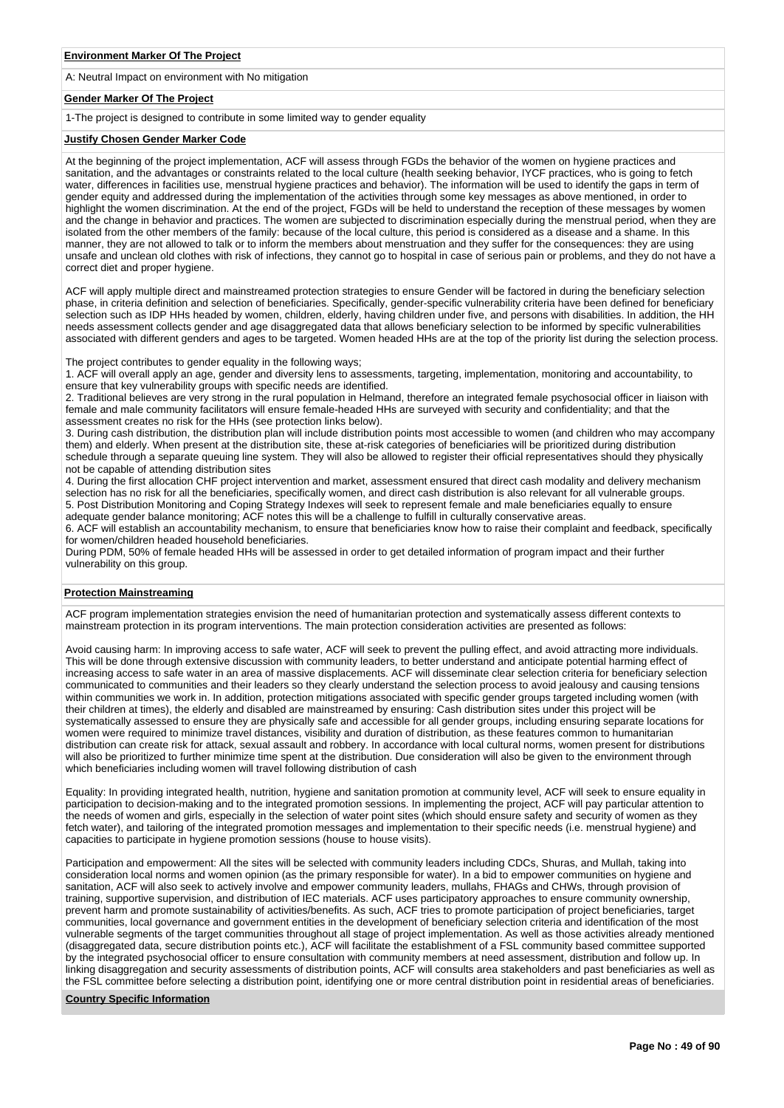A: Neutral Impact on environment with No mitigation

# **Gender Marker Of The Project**

1-The project is designed to contribute in some limited way to gender equality

### **Justify Chosen Gender Marker Code**

At the beginning of the project implementation, ACF will assess through FGDs the behavior of the women on hygiene practices and sanitation, and the advantages or constraints related to the local culture (health seeking behavior, IYCF practices, who is going to fetch water, differences in facilities use, menstrual hygiene practices and behavior). The information will be used to identify the gaps in term of gender equity and addressed during the implementation of the activities through some key messages as above mentioned, in order to highlight the women discrimination. At the end of the project, FGDs will be held to understand the reception of these messages by women and the change in behavior and practices. The women are subjected to discrimination especially during the menstrual period, when they are isolated from the other members of the family: because of the local culture, this period is considered as a disease and a shame. In this manner, they are not allowed to talk or to inform the members about menstruation and they suffer for the consequences: they are using unsafe and unclean old clothes with risk of infections, they cannot go to hospital in case of serious pain or problems, and they do not have a correct diet and proper hygiene.

ACF will apply multiple direct and mainstreamed protection strategies to ensure Gender will be factored in during the beneficiary selection phase, in criteria definition and selection of beneficiaries. Specifically, gender-specific vulnerability criteria have been defined for beneficiary selection such as IDP HHs headed by women, children, elderly, having children under five, and persons with disabilities. In addition, the HH needs assessment collects gender and age disaggregated data that allows beneficiary selection to be informed by specific vulnerabilities associated with different genders and ages to be targeted. Women headed HHs are at the top of the priority list during the selection process.

The project contributes to gender equality in the following ways;

1. ACF will overall apply an age, gender and diversity lens to assessments, targeting, implementation, monitoring and accountability, to ensure that key vulnerability groups with specific needs are identified.

2. Traditional believes are very strong in the rural population in Helmand, therefore an integrated female psychosocial officer in liaison with female and male community facilitators will ensure female-headed HHs are surveyed with security and confidentiality; and that the assessment creates no risk for the HHs (see protection links below).

3. During cash distribution, the distribution plan will include distribution points most accessible to women (and children who may accompany them) and elderly. When present at the distribution site, these at-risk categories of beneficiaries will be prioritized during distribution schedule through a separate queuing line system. They will also be allowed to register their official representatives should they physically not be capable of attending distribution sites

4. During the first allocation CHF project intervention and market, assessment ensured that direct cash modality and delivery mechanism selection has no risk for all the beneficiaries, specifically women, and direct cash distribution is also relevant for all vulnerable groups. 5. Post Distribution Monitoring and Coping Strategy Indexes will seek to represent female and male beneficiaries equally to ensure adequate gender balance monitoring; ACF notes this will be a challenge to fulfill in culturally conservative areas.

6. ACF will establish an accountability mechanism, to ensure that beneficiaries know how to raise their complaint and feedback, specifically for women/children headed household beneficiaries.

During PDM, 50% of female headed HHs will be assessed in order to get detailed information of program impact and their further vulnerability on this group.

#### **Protection Mainstreaming**

ACF program implementation strategies envision the need of humanitarian protection and systematically assess different contexts to mainstream protection in its program interventions. The main protection consideration activities are presented as follows:

Avoid causing harm: In improving access to safe water, ACF will seek to prevent the pulling effect, and avoid attracting more individuals. This will be done through extensive discussion with community leaders, to better understand and anticipate potential harming effect of increasing access to safe water in an area of massive displacements. ACF will disseminate clear selection criteria for beneficiary selection communicated to communities and their leaders so they clearly understand the selection process to avoid jealousy and causing tensions within communities we work in. In addition, protection mitigations associated with specific gender groups targeted including women (with their children at times), the elderly and disabled are mainstreamed by ensuring: Cash distribution sites under this project will be systematically assessed to ensure they are physically safe and accessible for all gender groups, including ensuring separate locations for women were required to minimize travel distances, visibility and duration of distribution, as these features common to humanitarian distribution can create risk for attack, sexual assault and robbery. In accordance with local cultural norms, women present for distributions will also be prioritized to further minimize time spent at the distribution. Due consideration will also be given to the environment through which beneficiaries including women will travel following distribution of cash

Equality: In providing integrated health, nutrition, hygiene and sanitation promotion at community level, ACF will seek to ensure equality in participation to decision-making and to the integrated promotion sessions. In implementing the project, ACF will pay particular attention to the needs of women and girls, especially in the selection of water point sites (which should ensure safety and security of women as they fetch water), and tailoring of the integrated promotion messages and implementation to their specific needs (i.e. menstrual hygiene) and capacities to participate in hygiene promotion sessions (house to house visits).

Participation and empowerment: All the sites will be selected with community leaders including CDCs, Shuras, and Mullah, taking into consideration local norms and women opinion (as the primary responsible for water). In a bid to empower communities on hygiene and sanitation, ACF will also seek to actively involve and empower community leaders, mullahs, FHAGs and CHWs, through provision of training, supportive supervision, and distribution of IEC materials. ACF uses participatory approaches to ensure community ownership, prevent harm and promote sustainability of activities/benefits. As such, ACF tries to promote participation of project beneficiaries, target communities, local governance and government entities in the development of beneficiary selection criteria and identification of the most vulnerable segments of the target communities throughout all stage of project implementation. As well as those activities already mentioned (disaggregated data, secure distribution points etc.), ACF will facilitate the establishment of a FSL community based committee supported by the integrated psychosocial officer to ensure consultation with community members at need assessment, distribution and follow up. In linking disaggregation and security assessments of distribution points, ACF will consults area stakeholders and past beneficiaries as well as the FSL committee before selecting a distribution point, identifying one or more central distribution point in residential areas of beneficiaries.

## **Country Specific Information**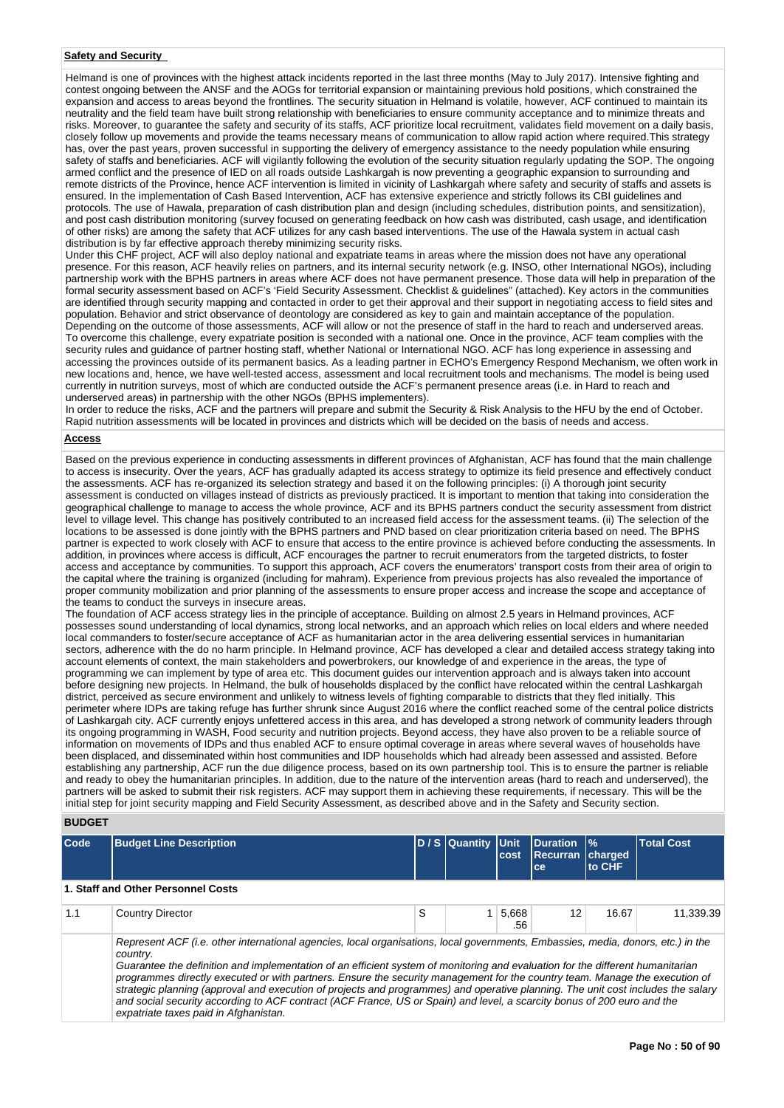# **Safety and Security**

Helmand is one of provinces with the highest attack incidents reported in the last three months (May to July 2017). Intensive fighting and contest ongoing between the ANSF and the AOGs for territorial expansion or maintaining previous hold positions, which constrained the expansion and access to areas beyond the frontlines. The security situation in Helmand is volatile, however, ACF continued to maintain its neutrality and the field team have built strong relationship with beneficiaries to ensure community acceptance and to minimize threats and risks. Moreover, to guarantee the safety and security of its staffs, ACF prioritize local recruitment, validates field movement on a daily basis, closely follow up movements and provide the teams necessary means of communication to allow rapid action where required.This strategy has, over the past years, proven successful in supporting the delivery of emergency assistance to the needy population while ensuring safety of staffs and beneficiaries. ACF will vigilantly following the evolution of the security situation regularly updating the SOP. The ongoing armed conflict and the presence of IED on all roads outside Lashkargah is now preventing a geographic expansion to surrounding and remote districts of the Province, hence ACF intervention is limited in vicinity of Lashkargah where safety and security of staffs and assets is ensured. In the implementation of Cash Based Intervention, ACF has extensive experience and strictly follows its CBI guidelines and protocols. The use of Hawala, preparation of cash distribution plan and design (including schedules, distribution points, and sensitization), and post cash distribution monitoring (survey focused on generating feedback on how cash was distributed, cash usage, and identification of other risks) are among the safety that ACF utilizes for any cash based interventions. The use of the Hawala system in actual cash distribution is by far effective approach thereby minimizing security risks.

Under this CHF project, ACF will also deploy national and expatriate teams in areas where the mission does not have any operational presence. For this reason, ACF heavily relies on partners, and its internal security network (e.g. INSO, other International NGOs), including partnership work with the BPHS partners in areas where ACF does not have permanent presence. Those data will help in preparation of the formal security assessment based on ACF's 'Field Security Assessment. Checklist & guidelines" (attached). Key actors in the communities are identified through security mapping and contacted in order to get their approval and their support in negotiating access to field sites and population. Behavior and strict observance of deontology are considered as key to gain and maintain acceptance of the population. Depending on the outcome of those assessments, ACF will allow or not the presence of staff in the hard to reach and underserved areas. To overcome this challenge, every expatriate position is seconded with a national one. Once in the province, ACF team complies with the security rules and guidance of partner hosting staff, whether National or International NGO. ACF has long experience in assessing and accessing the provinces outside of its permanent basics. As a leading partner in ECHO's Emergency Respond Mechanism, we often work in new locations and, hence, we have well-tested access, assessment and local recruitment tools and mechanisms. The model is being used currently in nutrition surveys, most of which are conducted outside the ACF's permanent presence areas (i.e. in Hard to reach and underserved areas) in partnership with the other NGOs (BPHS implementers).

In order to reduce the risks, ACF and the partners will prepare and submit the Security & Risk Analysis to the HFU by the end of October. Rapid nutrition assessments will be located in provinces and districts which will be decided on the basis of needs and access.

# **Access**

Based on the previous experience in conducting assessments in different provinces of Afghanistan, ACF has found that the main challenge to access is insecurity. Over the years, ACF has gradually adapted its access strategy to optimize its field presence and effectively conduct the assessments. ACF has re-organized its selection strategy and based it on the following principles: (i) A thorough joint security assessment is conducted on villages instead of districts as previously practiced. It is important to mention that taking into consideration the geographical challenge to manage to access the whole province, ACF and its BPHS partners conduct the security assessment from district level to village level. This change has positively contributed to an increased field access for the assessment teams. (ii) The selection of the locations to be assessed is done jointly with the BPHS partners and PND based on clear prioritization criteria based on need. The BPHS partner is expected to work closely with ACF to ensure that access to the entire province is achieved before conducting the assessments. In addition, in provinces where access is difficult, ACF encourages the partner to recruit enumerators from the targeted districts, to foster access and acceptance by communities. To support this approach, ACF covers the enumerators' transport costs from their area of origin to the capital where the training is organized (including for mahram). Experience from previous projects has also revealed the importance of proper community mobilization and prior planning of the assessments to ensure proper access and increase the scope and acceptance of the teams to conduct the surveys in insecure areas.

The foundation of ACF access strategy lies in the principle of acceptance. Building on almost 2.5 years in Helmand provinces, ACF possesses sound understanding of local dynamics, strong local networks, and an approach which relies on local elders and where needed local commanders to foster/secure acceptance of ACF as humanitarian actor in the area delivering essential services in humanitarian sectors, adherence with the do no harm principle. In Helmand province, ACF has developed a clear and detailed access strategy taking into account elements of context, the main stakeholders and powerbrokers, our knowledge of and experience in the areas, the type of programming we can implement by type of area etc. This document guides our intervention approach and is always taken into account before designing new projects. In Helmand, the bulk of households displaced by the conflict have relocated within the central Lashkargah district, perceived as secure environment and unlikely to witness levels of fighting comparable to districts that they fled initially. This perimeter where IDPs are taking refuge has further shrunk since August 2016 where the conflict reached some of the central police districts of Lashkargah city. ACF currently enjoys unfettered access in this area, and has developed a strong network of community leaders through its ongoing programming in WASH, Food security and nutrition projects. Beyond access, they have also proven to be a reliable source of information on movements of IDPs and thus enabled ACF to ensure optimal coverage in areas where several waves of households have been displaced, and disseminated within host communities and IDP households which had already been assessed and assisted. Before establishing any partnership, ACF run the due diligence process, based on its own partnership tool. This is to ensure the partner is reliable and ready to obey the humanitarian principles. In addition, due to the nature of the intervention areas (hard to reach and underserved), the partners will be asked to submit their risk registers. ACF may support them in achieving these requirements, if necessary. This will be the initial step for joint security mapping and Field Security Assessment, as described above and in the Safety and Security section.

#### **BUDGET**

expatriate taxes paid in Afghanistan.

| Code | <b>Budget Line Description</b>                                                                                                                                                                                                                                                                                                                                                                                                                                                                                                                    |  | D / S Quantity Unit | cost | Duration  %<br><b>Recurran charged</b><br>ce | <b>to CHF</b> | <b>Total Cost</b> |  |  |
|------|---------------------------------------------------------------------------------------------------------------------------------------------------------------------------------------------------------------------------------------------------------------------------------------------------------------------------------------------------------------------------------------------------------------------------------------------------------------------------------------------------------------------------------------------------|--|---------------------|------|----------------------------------------------|---------------|-------------------|--|--|
|      | 1. Staff and Other Personnel Costs                                                                                                                                                                                                                                                                                                                                                                                                                                                                                                                |  |                     |      |                                              |               |                   |  |  |
| 1.1  | S<br>5,668<br>12<br>16.67<br>11.339.39<br><b>Country Director</b><br>.56                                                                                                                                                                                                                                                                                                                                                                                                                                                                          |  |                     |      |                                              |               |                   |  |  |
|      | Represent ACF (i.e. other international agencies, local organisations, local governments, Embassies, media, donors, etc.) in the<br>country.<br>Guarantee the definition and implementation of an efficient system of monitoring and evaluation for the different humanitarian<br>programmes directly executed or with partners. Ensure the security management for the country team. Manage the execution of<br>strategic planning (approval and execution of projects and programmes) and operative planning. The unit cost includes the salary |  |                     |      |                                              |               |                   |  |  |

and social security according to ACF contract (ACF France, US or Spain) and level, a scarcity bonus of 200 euro and the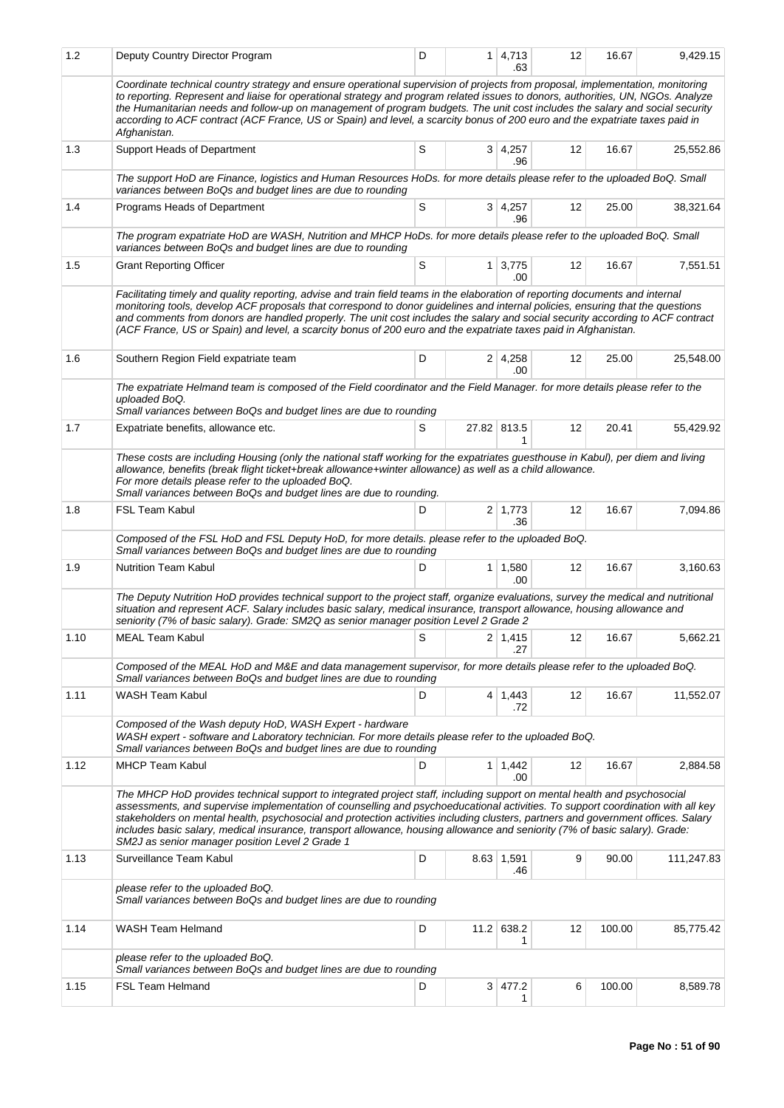| 1.2  | Deputy Country Director Program                                                                                                                                                                                                                                                                                                                                                                                                                                                                                                                                                    | D           |                | $1 \mid 4,713$<br>.63 | 12 | 16.67  | 9,429.15   |  |  |  |  |
|------|------------------------------------------------------------------------------------------------------------------------------------------------------------------------------------------------------------------------------------------------------------------------------------------------------------------------------------------------------------------------------------------------------------------------------------------------------------------------------------------------------------------------------------------------------------------------------------|-------------|----------------|-----------------------|----|--------|------------|--|--|--|--|
|      | Coordinate technical country strategy and ensure operational supervision of projects from proposal, implementation, monitoring<br>to reporting. Represent and liaise for operational strategy and program related issues to donors, authorities, UN, NGOs. Analyze<br>the Humanitarian needs and follow-up on management of program budgets. The unit cost includes the salary and social security<br>according to ACF contract (ACF France, US or Spain) and level, a scarcity bonus of 200 euro and the expatriate taxes paid in<br>Afghanistan.                                 |             |                |                       |    |        |            |  |  |  |  |
| 1.3  | Support Heads of Department                                                                                                                                                                                                                                                                                                                                                                                                                                                                                                                                                        | S           |                | $3 \mid 4,257$<br>.96 | 12 | 16.67  | 25,552.86  |  |  |  |  |
|      | The support HoD are Finance, logistics and Human Resources HoDs. for more details please refer to the uploaded BoQ. Small<br>variances between BoQs and budget lines are due to rounding                                                                                                                                                                                                                                                                                                                                                                                           |             |                |                       |    |        |            |  |  |  |  |
| 1.4  | Programs Heads of Department                                                                                                                                                                                                                                                                                                                                                                                                                                                                                                                                                       | S           |                | 3 4,257<br>.96        | 12 | 25.00  | 38,321.64  |  |  |  |  |
|      | The program expatriate HoD are WASH, Nutrition and MHCP HoDs. for more details please refer to the uploaded BoQ. Small<br>variances between BoQs and budget lines are due to rounding                                                                                                                                                                                                                                                                                                                                                                                              |             |                |                       |    |        |            |  |  |  |  |
| 1.5  | <b>Grant Reporting Officer</b>                                                                                                                                                                                                                                                                                                                                                                                                                                                                                                                                                     | $\mathsf S$ | 1 <sup>1</sup> | 3,775<br>.00          | 12 | 16.67  | 7,551.51   |  |  |  |  |
|      | Facilitating timely and quality reporting, advise and train field teams in the elaboration of reporting documents and internal<br>monitoring tools, develop ACF proposals that correspond to donor guidelines and internal policies, ensuring that the questions<br>and comments from donors are handled properly. The unit cost includes the salary and social security according to ACF contract<br>(ACF France, US or Spain) and level, a scarcity bonus of 200 euro and the expatriate taxes paid in Afghanistan.                                                              |             |                |                       |    |        |            |  |  |  |  |
| 1.6  | Southern Region Field expatriate team                                                                                                                                                                                                                                                                                                                                                                                                                                                                                                                                              | D           |                | $2 \mid 4,258$<br>.00 | 12 | 25.00  | 25,548.00  |  |  |  |  |
|      | The expatriate Helmand team is composed of the Field coordinator and the Field Manager. for more details please refer to the<br>uploaded BoQ.<br>Small variances between BoQs and budget lines are due to rounding                                                                                                                                                                                                                                                                                                                                                                 |             |                |                       |    |        |            |  |  |  |  |
| 1.7  | Expatriate benefits, allowance etc.                                                                                                                                                                                                                                                                                                                                                                                                                                                                                                                                                | S           |                | 27.82 813.5           | 12 | 20.41  | 55,429.92  |  |  |  |  |
|      | These costs are including Housing (only the national staff working for the expatriates guesthouse in Kabul), per diem and living<br>allowance, benefits (break flight ticket+break allowance+winter allowance) as well as a child allowance.<br>For more details please refer to the uploaded BoQ.<br>Small variances between BoQs and budget lines are due to rounding.                                                                                                                                                                                                           |             |                |                       |    |        |            |  |  |  |  |
| 1.8  | <b>FSL Team Kabul</b>                                                                                                                                                                                                                                                                                                                                                                                                                                                                                                                                                              | D           |                | $2 \mid 1,773$<br>.36 | 12 | 16.67  | 7,094.86   |  |  |  |  |
|      | Composed of the FSL HoD and FSL Deputy HoD, for more details. please refer to the uploaded BoQ.<br>Small variances between BoQs and budget lines are due to rounding                                                                                                                                                                                                                                                                                                                                                                                                               |             |                |                       |    |        |            |  |  |  |  |
| 1.9  | <b>Nutrition Team Kabul</b>                                                                                                                                                                                                                                                                                                                                                                                                                                                                                                                                                        | D           |                | $1 \mid 1,580$<br>.00 | 12 | 16.67  | 3,160.63   |  |  |  |  |
|      | The Deputy Nutrition HoD provides technical support to the project staff, organize evaluations, survey the medical and nutritional<br>situation and represent ACF. Salary includes basic salary, medical insurance, transport allowance, housing allowance and<br>seniority (7% of basic salary). Grade: SM2Q as senior manager position Level 2 Grade 2                                                                                                                                                                                                                           |             |                |                       |    |        |            |  |  |  |  |
| 1.10 | MEAL Team Kabul                                                                                                                                                                                                                                                                                                                                                                                                                                                                                                                                                                    | $\mathsf S$ |                | 2 1,415 <br>.27       | 12 | 16.67  | 5,662.21   |  |  |  |  |
|      | Composed of the MEAL HoD and M&E and data management supervisor, for more details please refer to the uploaded BoQ.<br>Small variances between BoQs and budget lines are due to rounding                                                                                                                                                                                                                                                                                                                                                                                           |             |                |                       |    |        |            |  |  |  |  |
| 1.11 | WASH Team Kabul                                                                                                                                                                                                                                                                                                                                                                                                                                                                                                                                                                    | D           |                | 4 1,443<br>.72        | 12 | 16.67  | 11,552.07  |  |  |  |  |
|      | Composed of the Wash deputy HoD, WASH Expert - hardware<br>WASH expert - software and Laboratory technician. For more details please refer to the uploaded BoQ.<br>Small variances between BoQs and budget lines are due to rounding                                                                                                                                                                                                                                                                                                                                               |             |                |                       |    |        |            |  |  |  |  |
| 1.12 | <b>MHCP Team Kabul</b>                                                                                                                                                                                                                                                                                                                                                                                                                                                                                                                                                             | D           |                | $1 \mid 1,442$<br>.00 | 12 | 16.67  | 2,884.58   |  |  |  |  |
|      | The MHCP HoD provides technical support to integrated project staff, including support on mental health and psychosocial<br>assessments, and supervise implementation of counselling and psychoeducational activities. To support coordination with all key<br>stakeholders on mental health, psychosocial and protection activities including clusters, partners and government offices. Salary<br>includes basic salary, medical insurance, transport allowance, housing allowance and seniority (7% of basic salary). Grade:<br>SM2J as senior manager position Level 2 Grade 1 |             |                |                       |    |        |            |  |  |  |  |
| 1.13 | Surveillance Team Kabul                                                                                                                                                                                                                                                                                                                                                                                                                                                                                                                                                            | D           |                | 8.63 1,591<br>.46     | 9  | 90.00  | 111,247.83 |  |  |  |  |
|      | please refer to the uploaded BoQ.<br>Small variances between BoQs and budget lines are due to rounding                                                                                                                                                                                                                                                                                                                                                                                                                                                                             |             |                |                       |    |        |            |  |  |  |  |
| 1.14 | WASH Team Helmand                                                                                                                                                                                                                                                                                                                                                                                                                                                                                                                                                                  | D           |                | 11.2 638.2<br>1       | 12 | 100.00 | 85,775.42  |  |  |  |  |
|      | please refer to the uploaded BoQ.<br>Small variances between BoQs and budget lines are due to rounding                                                                                                                                                                                                                                                                                                                                                                                                                                                                             |             |                |                       |    |        |            |  |  |  |  |
| 1.15 | FSL Team Helmand                                                                                                                                                                                                                                                                                                                                                                                                                                                                                                                                                                   | D           |                | 3   477.2<br>1        | 6  | 100.00 | 8,589.78   |  |  |  |  |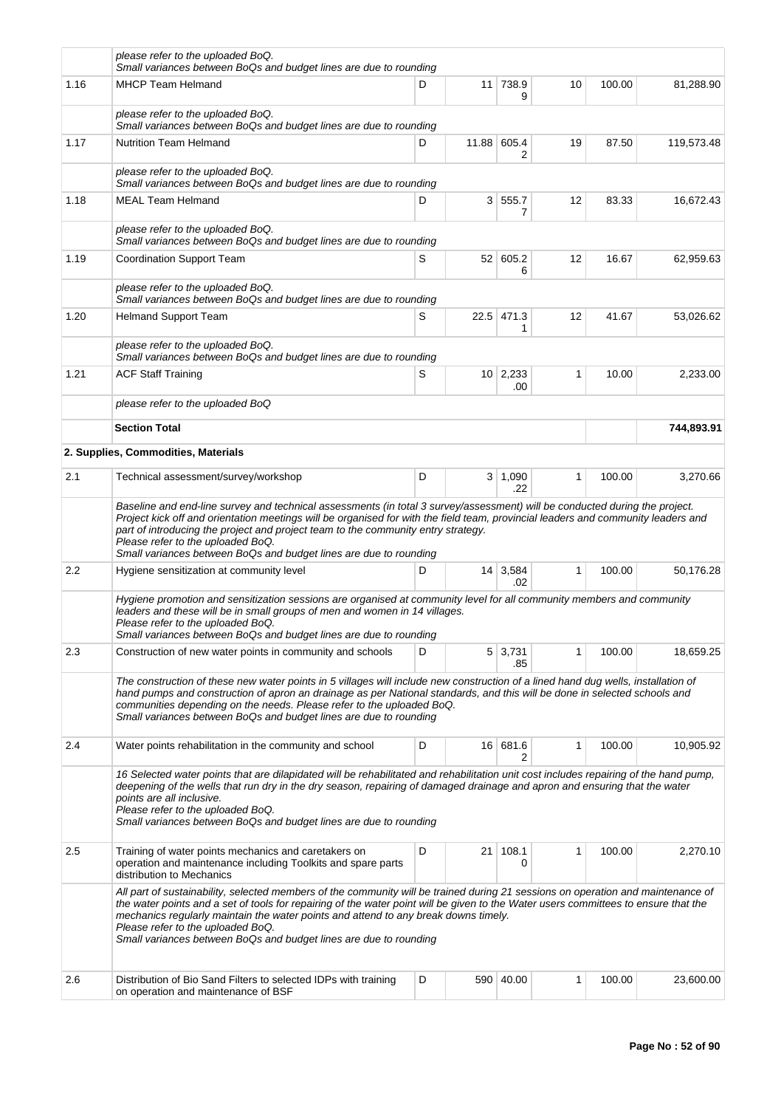|      | please refer to the uploaded BoQ.<br>Small variances between BoQs and budget lines are due to rounding                                                                                                                                                                                                                                                                                                                                                                   |   |                |                  |    |        |            |  |  |  |  |  |  |
|------|--------------------------------------------------------------------------------------------------------------------------------------------------------------------------------------------------------------------------------------------------------------------------------------------------------------------------------------------------------------------------------------------------------------------------------------------------------------------------|---|----------------|------------------|----|--------|------------|--|--|--|--|--|--|
| 1.16 | <b>MHCP Team Helmand</b>                                                                                                                                                                                                                                                                                                                                                                                                                                                 | D |                | 11 738.9<br>9    | 10 | 100.00 | 81,288.90  |  |  |  |  |  |  |
|      | please refer to the uploaded BoQ.<br>Small variances between BoQs and budget lines are due to rounding                                                                                                                                                                                                                                                                                                                                                                   |   |                |                  |    |        |            |  |  |  |  |  |  |
| 1.17 | <b>Nutrition Team Helmand</b>                                                                                                                                                                                                                                                                                                                                                                                                                                            | D |                | 11.88 605.4<br>2 | 19 | 87.50  | 119,573.48 |  |  |  |  |  |  |
|      | please refer to the uploaded BoQ.<br>Small variances between BoQs and budget lines are due to rounding                                                                                                                                                                                                                                                                                                                                                                   |   |                |                  |    |        |            |  |  |  |  |  |  |
| 1.18 | <b>MEAL Team Helmand</b>                                                                                                                                                                                                                                                                                                                                                                                                                                                 | D | 3 <sup>1</sup> | 555.7<br>7       | 12 | 83.33  | 16,672.43  |  |  |  |  |  |  |
|      | please refer to the uploaded BoQ.<br>Small variances between BoQs and budget lines are due to rounding                                                                                                                                                                                                                                                                                                                                                                   |   |                |                  |    |        |            |  |  |  |  |  |  |
| 1.19 | <b>Coordination Support Team</b>                                                                                                                                                                                                                                                                                                                                                                                                                                         | S |                | 52 605.2<br>6    | 12 | 16.67  | 62,959.63  |  |  |  |  |  |  |
|      | please refer to the uploaded BoQ.<br>Small variances between BoQs and budget lines are due to rounding                                                                                                                                                                                                                                                                                                                                                                   |   |                |                  |    |        |            |  |  |  |  |  |  |
| 1.20 | <b>Helmand Support Team</b>                                                                                                                                                                                                                                                                                                                                                                                                                                              | S |                | 22.5 471.3<br>1  | 12 | 41.67  | 53,026.62  |  |  |  |  |  |  |
|      | please refer to the uploaded BoQ.<br>Small variances between BoQs and budget lines are due to rounding                                                                                                                                                                                                                                                                                                                                                                   |   |                |                  |    |        |            |  |  |  |  |  |  |
| 1.21 | <b>ACF Staff Training</b>                                                                                                                                                                                                                                                                                                                                                                                                                                                | 1 | 10.00          | 2,233.00         |    |        |            |  |  |  |  |  |  |
|      | please refer to the uploaded BoQ                                                                                                                                                                                                                                                                                                                                                                                                                                         |   |                |                  |    |        |            |  |  |  |  |  |  |
|      | <b>Section Total</b>                                                                                                                                                                                                                                                                                                                                                                                                                                                     |   |                | 744,893.91       |    |        |            |  |  |  |  |  |  |
|      | 2. Supplies, Commodities, Materials                                                                                                                                                                                                                                                                                                                                                                                                                                      |   |                |                  |    |        |            |  |  |  |  |  |  |
| 2.1  | Technical assessment/survey/workshop                                                                                                                                                                                                                                                                                                                                                                                                                                     | D |                | 3   1,090<br>.22 | 1  | 100.00 | 3,270.66   |  |  |  |  |  |  |
|      | Baseline and end-line survey and technical assessments (in total 3 survey/assessment) will be conducted during the project.<br>Project kick off and orientation meetings will be organised for with the field team, provincial leaders and community leaders and<br>part of introducing the project and project team to the community entry strategy.<br>Please refer to the uploaded BoQ.<br>Small variances between BoQs and budget lines are due to rounding          |   |                |                  |    |        |            |  |  |  |  |  |  |
| 2.2  | Hygiene sensitization at community level                                                                                                                                                                                                                                                                                                                                                                                                                                 | D |                | 14 3,584         | 1  | 100.00 | 50,176.28  |  |  |  |  |  |  |
|      | Hygiene promotion and sensitization sessions are organised at community level for all community members and community<br>leaders and these will be in small groups of men and women in 14 villages.<br>Please refer to the uploaded BoQ.<br>Small variances between BoQs and budget lines are due to rounding                                                                                                                                                            |   |                | .02              |    |        |            |  |  |  |  |  |  |
| 2.3  | Construction of new water points in community and schools                                                                                                                                                                                                                                                                                                                                                                                                                | D |                | 5 3,731<br>.85   | 1  | 100.00 | 18,659.25  |  |  |  |  |  |  |
|      | The construction of these new water points in 5 villages will include new construction of a lined hand dug wells, installation of<br>hand pumps and construction of apron an drainage as per National standards, and this will be done in selected schools and<br>communities depending on the needs. Please refer to the uploaded BoQ.<br>Small variances between BoQs and budget lines are due to rounding                                                             |   |                |                  |    |        |            |  |  |  |  |  |  |
| 2.4  | Water points rehabilitation in the community and school                                                                                                                                                                                                                                                                                                                                                                                                                  | D |                | 16 681.6<br>2    | 1  | 100.00 | 10,905.92  |  |  |  |  |  |  |
|      | 16 Selected water points that are dilapidated will be rehabilitated and rehabilitation unit cost includes repairing of the hand pump,<br>deepening of the wells that run dry in the dry season, repairing of damaged drainage and apron and ensuring that the water<br>points are all inclusive.<br>Please refer to the uploaded BoQ.<br>Small variances between BoQs and budget lines are due to rounding                                                               |   |                |                  |    |        |            |  |  |  |  |  |  |
| 2.5  | Training of water points mechanics and caretakers on<br>operation and maintenance including Toolkits and spare parts<br>distribution to Mechanics                                                                                                                                                                                                                                                                                                                        | D | 21             | 108.1<br>0       | 1  | 100.00 | 2,270.10   |  |  |  |  |  |  |
|      | All part of sustainability, selected members of the community will be trained during 21 sessions on operation and maintenance of<br>the water points and a set of tools for repairing of the water point will be given to the Water users committees to ensure that the<br>mechanics regularly maintain the water points and attend to any break downs timely.<br>Please refer to the uploaded BoQ.<br>Small variances between BoQs and budget lines are due to rounding |   |                |                  |    |        |            |  |  |  |  |  |  |
| 2.6  | Distribution of Bio Sand Filters to selected IDPs with training<br>on operation and maintenance of BSF                                                                                                                                                                                                                                                                                                                                                                   | D |                | 590 40.00        | 1  | 100.00 | 23,600.00  |  |  |  |  |  |  |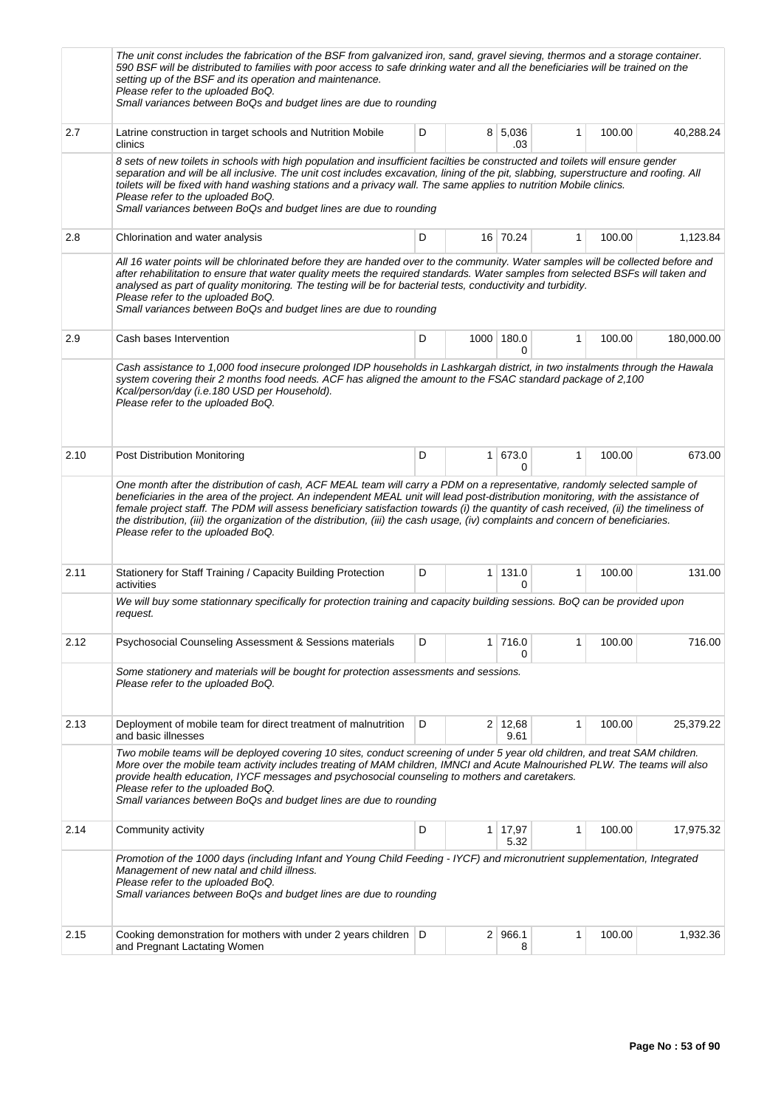|      | The unit const includes the fabrication of the BSF from galvanized iron, sand, gravel sieving, thermos and a storage container.<br>590 BSF will be distributed to families with poor access to safe drinking water and all the beneficiaries will be trained on the<br>setting up of the BSF and its operation and maintenance.<br>Please refer to the uploaded BoQ.<br>Small variances between BoQs and budget lines are due to rounding                                                                                                                                        |   |   |                        |              |        |            |
|------|----------------------------------------------------------------------------------------------------------------------------------------------------------------------------------------------------------------------------------------------------------------------------------------------------------------------------------------------------------------------------------------------------------------------------------------------------------------------------------------------------------------------------------------------------------------------------------|---|---|------------------------|--------------|--------|------------|
| 2.7  | Latrine construction in target schools and Nutrition Mobile<br>clinics                                                                                                                                                                                                                                                                                                                                                                                                                                                                                                           | D |   | 8 5,036<br>.03         | $\mathbf{1}$ | 100.00 | 40,288.24  |
|      | 8 sets of new toilets in schools with high population and insufficient facilties be constructed and toilets will ensure gender<br>separation and will be all inclusive. The unit cost includes excavation, lining of the pit, slabbing, superstructure and roofing. All<br>toilets will be fixed with hand washing stations and a privacy wall. The same applies to nutrition Mobile clinics.<br>Please refer to the uploaded BoQ.<br>Small variances between BoQs and budget lines are due to rounding                                                                          |   |   |                        |              |        |            |
| 2.8  | Chlorination and water analysis                                                                                                                                                                                                                                                                                                                                                                                                                                                                                                                                                  | D |   | 16 70.24               | $\mathbf{1}$ | 100.00 | 1,123.84   |
|      | All 16 water points will be chlorinated before they are handed over to the community. Water samples will be collected before and<br>after rehabilitation to ensure that water quality meets the required standards. Water samples from selected BSFs will taken and<br>analysed as part of quality monitoring. The testing will be for bacterial tests, conductivity and turbidity.<br>Please refer to the uploaded BoQ.<br>Small variances between BoQs and budget lines are due to rounding                                                                                    |   |   |                        |              |        |            |
| 2.9  | Cash bases Intervention                                                                                                                                                                                                                                                                                                                                                                                                                                                                                                                                                          | D |   | 1000 180.0<br>0        | $\mathbf{1}$ | 100.00 | 180,000.00 |
|      | Cash assistance to 1,000 food insecure prolonged IDP households in Lashkargah district, in two instalments through the Hawala<br>system covering their 2 months food needs. ACF has aligned the amount to the FSAC standard package of 2,100<br>Kcal/person/day (i.e.180 USD per Household).<br>Please refer to the uploaded BoQ.                                                                                                                                                                                                                                                |   |   |                        |              |        |            |
| 2.10 | Post Distribution Monitoring                                                                                                                                                                                                                                                                                                                                                                                                                                                                                                                                                     | D | 1 | 673.0<br>0             | $\mathbf{1}$ | 100.00 | 673.00     |
|      | One month after the distribution of cash, ACF MEAL team will carry a PDM on a representative, randomly selected sample of<br>beneficiaries in the area of the project. An independent MEAL unit will lead post-distribution monitoring, with the assistance of<br>female project staff. The PDM will assess beneficiary satisfaction towards (i) the quantity of cash received, (ii) the timeliness of<br>the distribution, (iii) the organization of the distribution, (iii) the cash usage, (iv) complaints and concern of beneficiaries.<br>Please refer to the uploaded BoQ. |   |   |                        |              |        |            |
| 2.11 | Stationery for Staff Training / Capacity Building Protection<br>activities                                                                                                                                                                                                                                                                                                                                                                                                                                                                                                       | D |   | $1 \mid 131.0$<br>0    | $\mathbf{1}$ | 100.00 | 131.00     |
|      | We will buy some stationnary specifically for protection training and capacity building sessions. BoQ can be provided upon<br>request.                                                                                                                                                                                                                                                                                                                                                                                                                                           |   |   |                        |              |        |            |
| 2.12 | <b>Psychosocial Counseling Assessment &amp; Sessions materials</b>                                                                                                                                                                                                                                                                                                                                                                                                                                                                                                               | D |   | 1 716.0<br>0           | 1            | 100.00 | 716.00     |
|      | Some stationery and materials will be bought for protection assessments and sessions.<br>Please refer to the uploaded BoQ.                                                                                                                                                                                                                                                                                                                                                                                                                                                       |   |   |                        |              |        |            |
| 2.13 | Deployment of mobile team for direct treatment of malnutrition<br>and basic illnesses                                                                                                                                                                                                                                                                                                                                                                                                                                                                                            | D |   | $2 \mid 12,68$<br>9.61 | 1            | 100.00 | 25,379.22  |
|      | Two mobile teams will be deployed covering 10 sites, conduct screening of under 5 year old children, and treat SAM children.<br>More over the mobile team activity includes treating of MAM children, IMNCI and Acute Malnourished PLW. The teams will also<br>provide health education, IYCF messages and psychosocial counseling to mothers and caretakers.<br>Please refer to the uploaded BoQ.<br>Small variances between BoQs and budget lines are due to rounding                                                                                                          |   |   |                        |              |        |            |
| 2.14 | Community activity                                                                                                                                                                                                                                                                                                                                                                                                                                                                                                                                                               | D |   | $1 \mid 17,97$<br>5.32 | 1            | 100.00 | 17,975.32  |
|      | Promotion of the 1000 days (including Infant and Young Child Feeding - IYCF) and micronutrient supplementation, Integrated<br>Management of new natal and child illness.<br>Please refer to the uploaded BoQ.<br>Small variances between BoQs and budget lines are due to rounding                                                                                                                                                                                                                                                                                               |   |   |                        |              |        |            |
| 2.15 | Cooking demonstration for mothers with under 2 years children   D<br>and Pregnant Lactating Women                                                                                                                                                                                                                                                                                                                                                                                                                                                                                |   |   | $2 \mid 966.1$<br>8    | 1            | 100.00 | 1,932.36   |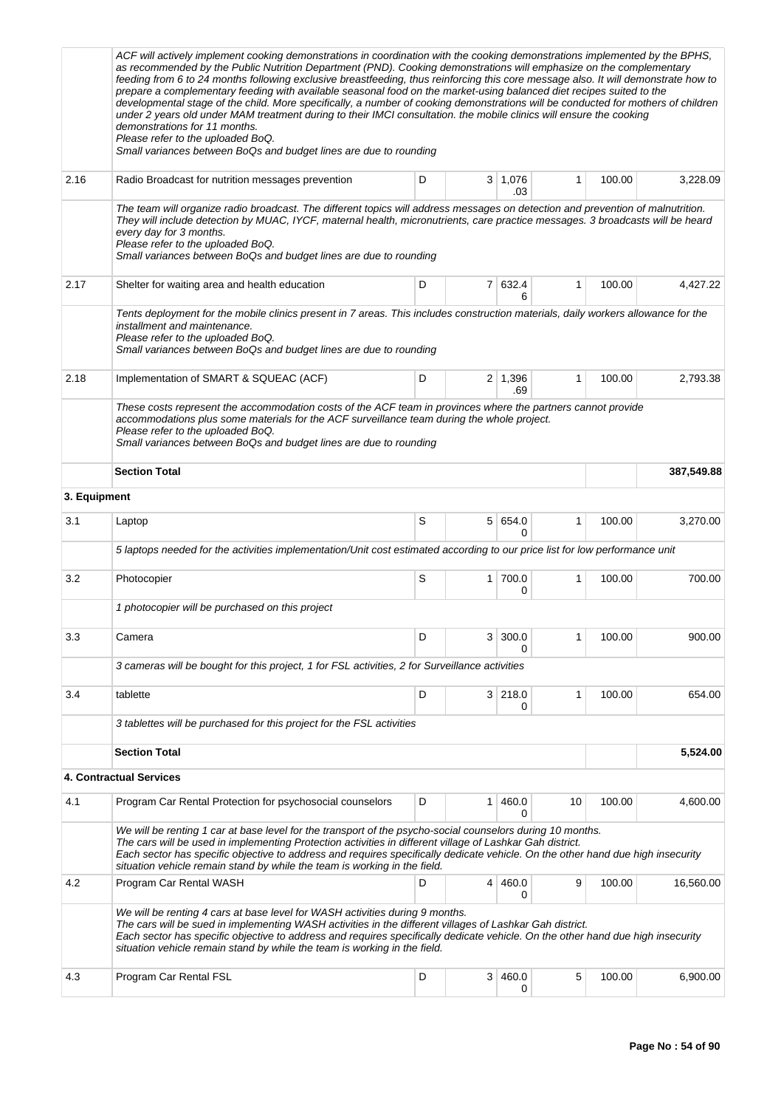|              | ACF will actively implement cooking demonstrations in coordination with the cooking demonstrations implemented by the BPHS,<br>as recommended by the Public Nutrition Department (PND). Cooking demonstrations will emphasize on the complementary<br>feeding from 6 to 24 months following exclusive breastfeeding, thus reinforcing this core message also. It will demonstrate how to<br>prepare a complementary feeding with available seasonal food on the market-using balanced diet recipes suited to the<br>developmental stage of the child. More specifically, a number of cooking demonstrations will be conducted for mothers of children<br>under 2 years old under MAM treatment during to their IMCI consultation. the mobile clinics will ensure the cooking<br>demonstrations for 11 months.<br>Please refer to the uploaded BoQ.<br>Small variances between BoQs and budget lines are due to rounding |   |              |                       |              |        |            |
|--------------|-------------------------------------------------------------------------------------------------------------------------------------------------------------------------------------------------------------------------------------------------------------------------------------------------------------------------------------------------------------------------------------------------------------------------------------------------------------------------------------------------------------------------------------------------------------------------------------------------------------------------------------------------------------------------------------------------------------------------------------------------------------------------------------------------------------------------------------------------------------------------------------------------------------------------|---|--------------|-----------------------|--------------|--------|------------|
| 2.16         | Radio Broadcast for nutrition messages prevention                                                                                                                                                                                                                                                                                                                                                                                                                                                                                                                                                                                                                                                                                                                                                                                                                                                                       | D |              | $3 \mid 1,076$<br>.03 | 1            | 100.00 | 3,228.09   |
|              | The team will organize radio broadcast. The different topics will address messages on detection and prevention of malnutrition.<br>They will include detection by MUAC, IYCF, maternal health, micronutrients, care practice messages. 3 broadcasts will be heard<br>every day for 3 months.<br>Please refer to the uploaded BoQ.<br>Small variances between BoQs and budget lines are due to rounding                                                                                                                                                                                                                                                                                                                                                                                                                                                                                                                  |   |              |                       |              |        |            |
| 2.17         | Shelter for waiting area and health education                                                                                                                                                                                                                                                                                                                                                                                                                                                                                                                                                                                                                                                                                                                                                                                                                                                                           | D |              | 7 632.4<br>6          | $\mathbf{1}$ | 100.00 | 4,427.22   |
| 2.18         | Tents deployment for the mobile clinics present in 7 areas. This includes construction materials, daily workers allowance for the<br>installment and maintenance.<br>Please refer to the uploaded BoQ.<br>Small variances between BoQs and budget lines are due to rounding<br>Implementation of SMART & SQUEAC (ACF)<br>These costs represent the accommodation costs of the ACF team in provinces where the partners cannot provide<br>accommodations plus some materials for the ACF surveillance team during the whole project.                                                                                                                                                                                                                                                                                                                                                                                     | D |              | $2 \mid 1,396$<br>.69 | $\mathbf{1}$ | 100.00 | 2,793.38   |
|              | Please refer to the uploaded BoQ.<br>Small variances between BoQs and budget lines are due to rounding                                                                                                                                                                                                                                                                                                                                                                                                                                                                                                                                                                                                                                                                                                                                                                                                                  |   |              |                       |              |        |            |
|              | <b>Section Total</b>                                                                                                                                                                                                                                                                                                                                                                                                                                                                                                                                                                                                                                                                                                                                                                                                                                                                                                    |   |              |                       |              |        | 387,549.88 |
| 3. Equipment |                                                                                                                                                                                                                                                                                                                                                                                                                                                                                                                                                                                                                                                                                                                                                                                                                                                                                                                         |   |              |                       |              |        |            |
| 3.1          | Laptop                                                                                                                                                                                                                                                                                                                                                                                                                                                                                                                                                                                                                                                                                                                                                                                                                                                                                                                  | S |              | 5 654.0<br>0          | $\mathbf{1}$ | 100.00 | 3,270.00   |
|              | 5 laptops needed for the activities implementation/Unit cost estimated according to our price list for low performance unit                                                                                                                                                                                                                                                                                                                                                                                                                                                                                                                                                                                                                                                                                                                                                                                             |   |              |                       |              |        |            |
| 3.2          | Photocopier                                                                                                                                                                                                                                                                                                                                                                                                                                                                                                                                                                                                                                                                                                                                                                                                                                                                                                             | S | $\mathbf{1}$ | 700.0<br>0            | 1            | 100.00 | 700.00     |
|              | 1 photocopier will be purchased on this project                                                                                                                                                                                                                                                                                                                                                                                                                                                                                                                                                                                                                                                                                                                                                                                                                                                                         |   |              |                       |              |        |            |
| 3.3          | Camera                                                                                                                                                                                                                                                                                                                                                                                                                                                                                                                                                                                                                                                                                                                                                                                                                                                                                                                  | D |              | 3 300.0<br>0          | 1            | 100.00 | 900.00     |
|              | 3 cameras will be bought for this project, 1 for FSL activities, 2 for Surveillance activities                                                                                                                                                                                                                                                                                                                                                                                                                                                                                                                                                                                                                                                                                                                                                                                                                          |   |              |                       |              |        |            |
| 3.4          | tablette                                                                                                                                                                                                                                                                                                                                                                                                                                                                                                                                                                                                                                                                                                                                                                                                                                                                                                                | D |              | 3 218.0<br>0          | $\mathbf{1}$ | 100.00 | 654.00     |
|              | 3 tablettes will be purchased for this project for the FSL activities                                                                                                                                                                                                                                                                                                                                                                                                                                                                                                                                                                                                                                                                                                                                                                                                                                                   |   |              |                       |              |        |            |
|              | <b>Section Total</b>                                                                                                                                                                                                                                                                                                                                                                                                                                                                                                                                                                                                                                                                                                                                                                                                                                                                                                    |   |              |                       |              |        | 5,524.00   |
|              | 4. Contractual Services                                                                                                                                                                                                                                                                                                                                                                                                                                                                                                                                                                                                                                                                                                                                                                                                                                                                                                 |   |              |                       |              |        |            |
| 4.1          | Program Car Rental Protection for psychosocial counselors                                                                                                                                                                                                                                                                                                                                                                                                                                                                                                                                                                                                                                                                                                                                                                                                                                                               | D | 1            | 460.0<br>0            | 10           | 100.00 | 4,600.00   |
|              | We will be renting 1 car at base level for the transport of the psycho-social counselors during 10 months.<br>The cars will be used in implementing Protection activities in different village of Lashkar Gah district.<br>Each sector has specific objective to address and requires specifically dedicate vehicle. On the other hand due high insecurity<br>situation vehicle remain stand by while the team is working in the field.                                                                                                                                                                                                                                                                                                                                                                                                                                                                                 |   |              |                       |              |        |            |
| 4.2          | Program Car Rental WASH                                                                                                                                                                                                                                                                                                                                                                                                                                                                                                                                                                                                                                                                                                                                                                                                                                                                                                 | D | 4            | 460.0<br>0            | 9            | 100.00 | 16,560.00  |
|              | We will be renting 4 cars at base level for WASH activities during 9 months.<br>The cars will be sued in implementing WASH activities in the different villages of Lashkar Gah district.<br>Each sector has specific objective to address and requires specifically dedicate vehicle. On the other hand due high insecurity<br>situation vehicle remain stand by while the team is working in the field.                                                                                                                                                                                                                                                                                                                                                                                                                                                                                                                |   |              |                       |              |        |            |
| 4.3          | Program Car Rental FSL                                                                                                                                                                                                                                                                                                                                                                                                                                                                                                                                                                                                                                                                                                                                                                                                                                                                                                  | D |              | 3 460.0<br>0          | 5            | 100.00 | 6,900.00   |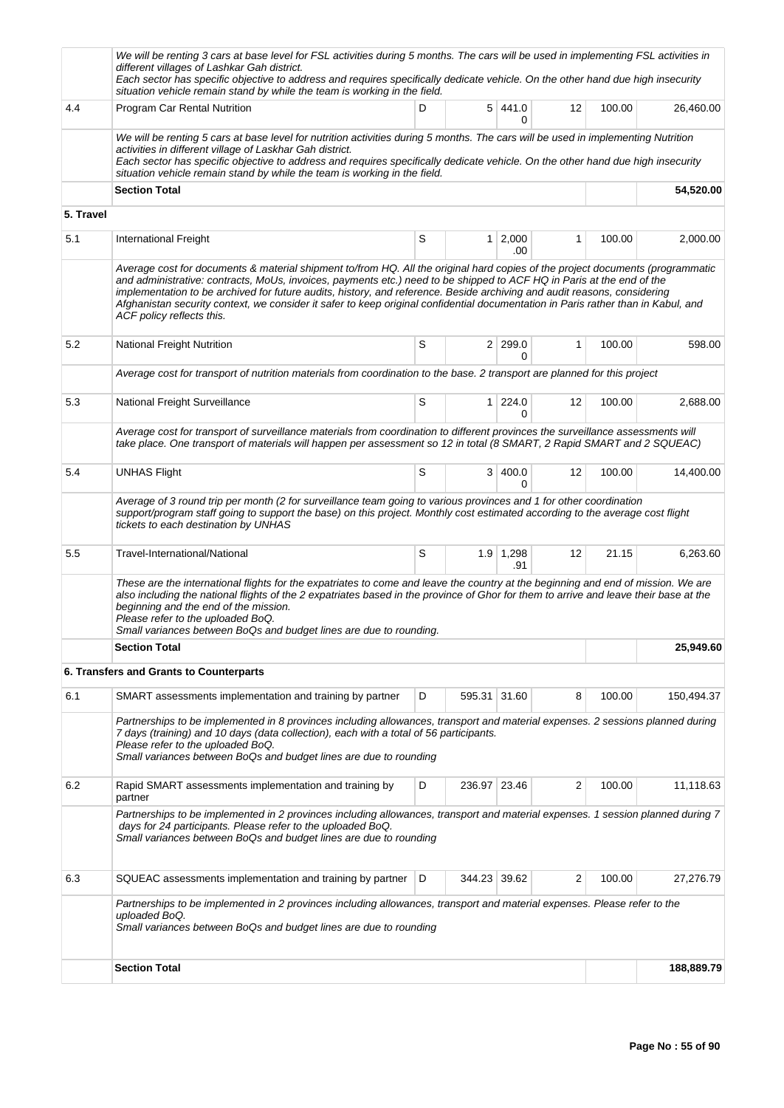|                                                            | We will be renting 3 cars at base level for FSL activities during 5 months. The cars will be used in implementing FSL activities in<br>different villages of Lashkar Gah district.<br>Each sector has specific objective to address and requires specifically dedicate vehicle. On the other hand due high insecurity<br>situation vehicle remain stand by while the team is working in the field.                                                                                                                                                    |                               |              |                     |    |        |            |  |  |  |
|------------------------------------------------------------|-------------------------------------------------------------------------------------------------------------------------------------------------------------------------------------------------------------------------------------------------------------------------------------------------------------------------------------------------------------------------------------------------------------------------------------------------------------------------------------------------------------------------------------------------------|-------------------------------|--------------|---------------------|----|--------|------------|--|--|--|
| 4.4                                                        | Program Car Rental Nutrition                                                                                                                                                                                                                                                                                                                                                                                                                                                                                                                          | D                             |              | 5 441.0<br>0        | 12 | 100.00 | 26,460.00  |  |  |  |
|                                                            | We will be renting 5 cars at base level for nutrition activities during 5 months. The cars will be used in implementing Nutrition<br>activities in different village of Laskhar Gah district.<br>Each sector has specific objective to address and requires specifically dedicate vehicle. On the other hand due high insecurity<br>situation vehicle remain stand by while the team is working in the field.                                                                                                                                         |                               |              |                     |    |        |            |  |  |  |
|                                                            | <b>Section Total</b>                                                                                                                                                                                                                                                                                                                                                                                                                                                                                                                                  |                               |              |                     |    |        | 54,520.00  |  |  |  |
|                                                            |                                                                                                                                                                                                                                                                                                                                                                                                                                                                                                                                                       |                               |              |                     |    |        |            |  |  |  |
| 5.1                                                        | International Freight                                                                                                                                                                                                                                                                                                                                                                                                                                                                                                                                 | S                             | 1            | 2,000<br>.00        | 1  | 100.00 | 2,000.00   |  |  |  |
|                                                            | Average cost for documents & material shipment to/from HQ. All the original hard copies of the project documents (programmatic<br>and administrative: contracts, MoUs, invoices, payments etc.) need to be shipped to ACF HQ in Paris at the end of the<br>implementation to be archived for future audits, history, and reference. Beside archiving and audit reasons, considering<br>Afghanistan security context, we consider it safer to keep original confidential documentation in Paris rather than in Kabul, and<br>ACF policy reflects this. |                               |              |                     |    |        |            |  |  |  |
| 5. Travel<br>5.2<br>5.3<br>5.4<br>5.5<br>6.1<br>6.2<br>6.3 | <b>National Freight Nutrition</b>                                                                                                                                                                                                                                                                                                                                                                                                                                                                                                                     | S<br>2 299.0<br>1<br>$\Omega$ |              |                     |    |        |            |  |  |  |
|                                                            | Average cost for transport of nutrition materials from coordination to the base. 2 transport are planned for this project                                                                                                                                                                                                                                                                                                                                                                                                                             |                               |              |                     |    |        |            |  |  |  |
|                                                            | National Freight Surveillance                                                                                                                                                                                                                                                                                                                                                                                                                                                                                                                         | S                             | 1            | 224.0<br>$\Omega$   | 12 | 100.00 | 2,688.00   |  |  |  |
|                                                            | Average cost for transport of surveillance materials from coordination to different provinces the surveillance assessments will<br>take place. One transport of materials will happen per assessment so 12 in total (8 SMART, 2 Rapid SMART and 2 SQUEAC)                                                                                                                                                                                                                                                                                             |                               |              |                     |    |        |            |  |  |  |
|                                                            | <b>UNHAS Flight</b>                                                                                                                                                                                                                                                                                                                                                                                                                                                                                                                                   | S                             |              | 3 400.0<br>$\Omega$ | 12 | 100.00 | 14,400.00  |  |  |  |
|                                                            | Average of 3 round trip per month (2 for surveillance team going to various provinces and 1 for other coordination<br>support/program staff going to support the base) on this project. Monthly cost estimated according to the average cost flight<br>tickets to each destination by UNHAS                                                                                                                                                                                                                                                           |                               |              |                     |    |        |            |  |  |  |
|                                                            | Travel-International/National                                                                                                                                                                                                                                                                                                                                                                                                                                                                                                                         | S                             |              | $1.9$ 1,298<br>.91  | 12 | 21.15  | 6,263.60   |  |  |  |
|                                                            | These are the international flights for the expatriates to come and leave the country at the beginning and end of mission. We are<br>also including the national flights of the 2 expatriates based in the province of Ghor for them to arrive and leave their base at the<br>beginning and the end of the mission.<br>Please refer to the uploaded BoQ.<br>Small variances between BoQs and budget lines are due to rounding.                                                                                                                        |                               |              |                     |    |        |            |  |  |  |
|                                                            | <b>Section Total</b>                                                                                                                                                                                                                                                                                                                                                                                                                                                                                                                                  |                               |              |                     |    |        | 25,949.60  |  |  |  |
|                                                            | 6. Transfers and Grants to Counterparts                                                                                                                                                                                                                                                                                                                                                                                                                                                                                                               |                               |              |                     |    |        |            |  |  |  |
|                                                            | SMART assessments implementation and training by partner                                                                                                                                                                                                                                                                                                                                                                                                                                                                                              | D                             | 595.31 31.60 |                     | 8  | 100.00 | 150,494.37 |  |  |  |
|                                                            | Partnerships to be implemented in 8 provinces including allowances, transport and material expenses. 2 sessions planned during<br>7 days (training) and 10 days (data collection), each with a total of 56 participants.<br>Please refer to the uploaded BoQ.<br>Small variances between BoQs and budget lines are due to rounding                                                                                                                                                                                                                    |                               |              |                     |    |        |            |  |  |  |
|                                                            | Rapid SMART assessments implementation and training by<br>partner                                                                                                                                                                                                                                                                                                                                                                                                                                                                                     | D                             | 236.97       | 23.46               | 2  | 100.00 | 11,118.63  |  |  |  |
|                                                            | Partnerships to be implemented in 2 provinces including allowances, transport and material expenses. 1 session planned during 7<br>days for 24 participants. Please refer to the uploaded BoQ.<br>Small variances between BoQs and budget lines are due to rounding                                                                                                                                                                                                                                                                                   |                               |              |                     |    |        |            |  |  |  |
|                                                            | SQUEAC assessments implementation and training by partner                                                                                                                                                                                                                                                                                                                                                                                                                                                                                             | D                             | 344.23 39.62 |                     | 2  | 100.00 | 27,276.79  |  |  |  |
|                                                            | Partnerships to be implemented in 2 provinces including allowances, transport and material expenses. Please refer to the<br>uploaded BoQ.<br>Small variances between BoQs and budget lines are due to rounding                                                                                                                                                                                                                                                                                                                                        |                               |              |                     |    |        |            |  |  |  |
|                                                            | <b>Section Total</b>                                                                                                                                                                                                                                                                                                                                                                                                                                                                                                                                  |                               |              |                     |    |        | 188,889.79 |  |  |  |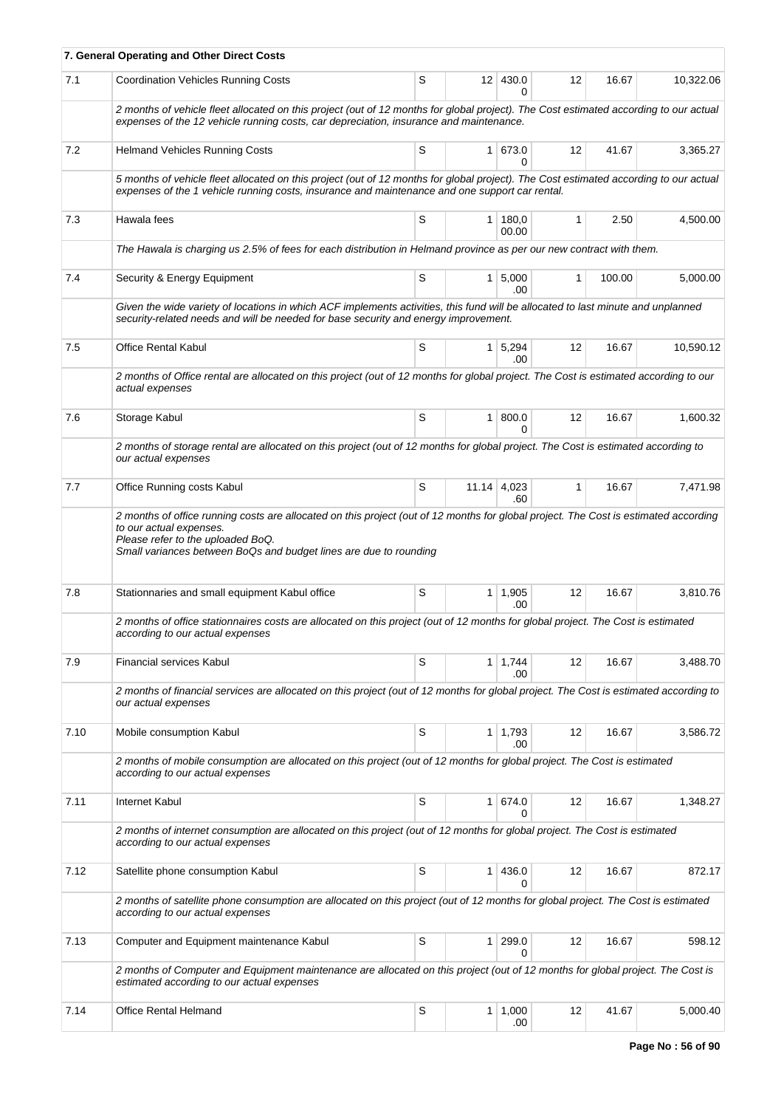|      | 7. General Operating and Other Direct Costs                                                                                                                                                                                                                               |   |                 |                       |                   |        |           |  |  |  |  |  |  |  |
|------|---------------------------------------------------------------------------------------------------------------------------------------------------------------------------------------------------------------------------------------------------------------------------|---|-----------------|-----------------------|-------------------|--------|-----------|--|--|--|--|--|--|--|
| 7.1  | <b>Coordination Vehicles Running Costs</b>                                                                                                                                                                                                                                | S | 12 <sup>2</sup> | 430.0<br>U.           | 12                | 16.67  | 10,322.06 |  |  |  |  |  |  |  |
|      | 2 months of vehicle fleet allocated on this project (out of 12 months for global project). The Cost estimated according to our actual<br>expenses of the 12 vehicle running costs, car depreciation, insurance and maintenance.                                           |   |                 |                       |                   |        |           |  |  |  |  |  |  |  |
| 7.2  | <b>Helmand Vehicles Running Costs</b>                                                                                                                                                                                                                                     | S |                 | 1 673.0<br>0          | $12 \overline{ }$ | 41.67  | 3,365.27  |  |  |  |  |  |  |  |
|      | 5 months of vehicle fleet allocated on this project (out of 12 months for global project). The Cost estimated according to our actual<br>expenses of the 1 vehicle running costs, insurance and maintenance and one support car rental.                                   |   |                 |                       |                   |        |           |  |  |  |  |  |  |  |
| 7.3  | Hawala fees                                                                                                                                                                                                                                                               | S | 1 <sup>1</sup>  | 180,0<br>00.00        | 1                 | 2.50   | 4,500.00  |  |  |  |  |  |  |  |
|      | The Hawala is charging us 2.5% of fees for each distribution in Helmand province as per our new contract with them.                                                                                                                                                       |   |                 |                       |                   |        |           |  |  |  |  |  |  |  |
| 7.4  | Security & Energy Equipment                                                                                                                                                                                                                                               | S |                 | $1 \, 5,000$<br>.00   | $\mathbf{1}$      | 100.00 | 5,000.00  |  |  |  |  |  |  |  |
|      | Given the wide variety of locations in which ACF implements activities, this fund will be allocated to last minute and unplanned<br>security-related needs and will be needed for base security and energy improvement.                                                   |   |                 |                       |                   |        |           |  |  |  |  |  |  |  |
| 7.5  | <b>Office Rental Kabul</b>                                                                                                                                                                                                                                                | S | 1 <sup>1</sup>  | 5,294<br>.00          | 12                | 16.67  | 10,590.12 |  |  |  |  |  |  |  |
|      | 2 months of Office rental are allocated on this project (out of 12 months for global project. The Cost is estimated according to our<br>actual expenses                                                                                                                   |   |                 |                       |                   |        |           |  |  |  |  |  |  |  |
| 7.6  | Storage Kabul                                                                                                                                                                                                                                                             | S | 1 <sup>1</sup>  | 800.0<br>$\Omega$     | 12                | 16.67  | 1.600.32  |  |  |  |  |  |  |  |
|      | 2 months of storage rental are allocated on this project (out of 12 months for global project. The Cost is estimated according to<br>our actual expenses                                                                                                                  |   |                 |                       |                   |        |           |  |  |  |  |  |  |  |
| 7.7  | Office Running costs Kabul                                                                                                                                                                                                                                                | S |                 | $11.14$ 4,023<br>.60  | 1                 | 16.67  | 7,471.98  |  |  |  |  |  |  |  |
|      | 2 months of office running costs are allocated on this project (out of 12 months for global project. The Cost is estimated according<br>to our actual expenses.<br>Please refer to the uploaded BoQ.<br>Small variances between BoQs and budget lines are due to rounding |   |                 |                       |                   |        |           |  |  |  |  |  |  |  |
| 7.8  | Stationnaries and small equipment Kabul office                                                                                                                                                                                                                            | S |                 | $1 \mid 1,905$<br>.00 | 12                | 16.67  | 3,810.76  |  |  |  |  |  |  |  |
|      | 2 months of office stationnaires costs are allocated on this project (out of 12 months for global project. The Cost is estimated<br>according to our actual expenses                                                                                                      |   |                 |                       |                   |        |           |  |  |  |  |  |  |  |
| 7.9  | <b>Financial services Kabul</b>                                                                                                                                                                                                                                           | S | 1 <sup>1</sup>  | 1,744<br>.00          | 12                | 16.67  | 3.488.70  |  |  |  |  |  |  |  |
|      | 2 months of financial services are allocated on this project (out of 12 months for global project. The Cost is estimated according to<br>our actual expenses                                                                                                              |   |                 |                       |                   |        |           |  |  |  |  |  |  |  |
| 7.10 | Mobile consumption Kabul                                                                                                                                                                                                                                                  | S |                 | $1 \mid 1,793$<br>.00 | 12                | 16.67  | 3,586.72  |  |  |  |  |  |  |  |
|      | 2 months of mobile consumption are allocated on this project (out of 12 months for global project. The Cost is estimated<br>according to our actual expenses                                                                                                              |   |                 |                       |                   |        |           |  |  |  |  |  |  |  |
| 7.11 | Internet Kabul                                                                                                                                                                                                                                                            | S | 1 <sup>1</sup>  | 674.0<br>$\Omega$     | 12                | 16.67  | 1,348.27  |  |  |  |  |  |  |  |
|      | 2 months of internet consumption are allocated on this project (out of 12 months for global project. The Cost is estimated<br>according to our actual expenses                                                                                                            |   |                 |                       |                   |        |           |  |  |  |  |  |  |  |
| 7.12 | Satellite phone consumption Kabul                                                                                                                                                                                                                                         | S | 1               | 436.0<br>0            | 12                | 16.67  | 872.17    |  |  |  |  |  |  |  |
|      | 2 months of satellite phone consumption are allocated on this project (out of 12 months for global project. The Cost is estimated<br>according to our actual expenses                                                                                                     |   |                 |                       |                   |        |           |  |  |  |  |  |  |  |
| 7.13 | Computer and Equipment maintenance Kabul                                                                                                                                                                                                                                  | S | 1               | 299.0<br><sup>0</sup> | 12                | 16.67  | 598.12    |  |  |  |  |  |  |  |
|      | 2 months of Computer and Equipment maintenance are allocated on this project (out of 12 months for global project. The Cost is<br>estimated according to our actual expenses                                                                                              |   |                 |                       |                   |        |           |  |  |  |  |  |  |  |
| 7.14 | <b>Office Rental Helmand</b>                                                                                                                                                                                                                                              | S |                 | $1 \mid 1,000$<br>.00 | 12                | 41.67  | 5,000.40  |  |  |  |  |  |  |  |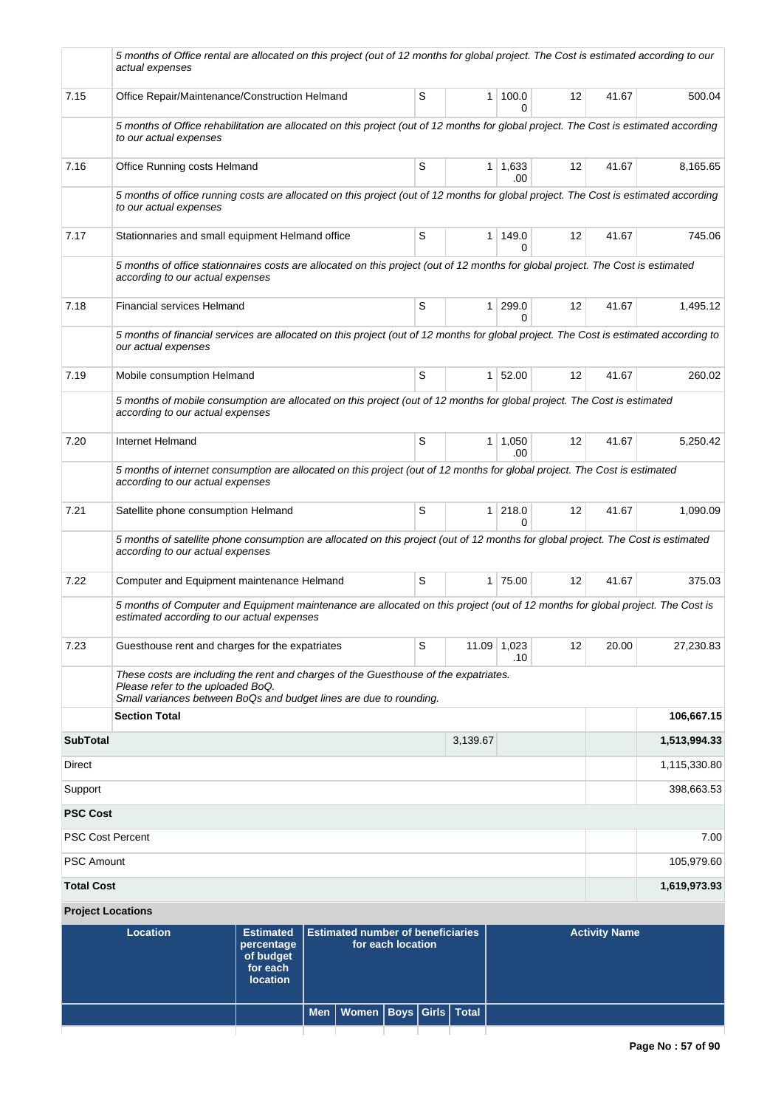|                            | 5 months of Office rental are allocated on this project (out of 12 months for global project. The Cost is estimated according to our<br>actual expenses                                         |    |                |                       |    |       |              |  |  |  |
|----------------------------|-------------------------------------------------------------------------------------------------------------------------------------------------------------------------------------------------|----|----------------|-----------------------|----|-------|--------------|--|--|--|
| 7.15                       | Office Repair/Maintenance/Construction Helmand                                                                                                                                                  | S  | 1 <sup>1</sup> | 100.0<br>$\Omega$     | 12 | 41.67 | 500.04       |  |  |  |
|                            | 5 months of Office rehabilitation are allocated on this project (out of 12 months for global project. The Cost is estimated according<br>to our actual expenses                                 |    |                |                       |    |       |              |  |  |  |
| 7.16                       | Office Running costs Helmand                                                                                                                                                                    | S  |                | $1 \mid 1,633$<br>.00 | 12 | 41.67 | 8,165.65     |  |  |  |
|                            | 5 months of office running costs are allocated on this project (out of 12 months for global project. The Cost is estimated according<br>to our actual expenses                                  |    |                |                       |    |       |              |  |  |  |
| 7.17                       | Stationnaries and small equipment Helmand office                                                                                                                                                | 12 | 41.67          | 745.06                |    |       |              |  |  |  |
|                            | 5 months of office stationnaires costs are allocated on this project (out of 12 months for global project. The Cost is estimated<br>according to our actual expenses                            |    |                |                       |    |       |              |  |  |  |
| 7.18                       | <b>Financial services Helmand</b>                                                                                                                                                               | S  |                | 1 299.0<br>0          | 12 | 41.67 | 1,495.12     |  |  |  |
|                            | 5 months of financial services are allocated on this project (out of 12 months for global project. The Cost is estimated according to<br>our actual expenses                                    |    |                |                       |    |       |              |  |  |  |
| 7.19                       | Mobile consumption Helmand                                                                                                                                                                      | S  |                | 1 52.00               | 12 | 41.67 | 260.02       |  |  |  |
|                            | 5 months of mobile consumption are allocated on this project (out of 12 months for global project. The Cost is estimated<br>according to our actual expenses                                    |    |                |                       |    |       |              |  |  |  |
| 7.20                       | Internet Helmand                                                                                                                                                                                | S  |                | $1 \mid 1,050$<br>.00 | 12 | 41.67 | 5,250.42     |  |  |  |
|                            | 5 months of internet consumption are allocated on this project (out of 12 months for global project. The Cost is estimated<br>according to our actual expenses                                  |    |                |                       |    |       |              |  |  |  |
| 7.21                       | Satellite phone consumption Helmand                                                                                                                                                             | S  |                | $1 \, 218.0$<br>0     | 12 | 41.67 | 1,090.09     |  |  |  |
|                            | 5 months of satellite phone consumption are allocated on this project (out of 12 months for global project. The Cost is estimated<br>according to our actual expenses                           |    |                |                       |    |       |              |  |  |  |
| 7.22                       | Computer and Equipment maintenance Helmand                                                                                                                                                      | S  |                | 1 75.00               | 12 | 41.67 | 375.03       |  |  |  |
|                            | 5 months of Computer and Equipment maintenance are allocated on this project (out of 12 months for global project. The Cost is<br>estimated according to our actual expenses                    |    |                |                       |    |       |              |  |  |  |
| 7.23                       | Guesthouse rent and charges for the expatriates                                                                                                                                                 | S  |                | 11.09 1,023<br>.10    | 12 | 20.00 | 27,230.83    |  |  |  |
|                            | These costs are including the rent and charges of the Guesthouse of the expatriates.<br>Please refer to the uploaded BoQ.<br>Small variances between BoQs and budget lines are due to rounding. |    |                |                       |    |       |              |  |  |  |
|                            | <b>Section Total</b>                                                                                                                                                                            |    |                |                       |    |       | 106,667.15   |  |  |  |
| <b>SubTotal</b>            |                                                                                                                                                                                                 |    | 3,139.67       |                       |    |       | 1,513,994.33 |  |  |  |
| Direct                     |                                                                                                                                                                                                 |    |                |                       |    |       | 1,115,330.80 |  |  |  |
| Support<br><b>PSC Cost</b> |                                                                                                                                                                                                 |    |                |                       |    |       | 398,663.53   |  |  |  |
| <b>PSC Cost Percent</b>    |                                                                                                                                                                                                 |    |                |                       |    |       | 7.00         |  |  |  |
| <b>PSC Amount</b>          |                                                                                                                                                                                                 |    |                |                       |    |       | 105,979.60   |  |  |  |
| <b>Total Cost</b>          |                                                                                                                                                                                                 |    |                |                       |    |       | 1,619,973.93 |  |  |  |
|                            | <b>Project Locations</b>                                                                                                                                                                        |    |                |                       |    |       |              |  |  |  |

| Location | Estimated   Estimated number of beneficiaries<br>percentage<br>of budget<br>for each<br><b>location</b> | for each location                  |  | <b>Activity Name</b> |
|----------|---------------------------------------------------------------------------------------------------------|------------------------------------|--|----------------------|
|          |                                                                                                         | Men   Women   Boys   Girls   Total |  |                      |
|          |                                                                                                         |                                    |  |                      |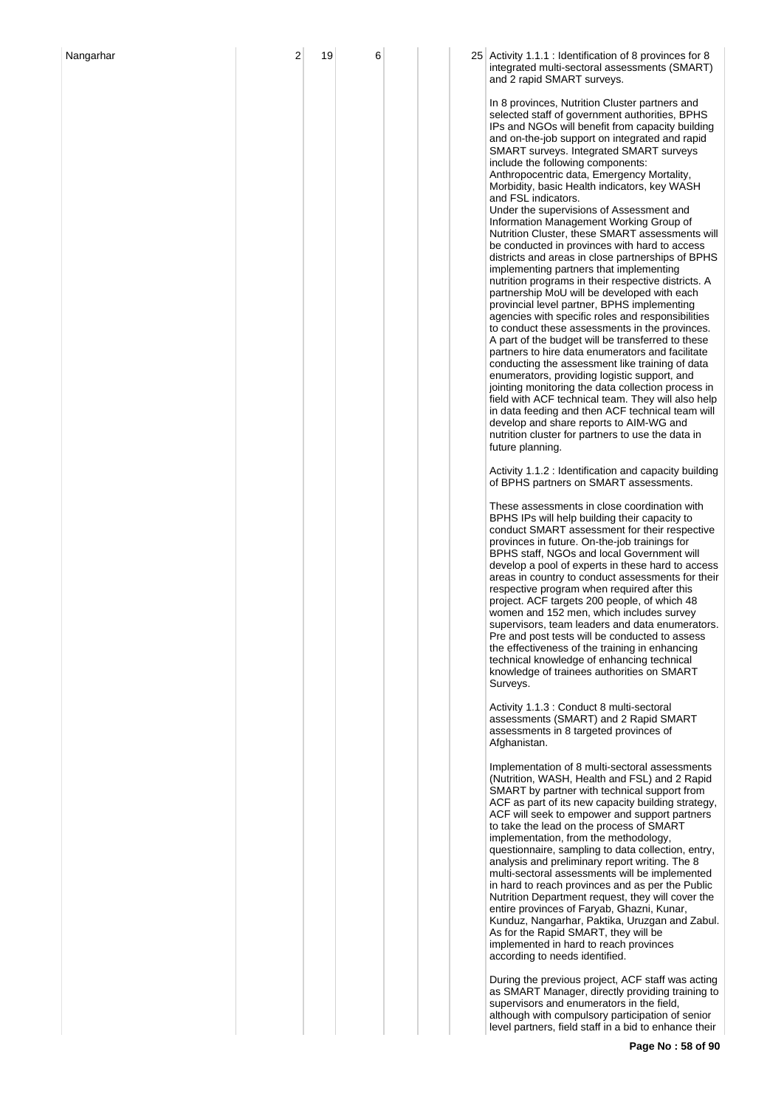| Nangarhar | 2 | 19 | 6 |  | 25 Activity 1.1.1 : Identification of 8 provinces for 8<br>integrated multi-sectoral assessments (SMART)<br>and 2 rapid SMART surveys.                                                                                                                                                                                                                                                                                                                                                                                                                                                                                                                                                                                                                                                                                                                                                                                                                                                                                                                                                                                                                                                                                                                                                                                                                                                                                                                             |
|-----------|---|----|---|--|--------------------------------------------------------------------------------------------------------------------------------------------------------------------------------------------------------------------------------------------------------------------------------------------------------------------------------------------------------------------------------------------------------------------------------------------------------------------------------------------------------------------------------------------------------------------------------------------------------------------------------------------------------------------------------------------------------------------------------------------------------------------------------------------------------------------------------------------------------------------------------------------------------------------------------------------------------------------------------------------------------------------------------------------------------------------------------------------------------------------------------------------------------------------------------------------------------------------------------------------------------------------------------------------------------------------------------------------------------------------------------------------------------------------------------------------------------------------|
|           |   |    |   |  | In 8 provinces, Nutrition Cluster partners and<br>selected staff of government authorities, BPHS<br>IPs and NGOs will benefit from capacity building<br>and on-the-job support on integrated and rapid<br>SMART surveys. Integrated SMART surveys<br>include the following components:<br>Anthropocentric data, Emergency Mortality,<br>Morbidity, basic Health indicators, key WASH<br>and FSL indicators.<br>Under the supervisions of Assessment and<br>Information Management Working Group of<br>Nutrition Cluster, these SMART assessments will<br>be conducted in provinces with hard to access<br>districts and areas in close partnerships of BPHS<br>implementing partners that implementing<br>nutrition programs in their respective districts. A<br>partnership MoU will be developed with each<br>provincial level partner, BPHS implementing<br>agencies with specific roles and responsibilities<br>to conduct these assessments in the provinces.<br>A part of the budget will be transferred to these<br>partners to hire data enumerators and facilitate<br>conducting the assessment like training of data<br>enumerators, providing logistic support, and<br>jointing monitoring the data collection process in<br>field with ACF technical team. They will also help<br>in data feeding and then ACF technical team will<br>develop and share reports to AIM-WG and<br>nutrition cluster for partners to use the data in<br>future planning. |
|           |   |    |   |  | Activity 1.1.2 : Identification and capacity building<br>of BPHS partners on SMART assessments.                                                                                                                                                                                                                                                                                                                                                                                                                                                                                                                                                                                                                                                                                                                                                                                                                                                                                                                                                                                                                                                                                                                                                                                                                                                                                                                                                                    |
|           |   |    |   |  | These assessments in close coordination with<br>BPHS IPs will help building their capacity to<br>conduct SMART assessment for their respective<br>provinces in future. On-the-job trainings for<br>BPHS staff, NGOs and local Government will<br>develop a pool of experts in these hard to access<br>areas in country to conduct assessments for their<br>respective program when required after this<br>project. ACF targets 200 people, of which 48<br>women and 152 men, which includes survey<br>supervisors, team leaders and data enumerators.<br>Pre and post tests will be conducted to assess<br>the effectiveness of the training in enhancing<br>technical knowledge of enhancing technical<br>knowledge of trainees authorities on SMART<br>Surveys.                                                                                                                                                                                                                                                                                                                                                                                                                                                                                                                                                                                                                                                                                                  |
|           |   |    |   |  | Activity 1.1.3 : Conduct 8 multi-sectoral<br>assessments (SMART) and 2 Rapid SMART<br>assessments in 8 targeted provinces of<br>Afghanistan.                                                                                                                                                                                                                                                                                                                                                                                                                                                                                                                                                                                                                                                                                                                                                                                                                                                                                                                                                                                                                                                                                                                                                                                                                                                                                                                       |
|           |   |    |   |  | Implementation of 8 multi-sectoral assessments<br>(Nutrition, WASH, Health and FSL) and 2 Rapid<br>SMART by partner with technical support from<br>ACF as part of its new capacity building strategy,<br>ACF will seek to empower and support partners<br>to take the lead on the process of SMART<br>implementation, from the methodology,<br>questionnaire, sampling to data collection, entry,<br>analysis and preliminary report writing. The 8<br>multi-sectoral assessments will be implemented<br>in hard to reach provinces and as per the Public<br>Nutrition Department request, they will cover the<br>entire provinces of Faryab, Ghazni, Kunar,<br>Kunduz, Nangarhar, Paktika, Uruzgan and Zabul.<br>As for the Rapid SMART, they will be<br>implemented in hard to reach provinces<br>according to needs identified.                                                                                                                                                                                                                                                                                                                                                                                                                                                                                                                                                                                                                                 |
|           |   |    |   |  | During the previous project, ACF staff was acting<br>as SMART Manager, directly providing training to<br>supervisors and enumerators in the field,<br>although with compulsory participation of senior<br>level partners, field staff in a bid to enhance their                                                                                                                                                                                                                                                                                                                                                                                                                                                                                                                                                                                                                                                                                                                                                                                                                                                                                                                                                                                                                                                                                                                                                                                                    |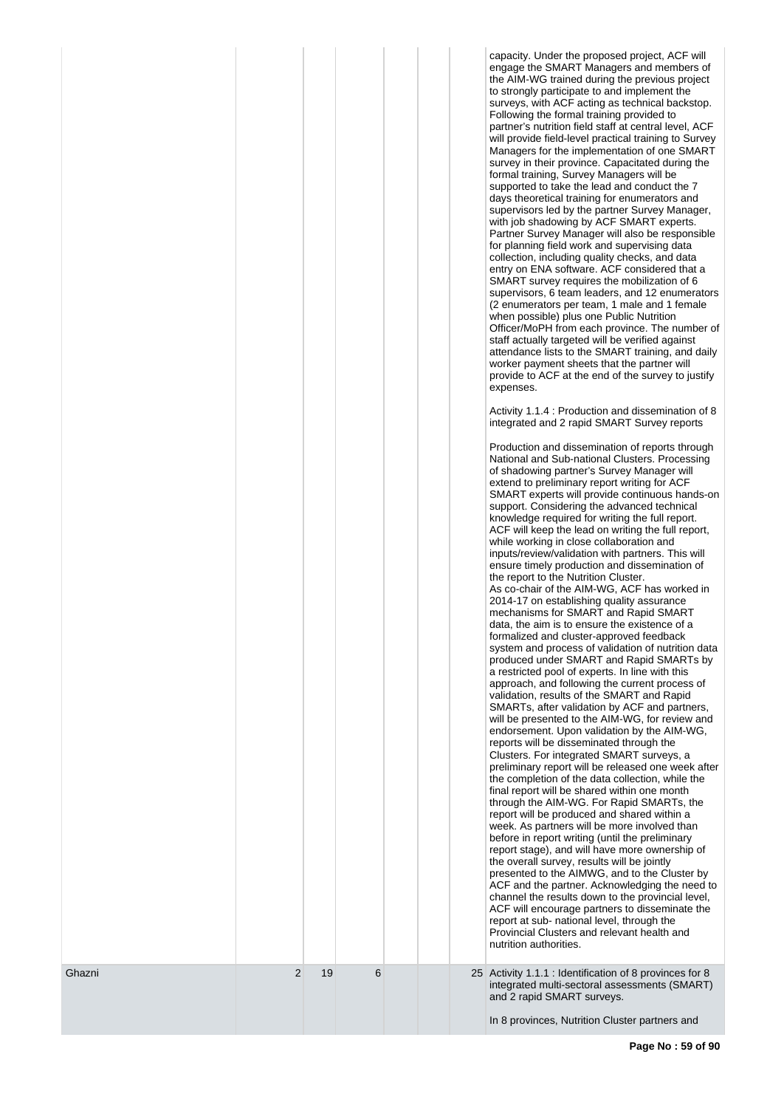| provide to ACF at the end of the survey to justify |
|----------------------------------------------------|
|----------------------------------------------------|

Activity 1.1.4 : Production and dissemination of 8 integrated and 2 rapid SMART Survey reports

|                |    |   |  | Production and dissemination of reports through<br>National and Sub-national Clusters. Processing<br>of shadowing partner's Survey Manager will<br>extend to preliminary report writing for ACF<br>SMART experts will provide continuous hands-on<br>support. Considering the advanced technical<br>knowledge required for writing the full report.<br>ACF will keep the lead on writing the full report,<br>while working in close collaboration and<br>inputs/review/validation with partners. This will<br>ensure timely production and dissemination of<br>the report to the Nutrition Cluster.<br>As co-chair of the AIM-WG, ACF has worked in<br>2014-17 on establishing quality assurance<br>mechanisms for SMART and Rapid SMART<br>data, the aim is to ensure the existence of a<br>formalized and cluster-approved feedback<br>system and process of validation of nutrition data<br>produced under SMART and Rapid SMARTs by<br>a restricted pool of experts. In line with this<br>approach, and following the current process of<br>validation, results of the SMART and Rapid<br>SMARTs, after validation by ACF and partners,<br>will be presented to the AIM-WG, for review and<br>endorsement. Upon validation by the AIM-WG,<br>reports will be disseminated through the<br>Clusters. For integrated SMART surveys, a<br>preliminary report will be released one week after<br>the completion of the data collection, while the<br>final report will be shared within one month<br>through the AIM-WG. For Rapid SMARTs, the<br>report will be produced and shared within a<br>week. As partners will be more involved than<br>before in report writing (until the preliminary<br>report stage), and will have more ownership of<br>the overall survey, results will be jointly<br>presented to the AIMWG, and to the Cluster by<br>ACF and the partner. Acknowledging the need to<br>channel the results down to the provincial level,<br>ACF will encourage partners to disseminate the<br>report at sub- national level, through the<br>Provincial Clusters and relevant health and<br>nutrition authorities. |  |
|----------------|----|---|--|-----------------------------------------------------------------------------------------------------------------------------------------------------------------------------------------------------------------------------------------------------------------------------------------------------------------------------------------------------------------------------------------------------------------------------------------------------------------------------------------------------------------------------------------------------------------------------------------------------------------------------------------------------------------------------------------------------------------------------------------------------------------------------------------------------------------------------------------------------------------------------------------------------------------------------------------------------------------------------------------------------------------------------------------------------------------------------------------------------------------------------------------------------------------------------------------------------------------------------------------------------------------------------------------------------------------------------------------------------------------------------------------------------------------------------------------------------------------------------------------------------------------------------------------------------------------------------------------------------------------------------------------------------------------------------------------------------------------------------------------------------------------------------------------------------------------------------------------------------------------------------------------------------------------------------------------------------------------------------------------------------------------------------------------------------------------------------------------------------------------------------------|--|
| $\overline{2}$ | 19 | 6 |  | 25 Activity 1.1.1 : Identification of 8 provinces for 8<br>integrated multi-sectoral assessments (SMART)<br>and 2 rapid SMART surveys.                                                                                                                                                                                                                                                                                                                                                                                                                                                                                                                                                                                                                                                                                                                                                                                                                                                                                                                                                                                                                                                                                                                                                                                                                                                                                                                                                                                                                                                                                                                                                                                                                                                                                                                                                                                                                                                                                                                                                                                            |  |

Ghazni

In 8 provinces, Nutrition Cluster partners and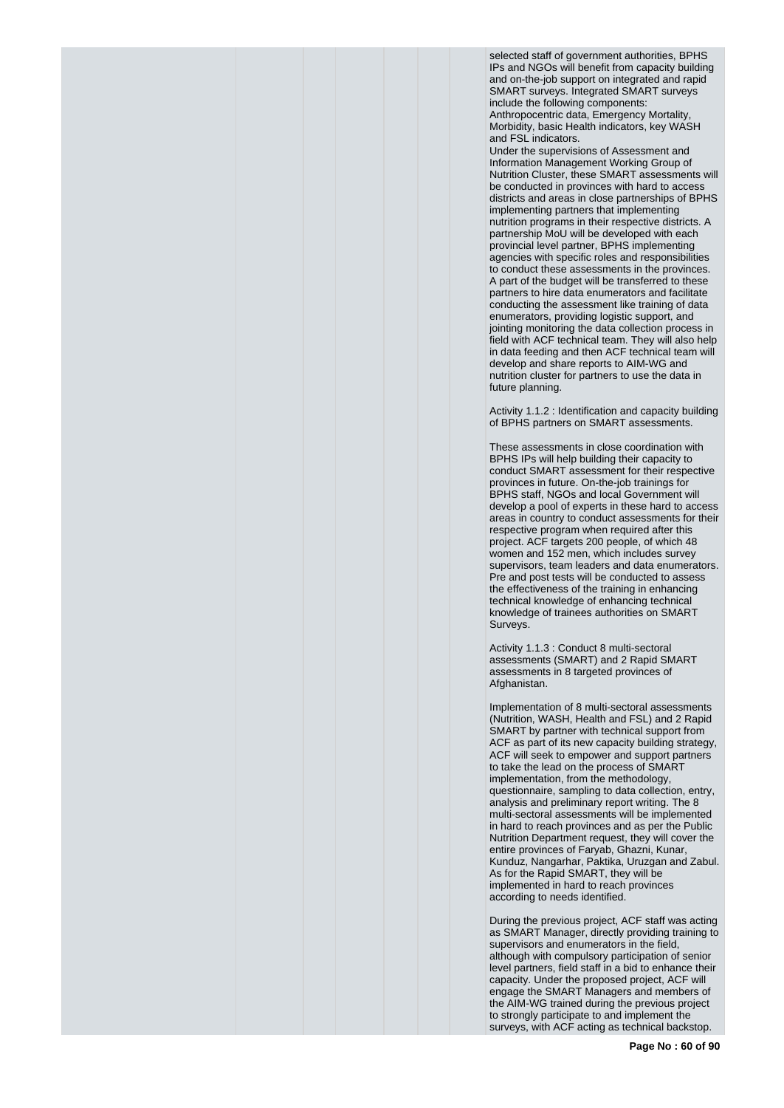selected staff of government authorities, BPHS IPs and NGOs will benefit from capacity building and on-the-job support on integrated and rapid SMART surveys. Integrated SMART surveys include the following components: Anthropocentric data, Emergency Mortality, Morbidity, basic Health indicators, key WASH and FSL indicators.

Under the supervisions of Assessment and Information Management Working Group of Nutrition Cluster, these SMART assessments will be conducted in provinces with hard to access districts and areas in close partnerships of BPHS implementing partners that implementing nutrition programs in their respective districts. A partnership MoU will be developed with each provincial level partner, BPHS implementing agencies with specific roles and responsibilities to conduct these assessments in the provinces. A part of the budget will be transferred to these partners to hire data enumerators and facilitate conducting the assessment like training of data enumerators, providing logistic support, and jointing monitoring the data collection process in field with ACF technical team. They will also help in data feeding and then ACF technical team will develop and share reports to AIM-WG and nutrition cluster for partners to use the data in future planning.

Activity 1.1.2 : Identification and capacity building of BPHS partners on SMART assessments.

These assessments in close coordination with BPHS IPs will help building their capacity to conduct SMART assessment for their respective provinces in future. On-the-job trainings for BPHS staff, NGOs and local Government will develop a pool of experts in these hard to access areas in country to conduct assessments for their respective program when required after this project. ACF targets 200 people, of which 48 women and 152 men, which includes survey supervisors, team leaders and data enumerators. Pre and post tests will be conducted to assess the effectiveness of the training in enhancing technical knowledge of enhancing technical knowledge of trainees authorities on SMART Surveys.

Activity 1.1.3 : Conduct 8 multi-sectoral assessments (SMART) and 2 Rapid SMART assessments in 8 targeted provinces of Afghanistan.

Implementation of 8 multi-sectoral assessments (Nutrition, WASH, Health and FSL) and 2 Rapid SMART by partner with technical support from ACF as part of its new capacity building strategy, ACF will seek to empower and support partners to take the lead on the process of SMART implementation, from the methodology, questionnaire, sampling to data collection, entry, analysis and preliminary report writing. The 8 multi-sectoral assessments will be implemented in hard to reach provinces and as per the Public Nutrition Department request, they will cover the entire provinces of Faryab, Ghazni, Kunar, Kunduz, Nangarhar, Paktika, Uruzgan and Zabul. As for the Rapid SMART, they will be implemented in hard to reach provinces according to needs identified.

During the previous project, ACF staff was acting as SMART Manager, directly providing training to supervisors and enumerators in the field, although with compulsory participation of senior level partners, field staff in a bid to enhance their capacity. Under the proposed project, ACF will engage the SMART Managers and members of the AIM-WG trained during the previous project to strongly participate to and implement the surveys, with ACF acting as technical backstop.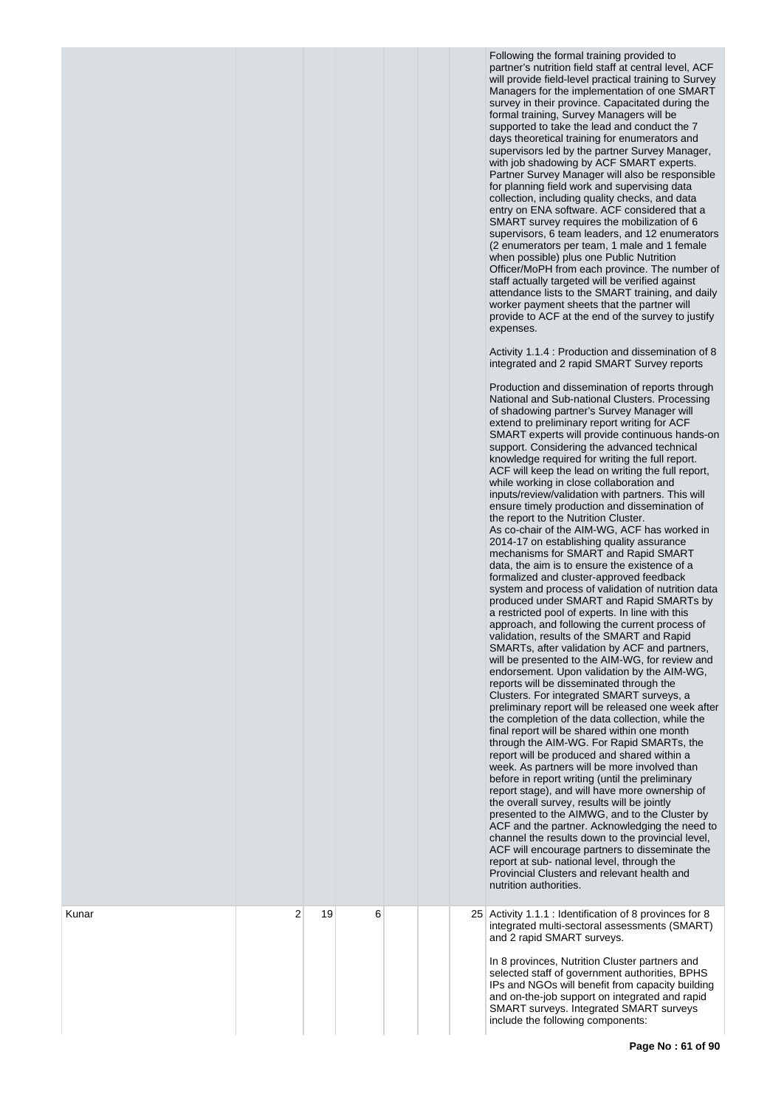Following the formal training provided to partner's nutrition field staff at central level, ACF will provide field-level practical training to Survey Managers for the implementation of one SMART survey in their province. Capacitated during the formal training, Survey Managers will be supported to take the lead and conduct the 7 days theoretical training for enumerators and supervisors led by the partner Survey Manager, with job shadowing by ACF SMART experts. Partner Survey Manager will also be responsible for planning field work and supervising data collection, including quality checks, and data entry on ENA software. ACF considered that a SMART survey requires the mobilization of 6 supervisors, 6 team leaders, and 12 enumerators ( 2 enumerators per team, 1 male and 1 female when possible) plus one Public Nutrition Officer/MoPH from each province. The number of staff actually targeted will be verified against attendance lists to the SMART training, and daily worker payment sheets that the partner will provide to ACF at the end of the survey to justify expenses.

Activity 1.1.4 : Production and dissemination of 8 integrated and 2 rapid SMART Survey reports

|   |    |   |  | Production and dissemination of reports through<br>National and Sub-national Clusters. Processing<br>of shadowing partner's Survey Manager will<br>extend to preliminary report writing for ACF<br>SMART experts will provide continuous hands-on<br>support. Considering the advanced technical<br>knowledge required for writing the full report.<br>ACF will keep the lead on writing the full report,<br>while working in close collaboration and<br>inputs/review/validation with partners. This will<br>ensure timely production and dissemination of<br>the report to the Nutrition Cluster.<br>As co-chair of the AIM-WG, ACF has worked in<br>2014-17 on establishing quality assurance<br>mechanisms for SMART and Rapid SMART<br>data, the aim is to ensure the existence of a<br>formalized and cluster-approved feedback<br>system and process of validation of nutrition data<br>produced under SMART and Rapid SMARTs by<br>a restricted pool of experts. In line with this<br>approach, and following the current process of<br>validation, results of the SMART and Rapid<br>SMARTs, after validation by ACF and partners,<br>will be presented to the AIM-WG, for review and<br>endorsement. Upon validation by the AIM-WG,<br>reports will be disseminated through the<br>Clusters. For integrated SMART surveys, a<br>preliminary report will be released one week after<br>the completion of the data collection, while the<br>final report will be shared within one month<br>through the AIM-WG. For Rapid SMARTs, the<br>report will be produced and shared within a<br>week. As partners will be more involved than<br>before in report writing (until the preliminary<br>report stage), and will have more ownership of<br>the overall survey, results will be jointly<br>presented to the AIMWG, and to the Cluster by<br>ACF and the partner. Acknowledging the need to<br>channel the results down to the provincial level,<br>ACF will encourage partners to disseminate the<br>report at sub- national level, through the<br>Provincial Clusters and relevant health and<br>nutrition authorities. |
|---|----|---|--|-----------------------------------------------------------------------------------------------------------------------------------------------------------------------------------------------------------------------------------------------------------------------------------------------------------------------------------------------------------------------------------------------------------------------------------------------------------------------------------------------------------------------------------------------------------------------------------------------------------------------------------------------------------------------------------------------------------------------------------------------------------------------------------------------------------------------------------------------------------------------------------------------------------------------------------------------------------------------------------------------------------------------------------------------------------------------------------------------------------------------------------------------------------------------------------------------------------------------------------------------------------------------------------------------------------------------------------------------------------------------------------------------------------------------------------------------------------------------------------------------------------------------------------------------------------------------------------------------------------------------------------------------------------------------------------------------------------------------------------------------------------------------------------------------------------------------------------------------------------------------------------------------------------------------------------------------------------------------------------------------------------------------------------------------------------------------------------------------------------------------------------|
| 2 | 19 | 6 |  | 25 Activity 1.1.1 : Identification of 8 provinces for 8<br>integrated multi-sectoral assessments (SMART)<br>and 2 rapid SMART surveys.<br>In 8 provinces, Nutrition Cluster partners and<br>selected staff of government authorities, BPHS<br>IPs and NGOs will benefit from capacity building<br>and on-the-job support on integrated and rapid<br><b>SMART surveys. Integrated SMART surveys</b><br>include the following components:                                                                                                                                                                                                                                                                                                                                                                                                                                                                                                                                                                                                                                                                                                                                                                                                                                                                                                                                                                                                                                                                                                                                                                                                                                                                                                                                                                                                                                                                                                                                                                                                                                                                                           |

Kunar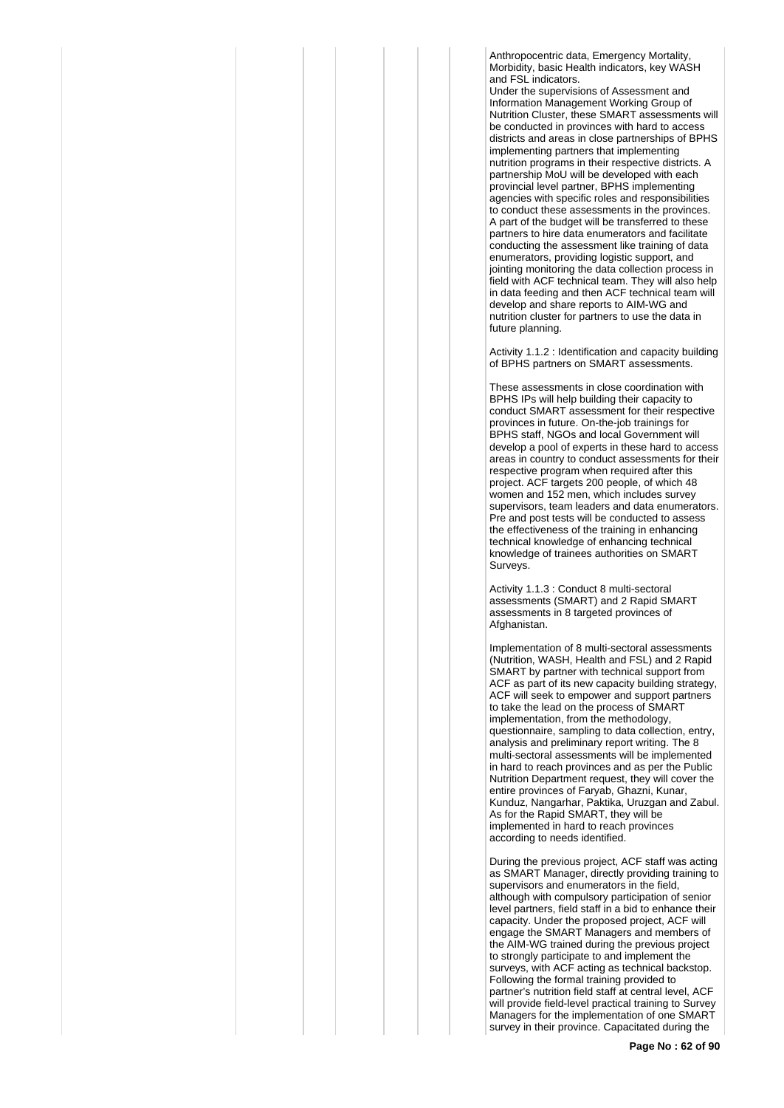Anthropocentric data, Emergency Mortality, Morbidity, basic Health indicators, key WASH and FSL indicators.

Under the supervisions of Assessment and Information Management Working Group of Nutrition Cluster, these SMART assessments will be conducted in provinces with hard to access districts and areas in close partnerships of BPHS implementing partners that implementing nutrition programs in their respective districts. A partnership MoU will be developed with each provincial level partner, BPHS implementing agencies with specific roles and responsibilities to conduct these assessments in the provinces. A part of the budget will be transferred to these partners to hire data enumerators and facilitate conducting the assessment like training of data enumerators, providing logistic support, and jointing monitoring the data collection process in field with ACF technical team. They will also help in data feeding and then ACF technical team will develop and share reports to AIM-WG and nutrition cluster for partners to use the data in future planning.

Activity 1.1.2 : Identification and capacity building of BPHS partners on SMART assessments.

These assessments in close coordination with BPHS IPs will help building their capacity to conduct SMART assessment for their respective provinces in future. On-the-job trainings for BPHS staff, NGOs and local Government will develop a pool of experts in these hard to access areas in country to conduct assessments for their respective program when required after this project. ACF targets 200 people, of which 48 women and 152 men, which includes survey supervisors, team leaders and data enumerators. Pre and post tests will be conducted to assess the effectiveness of the training in enhancing technical knowledge of enhancing technical knowledge of trainees authorities on SMART Surveys.

Activity 1.1.3 : Conduct 8 multi-sectoral assessments (SMART) and 2 Rapid SMART assessments in 8 targeted provinces of Afghanistan.

Implementation of 8 multi-sectoral assessments (Nutrition, WASH, Health and FSL) and 2 Rapid SMART by partner with technical support from ACF as part of its new capacity building strategy, ACF will seek to empower and support partners to take the lead on the process of SMART implementation, from the methodology, questionnaire, sampling to data collection, entry, analysis and preliminary report writing. The 8 multi-sectoral assessments will be implemented in hard to reach provinces and as per the Public Nutrition Department request, they will cover the entire provinces of Faryab, Ghazni, Kunar, Kunduz, Nangarhar, Paktika, Uruzgan and Zabul. As for the Rapid SMART, they will be implemented in hard to reach provinces according to needs identified.

During the previous project, ACF staff was acting as SMART Manager, directly providing training to supervisors and enumerators in the field, although with compulsory participation of senior level partners, field staff in a bid to enhance their capacity. Under the proposed project, ACF will engage the SMART Managers and members of the AIM-WG trained during the previous project to strongly participate to and implement the surveys, with ACF acting as technical backstop. Following the formal training provided to partner's nutrition field staff at central level, ACF will provide field-level practical training to Survey Managers for the implementation of one SMART survey in their province. Capacitated during the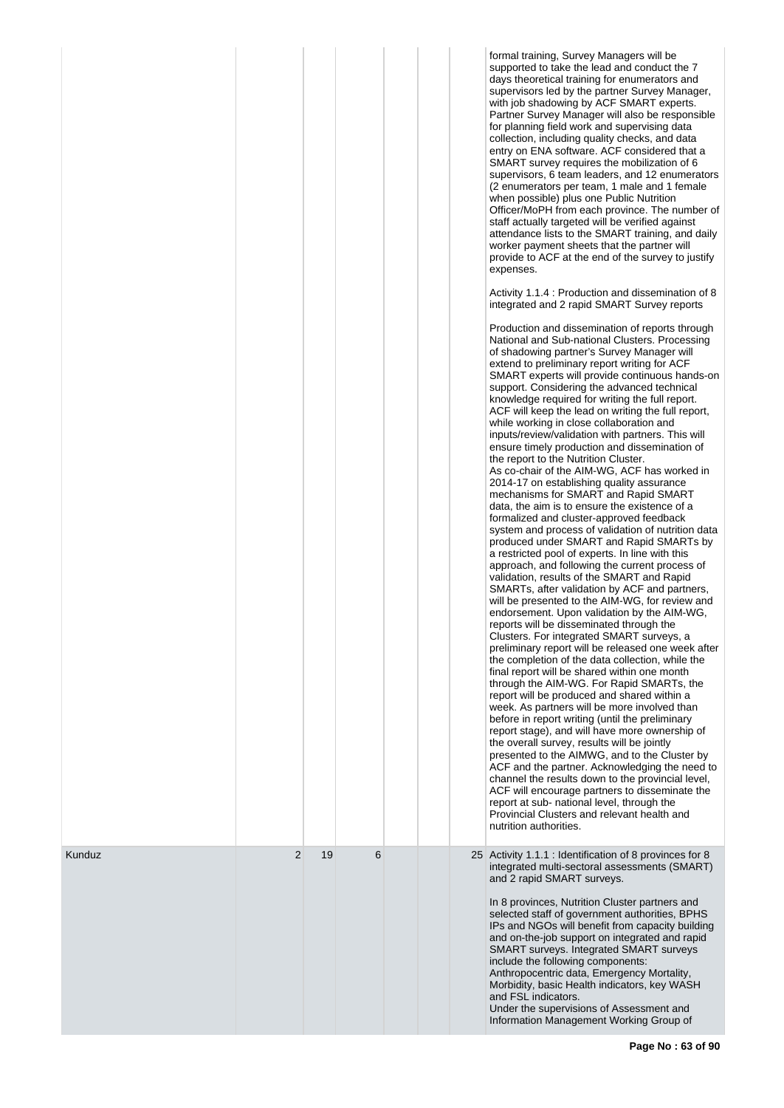|        |   |    |   |  | formal training, Survey Managers will be<br>supported to take the lead and conduct the 7<br>days theoretical training for enumerators and<br>supervisors led by the partner Survey Manager,<br>with job shadowing by ACF SMART experts.<br>Partner Survey Manager will also be responsible<br>for planning field work and supervising data<br>collection, including quality checks, and data<br>entry on ENA software. ACF considered that a<br>SMART survey requires the mobilization of 6<br>supervisors, 6 team leaders, and 12 enumerators<br>(2 enumerators per team, 1 male and 1 female<br>when possible) plus one Public Nutrition<br>Officer/MoPH from each province. The number of<br>staff actually targeted will be verified against<br>attendance lists to the SMART training, and daily<br>worker payment sheets that the partner will<br>provide to ACF at the end of the survey to justify<br>expenses.<br>Activity 1.1.4 : Production and dissemination of 8<br>integrated and 2 rapid SMART Survey reports<br>Production and dissemination of reports through<br>National and Sub-national Clusters. Processing<br>of shadowing partner's Survey Manager will<br>extend to preliminary report writing for ACF<br>SMART experts will provide continuous hands-on<br>support. Considering the advanced technical<br>knowledge required for writing the full report.<br>ACF will keep the lead on writing the full report,<br>while working in close collaboration and<br>inputs/review/validation with partners. This will<br>ensure timely production and dissemination of<br>the report to the Nutrition Cluster.<br>As co-chair of the AIM-WG, ACF has worked in<br>2014-17 on establishing quality assurance<br>mechanisms for SMART and Rapid SMART<br>data, the aim is to ensure the existence of a<br>formalized and cluster-approved feedback<br>system and process of validation of nutrition data<br>produced under SMART and Rapid SMARTs by<br>a restricted pool of experts. In line with this<br>approach, and following the current process of<br>validation, results of the SMART and Rapid<br>SMARTs, after validation by ACF and partners,<br>will be presented to the AIM-WG, for review and<br>endorsement. Upon validation by the AIM-WG,<br>reports will be disseminated through the<br>Clusters. For integrated SMART surveys, a<br>preliminary report will be released one week after<br>the completion of the data collection, while the<br>final report will be shared within one month<br>through the AIM-WG. For Rapid SMARTs, the<br>report will be produced and shared within a<br>week. As partners will be more involved than<br>before in report writing (until the preliminary<br>report stage), and will have more ownership of<br>the overall survey, results will be jointly<br>presented to the AIMWG, and to the Cluster by<br>ACF and the partner. Acknowledging the need to<br>channel the results down to the provincial level,<br>ACF will encourage partners to disseminate the<br>report at sub- national level, through the<br>Provincial Clusters and relevant health and<br>nutrition authorities. |
|--------|---|----|---|--|-------------------------------------------------------------------------------------------------------------------------------------------------------------------------------------------------------------------------------------------------------------------------------------------------------------------------------------------------------------------------------------------------------------------------------------------------------------------------------------------------------------------------------------------------------------------------------------------------------------------------------------------------------------------------------------------------------------------------------------------------------------------------------------------------------------------------------------------------------------------------------------------------------------------------------------------------------------------------------------------------------------------------------------------------------------------------------------------------------------------------------------------------------------------------------------------------------------------------------------------------------------------------------------------------------------------------------------------------------------------------------------------------------------------------------------------------------------------------------------------------------------------------------------------------------------------------------------------------------------------------------------------------------------------------------------------------------------------------------------------------------------------------------------------------------------------------------------------------------------------------------------------------------------------------------------------------------------------------------------------------------------------------------------------------------------------------------------------------------------------------------------------------------------------------------------------------------------------------------------------------------------------------------------------------------------------------------------------------------------------------------------------------------------------------------------------------------------------------------------------------------------------------------------------------------------------------------------------------------------------------------------------------------------------------------------------------------------------------------------------------------------------------------------------------------------------------------------------------------------------------------------------------------------------------------------------------------------------------------------------------------------------------------------------------------------------------------------------------------------------------------------------------------------------|
| Kunduz | 2 | 19 | 6 |  | 25 Activity 1.1.1 : Identification of 8 provinces for 8<br>integrated multi-sectoral assessments (SMART)<br>and 2 rapid SMART surveys.<br>In 8 provinces, Nutrition Cluster partners and<br>selected staff of government authorities, BPHS<br>IPs and NGOs will benefit from capacity building<br>and on-the-job support on integrated and rapid<br>SMART surveys. Integrated SMART surveys<br>include the following components:<br>Anthropocentric data, Emergency Mortality,<br>Morbidity, basic Health indicators, key WASH<br>and FSL indicators.<br>Under the supervisions of Assessment and<br>Information Management Working Group of                                                                                                                                                                                                                                                                                                                                                                                                                                                                                                                                                                                                                                                                                                                                                                                                                                                                                                                                                                                                                                                                                                                                                                                                                                                                                                                                                                                                                                                                                                                                                                                                                                                                                                                                                                                                                                                                                                                                                                                                                                                                                                                                                                                                                                                                                                                                                                                                                                                                                                                      |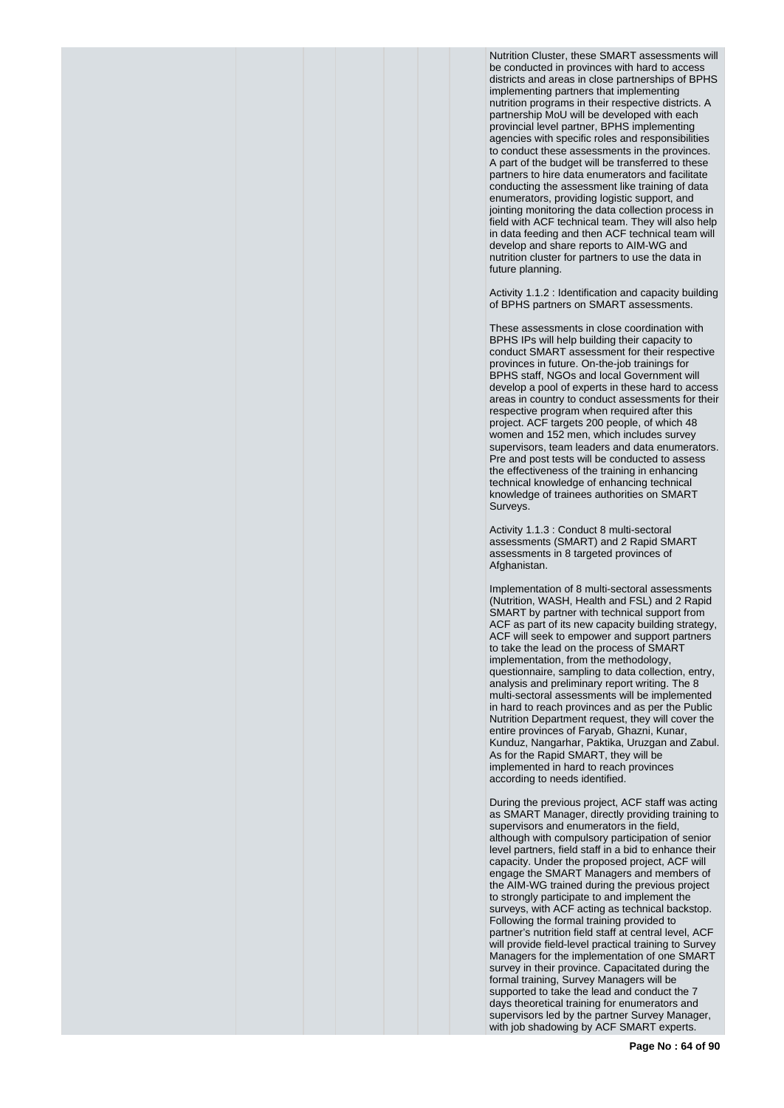Nutrition Cluster, these SMART assessments will be conducted in provinces with hard to access districts and areas in close partnerships of BPHS implementing partners that implementing nutrition programs in their respective districts. A partnership MoU will be developed with each provincial level partner, BPHS implementing agencies with specific roles and responsibilities to conduct these assessments in the provinces. A part of the budget will be transferred to these partners to hire data enumerators and facilitate conducting the assessment like training of data enumerators, providing logistic support, and jointing monitoring the data collection process in field with ACF technical team. They will also help in data feeding and then ACF technical team will develop and share reports to AIM-WG and nutrition cluster for partners to use the data in future planning.

Activity 1.1.2 : Identification and capacity building of BPHS partners on SMART assessments.

These assessments in close coordination with BPHS IPs will help building their capacity to conduct SMART assessment for their respective provinces in future. On-the-job trainings for BPHS staff, NGOs and local Government will develop a pool of experts in these hard to access areas in country to conduct assessments for their respective program when required after this project. ACF targets 200 people, of which 48 women and 152 men, which includes survey supervisors, team leaders and data enumerators. Pre and post tests will be conducted to assess the effectiveness of the training in enhancing technical knowledge of enhancing technical knowledge of trainees authorities on SMART Surveys.

Activity 1.1.3 : Conduct 8 multi-sectoral assessments (SMART) and 2 Rapid SMART assessments in 8 targeted provinces of Afghanistan.

Implementation of 8 multi-sectoral assessments (Nutrition, WASH, Health and FSL) and 2 Rapid SMART by partner with technical support from ACF as part of its new capacity building strategy, ACF will seek to empower and support partners to take the lead on the process of SMART implementation, from the methodology, questionnaire, sampling to data collection, entry, analysis and preliminary report writing. The 8 multi-sectoral assessments will be implemented in hard to reach provinces and as per the Public Nutrition Department request, they will cover the entire provinces of Faryab, Ghazni, Kunar, Kunduz, Nangarhar, Paktika, Uruzgan and Zabul. As for the Rapid SMART, they will be implemented in hard to reach provinces according to needs identified.

During the previous project, ACF staff was acting as SMART Manager, directly providing training to supervisors and enumerators in the field, although with compulsory participation of senior level partners, field staff in a bid to enhance their capacity. Under the proposed project, ACF will engage the SMART Managers and members of the AIM-WG trained during the previous project to strongly participate to and implement the surveys, with ACF acting as technical backstop. Following the formal training provided to partner's nutrition field staff at central level, ACF will provide field-level practical training to Survey Managers for the implementation of one SMART survey in their province. Capacitated during the formal training, Survey Managers will be supported to take the lead and conduct the 7 days theoretical training for enumerators and supervisors led by the partner Survey Manager, with job shadowing by ACF SMART experts.

**Page No : 64 of 90**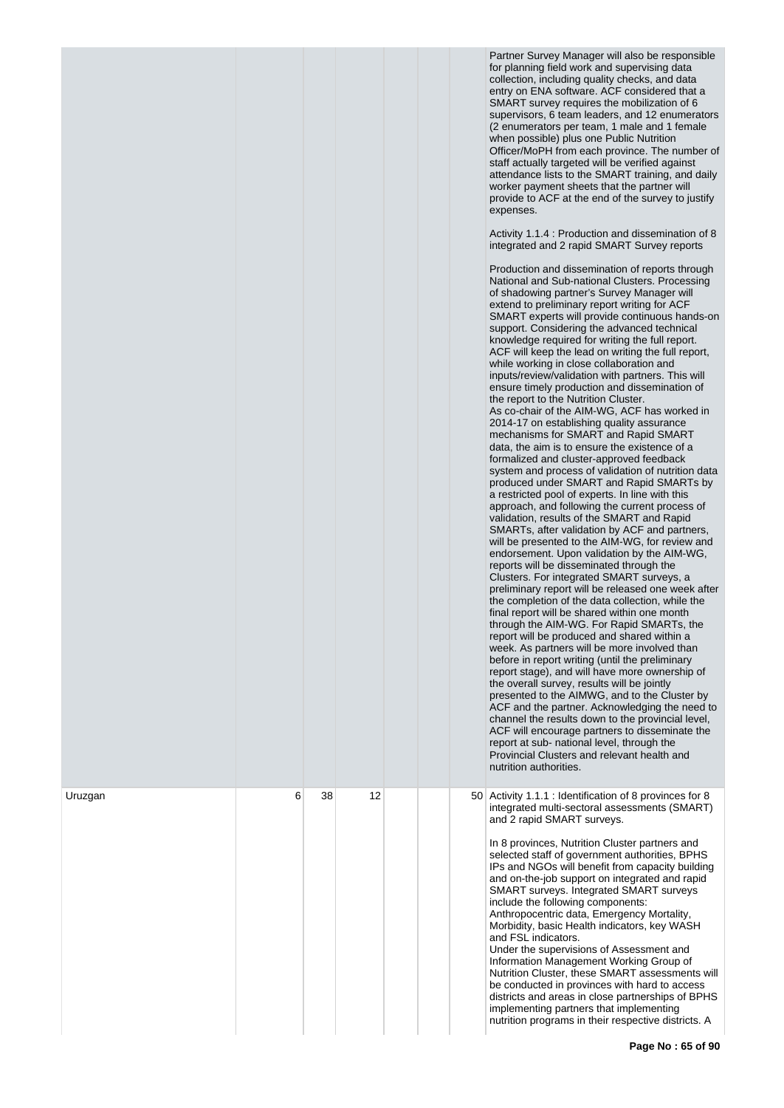|         |   |    |    |  | Partner Survey Manager will also be responsible<br>for planning field work and supervising data<br>collection, including quality checks, and data<br>entry on ENA software. ACF considered that a<br>SMART survey requires the mobilization of 6<br>supervisors, 6 team leaders, and 12 enumerators<br>(2 enumerators per team, 1 male and 1 female<br>when possible) plus one Public Nutrition<br>Officer/MoPH from each province. The number of<br>staff actually targeted will be verified against<br>attendance lists to the SMART training, and daily<br>worker payment sheets that the partner will<br>provide to ACF at the end of the survey to justify<br>expenses.<br>Activity 1.1.4 : Production and dissemination of 8<br>integrated and 2 rapid SMART Survey reports<br>Production and dissemination of reports through<br>National and Sub-national Clusters. Processing<br>of shadowing partner's Survey Manager will<br>extend to preliminary report writing for ACF<br>SMART experts will provide continuous hands-on<br>support. Considering the advanced technical<br>knowledge required for writing the full report.<br>ACF will keep the lead on writing the full report,<br>while working in close collaboration and<br>inputs/review/validation with partners. This will<br>ensure timely production and dissemination of<br>the report to the Nutrition Cluster.<br>As co-chair of the AIM-WG, ACF has worked in<br>2014-17 on establishing quality assurance<br>mechanisms for SMART and Rapid SMART<br>data, the aim is to ensure the existence of a<br>formalized and cluster-approved feedback<br>system and process of validation of nutrition data<br>produced under SMART and Rapid SMARTs by<br>a restricted pool of experts. In line with this<br>approach, and following the current process of<br>validation, results of the SMART and Rapid<br>SMARTs, after validation by ACF and partners,<br>will be presented to the AIM-WG, for review and<br>endorsement. Upon validation by the AIM-WG,<br>reports will be disseminated through the<br>Clusters. For integrated SMART surveys, a<br>preliminary report will be released one week after<br>the completion of the data collection, while the<br>final report will be shared within one month<br>through the AIM-WG. For Rapid SMARTs, the<br>report will be produced and shared within a<br>week. As partners will be more involved than<br>before in report writing (until the preliminary<br>report stage), and will have more ownership of<br>the overall survey, results will be jointly<br>presented to the AIMWG, and to the Cluster by<br>ACF and the partner. Acknowledging the need to<br>channel the results down to the provincial level,<br>ACF will encourage partners to disseminate the<br>report at sub- national level, through the<br>Provincial Clusters and relevant health and<br>nutrition authorities. |
|---------|---|----|----|--|------------------------------------------------------------------------------------------------------------------------------------------------------------------------------------------------------------------------------------------------------------------------------------------------------------------------------------------------------------------------------------------------------------------------------------------------------------------------------------------------------------------------------------------------------------------------------------------------------------------------------------------------------------------------------------------------------------------------------------------------------------------------------------------------------------------------------------------------------------------------------------------------------------------------------------------------------------------------------------------------------------------------------------------------------------------------------------------------------------------------------------------------------------------------------------------------------------------------------------------------------------------------------------------------------------------------------------------------------------------------------------------------------------------------------------------------------------------------------------------------------------------------------------------------------------------------------------------------------------------------------------------------------------------------------------------------------------------------------------------------------------------------------------------------------------------------------------------------------------------------------------------------------------------------------------------------------------------------------------------------------------------------------------------------------------------------------------------------------------------------------------------------------------------------------------------------------------------------------------------------------------------------------------------------------------------------------------------------------------------------------------------------------------------------------------------------------------------------------------------------------------------------------------------------------------------------------------------------------------------------------------------------------------------------------------------------------------------------------------------------------------------------------------------------------------------------------------------------------------------------------------------------------------------------|
| Uruzgan | 6 | 38 | 12 |  | 50 Activity 1.1.1 : Identification of 8 provinces for 8<br>integrated multi-sectoral assessments (SMART)<br>and 2 rapid SMART surveys.<br>In 8 provinces, Nutrition Cluster partners and<br>selected staff of government authorities, BPHS<br>IPs and NGOs will benefit from capacity building<br>and on-the-job support on integrated and rapid<br>SMART surveys. Integrated SMART surveys<br>include the following components:<br>Anthropocentric data, Emergency Mortality,<br>Morbidity, basic Health indicators, key WASH<br>and FSL indicators.<br>Under the supervisions of Assessment and<br>Information Management Working Group of<br>Nutrition Cluster, these SMART assessments will<br>be conducted in provinces with hard to access<br>districts and areas in close partnerships of BPHS<br>implementing partners that implementing<br>nutrition programs in their respective districts. A                                                                                                                                                                                                                                                                                                                                                                                                                                                                                                                                                                                                                                                                                                                                                                                                                                                                                                                                                                                                                                                                                                                                                                                                                                                                                                                                                                                                                                                                                                                                                                                                                                                                                                                                                                                                                                                                                                                                                                                                                |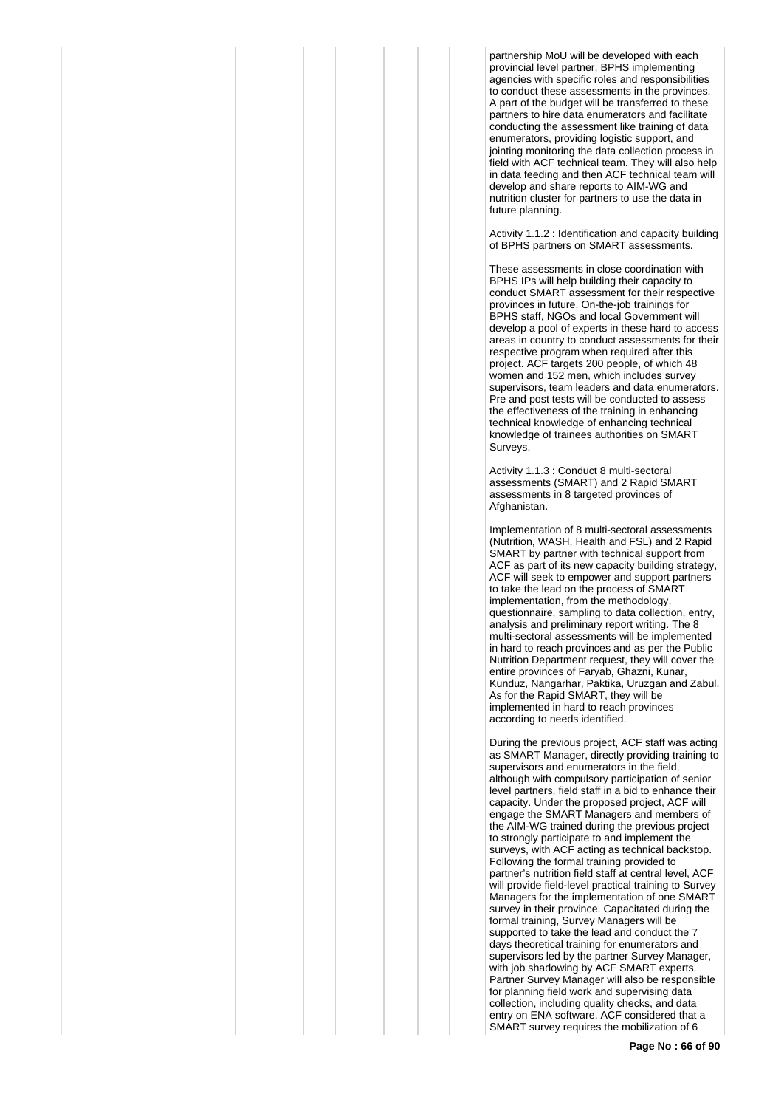partnership MoU will be developed with each provincial level partner, BPHS implementing agencies with specific roles and responsibilities to conduct these assessments in the provinces. A part of the budget will be transferred to these partners to hire data enumerators and facilitate conducting the assessment like training of data enumerators, providing logistic support, and jointing monitoring the data collection process in field with ACF technical team. They will also help in data feeding and then ACF technical team will develop and share reports to AIM-WG and nutrition cluster for partners to use the data in future planning.

Activity 1.1.2 : Identification and capacity building of BPHS partners on SMART assessments.

These assessments in close coordination with BPHS IPs will help building their capacity to conduct SMART assessment for their respective provinces in future. On-the-job trainings for BPHS staff, NGOs and local Government will develop a pool of experts in these hard to access areas in country to conduct assessments for their respective program when required after this project. ACF targets 200 people, of which 48 women and 152 men, which includes survey supervisors, team leaders and data enumerators. Pre and post tests will be conducted to assess the effectiveness of the training in enhancing technical knowledge of enhancing technical knowledge of trainees authorities on SMART Surveys.

Activity 1.1.3 : Conduct 8 multi-sectoral assessments (SMART) and 2 Rapid SMART assessments in 8 targeted provinces of Afghanistan.

Implementation of 8 multi-sectoral assessments (Nutrition, WASH, Health and FSL) and 2 Rapid SMART by partner with technical support from ACF as part of its new capacity building strategy, ACF will seek to empower and support partners to take the lead on the process of SMART implementation, from the methodology, questionnaire, sampling to data collection, entry, analysis and preliminary report writing. The 8 multi-sectoral assessments will be implemented in hard to reach provinces and as per the Public Nutrition Department request, they will cover the entire provinces of Faryab, Ghazni, Kunar, Kunduz, Nangarhar, Paktika, Uruzgan and Zabul. As for the Rapid SMART, they will be implemented in hard to reach provinces according to needs identified.

During the previous project, ACF staff was acting as SMART Manager, directly providing training to supervisors and enumerators in the field, although with compulsory participation of senior level partners, field staff in a bid to enhance their capacity. Under the proposed project, ACF will engage the SMART Managers and members of the AIM-WG trained during the previous project to strongly participate to and implement the surveys, with ACF acting as technical backstop. Following the formal training provided to partner's nutrition field staff at central level, ACF will provide field-level practical training to Survey Managers for the implementation of one SMART survey in their province. Capacitated during the formal training, Survey Managers will be supported to take the lead and conduct the 7 days theoretical training for enumerators and supervisors led by the partner Survey Manager, with job shadowing by ACF SMART experts. Partner Survey Manager will also be responsible for planning field work and supervising data collection, including quality checks, and data entry on ENA software. ACF considered that a SMART survey requires the mobilization of 6

**Page No : 66 of 90**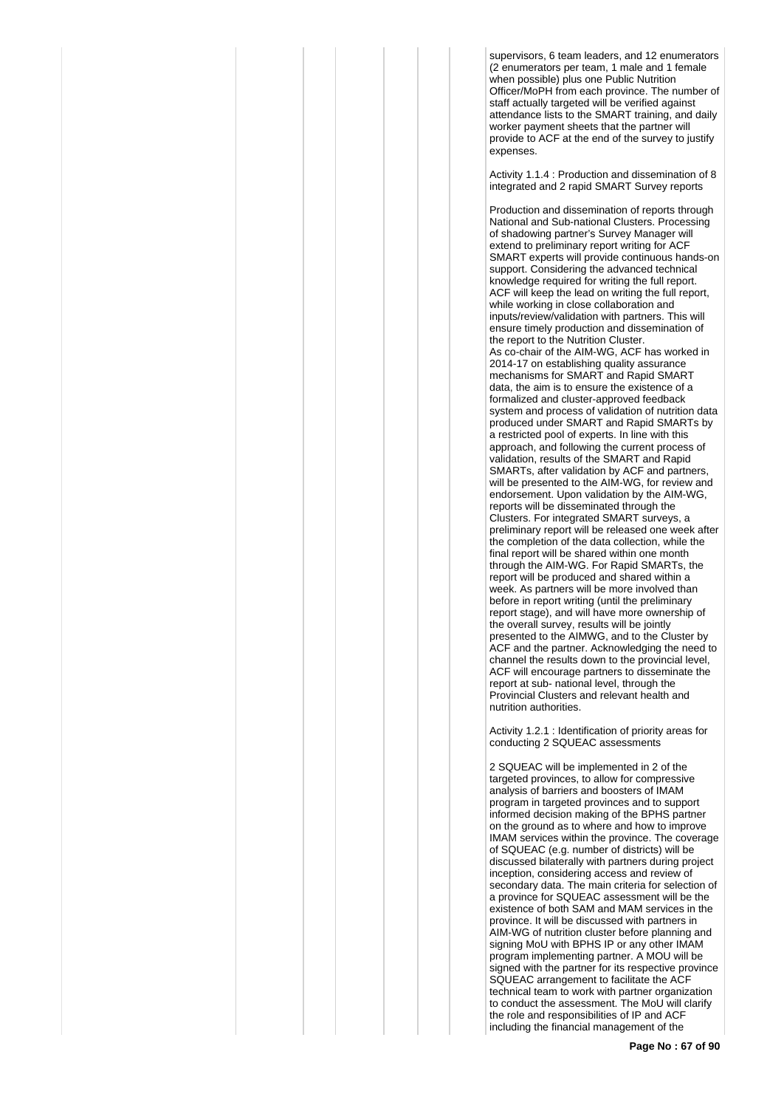supervisors, 6 team leaders, and 12 enumerators (2 enumerators per team, 1 male and 1 female when possible) plus one Public Nutrition Officer/MoPH from each province. The number of staff actually targeted will be verified against attendance lists to the SMART training, and daily worker payment sheets that the partner will provide to ACF at the end of the survey to justify expenses.

Activity 1.1.4 : Production and dissemination of 8 integrated and 2 rapid SMART Survey reports

Production and dissemination of reports through National and Sub-national Clusters. Processing of shadowing partner's Survey Manager will extend to preliminary report writing for ACF SMART experts will provide continuous hands-on support. Considering the advanced technical knowledge required for writing the full report. ACF will keep the lead on writing the full report, while working in close collaboration and inputs/review/validation with partners. This will ensure timely production and dissemination of the report to the Nutrition Cluster. As co-chair of the AIM-WG, ACF has worked in 2014-17 on establishing quality assurance mechanisms for SMART and Rapid SMART data, the aim is to ensure the existence of a formalized and cluster-approved feedback system and process of validation of nutrition data produced under SMART and Rapid SMARTs by a restricted pool of experts. In line with this approach, and following the current process of validation, results of the SMART and Rapid SMARTs, after validation by ACF and partners, will be presented to the AIM-WG, for review and endorsement. Upon validation by the AIM-WG, reports will be disseminated through the Clusters. For integrated SMART surveys, a preliminary report will be released one week after the completion of the data collection, while the final report will be shared within one month through the AIM-WG. For Rapid SMARTs, the report will be produced and shared within a week. As partners will be more involved than before in report writing (until the preliminary report stage), and will have more ownership of the overall survey, results will be jointly presented to the AIMWG, and to the Cluster by ACF and the partner. Acknowledging the need to channel the results down to the provincial level, ACF will encourage partners to disseminate the report at sub- national level, through the Provincial Clusters and relevant health and nutrition authorities.

Activity 1.2.1 : Identification of priority areas for conducting 2 SQUEAC assessments

2 SQUEAC will be implemented in 2 of the targeted provinces, to allow for compressive analysis of barriers and boosters of IMAM program in targeted provinces and to support informed decision making of the BPHS partner on the ground as to where and how to improve IMAM services within the province. The coverage of SQUEAC (e.g. number of districts) will be discussed bilaterally with partners during project inception, considering access and review of secondary data. The main criteria for selection of a province for SQUEAC assessment will be the existence of both SAM and MAM services in the province. It will be discussed with partners in AIM-WG of nutrition cluster before planning and signing MoU with BPHS IP or any other IMAM program implementing partner. A MOU will be signed with the partner for its respective province SQUEAC arrangement to facilitate the ACF technical team to work with partner organization to conduct the assessment. The MoU will clarify the role and responsibilities of IP and ACF including the financial management of the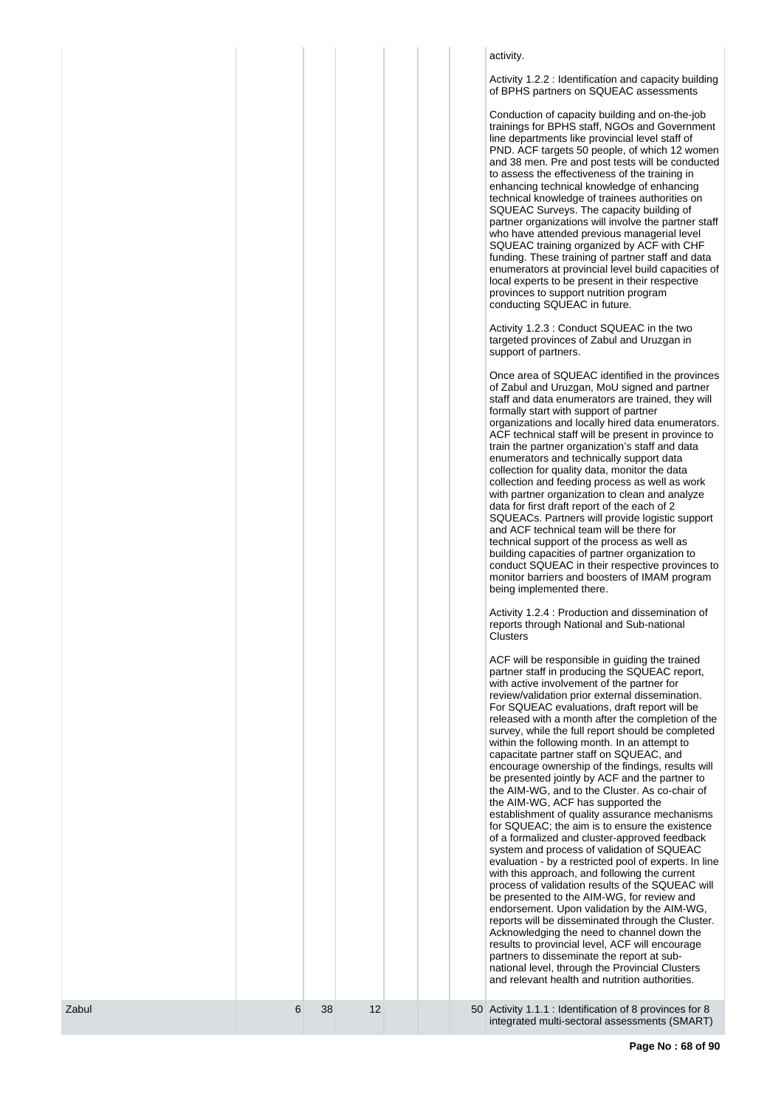| Zabul | 6 | 38 | 12 |  | 50 Activity 1.1.1 : Identification of 8 provinces for 8<br>integrated multi-sectoral assessments (SMART)                                                                                                                                                                                                                                                                                                                                                                                                                                                                                                                                                                                                                                                                                                                                                                                                                                                                                                                                                                                                                                                                                                                                                                                                                                                                                                                                                                                                                                                                                                                                                                                                                                                                                                                                                                                                                                                                                                                                                                                                                                                                                                                                                                                                                                                                                                                                                                                                                                                                                                                                                                                                                                                                                                                                                                                                                                                                                                                                                                                                                                                                                                                                                                                                                                                                                                        |
|-------|---|----|----|--|-----------------------------------------------------------------------------------------------------------------------------------------------------------------------------------------------------------------------------------------------------------------------------------------------------------------------------------------------------------------------------------------------------------------------------------------------------------------------------------------------------------------------------------------------------------------------------------------------------------------------------------------------------------------------------------------------------------------------------------------------------------------------------------------------------------------------------------------------------------------------------------------------------------------------------------------------------------------------------------------------------------------------------------------------------------------------------------------------------------------------------------------------------------------------------------------------------------------------------------------------------------------------------------------------------------------------------------------------------------------------------------------------------------------------------------------------------------------------------------------------------------------------------------------------------------------------------------------------------------------------------------------------------------------------------------------------------------------------------------------------------------------------------------------------------------------------------------------------------------------------------------------------------------------------------------------------------------------------------------------------------------------------------------------------------------------------------------------------------------------------------------------------------------------------------------------------------------------------------------------------------------------------------------------------------------------------------------------------------------------------------------------------------------------------------------------------------------------------------------------------------------------------------------------------------------------------------------------------------------------------------------------------------------------------------------------------------------------------------------------------------------------------------------------------------------------------------------------------------------------------------------------------------------------------------------------------------------------------------------------------------------------------------------------------------------------------------------------------------------------------------------------------------------------------------------------------------------------------------------------------------------------------------------------------------------------------------------------------------------------------------------------------------------------|
|       |   |    |    |  | trainings for BPHS staff, NGOs and Government<br>line departments like provincial level staff of<br>PND. ACF targets 50 people, of which 12 women<br>and 38 men. Pre and post tests will be conducted<br>to assess the effectiveness of the training in<br>enhancing technical knowledge of enhancing<br>technical knowledge of trainees authorities on<br>SQUEAC Surveys. The capacity building of<br>partner organizations will involve the partner staff<br>who have attended previous managerial level<br>SQUEAC training organized by ACF with CHF<br>funding. These training of partner staff and data<br>enumerators at provincial level build capacities of<br>local experts to be present in their respective<br>provinces to support nutrition program<br>conducting SQUEAC in future.<br>Activity 1.2.3 : Conduct SQUEAC in the two<br>targeted provinces of Zabul and Uruzgan in<br>support of partners.<br>Once area of SQUEAC identified in the provinces<br>of Zabul and Uruzgan, MoU signed and partner<br>staff and data enumerators are trained, they will<br>formally start with support of partner<br>organizations and locally hired data enumerators.<br>ACF technical staff will be present in province to<br>train the partner organization's staff and data<br>enumerators and technically support data<br>collection for quality data, monitor the data<br>collection and feeding process as well as work<br>with partner organization to clean and analyze<br>data for first draft report of the each of 2<br>SQUEACs. Partners will provide logistic support<br>and ACF technical team will be there for<br>technical support of the process as well as<br>building capacities of partner organization to<br>conduct SQUEAC in their respective provinces to<br>monitor barriers and boosters of IMAM program<br>being implemented there.<br>Activity 1.2.4 : Production and dissemination of<br>reports through National and Sub-national<br>Clusters<br>ACF will be responsible in guiding the trained<br>partner staff in producing the SQUEAC report,<br>with active involvement of the partner for<br>review/validation prior external dissemination.<br>For SQUEAC evaluations, draft report will be<br>released with a month after the completion of the<br>survey, while the full report should be completed<br>within the following month. In an attempt to<br>capacitate partner staff on SQUEAC, and<br>encourage ownership of the findings, results will<br>be presented jointly by ACF and the partner to<br>the AIM-WG, and to the Cluster. As co-chair of<br>the AIM-WG, ACF has supported the<br>establishment of quality assurance mechanisms<br>for SQUEAC; the aim is to ensure the existence<br>of a formalized and cluster-approved feedback<br>system and process of validation of SQUEAC<br>evaluation - by a restricted pool of experts. In line<br>with this approach, and following the current<br>process of validation results of the SQUEAC will<br>be presented to the AIM-WG, for review and<br>endorsement. Upon validation by the AIM-WG,<br>reports will be disseminated through the Cluster.<br>Acknowledging the need to channel down the<br>results to provincial level, ACF will encourage<br>partners to disseminate the report at sub-<br>national level, through the Provincial Clusters<br>and relevant health and nutrition authorities. |
|       |   |    |    |  | activity.<br>Activity 1.2.2 : Identification and capacity building<br>of BPHS partners on SQUEAC assessments<br>Conduction of capacity building and on-the-job                                                                                                                                                                                                                                                                                                                                                                                                                                                                                                                                                                                                                                                                                                                                                                                                                                                                                                                                                                                                                                                                                                                                                                                                                                                                                                                                                                                                                                                                                                                                                                                                                                                                                                                                                                                                                                                                                                                                                                                                                                                                                                                                                                                                                                                                                                                                                                                                                                                                                                                                                                                                                                                                                                                                                                                                                                                                                                                                                                                                                                                                                                                                                                                                                                                  |
|       |   |    |    |  |                                                                                                                                                                                                                                                                                                                                                                                                                                                                                                                                                                                                                                                                                                                                                                                                                                                                                                                                                                                                                                                                                                                                                                                                                                                                                                                                                                                                                                                                                                                                                                                                                                                                                                                                                                                                                                                                                                                                                                                                                                                                                                                                                                                                                                                                                                                                                                                                                                                                                                                                                                                                                                                                                                                                                                                                                                                                                                                                                                                                                                                                                                                                                                                                                                                                                                                                                                                                                 |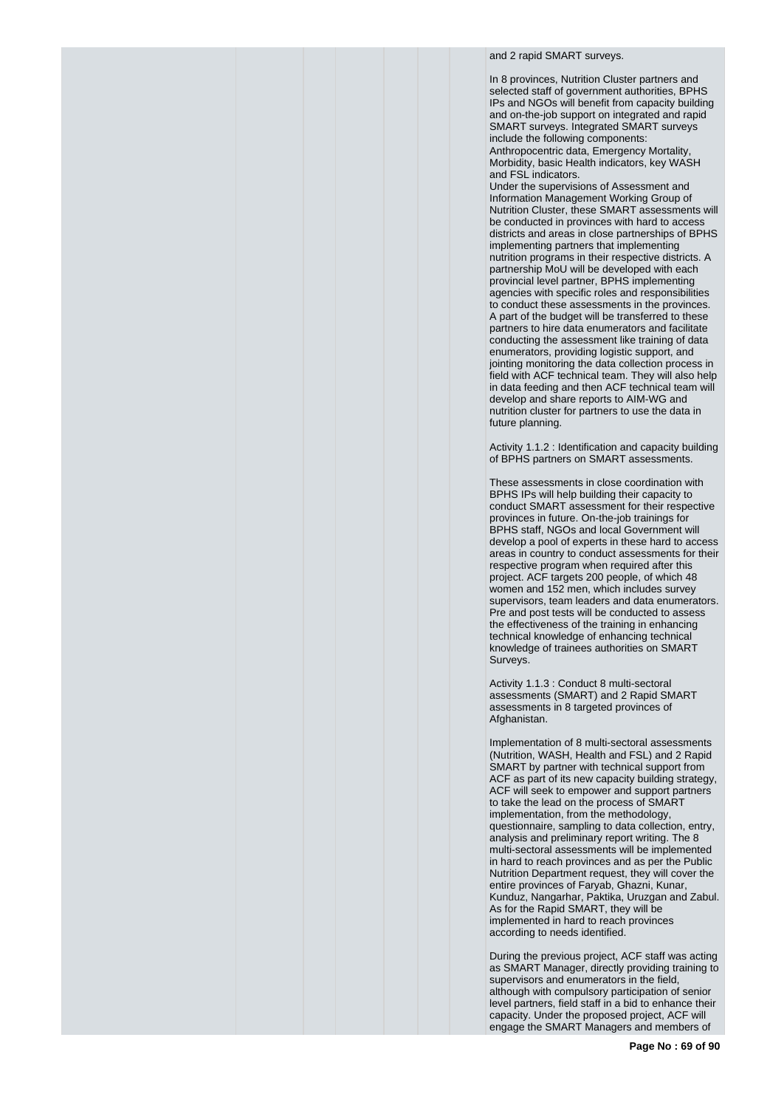and 2 rapid SMART surveys.

In 8 provinces, Nutrition Cluster partners and selected staff of government authorities, BPHS IPs and NGOs will benefit from capacity building and on-the-job support on integrated and rapid SMART surveys. Integrated SMART surveys include the following components: Anthropocentric data, Emergency Mortality, Morbidity, basic Health indicators, key WASH and FSL indicators.

Under the supervisions of Assessment and Information Management Working Group of Nutrition Cluster, these SMART assessments will be conducted in provinces with hard to access districts and areas in close partnerships of BPHS implementing partners that implementing nutrition programs in their respective districts. A partnership MoU will be developed with each provincial level partner, BPHS implementing agencies with specific roles and responsibilities to conduct these assessments in the provinces. A part of the budget will be transferred to these partners to hire data enumerators and facilitate conducting the assessment like training of data enumerators, providing logistic support, and jointing monitoring the data collection process in field with ACF technical team. They will also help in data feeding and then ACF technical team will develop and share reports to AIM-WG and nutrition cluster for partners to use the data in future planning.

Activity 1.1.2 : Identification and capacity building of BPHS partners on SMART assessments.

These assessments in close coordination with BPHS IPs will help building their capacity to conduct SMART assessment for their respective provinces in future. On-the-job trainings for BPHS staff, NGOs and local Government will develop a pool of experts in these hard to access areas in country to conduct assessments for their respective program when required after this project. ACF targets 200 people, of which 48 women and 152 men, which includes survey supervisors, team leaders and data enumerators. Pre and post tests will be conducted to assess the effectiveness of the training in enhancing technical knowledge of enhancing technical knowledge of trainees authorities on SMART Surveys.

Activity 1.1.3 : Conduct 8 multi-sectoral assessments (SMART) and 2 Rapid SMART assessments in 8 targeted provinces of Afghanistan.

Implementation of 8 multi-sectoral assessments (Nutrition, WASH, Health and FSL) and 2 Rapid SMART by partner with technical support from ACF as part of its new capacity building strategy, ACF will seek to empower and support partners to take the lead on the process of SMART implementation, from the methodology, questionnaire, sampling to data collection, entry, analysis and preliminary report writing. The 8 multi-sectoral assessments will be implemented in hard to reach provinces and as per the Public Nutrition Department request, they will cover the entire provinces of Faryab, Ghazni, Kunar, Kunduz, Nangarhar, Paktika, Uruzgan and Zabul. As for the Rapid SMART, they will be implemented in hard to reach provinces according to needs identified.

During the previous project, ACF staff was acting as SMART Manager, directly providing training to supervisors and enumerators in the field, although with compulsory participation of senior level partners, field staff in a bid to enhance their capacity. Under the proposed project, ACF will engage the SMART Managers and members of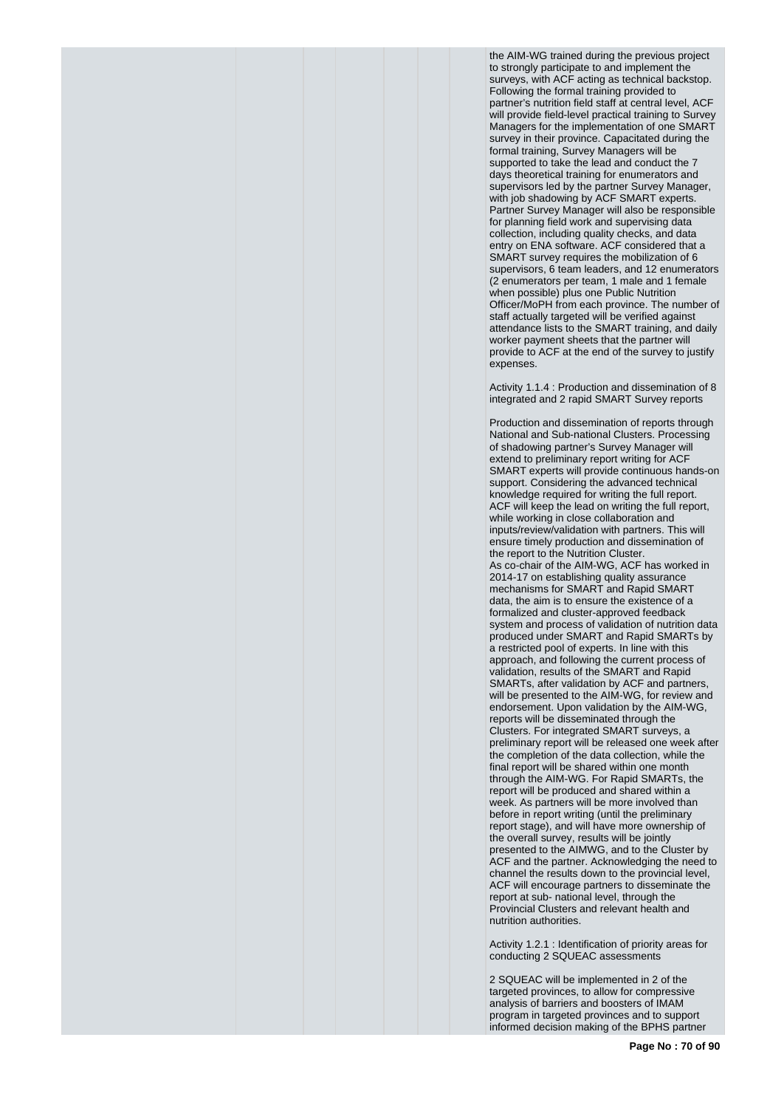the AIM-WG trained during the previous project to strongly participate to and implement the surveys, with ACF acting as technical backstop. Following the formal training provided to partner's nutrition field staff at central level, ACF will provide field-level practical training to Survey Managers for the implementation of one SMART survey in their province. Capacitated during the formal training, Survey Managers will be supported to take the lead and conduct the 7 days theoretical training for enumerators and supervisors led by the partner Survey Manager, with job shadowing by ACF SMART experts. Partner Survey Manager will also be responsible for planning field work and supervising data collection, including quality checks, and data entry on ENA software. ACF considered that a SMART survey requires the mobilization of 6 supervisors, 6 team leaders, and 12 enumerators (2 enumerators per team, 1 male and 1 female when possible) plus one Public Nutrition Officer/MoPH from each province. The number of staff actually targeted will be verified against attendance lists to the SMART training, and daily worker payment sheets that the partner will provide to ACF at the end of the survey to justify expenses.

Activity 1.1.4 : Production and dissemination of 8 integrated and 2 rapid SMART Survey reports

Production and dissemination of reports through National and Sub-national Clusters. Processing of shadowing partner's Survey Manager will extend to preliminary report writing for ACF SMART experts will provide continuous hands-on support. Considering the advanced technical knowledge required for writing the full report. ACF will keep the lead on writing the full report, while working in close collaboration and inputs/review/validation with partners. This will ensure timely production and dissemination of the report to the Nutrition Cluster. As co-chair of the AIM-WG, ACF has worked in 2014-17 on establishing quality assurance mechanisms for SMART and Rapid SMART data, the aim is to ensure the existence of a formalized and cluster-approved feedback system and process of validation of nutrition data produced under SMART and Rapid SMARTs by a restricted pool of experts. In line with this approach, and following the current process of validation, results of the SMART and Rapid SMARTs, after validation by ACF and partners, will be presented to the AIM-WG, for review and endorsement. Upon validation by the AIM-WG, reports will be disseminated through the Clusters. For integrated SMART surveys, a preliminary report will be released one week after the completion of the data collection, while the final report will be shared within one month through the AIM-WG. For Rapid SMARTs, the report will be produced and shared within a week. As partners will be more involved than before in report writing (until the preliminary report stage), and will have more ownership of the overall survey, results will be jointly presented to the AIMWG, and to the Cluster by ACF and the partner. Acknowledging the need to channel the results down to the provincial level, ACF will encourage partners to disseminate the report at sub- national level, through the Provincial Clusters and relevant health and nutrition authorities.

Activity 1.2.1 : Identification of priority areas for conducting 2 SQUEAC assessments

2 SQUEAC will be implemented in 2 of the targeted provinces, to allow for compressive analysis of barriers and boosters of IMAM program in targeted provinces and to support informed decision making of the BPHS partner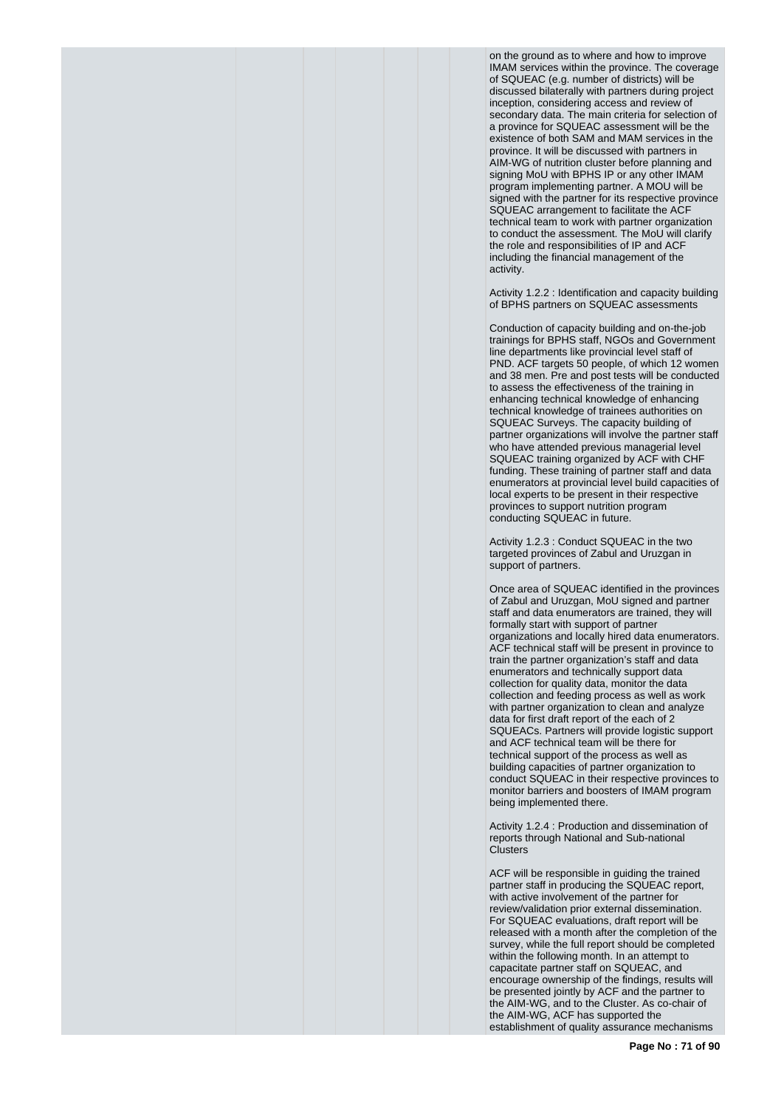on the ground as to where and how to improve IMAM services within the province. The coverage of SQUEAC (e.g. number of districts) will be discussed bilaterally with partners during project inception, considering access and review of secondary data. The main criteria for selection of a province for SQUEAC assessment will be the existence of both SAM and MAM services in the province. It will be discussed with partners in AIM-WG of nutrition cluster before planning and signing MoU with BPHS IP or any other IMAM program implementing partner. A MOU will be signed with the partner for its respective province SQUEAC arrangement to facilitate the ACF technical team to work with partner organization to conduct the assessment. The MoU will clarify the role and responsibilities of IP and ACF including the financial management of the activity.

Activity 1.2.2 : Identification and capacity building of BPHS partners on SQUEAC assessments

Conduction of capacity building and on-the-job trainings for BPHS staff, NGOs and Government line departments like provincial level staff of PND. ACF targets 50 people, of which 12 women and 38 men. Pre and post tests will be conducted to assess the effectiveness of the training in enhancing technical knowledge of enhancing technical knowledge of trainees authorities on SQUEAC Surveys. The capacity building of partner organizations will involve the partner staff who have attended previous managerial level SQUEAC training organized by ACF with CHF funding. These training of partner staff and data enumerators at provincial level build capacities of local experts to be present in their respective provinces to support nutrition program conducting SQUEAC in future.

Activity 1.2.3 : Conduct SQUEAC in the two targeted provinces of Zabul and Uruzgan in support of partners.

Once area of SQUEAC identified in the provinces of Zabul and Uruzgan, MoU signed and partner staff and data enumerators are trained, they will formally start with support of partner organizations and locally hired data enumerators. ACF technical staff will be present in province to train the partner organization's staff and data enumerators and technically support data collection for quality data, monitor the data collection and feeding process as well as work with partner organization to clean and analyze data for first draft report of the each of 2 SQUEACs. Partners will provide logistic support and ACF technical team will be there for technical support of the process as well as building capacities of partner organization to conduct SQUEAC in their respective provinces to monitor barriers and boosters of IMAM program being implemented there.

Activity 1.2.4 : Production and dissemination of reports through National and Sub-national Clusters

ACF will be responsible in guiding the trained partner staff in producing the SQUEAC report, with active involvement of the partner for review/validation prior external dissemination. For SQUEAC evaluations, draft report will be released with a month after the completion of the survey, while the full report should be completed within the following month. In an attempt to capacitate partner staff on SQUEAC, and encourage ownership of the findings, results will be presented jointly by ACF and the partner to the AIM-WG, and to the Cluster. As co-chair of the AIM-WG, ACF has supported the establishment of quality assurance mechanisms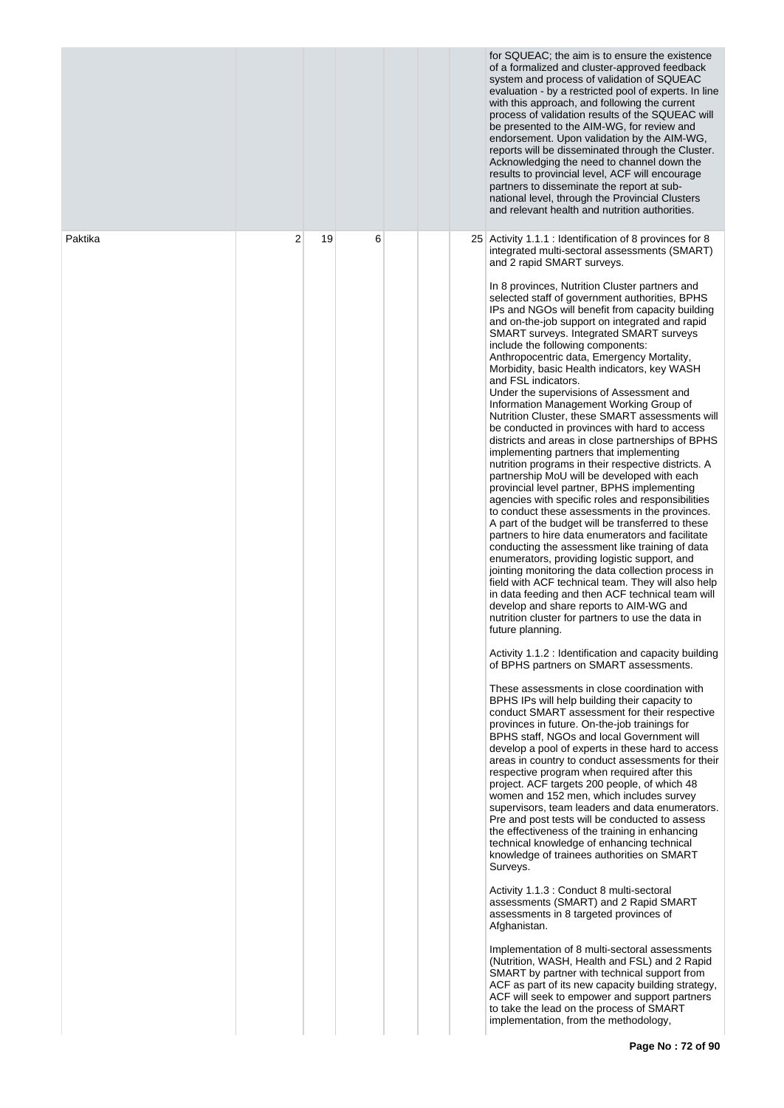|         |   |    |   |  | for SQUEAC; the aim is to ensure the existence<br>of a formalized and cluster-approved feedback<br>system and process of validation of SQUEAC<br>evaluation - by a restricted pool of experts. In line<br>with this approach, and following the current<br>process of validation results of the SQUEAC will<br>be presented to the AIM-WG, for review and<br>endorsement. Upon validation by the AIM-WG,<br>reports will be disseminated through the Cluster.<br>Acknowledging the need to channel down the<br>results to provincial level, ACF will encourage<br>partners to disseminate the report at sub-<br>national level, through the Provincial Clusters<br>and relevant health and nutrition authorities.                                                                                                                                                                                                                                                                                                                                                                                                                                                                                                                                                                                                                                                                                                                                                                                                                                                                                                                                                                                                                                                                                                                                                                                                                                                                                                                                                                                                                                                                                                                                                                                                                                                                                                                                                                                                                                                                                                                                                                                                                                                                                                                                                                                                                                                                          |
|---------|---|----|---|--|--------------------------------------------------------------------------------------------------------------------------------------------------------------------------------------------------------------------------------------------------------------------------------------------------------------------------------------------------------------------------------------------------------------------------------------------------------------------------------------------------------------------------------------------------------------------------------------------------------------------------------------------------------------------------------------------------------------------------------------------------------------------------------------------------------------------------------------------------------------------------------------------------------------------------------------------------------------------------------------------------------------------------------------------------------------------------------------------------------------------------------------------------------------------------------------------------------------------------------------------------------------------------------------------------------------------------------------------------------------------------------------------------------------------------------------------------------------------------------------------------------------------------------------------------------------------------------------------------------------------------------------------------------------------------------------------------------------------------------------------------------------------------------------------------------------------------------------------------------------------------------------------------------------------------------------------------------------------------------------------------------------------------------------------------------------------------------------------------------------------------------------------------------------------------------------------------------------------------------------------------------------------------------------------------------------------------------------------------------------------------------------------------------------------------------------------------------------------------------------------------------------------------------------------------------------------------------------------------------------------------------------------------------------------------------------------------------------------------------------------------------------------------------------------------------------------------------------------------------------------------------------------------------------------------------------------------------------------------------------------|
| Paktika | 2 | 19 | 6 |  | 25 Activity 1.1.1 : Identification of 8 provinces for 8<br>integrated multi-sectoral assessments (SMART)<br>and 2 rapid SMART surveys.<br>In 8 provinces, Nutrition Cluster partners and<br>selected staff of government authorities, BPHS<br>IPs and NGOs will benefit from capacity building<br>and on-the-job support on integrated and rapid<br><b>SMART surveys. Integrated SMART surveys</b><br>include the following components:<br>Anthropocentric data, Emergency Mortality,<br>Morbidity, basic Health indicators, key WASH<br>and FSL indicators.<br>Under the supervisions of Assessment and<br>Information Management Working Group of<br>Nutrition Cluster, these SMART assessments will<br>be conducted in provinces with hard to access<br>districts and areas in close partnerships of BPHS<br>implementing partners that implementing<br>nutrition programs in their respective districts. A<br>partnership MoU will be developed with each<br>provincial level partner, BPHS implementing<br>agencies with specific roles and responsibilities<br>to conduct these assessments in the provinces.<br>A part of the budget will be transferred to these<br>partners to hire data enumerators and facilitate<br>conducting the assessment like training of data<br>enumerators, providing logistic support, and<br>jointing monitoring the data collection process in<br>field with ACF technical team. They will also help<br>in data feeding and then ACF technical team will<br>develop and share reports to AIM-WG and<br>nutrition cluster for partners to use the data in<br>future planning.<br>Activity 1.1.2 : Identification and capacity building<br>of BPHS partners on SMART assessments.<br>These assessments in close coordination with<br>BPHS IPs will help building their capacity to<br>conduct SMART assessment for their respective<br>provinces in future. On-the-job trainings for<br>BPHS staff, NGOs and local Government will<br>develop a pool of experts in these hard to access<br>areas in country to conduct assessments for their<br>respective program when required after this<br>project. ACF targets 200 people, of which 48<br>women and 152 men, which includes survey<br>supervisors, team leaders and data enumerators.<br>Pre and post tests will be conducted to assess<br>the effectiveness of the training in enhancing<br>technical knowledge of enhancing technical<br>knowledge of trainees authorities on SMART<br>Surveys.<br>Activity 1.1.3 : Conduct 8 multi-sectoral<br>assessments (SMART) and 2 Rapid SMART<br>assessments in 8 targeted provinces of<br>Afghanistan.<br>Implementation of 8 multi-sectoral assessments<br>(Nutrition, WASH, Health and FSL) and 2 Rapid<br>SMART by partner with technical support from<br>ACF as part of its new capacity building strategy,<br>ACF will seek to empower and support partners<br>to take the lead on the process of SMART<br>implementation, from the methodology, |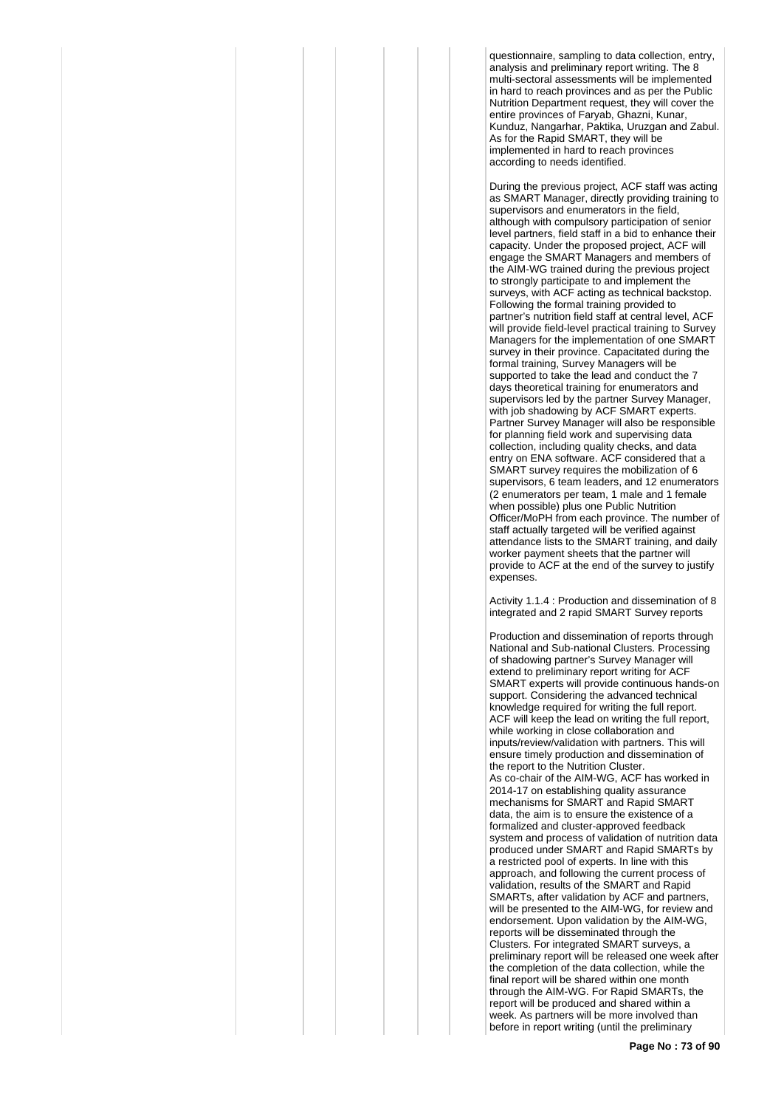questionnaire, sampling to data collection, entry, analysis and preliminary report writing. The 8 multi-sectoral assessments will be implemented in hard to reach provinces and as per the Public Nutrition Department request, they will cover the entire provinces of Faryab, Ghazni, Kunar, Kunduz, Nangarhar, Paktika, Uruzgan and Zabul. As for the Rapid SMART, they will be implemented in hard to reach provinces according to needs identified.

During the previous project, ACF staff was acting as SMART Manager, directly providing training to supervisors and enumerators in the field, although with compulsory participation of senior level partners, field staff in a bid to enhance their capacity. Under the proposed project, ACF will engage the SMART Managers and members of the AIM-WG trained during the previous project to strongly participate to and implement the surveys, with ACF acting as technical backstop. Following the formal training provided to partner's nutrition field staff at central level, ACF will provide field-level practical training to Survey Managers for the implementation of one SMART survey in their province. Capacitated during the formal training, Survey Managers will be supported to take the lead and conduct the 7 days theoretical training for enumerators and supervisors led by the partner Survey Manager, with job shadowing by ACF SMART experts. Partner Survey Manager will also be responsible for planning field work and supervising data collection, including quality checks, and data entry on ENA software. ACF considered that a SMART survey requires the mobilization of 6 supervisors, 6 team leaders, and 12 enumerators (2 enumerators per team, 1 male and 1 female when possible) plus one Public Nutrition Officer/MoPH from each province. The number of staff actually targeted will be verified against attendance lists to the SMART training, and daily worker payment sheets that the partner will provide to ACF at the end of the survey to justify expenses.

Activity 1.1.4 : Production and dissemination of 8 integrated and 2 rapid SMART Survey reports

Production and dissemination of reports through National and Sub-national Clusters. Processing of shadowing partner's Survey Manager will extend to preliminary report writing for ACF SMART experts will provide continuous hands-on support. Considering the advanced technical knowledge required for writing the full report. ACF will keep the lead on writing the full report, while working in close collaboration and inputs/review/validation with partners. This will ensure timely production and dissemination of the report to the Nutrition Cluster. As co-chair of the AIM-WG, ACF has worked in 2014-17 on establishing quality assurance mechanisms for SMART and Rapid SMART data, the aim is to ensure the existence of a formalized and cluster-approved feedback system and process of validation of nutrition data produced under SMART and Rapid SMARTs by a restricted pool of experts. In line with this approach, and following the current process of validation, results of the SMART and Rapid SMARTs, after validation by ACF and partners, will be presented to the AIM-WG, for review and endorsement. Upon validation by the AIM-WG, reports will be disseminated through the Clusters. For integrated SMART surveys, a preliminary report will be released one week after the completion of the data collection, while the final report will be shared within one month through the AIM-WG. For Rapid SMARTs, the report will be produced and shared within a week. As partners will be more involved than before in report writing (until the preliminary

**Page No : 73 of 90**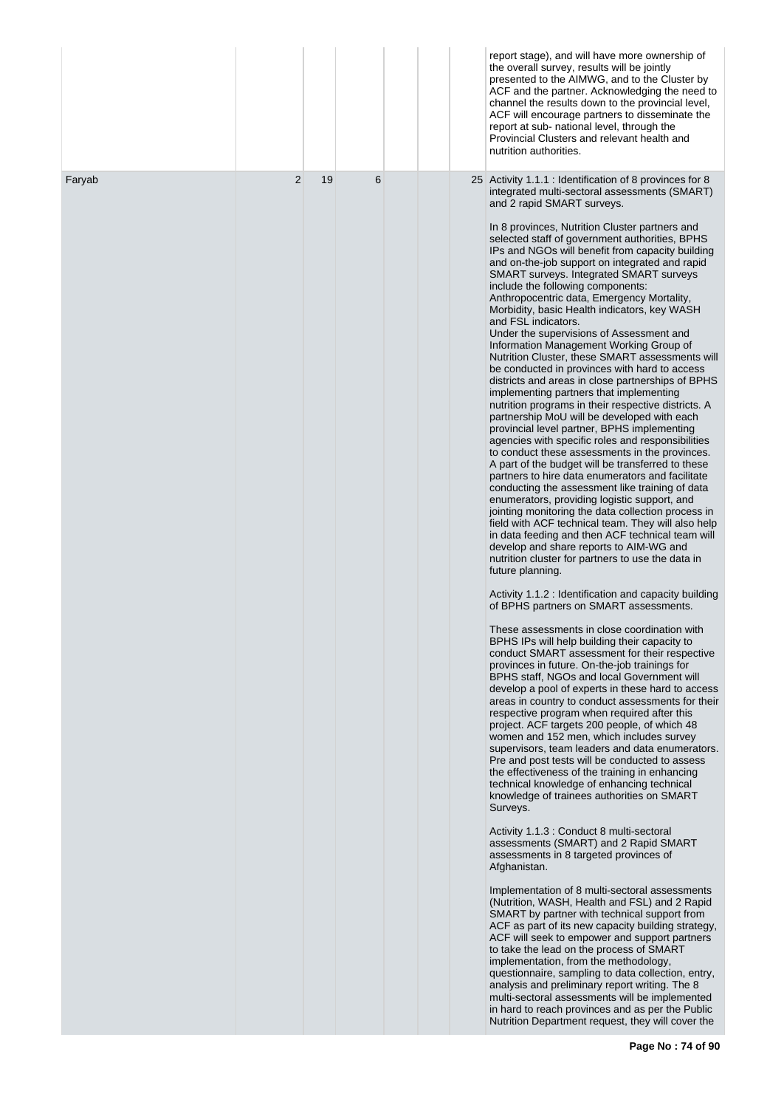|        |                |    |   |  | report stage), and will have more ownership of<br>the overall survey, results will be jointly<br>presented to the AIMWG, and to the Cluster by<br>ACF and the partner. Acknowledging the need to<br>channel the results down to the provincial level,<br>ACF will encourage partners to disseminate the<br>report at sub- national level, through the<br>Provincial Clusters and relevant health and<br>nutrition authorities.                                                                                                                                                                                                                                                                                                                                                                                                                                                                                                                                                                                                                                                                                                                                                                                                                                                                                                                                                                                                                                                                                                                                                                                                                                                                                                                                                                                                                                                                                                                                                                                                                                                                                                                                                                                                                                                                                             |
|--------|----------------|----|---|--|----------------------------------------------------------------------------------------------------------------------------------------------------------------------------------------------------------------------------------------------------------------------------------------------------------------------------------------------------------------------------------------------------------------------------------------------------------------------------------------------------------------------------------------------------------------------------------------------------------------------------------------------------------------------------------------------------------------------------------------------------------------------------------------------------------------------------------------------------------------------------------------------------------------------------------------------------------------------------------------------------------------------------------------------------------------------------------------------------------------------------------------------------------------------------------------------------------------------------------------------------------------------------------------------------------------------------------------------------------------------------------------------------------------------------------------------------------------------------------------------------------------------------------------------------------------------------------------------------------------------------------------------------------------------------------------------------------------------------------------------------------------------------------------------------------------------------------------------------------------------------------------------------------------------------------------------------------------------------------------------------------------------------------------------------------------------------------------------------------------------------------------------------------------------------------------------------------------------------------------------------------------------------------------------------------------------------|
| Faryab | $\overline{2}$ | 19 | 6 |  | 25 Activity 1.1.1 : Identification of 8 provinces for 8<br>integrated multi-sectoral assessments (SMART)<br>and 2 rapid SMART surveys.<br>In 8 provinces, Nutrition Cluster partners and<br>selected staff of government authorities, BPHS<br>IPs and NGOs will benefit from capacity building<br>and on-the-job support on integrated and rapid<br>SMART surveys. Integrated SMART surveys<br>include the following components:<br>Anthropocentric data, Emergency Mortality,<br>Morbidity, basic Health indicators, key WASH<br>and FSL indicators.<br>Under the supervisions of Assessment and<br>Information Management Working Group of<br>Nutrition Cluster, these SMART assessments will<br>be conducted in provinces with hard to access<br>districts and areas in close partnerships of BPHS<br>implementing partners that implementing<br>nutrition programs in their respective districts. A<br>partnership MoU will be developed with each<br>provincial level partner, BPHS implementing<br>agencies with specific roles and responsibilities<br>to conduct these assessments in the provinces.<br>A part of the budget will be transferred to these<br>partners to hire data enumerators and facilitate<br>conducting the assessment like training of data<br>enumerators, providing logistic support, and<br>jointing monitoring the data collection process in<br>field with ACF technical team. They will also help<br>in data feeding and then ACF technical team will<br>develop and share reports to AIM-WG and<br>nutrition cluster for partners to use the data in<br>future planning.<br>Activity 1.1.2 : Identification and capacity building<br>of BPHS partners on SMART assessments.<br>These assessments in close coordination with<br>BPHS IPs will help building their capacity to<br>conduct SMART assessment for their respective<br>provinces in future. On-the-job trainings for<br>BPHS staff, NGOs and local Government will<br>develop a pool of experts in these hard to access<br>areas in country to conduct assessments for their<br>respective program when required after this<br>project. ACF targets 200 people, of which 48<br>women and 152 men, which includes survey<br>supervisors, team leaders and data enumerators.<br>Pre and post tests will be conducted to assess |
|        |                |    |   |  | the effectiveness of the training in enhancing<br>technical knowledge of enhancing technical<br>knowledge of trainees authorities on SMART<br>Surveys.<br>Activity 1.1.3 : Conduct 8 multi-sectoral<br>assessments (SMART) and 2 Rapid SMART<br>assessments in 8 targeted provinces of<br>Afghanistan.                                                                                                                                                                                                                                                                                                                                                                                                                                                                                                                                                                                                                                                                                                                                                                                                                                                                                                                                                                                                                                                                                                                                                                                                                                                                                                                                                                                                                                                                                                                                                                                                                                                                                                                                                                                                                                                                                                                                                                                                                     |
|        |                |    |   |  | Implementation of 8 multi-sectoral assessments<br>(Nutrition, WASH, Health and FSL) and 2 Rapid<br>SMART by partner with technical support from<br>ACF as part of its new capacity building strategy,<br>ACF will seek to empower and support partners<br>to take the lead on the process of SMART<br>implementation, from the methodology,<br>questionnaire, sampling to data collection, entry,<br>analysis and preliminary report writing. The 8<br>multi-sectoral assessments will be implemented<br>in hard to reach provinces and as per the Public<br>Nutrition Department request, they will cover the                                                                                                                                                                                                                                                                                                                                                                                                                                                                                                                                                                                                                                                                                                                                                                                                                                                                                                                                                                                                                                                                                                                                                                                                                                                                                                                                                                                                                                                                                                                                                                                                                                                                                                             |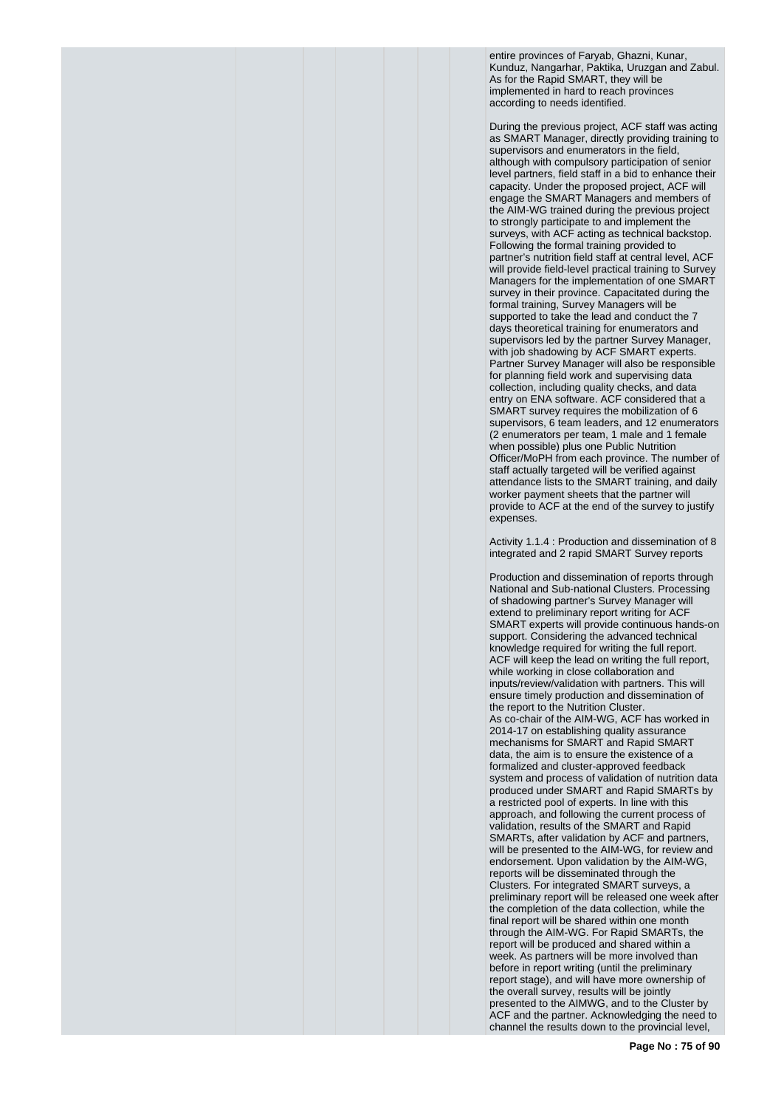entire provinces of Faryab, Ghazni, Kunar, Kunduz, Nangarhar, Paktika, Uruzgan and Zabul. As for the Rapid SMART, they will be implemented in hard to reach provinces according to needs identified.

During the previous project, ACF staff was acting as SMART Manager, directly providing training to supervisors and enumerators in the field, although with compulsory participation of senior level partners, field staff in a bid to enhance their capacity. Under the proposed project, ACF will engage the SMART Managers and members of the AIM-WG trained during the previous project to strongly participate to and implement the surveys, with ACF acting as technical backstop. Following the formal training provided to partner's nutrition field staff at central level, ACF will provide field-level practical training to Survey Managers for the implementation of one SMART survey in their province. Capacitated during the formal training, Survey Managers will be supported to take the lead and conduct the 7 days theoretical training for enumerators and supervisors led by the partner Survey Manager, with job shadowing by ACF SMART experts. Partner Survey Manager will also be responsible for planning field work and supervising data collection, including quality checks, and data entry on ENA software. ACF considered that a SMART survey requires the mobilization of 6 supervisors, 6 team leaders, and 12 enumerators (2 enumerators per team, 1 male and 1 female when possible) plus one Public Nutrition Officer/MoPH from each province. The number of staff actually targeted will be verified against attendance lists to the SMART training, and daily worker payment sheets that the partner will provide to ACF at the end of the survey to justify expenses.

Activity 1.1.4 : Production and dissemination of 8 integrated and 2 rapid SMART Survey reports

Production and dissemination of reports through National and Sub-national Clusters. Processing of shadowing partner's Survey Manager will extend to preliminary report writing for ACF SMART experts will provide continuous hands-on support. Considering the advanced technical knowledge required for writing the full report. ACF will keep the lead on writing the full report, while working in close collaboration and inputs/review/validation with partners. This will ensure timely production and dissemination of the report to the Nutrition Cluster. As co-chair of the AIM-WG, ACF has worked in 2014-17 on establishing quality assurance mechanisms for SMART and Rapid SMART data, the aim is to ensure the existence of a formalized and cluster-approved feedback system and process of validation of nutrition data produced under SMART and Rapid SMARTs by a restricted pool of experts. In line with this approach, and following the current process of validation, results of the SMART and Rapid SMARTs, after validation by ACF and partners, will be presented to the AIM-WG, for review and endorsement. Upon validation by the AIM-WG, reports will be disseminated through the Clusters. For integrated SMART surveys, a preliminary report will be released one week after the completion of the data collection, while the final report will be shared within one month through the AIM-WG. For Rapid SMARTs, the report will be produced and shared within a week. As partners will be more involved than before in report writing (until the preliminary report stage), and will have more ownership of the overall survey, results will be jointly presented to the AIMWG, and to the Cluster by ACF and the partner. Acknowledging the need to channel the results down to the provincial level,

**Page No : 75 of 90**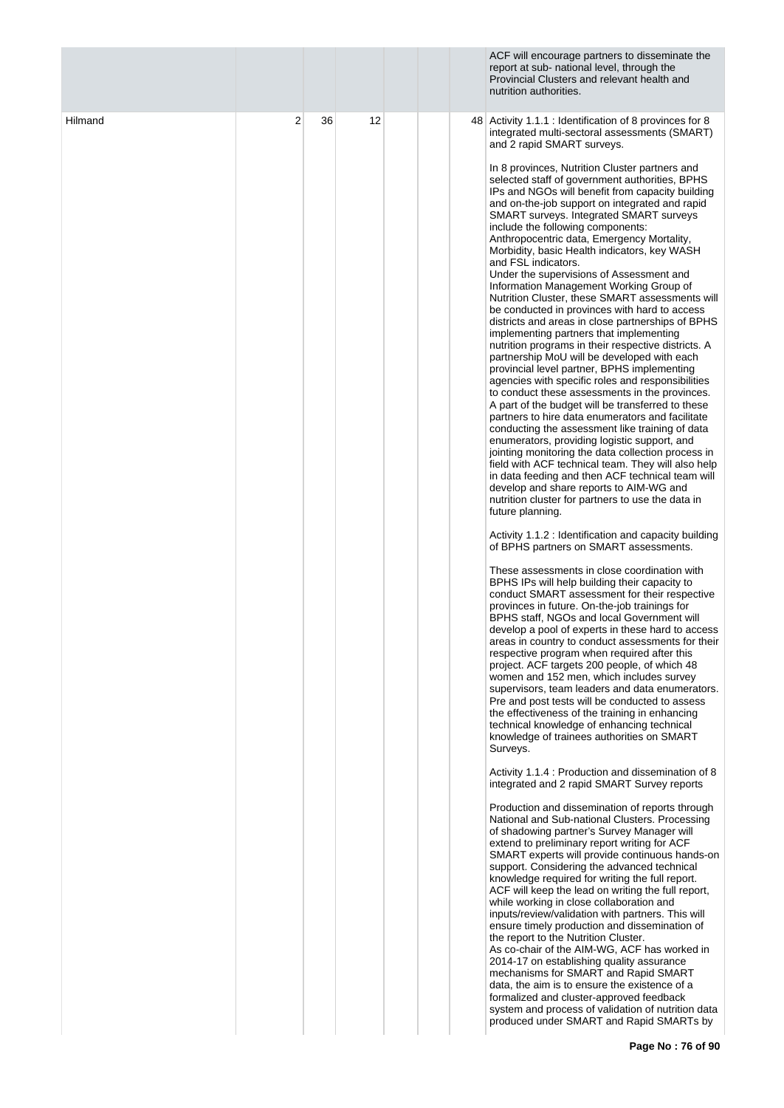|         |                |    |    |  | ACF will encourage partners to disseminate the<br>report at sub- national level, through the<br>Provincial Clusters and relevant health and<br>nutrition authorities.                                                                                                                                                                                                                                                                                                                                                                                                                                                                                                                                                                                                                                                                                                                                                                                                                                                                                                                                                                                                                                                                                                                                                                                                                                                                                                                                                                                                                                                                                                                                                                                                                                                                                                                                                                                                                                                                                                                                                                                                                                                                                                                                                                                                                                                             |
|---------|----------------|----|----|--|-----------------------------------------------------------------------------------------------------------------------------------------------------------------------------------------------------------------------------------------------------------------------------------------------------------------------------------------------------------------------------------------------------------------------------------------------------------------------------------------------------------------------------------------------------------------------------------------------------------------------------------------------------------------------------------------------------------------------------------------------------------------------------------------------------------------------------------------------------------------------------------------------------------------------------------------------------------------------------------------------------------------------------------------------------------------------------------------------------------------------------------------------------------------------------------------------------------------------------------------------------------------------------------------------------------------------------------------------------------------------------------------------------------------------------------------------------------------------------------------------------------------------------------------------------------------------------------------------------------------------------------------------------------------------------------------------------------------------------------------------------------------------------------------------------------------------------------------------------------------------------------------------------------------------------------------------------------------------------------------------------------------------------------------------------------------------------------------------------------------------------------------------------------------------------------------------------------------------------------------------------------------------------------------------------------------------------------------------------------------------------------------------------------------------------------|
| Hilmand | $\overline{2}$ | 36 | 12 |  | 48 Activity 1.1.1 : Identification of 8 provinces for 8<br>integrated multi-sectoral assessments (SMART)<br>and 2 rapid SMART surveys.<br>In 8 provinces, Nutrition Cluster partners and<br>selected staff of government authorities, BPHS<br>IPs and NGOs will benefit from capacity building<br>and on-the-job support on integrated and rapid<br><b>SMART surveys. Integrated SMART surveys</b><br>include the following components:<br>Anthropocentric data, Emergency Mortality,<br>Morbidity, basic Health indicators, key WASH<br>and FSL indicators.<br>Under the supervisions of Assessment and<br>Information Management Working Group of<br>Nutrition Cluster, these SMART assessments will<br>be conducted in provinces with hard to access<br>districts and areas in close partnerships of BPHS<br>implementing partners that implementing<br>nutrition programs in their respective districts. A<br>partnership MoU will be developed with each<br>provincial level partner, BPHS implementing<br>agencies with specific roles and responsibilities<br>to conduct these assessments in the provinces.<br>A part of the budget will be transferred to these<br>partners to hire data enumerators and facilitate<br>conducting the assessment like training of data<br>enumerators, providing logistic support, and<br>jointing monitoring the data collection process in<br>field with ACF technical team. They will also help<br>in data feeding and then ACF technical team will<br>develop and share reports to AIM-WG and<br>nutrition cluster for partners to use the data in<br>future planning.<br>Activity 1.1.2 : Identification and capacity building<br>of BPHS partners on SMART assessments.<br>These assessments in close coordination with<br>BPHS IPs will help building their capacity to<br>conduct SMART assessment for their respective<br>provinces in future. On-the-job trainings for<br>BPHS staff, NGOs and local Government will<br>develop a pool of experts in these hard to access<br>areas in country to conduct assessments for their<br>respective program when required after this<br>project. ACF targets 200 people, of which 48<br>women and 152 men, which includes survey<br>supervisors, team leaders and data enumerators.<br>Pre and post tests will be conducted to assess<br>the effectiveness of the training in enhancing<br>technical knowledge of enhancing technical |
|         |                |    |    |  | knowledge of trainees authorities on SMART<br>Surveys.<br>Activity 1.1.4 : Production and dissemination of 8<br>integrated and 2 rapid SMART Survey reports                                                                                                                                                                                                                                                                                                                                                                                                                                                                                                                                                                                                                                                                                                                                                                                                                                                                                                                                                                                                                                                                                                                                                                                                                                                                                                                                                                                                                                                                                                                                                                                                                                                                                                                                                                                                                                                                                                                                                                                                                                                                                                                                                                                                                                                                       |
|         |                |    |    |  | Production and dissemination of reports through<br>National and Sub-national Clusters. Processing<br>of shadowing partner's Survey Manager will<br>extend to preliminary report writing for ACF<br>SMART experts will provide continuous hands-on<br>support. Considering the advanced technical<br>knowledge required for writing the full report.<br>ACF will keep the lead on writing the full report,<br>while working in close collaboration and<br>inputs/review/validation with partners. This will<br>ensure timely production and dissemination of<br>the report to the Nutrition Cluster.<br>As co-chair of the AIM-WG, ACF has worked in<br>2014-17 on establishing quality assurance<br>mechanisms for SMART and Rapid SMART<br>data, the aim is to ensure the existence of a<br>formalized and cluster-approved feedback<br>system and process of validation of nutrition data<br>produced under SMART and Rapid SMARTs by                                                                                                                                                                                                                                                                                                                                                                                                                                                                                                                                                                                                                                                                                                                                                                                                                                                                                                                                                                                                                                                                                                                                                                                                                                                                                                                                                                                                                                                                                           |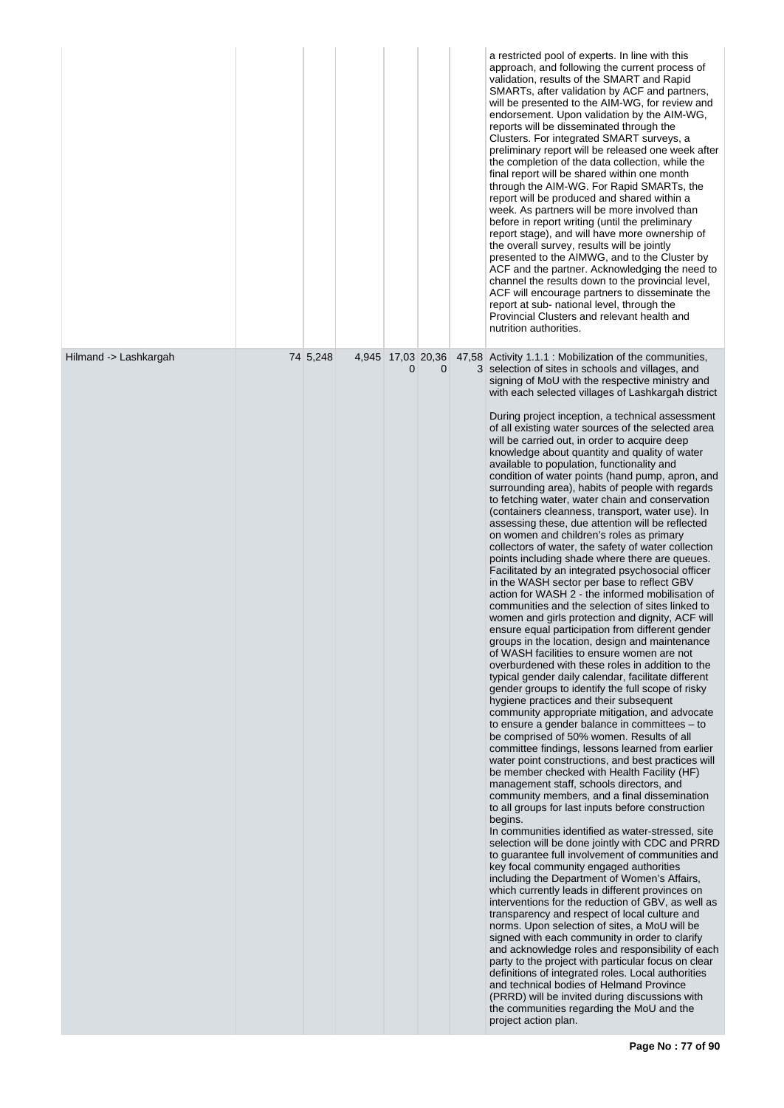|                       |          |   |   | a restricted pool of experts. In line with this<br>approach, and following the current process of<br>validation, results of the SMART and Rapid<br>SMARTs, after validation by ACF and partners,<br>will be presented to the AIM-WG, for review and<br>endorsement. Upon validation by the AIM-WG,<br>reports will be disseminated through the<br>Clusters. For integrated SMART surveys, a<br>preliminary report will be released one week after<br>the completion of the data collection, while the<br>final report will be shared within one month<br>through the AIM-WG. For Rapid SMARTs, the<br>report will be produced and shared within a<br>week. As partners will be more involved than<br>before in report writing (until the preliminary<br>report stage), and will have more ownership of<br>the overall survey, results will be jointly<br>presented to the AIMWG, and to the Cluster by<br>ACF and the partner. Acknowledging the need to<br>channel the results down to the provincial level,<br>ACF will encourage partners to disseminate the<br>report at sub- national level, through the<br>Provincial Clusters and relevant health and<br>nutrition authorities.                                                                                                                                                                                                                                                                                                                                                                                                                                                                                                                                                                                                                                                                                                                                                                                                                                                                                                                                                                                                                                                                                                                                                                                                                                                                                                                                                                                                                                                                                                                                                                                                                                                                                                 |
|-----------------------|----------|---|---|----------------------------------------------------------------------------------------------------------------------------------------------------------------------------------------------------------------------------------------------------------------------------------------------------------------------------------------------------------------------------------------------------------------------------------------------------------------------------------------------------------------------------------------------------------------------------------------------------------------------------------------------------------------------------------------------------------------------------------------------------------------------------------------------------------------------------------------------------------------------------------------------------------------------------------------------------------------------------------------------------------------------------------------------------------------------------------------------------------------------------------------------------------------------------------------------------------------------------------------------------------------------------------------------------------------------------------------------------------------------------------------------------------------------------------------------------------------------------------------------------------------------------------------------------------------------------------------------------------------------------------------------------------------------------------------------------------------------------------------------------------------------------------------------------------------------------------------------------------------------------------------------------------------------------------------------------------------------------------------------------------------------------------------------------------------------------------------------------------------------------------------------------------------------------------------------------------------------------------------------------------------------------------------------------------------------------------------------------------------------------------------------------------------------------------------------------------------------------------------------------------------------------------------------------------------------------------------------------------------------------------------------------------------------------------------------------------------------------------------------------------------------------------------------------------------------------------------------------------------------------------------|
| Hilmand -> Lashkargah | 74 5,248 | 0 | 0 | 4,945 17,03 20,36 47,58 Activity 1.1.1 : Mobilization of the communities,<br>3 selection of sites in schools and villages, and<br>signing of MoU with the respective ministry and<br>with each selected villages of Lashkargah district<br>During project inception, a technical assessment<br>of all existing water sources of the selected area<br>will be carried out, in order to acquire deep<br>knowledge about quantity and quality of water<br>available to population, functionality and<br>condition of water points (hand pump, apron, and<br>surrounding area), habits of people with regards<br>to fetching water, water chain and conservation<br>(containers cleanness, transport, water use). In<br>assessing these, due attention will be reflected<br>on women and children's roles as primary<br>collectors of water, the safety of water collection<br>points including shade where there are queues.<br>Facilitated by an integrated psychosocial officer<br>in the WASH sector per base to reflect GBV<br>action for WASH 2 - the informed mobilisation of<br>communities and the selection of sites linked to<br>women and girls protection and dignity, ACF will<br>ensure equal participation from different gender<br>groups in the location, design and maintenance<br>of WASH facilities to ensure women are not<br>overburdened with these roles in addition to the<br>typical gender daily calendar, facilitate different<br>gender groups to identify the full scope of risky<br>hygiene practices and their subsequent<br>community appropriate mitigation, and advocate<br>to ensure a gender balance in committees $-$ to<br>be comprised of 50% women. Results of all<br>committee findings, lessons learned from earlier<br>water point constructions, and best practices will<br>be member checked with Health Facility (HF)<br>management staff, schools directors, and<br>community members, and a final dissemination<br>to all groups for last inputs before construction<br>begins.<br>In communities identified as water-stressed, site<br>selection will be done jointly with CDC and PRRD<br>to guarantee full involvement of communities and<br>key focal community engaged authorities<br>including the Department of Women's Affairs,<br>which currently leads in different provinces on<br>interventions for the reduction of GBV, as well as<br>transparency and respect of local culture and<br>norms. Upon selection of sites, a MoU will be<br>signed with each community in order to clarify<br>and acknowledge roles and responsibility of each<br>party to the project with particular focus on clear<br>definitions of integrated roles. Local authorities<br>and technical bodies of Helmand Province<br>(PRRD) will be invited during discussions with<br>the communities regarding the MoU and the<br>project action plan. |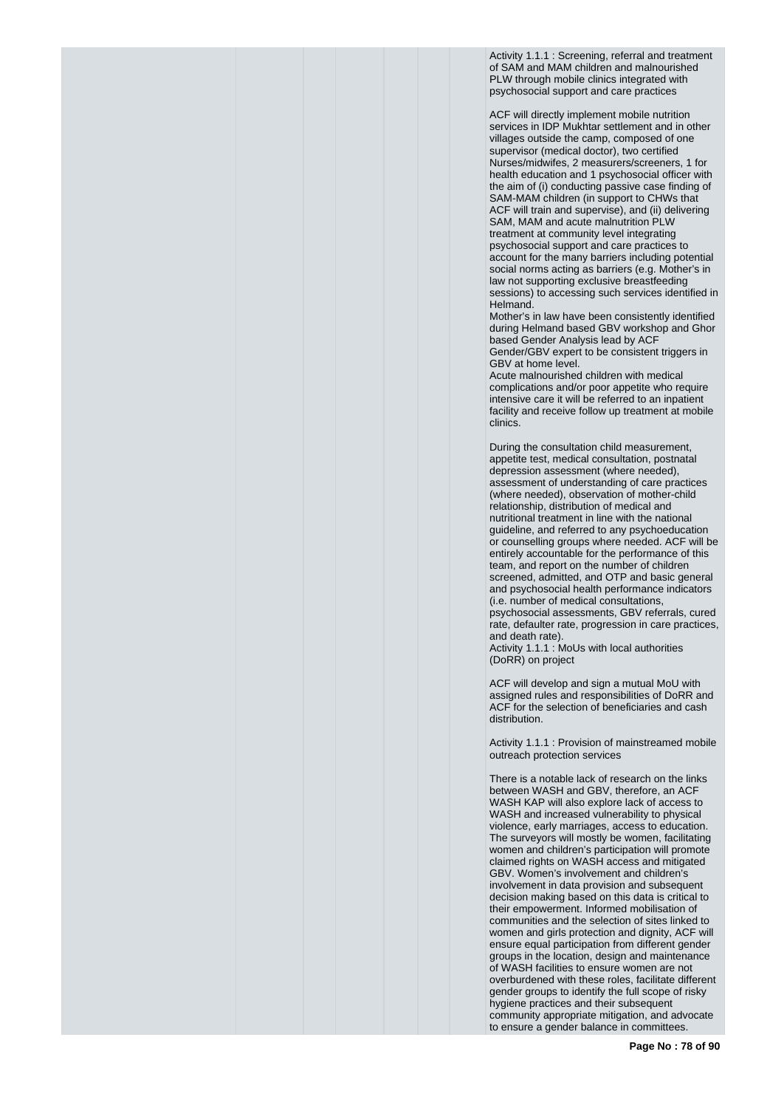Activity 1.1.1 : Screening, referral and treatment of SAM and MAM children and malnourished PLW through mobile clinics integrated with psychosocial support and care practices

ACF will directly implement mobile nutrition services in IDP Mukhtar settlement and in other villages outside the camp, composed of one supervisor (medical doctor), two certified Nurses/midwifes, 2 measurers/screeners, 1 for health education and 1 psychosocial officer with the aim of (i) conducting passive case finding of SAM-MAM children (in support to CHWs that ACF will train and supervise), and (ii) delivering SAM, MAM and acute malnutrition PLW treatment at community level integrating psychosocial support and care practices to account for the many barriers including potential social norms acting as barriers (e.g. Mother's in law not supporting exclusive breastfeeding sessions) to accessing such services identified in Helmand.

Mother's in law have been consistently identified during Helmand based GBV workshop and Ghor based Gender Analysis lead by ACF Gender/GBV expert to be consistent triggers in GBV at home level.

Acute malnourished children with medical complications and/or poor appetite who require intensive care it will be referred to an inpatient facility and receive follow up treatment at mobile clinics.

During the consultation child measurement, appetite test, medical consultation, postnatal depression assessment (where needed), assessment of understanding of care practices (where needed), observation of mother-child relationship, distribution of medical and nutritional treatment in line with the national guideline, and referred to any psychoeducation or counselling groups where needed. ACF will be entirely accountable for the performance of this team, and report on the number of children screened, admitted, and OTP and basic general and psychosocial health performance indicators (i.e. number of medical consultations, psychosocial assessments, GBV referrals, cured rate, defaulter rate, progression in care practices, and death rate).

Activity 1.1.1 : MoUs with local authorities (DoRR) on project

ACF will develop and sign a mutual MoU with assigned rules and responsibilities of DoRR and ACF for the selection of beneficiaries and cash distribution.

Activity 1.1.1 : Provision of mainstreamed mobile outreach protection services

There is a notable lack of research on the links between WASH and GBV, therefore, an ACF WASH KAP will also explore lack of access to WASH and increased vulnerability to physical violence, early marriages, access to education. The surveyors will mostly be women, facilitating women and children's participation will promote claimed rights on WASH access and mitigated GBV. Women's involvement and children's involvement in data provision and subsequent decision making based on this data is critical to their empowerment. Informed mobilisation of communities and the selection of sites linked to women and girls protection and dignity, ACF will ensure equal participation from different gender groups in the location, design and maintenance of WASH facilities to ensure women are not overburdened with these roles, facilitate different gender groups to identify the full scope of risky hygiene practices and their subsequent community appropriate mitigation, and advocate to ensure a gender balance in committees.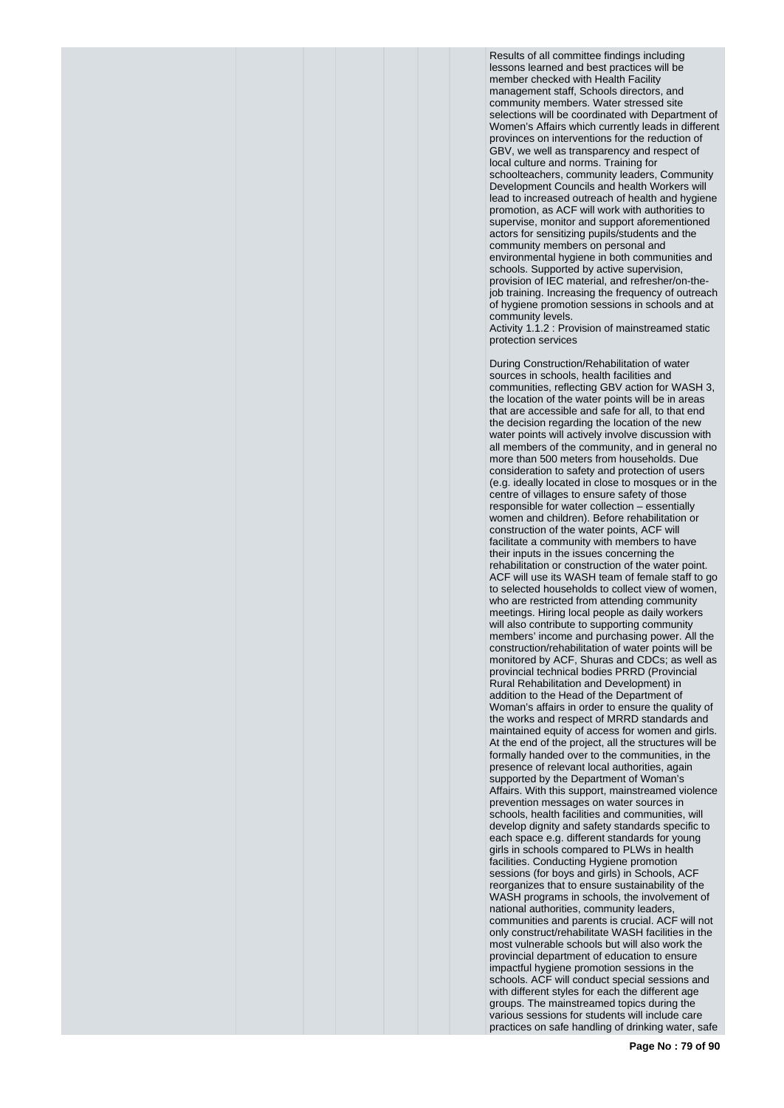Results of all committee findings including lessons learned and best practices will be member checked with Health Facility management staff, Schools directors, and community members. Water stressed site selections will be coordinated with Department of Women's Affairs which currently leads in different provinces on interventions for the reduction of GBV, we well as transparency and respect of local culture and norms. Training for schoolteachers, community leaders, Community Development Councils and health Workers will lead to increased outreach of health and hygiene promotion, as ACF will work with authorities to supervise, monitor and support aforementioned actors for sensitizing pupils/students and the community members on personal and environmental hygiene in both communities and schools. Supported by active supervision, provision of IEC material, and refresher/on-thejob training. Increasing the frequency of outreach of hygiene promotion sessions in schools and at community levels.

Activity 1.1.2 : Provision of mainstreamed static protection services

During Construction/Rehabilitation of water sources in schools, health facilities and communities, reflecting GBV action for WASH 3, the location of the water points will be in areas that are accessible and safe for all, to that end the decision regarding the location of the new water points will actively involve discussion with all members of the community, and in general no more than 500 meters from households. Due consideration to safety and protection of users (e.g. ideally located in close to mosques or in the centre of villages to ensure safety of those responsible for water collection – essentially women and children). Before rehabilitation or construction of the water points, ACF will facilitate a community with members to have their inputs in the issues concerning the rehabilitation or construction of the water point. ACF will use its WASH team of female staff to go to selected households to collect view of women, who are restricted from attending community meetings. Hiring local people as daily workers will also contribute to supporting community members' income and purchasing power. All the construction/rehabilitation of water points will be monitored by ACF, Shuras and CDCs; as well as provincial technical bodies PRRD (Provincial Rural Rehabilitation and Development) in addition to the Head of the Department of Woman's affairs in order to ensure the quality of the works and respect of MRRD standards and maintained equity of access for women and girls. At the end of the project, all the structures will be formally handed over to the communities, in the presence of relevant local authorities, again supported by the Department of Woman's Affairs. With this support, mainstreamed violence prevention messages on water sources in schools, health facilities and communities, will develop dignity and safety standards specific to each space e.g. different standards for young girls in schools compared to PLWs in health facilities. Conducting Hygiene promotion sessions (for boys and girls) in Schools, ACF reorganizes that to ensure sustainability of the WASH programs in schools, the involvement of national authorities, community leaders, communities and parents is crucial. ACF will not only construct/rehabilitate WASH facilities in the most vulnerable schools but will also work the provincial department of education to ensure impactful hygiene promotion sessions in the schools. ACF will conduct special sessions and with different styles for each the different age groups. The mainstreamed topics during the various sessions for students will include care practices on safe handling of drinking water, safe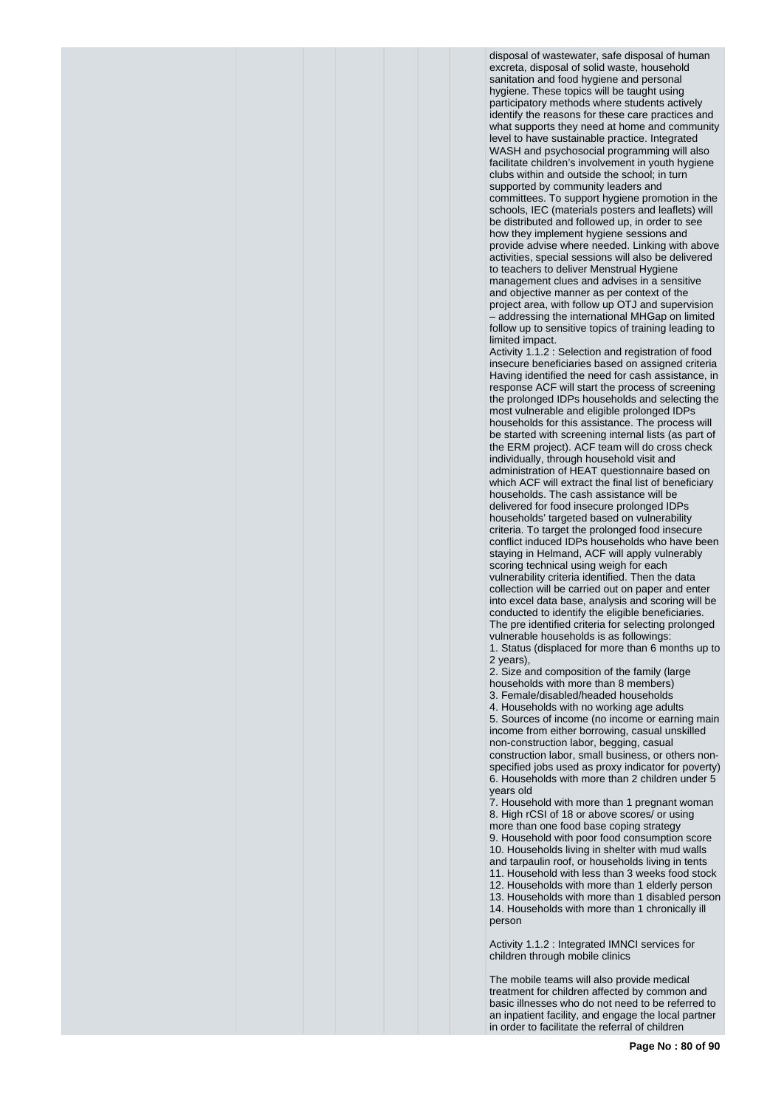disposal of wastewater, safe disposal of human excreta, disposal of solid waste, household sanitation and food hygiene and personal hygiene. These topics will be taught using participatory methods where students actively identify the reasons for these care practices and what supports they need at home and community level to have sustainable practice. Integrated WASH and psychosocial programming will also facilitate children's involvement in youth hygiene clubs within and outside the school; in turn supported by community leaders and committees. To support hygiene promotion in the schools, IEC (materials posters and leaflets) will be distributed and followed up, in order to see how they implement hygiene sessions and provide advise where needed. Linking with above activities, special sessions will also be delivered to teachers to deliver Menstrual Hygiene management clues and advises in a sensitive and objective manner as per context of the project area, with follow up OTJ and supervision – addressing the international MHGap on limited follow up to sensitive topics of training leading to limited impact.

Activity 1.1.2 : Selection and registration of food insecure beneficiaries based on assigned criteria Having identified the need for cash assistance, in response ACF will start the process of screening the prolonged IDPs households and selecting the most vulnerable and eligible prolonged IDPs households for this assistance. The process will be started with screening internal lists (as part of the ERM project). ACF team will do cross check individually, through household visit and administration of HEAT questionnaire based on which ACF will extract the final list of beneficiary households. The cash assistance will be delivered for food insecure prolonged IDPs households' targeted based on vulnerability criteria. To target the prolonged food insecure conflict induced IDPs households who have been staying in Helmand, ACF will apply vulnerably scoring technical using weigh for each vulnerability criteria identified. Then the data collection will be carried out on paper and enter into excel data base, analysis and scoring will be conducted to identify the eligible beneficiaries. The pre identified criteria for selecting prolonged vulnerable households is as followings:

1. Status (displaced for more than 6 months up to 2 years),

2. Size and composition of the family (large households with more than 8 members) 3. Female/disabled/headed households

4. Households with no working age adults 5. Sources of income (no income or earning main income from either borrowing, casual unskilled non-construction labor, begging, casual construction labor, small business, or others nonspecified jobs used as proxy indicator for poverty) 6. Households with more than 2 children under 5 years old

7. Household with more than 1 pregnant woman 8. High rCSI of 18 or above scores/ or using more than one food base coping strategy 9. Household with poor food consumption score 10. Households living in shelter with mud walls and tarpaulin roof, or households living in tents 11. Household with less than 3 weeks food stock 12. Households with more than 1 elderly person 13. Households with more than 1 disabled person 14. Households with more than 1 chronically ill person

Activity 1.1.2 : Integrated IMNCI services for children through mobile clinics

The mobile teams will also provide medical treatment for children affected by common and basic illnesses who do not need to be referred to an inpatient facility, and engage the local partner in order to facilitate the referral of children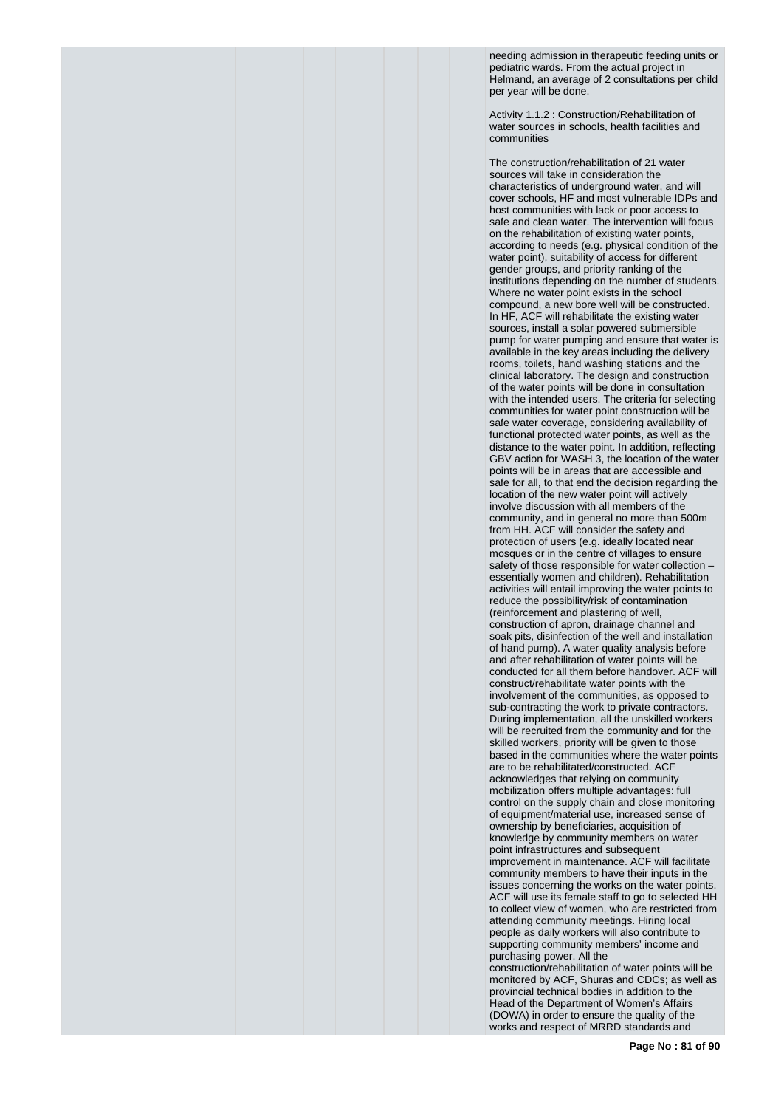needing admission in therapeutic feeding units or pediatric wards. From the actual project in Helmand, an average of 2 consultations per child per year will be done.

Activity 1.1.2 : Construction/Rehabilitation of water sources in schools, health facilities and communities

The construction/rehabilitation of 21 water sources will take in consideration the characteristics of underground water, and will cover schools, HF and most vulnerable IDPs and host communities with lack or poor access to safe and clean water. The intervention will focus on the rehabilitation of existing water points, according to needs (e.g. physical condition of the water point), suitability of access for different gender groups, and priority ranking of the institutions depending on the number of students. Where no water point exists in the school compound, a new bore well will be constructed. In HF, ACF will rehabilitate the existing water sources, install a solar powered submersible pump for water pumping and ensure that water is available in the key areas including the delivery rooms, toilets, hand washing stations and the clinical laboratory. The design and construction of the water points will be done in consultation with the intended users. The criteria for selecting communities for water point construction will be safe water coverage, considering availability of functional protected water points, as well as the distance to the water point. In addition, reflecting GBV action for WASH 3, the location of the water points will be in areas that are accessible and safe for all, to that end the decision regarding the location of the new water point will actively involve discussion with all members of the community, and in general no more than 500m from HH. ACF will consider the safety and protection of users (e.g. ideally located near mosques or in the centre of villages to ensure safety of those responsible for water collection – essentially women and children). Rehabilitation activities will entail improving the water points to reduce the possibility/risk of contamination (reinforcement and plastering of well, construction of apron, drainage channel and soak pits, disinfection of the well and installation of hand pump). A water quality analysis before and after rehabilitation of water points will be conducted for all them before handover. ACF will construct/rehabilitate water points with the involvement of the communities, as opposed to sub-contracting the work to private contractors. During implementation, all the unskilled workers will be recruited from the community and for the skilled workers, priority will be given to those based in the communities where the water points are to be rehabilitated/constructed. ACF acknowledges that relying on community mobilization offers multiple advantages: full control on the supply chain and close monitoring of equipment/material use, increased sense of ownership by beneficiaries, acquisition of knowledge by community members on water point infrastructures and subsequent improvement in maintenance. ACF will facilitate community members to have their inputs in the issues concerning the works on the water points. ACF will use its female staff to go to selected HH to collect view of women, who are restricted from attending community meetings. Hiring local people as daily workers will also contribute to supporting community members' income and purchasing power. All the construction/rehabilitation of water points will be

monitored by ACF, Shuras and CDCs; as well as provincial technical bodies in addition to the Head of the Department of Women's Affairs (DOWA) in order to ensure the quality of the works and respect of MRRD standards and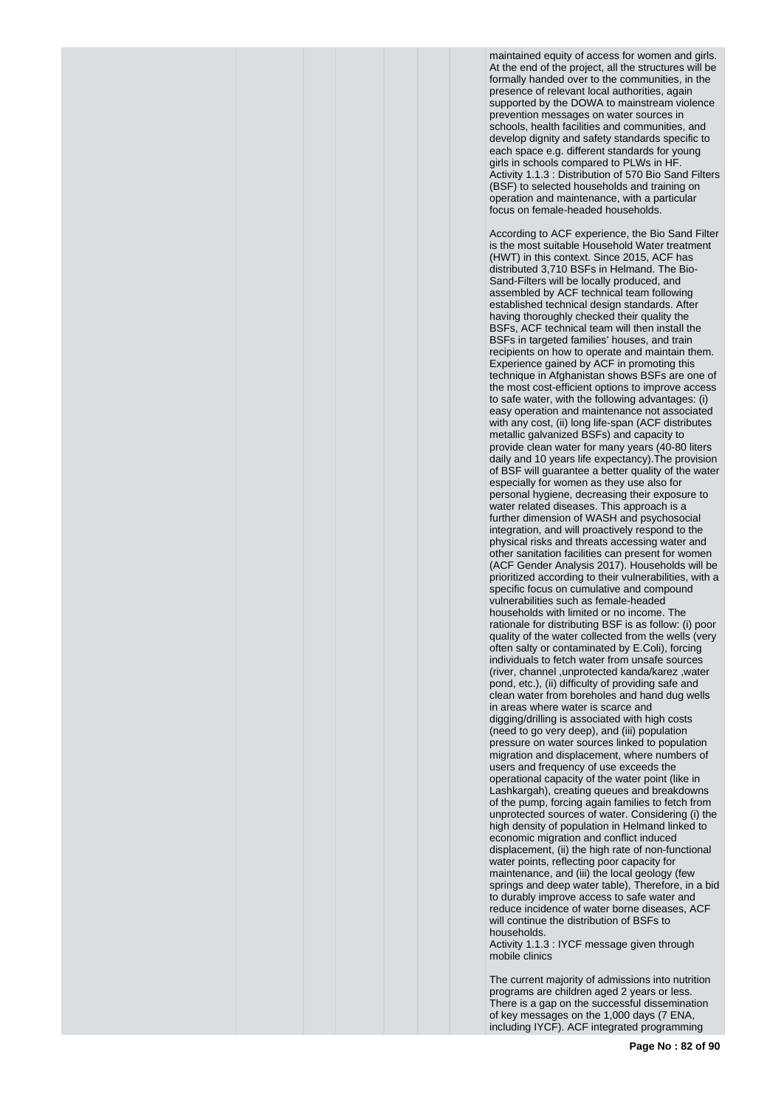maintained equity of access for women and girls. At the end of the project, all the structures will be formally handed over to the communities, in the presence of relevant local authorities, again supported by the DOWA to mainstream violence prevention messages on water sources in schools, health facilities and communities, and develop dignity and safety standards specific to each space e.g. different standards for young girls in schools compared to PLWs in HF. Activity 1.1.3 : Distribution of 570 Bio Sand Filters (BSF) to selected households and training on operation and maintenance, with a particular focus on female-headed households.

According to ACF experience, the Bio Sand Filter is the most suitable Household Water treatment (HWT) in this context. Since 2015, ACF has distributed 3,710 BSFs in Helmand. The Bio-Sand-Filters will be locally produced, and assembled by ACF technical team following established technical design standards. After having thoroughly checked their quality the BSFs, ACF technical team will then install the BSFs in targeted families' houses, and train recipients on how to operate and maintain them. Experience gained by ACF in promoting this technique in Afghanistan shows BSFs are one of the most cost-efficient options to improve access to safe water, with the following advantages: (i) easy operation and maintenance not associated with any cost, (ii) long life-span (ACF distributes metallic galvanized BSFs) and capacity to provide clean water for many years (40-80 liters daily and 10 years life expectancy).The provision of BSF will guarantee a better quality of the water especially for women as they use also for personal hygiene, decreasing their exposure to water related diseases. This approach is a further dimension of WASH and psychosocial integration, and will proactively respond to the physical risks and threats accessing water and other sanitation facilities can present for women (ACF Gender Analysis 2017). Households will be prioritized according to their vulnerabilities, with a specific focus on cumulative and compound vulnerabilities such as female-headed households with limited or no income. The rationale for distributing BSF is as follow: (i) poor quality of the water collected from the wells (very often salty or contaminated by E.Coli), forcing individuals to fetch water from unsafe sources (river, channel ,unprotected kanda/karez ,water pond, etc.), (ii) difficulty of providing safe and clean water from boreholes and hand dug wells in areas where water is scarce and digging/drilling is associated with high costs (need to go very deep), and (iii) population pressure on water sources linked to population migration and displacement, where numbers of users and frequency of use exceeds the operational capacity of the water point (like in Lashkargah), creating queues and breakdowns of the pump, forcing again families to fetch from unprotected sources of water. Considering (i) the high density of population in Helmand linked to economic migration and conflict induced displacement, (ii) the high rate of non-functional water points, reflecting poor capacity for maintenance, and (iii) the local geology (few springs and deep water table), Therefore, in a bid to durably improve access to safe water and reduce incidence of water borne diseases, ACF will continue the distribution of BSFs to households.

Activity 1.1.3 : IYCF message given through mobile clinics

The current majority of admissions into nutrition programs are children aged 2 years or less. There is a gap on the successful dissemination of key messages on the 1,000 days (7 ENA, including IYCF). ACF integrated programming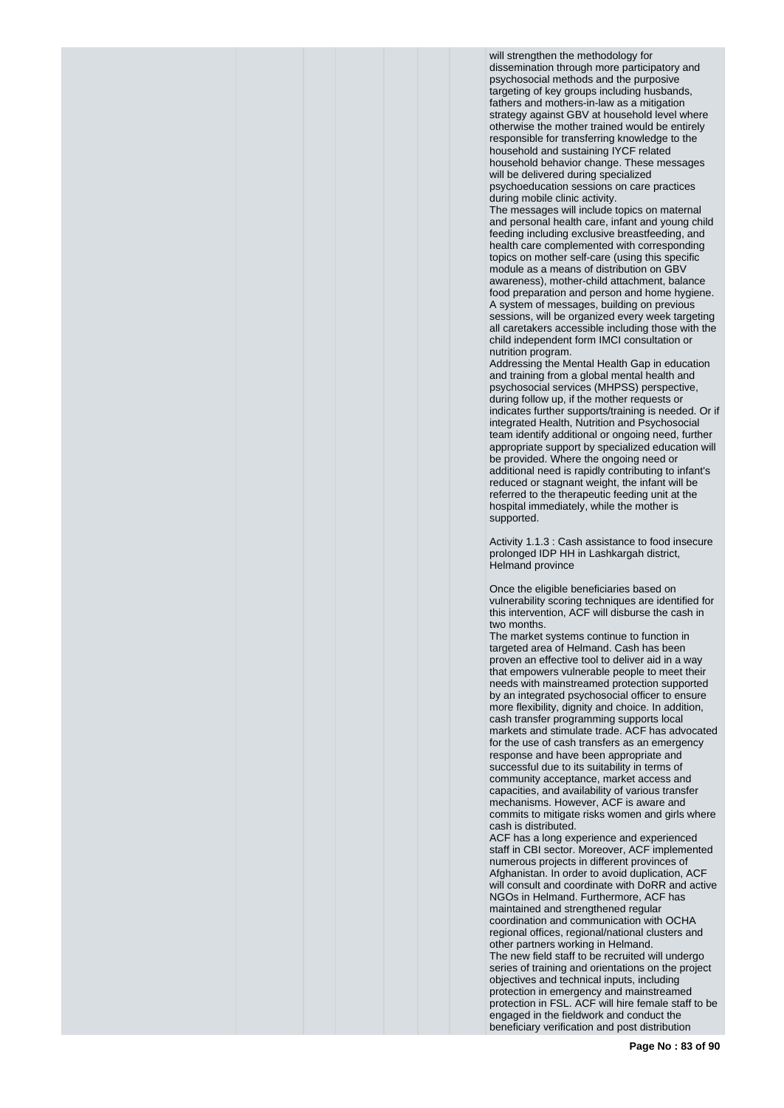will strengthen the methodology for dissemination through more participatory and psychosocial methods and the purposive targeting of key groups including husbands, fathers and mothers-in-law as a mitigation strategy against GBV at household level where otherwise the mother trained would be entirely responsible for transferring knowledge to the household and sustaining IYCF related household behavior change. These messages will be delivered during specialized

psychoeducation sessions on care practices during mobile clinic activity.

The messages will include topics on maternal and personal health care, infant and young child feeding including exclusive breastfeeding, and health care complemented with corresponding topics on mother self-care (using this specific module as a means of distribution on GBV awareness), mother-child attachment, balance food preparation and person and home hygiene. A system of messages, building on previous sessions, will be organized every week targeting all caretakers accessible including those with the child independent form IMCI consultation or nutrition program.

Addressing the Mental Health Gap in education and training from a global mental health and psychosocial services (MHPSS) perspective, during follow up, if the mother requests or indicates further supports/training is needed. Or if integrated Health, Nutrition and Psychosocial team identify additional or ongoing need, further appropriate support by specialized education will be provided. Where the ongoing need or additional need is rapidly contributing to infant's reduced or stagnant weight, the infant will be referred to the therapeutic feeding unit at the hospital immediately, while the mother is supported.

Activity 1.1.3 : Cash assistance to food insecure prolonged IDP HH in Lashkargah district, Helmand province

Once the eligible beneficiaries based on vulnerability scoring techniques are identified for this intervention, ACF will disburse the cash in two months.

The market systems continue to function in targeted area of Helmand. Cash has been proven an effective tool to deliver aid in a way that empowers vulnerable people to meet their needs with mainstreamed protection supported by an integrated psychosocial officer to ensure more flexibility, dignity and choice. In addition, cash transfer programming supports local markets and stimulate trade. ACF has advocated for the use of cash transfers as an emergency response and have been appropriate and successful due to its suitability in terms of community acceptance, market access and capacities, and availability of various transfer mechanisms. However, ACF is aware and commits to mitigate risks women and girls where cash is distributed.

ACF has a long experience and experienced staff in CBI sector. Moreover, ACF implemented numerous projects in different provinces of Afghanistan. In order to avoid duplication, ACF will consult and coordinate with DoRR and active NGOs in Helmand. Furthermore, ACF has maintained and strengthened regular coordination and communication with OCHA regional offices, regional/national clusters and other partners working in Helmand. The new field staff to be recruited will undergo series of training and orientations on the project objectives and technical inputs, including protection in emergency and mainstreamed protection in FSL. ACF will hire female staff to be engaged in the fieldwork and conduct the beneficiary verification and post distribution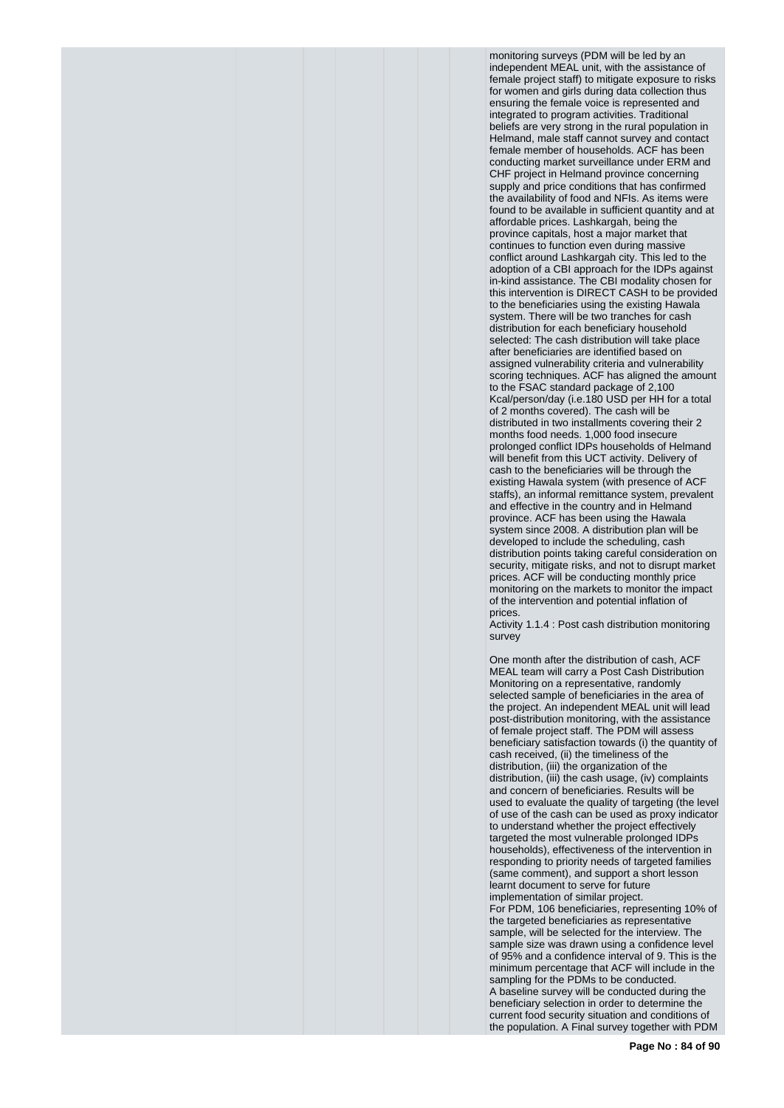monitoring surveys (PDM will be led by an independent MEAL unit, with the assistance of female project staff) to mitigate exposure to risks for women and girls during data collection thus ensuring the female voice is represented and integrated to program activities. Traditional beliefs are very strong in the rural population in Helmand, male staff cannot survey and contact female member of households. ACF has been conducting market surveillance under ERM and CHF project in Helmand province concerning supply and price conditions that has confirmed the availability of food and NFIs. As items were found to be available in sufficient quantity and at affordable prices. Lashkargah, being the province capitals, host a major market that continues to function even during massive conflict around Lashkargah city. This led to the adoption of a CBI approach for the IDPs against in-kind assistance. The CBI modality chosen for this intervention is DIRECT CASH to be provided to the beneficiaries using the existing Hawala system. There will be two tranches for cash distribution for each beneficiary household selected: The cash distribution will take place after beneficiaries are identified based on assigned vulnerability criteria and vulnerability scoring techniques. ACF has aligned the amount to the FSAC standard package of 2,100 Kcal/person/day (i.e.180 USD per HH for a total of 2 months covered). The cash will be distributed in two installments covering their 2 months food needs. 1,000 food insecure prolonged conflict IDPs households of Helmand will benefit from this UCT activity. Delivery of cash to the beneficiaries will be through the existing Hawala system (with presence of ACF staffs), an informal remittance system, prevalent and effective in the country and in Helmand province. ACF has been using the Hawala system since 2008. A distribution plan will be developed to include the scheduling, cash distribution points taking careful consideration on security, mitigate risks, and not to disrupt market prices. ACF will be conducting monthly price monitoring on the markets to monitor the impact of the intervention and potential inflation of prices.

Activity 1.1.4 : Post cash distribution monitoring survey

One month after the distribution of cash, ACF MEAL team will carry a Post Cash Distribution Monitoring on a representative, randomly selected sample of beneficiaries in the area of the project. An independent MEAL unit will lead post-distribution monitoring, with the assistance of female project staff. The PDM will assess beneficiary satisfaction towards (i) the quantity of cash received, (ii) the timeliness of the distribution, (iii) the organization of the distribution, (iii) the cash usage, (iv) complaints and concern of beneficiaries. Results will be used to evaluate the quality of targeting (the level of use of the cash can be used as proxy indicator to understand whether the project effectively targeted the most vulnerable prolonged IDPs households), effectiveness of the intervention in responding to priority needs of targeted families (same comment), and support a short lesson learnt document to serve for future implementation of similar project. For PDM, 106 beneficiaries, representing 10% of the targeted beneficiaries as representative sample, will be selected for the interview. The sample size was drawn using a confidence level of 95% and a confidence interval of 9. This is the minimum percentage that ACF will include in the sampling for the PDMs to be conducted. A baseline survey will be conducted during the beneficiary selection in order to determine the current food security situation and conditions of the population. A Final survey together with PDM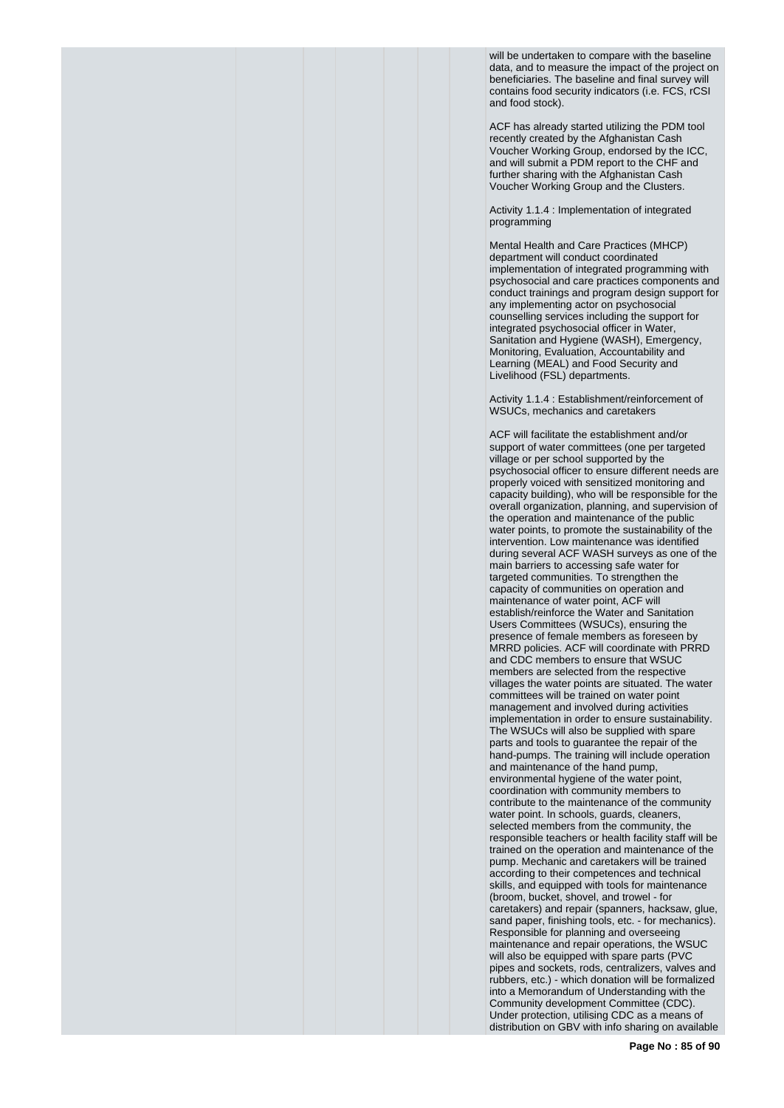will be undertaken to compare with the baseline data, and to measure the impact of the project on beneficiaries. The baseline and final survey will contains food security indicators (i.e. FCS, rCSI and food stock).

ACF has already started utilizing the PDM tool recently created by the Afghanistan Cash Voucher Working Group, endorsed by the ICC, and will submit a PDM report to the CHF and further sharing with the Afghanistan Cash Voucher Working Group and the Clusters.

Activity 1.1.4 : Implementation of integrated programming

Mental Health and Care Practices (MHCP) department will conduct coordinated implementation of integrated programming with psychosocial and care practices components and conduct trainings and program design support for any implementing actor on psychosocial counselling services including the support for integrated psychosocial officer in Water, Sanitation and Hygiene (WASH), Emergency, Monitoring, Evaluation, Accountability and Learning (MEAL) and Food Security and Livelihood (FSL) departments.

Activity 1.1.4 : Establishment/reinforcement of WSUCs, mechanics and caretakers

ACF will facilitate the establishment and/or support of water committees (one per targeted village or per school supported by the psychosocial officer to ensure different needs are properly voiced with sensitized monitoring and capacity building), who will be responsible for the overall organization, planning, and supervision of the operation and maintenance of the public water points, to promote the sustainability of the intervention. Low maintenance was identified during several ACF WASH surveys as one of the main barriers to accessing safe water for targeted communities. To strengthen the capacity of communities on operation and maintenance of water point, ACF will establish/reinforce the Water and Sanitation Users Committees (WSUCs), ensuring the presence of female members as foreseen by MRRD policies. ACF will coordinate with PRRD and CDC members to ensure that WSUC members are selected from the respective villages the water points are situated. The water committees will be trained on water point management and involved during activities implementation in order to ensure sustainability. The WSUCs will also be supplied with spare parts and tools to guarantee the repair of the hand-pumps. The training will include operation and maintenance of the hand pump, environmental hygiene of the water point, coordination with community members to contribute to the maintenance of the community water point. In schools, guards, cleaners, selected members from the community, the responsible teachers or health facility staff will be trained on the operation and maintenance of the pump. Mechanic and caretakers will be trained according to their competences and technical skills, and equipped with tools for maintenance (broom, bucket, shovel, and trowel - for caretakers) and repair (spanners, hacksaw, glue, sand paper, finishing tools, etc. - for mechanics). Responsible for planning and overseeing maintenance and repair operations, the WSUC will also be equipped with spare parts (PVC pipes and sockets, rods, centralizers, valves and rubbers, etc.) - which donation will be formalized into a Memorandum of Understanding with the Community development Committee (CDC). Under protection, utilising CDC as a means of distribution on GBV with info sharing on available

**Page No : 85 of 90**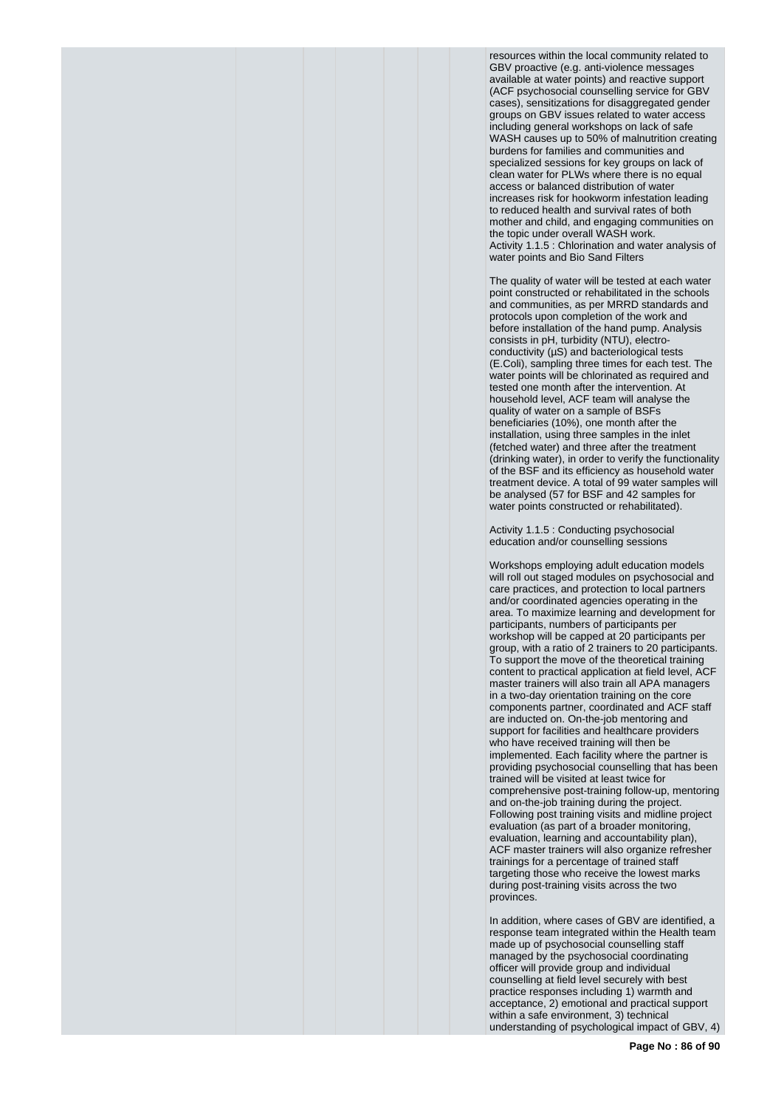resources within the local community related to GBV proactive (e.g. anti-violence messages available at water points) and reactive support (ACF psychosocial counselling service for GBV cases), sensitizations for disaggregated gender groups on GBV issues related to water access including general workshops on lack of safe WASH causes up to 50% of malnutrition creating burdens for families and communities and specialized sessions for key groups on lack of clean water for PLWs where there is no equal access or balanced distribution of water increases risk for hookworm infestation leading to reduced health and survival rates of both mother and child, and engaging communities on the topic under overall WASH work. Activity 1.1.5 : Chlorination and water analysis of water points and Bio Sand Filters

The quality of water will be tested at each water point constructed or rehabilitated in the schools and communities, as per MRRD standards and protocols upon completion of the work and before installation of the hand pump. Analysis consists in pH, turbidity (NTU), electroconductivity (µS) and bacteriological tests (E.Coli), sampling three times for each test. The water points will be chlorinated as required and tested one month after the intervention. At household level, ACF team will analyse the quality of water on a sample of BSFs beneficiaries (10%), one month after the installation, using three samples in the inlet (fetched water) and three after the treatment (drinking water), in order to verify the functionality of the BSF and its efficiency as household water treatment device. A total of 99 water samples will be analysed (57 for BSF and 42 samples for water points constructed or rehabilitated).

Activity 1.1.5 : Conducting psychosocial education and/or counselling sessions

Workshops employing adult education models will roll out staged modules on psychosocial and care practices, and protection to local partners and/or coordinated agencies operating in the area. To maximize learning and development for participants, numbers of participants per workshop will be capped at 20 participants per group, with a ratio of 2 trainers to 20 participants. To support the move of the theoretical training content to practical application at field level, ACF master trainers will also train all APA managers in a two-day orientation training on the core components partner, coordinated and ACF staff are inducted on. On-the-job mentoring and support for facilities and healthcare providers who have received training will then be implemented. Each facility where the partner is providing psychosocial counselling that has been trained will be visited at least twice for comprehensive post-training follow-up, mentoring and on-the-job training during the project. Following post training visits and midline project evaluation (as part of a broader monitoring, evaluation, learning and accountability plan), ACF master trainers will also organize refresher trainings for a percentage of trained staff targeting those who receive the lowest marks during post-training visits across the two provinces.

In addition, where cases of GBV are identified, a response team integrated within the Health team made up of psychosocial counselling staff managed by the psychosocial coordinating officer will provide group and individual counselling at field level securely with best practice responses including 1) warmth and acceptance, 2) emotional and practical support within a safe environment, 3) technical understanding of psychological impact of GBV, 4)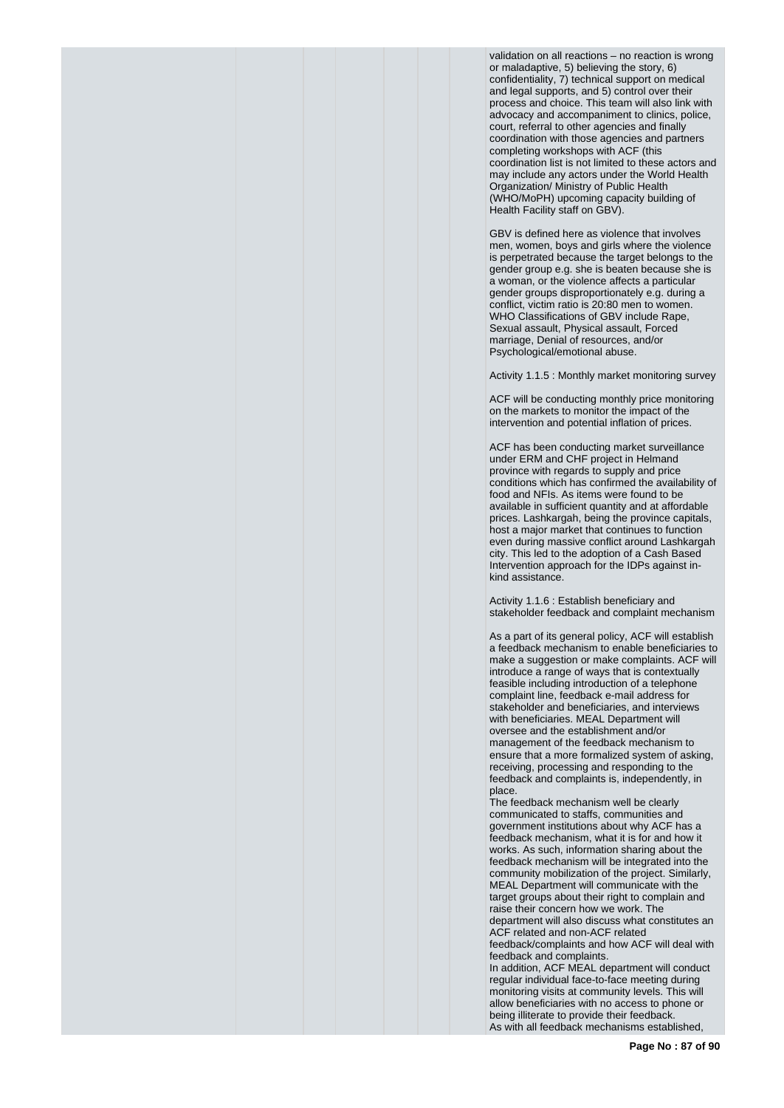validation on all reactions – no reaction is wrong or maladaptive, 5) believing the story, 6) confidentiality, 7) technical support on medical and legal supports, and 5) control over their process and choice. This team will also link with advocacy and accompaniment to clinics, police, court, referral to other agencies and finally coordination with those agencies and partners completing workshops with ACF (this coordination list is not limited to these actors and may include any actors under the World Health Organization/ Ministry of Public Health (WHO/MoPH) upcoming capacity building of Health Facility staff on GBV).

GBV is defined here as violence that involves men, women, boys and girls where the violence is perpetrated because the target belongs to the gender group e.g. she is beaten because she is a woman, or the violence affects a particular gender groups disproportionately e.g. during a conflict, victim ratio is 20:80 men to women. WHO Classifications of GBV include Rape, Sexual assault, Physical assault, Forced marriage, Denial of resources, and/or Psychological/emotional abuse.

Activity 1.1.5 : Monthly market monitoring survey

ACF will be conducting monthly price monitoring on the markets to monitor the impact of the intervention and potential inflation of prices.

ACF has been conducting market surveillance under ERM and CHF project in Helmand province with regards to supply and price conditions which has confirmed the availability of food and NFIs. As items were found to be available in sufficient quantity and at affordable prices. Lashkargah, being the province capitals, host a major market that continues to function even during massive conflict around Lashkargah city. This led to the adoption of a Cash Based Intervention approach for the IDPs against inkind assistance.

Activity 1.1.6 : Establish beneficiary and stakeholder feedback and complaint mechanism

As a part of its general policy, ACF will establish a feedback mechanism to enable beneficiaries to make a suggestion or make complaints. ACF will introduce a range of ways that is contextually feasible including introduction of a telephone complaint line, feedback e-mail address for stakeholder and beneficiaries, and interviews with beneficiaries. MEAL Department will oversee and the establishment and/or management of the feedback mechanism to ensure that a more formalized system of asking, receiving, processing and responding to the feedback and complaints is, independently, in place.

The feedback mechanism well be clearly communicated to staffs, communities and government institutions about why ACF has a feedback mechanism, what it is for and how it works. As such, information sharing about the feedback mechanism will be integrated into the community mobilization of the project. Similarly, MEAL Department will communicate with the target groups about their right to complain and raise their concern how we work. The department will also discuss what constitutes an ACF related and non-ACF related feedback/complaints and how ACF will deal with

feedback and complaints.

In addition, ACF MEAL department will conduct regular individual face-to-face meeting during monitoring visits at community levels. This will allow beneficiaries with no access to phone or being illiterate to provide their feedback. As with all feedback mechanisms established,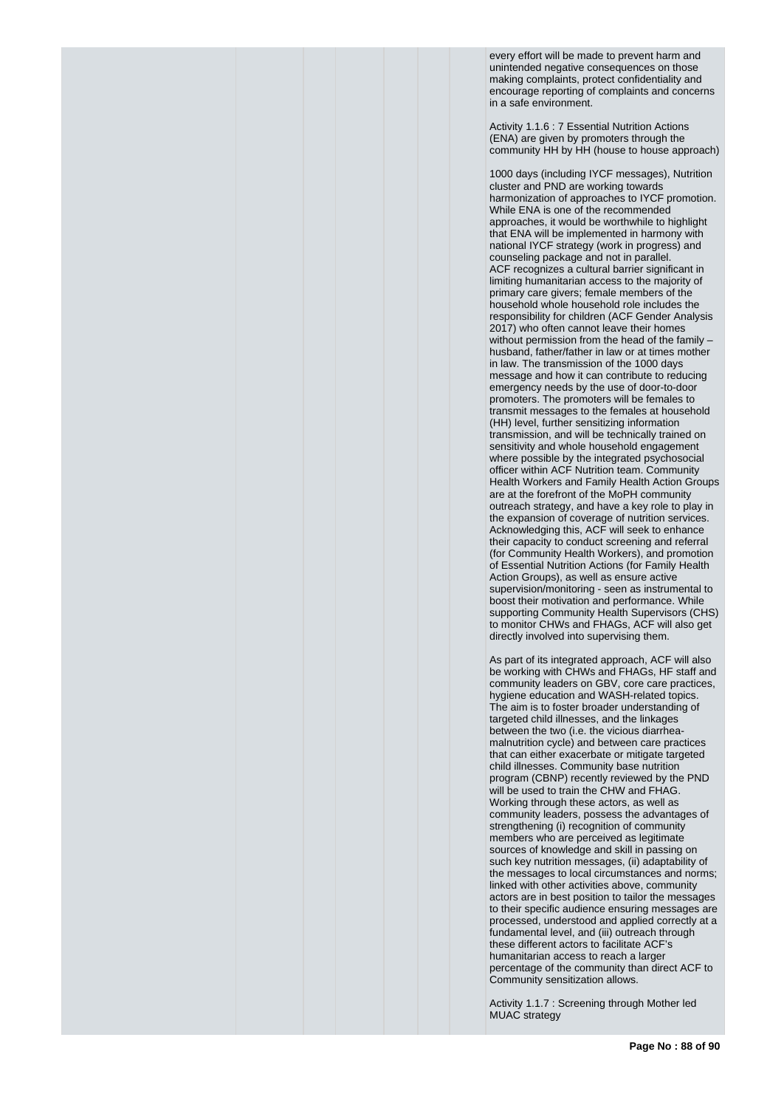every effort will be made to prevent harm and unintended negative consequences on those making complaints, protect confidentiality and encourage reporting of complaints and concerns in a safe environment.

Activity 1.1.6 : 7 Essential Nutrition Actions (ENA) are given by promoters through the community HH by HH (house to house approach)

1000 days (including IYCF messages), Nutrition cluster and PND are working towards harmonization of approaches to IYCF promotion. While ENA is one of the recommended approaches, it would be worthwhile to highlight that ENA will be implemented in harmony with national IYCF strategy (work in progress) and counseling package and not in parallel. ACF recognizes a cultural barrier significant in limiting humanitarian access to the majority of primary care givers; female members of the household whole household role includes the responsibility for children (ACF Gender Analysis 2017) who often cannot leave their homes without permission from the head of the family husband, father/father in law or at times mother in law. The transmission of the 1000 days message and how it can contribute to reducing emergency needs by the use of door-to-door promoters. The promoters will be females to transmit messages to the females at household (HH) level, further sensitizing information transmission, and will be technically trained on sensitivity and whole household engagement where possible by the integrated psychosocial officer within ACF Nutrition team. Community Health Workers and Family Health Action Groups are at the forefront of the MoPH community outreach strategy, and have a key role to play in the expansion of coverage of nutrition services. Acknowledging this, ACF will seek to enhance their capacity to conduct screening and referral (for Community Health Workers), and promotion of Essential Nutrition Actions (for Family Health Action Groups), as well as ensure active supervision/monitoring - seen as instrumental to boost their motivation and performance. While supporting Community Health Supervisors (CHS) to monitor CHWs and FHAGs, ACF will also get directly involved into supervising them.

As part of its integrated approach, ACF will also be working with CHWs and FHAGs, HF staff and community leaders on GBV, core care practices, hygiene education and WASH-related topics. The aim is to foster broader understanding of targeted child illnesses, and the linkages between the two (i.e. the vicious diarrheamalnutrition cycle) and between care practices that can either exacerbate or mitigate targeted child illnesses. Community base nutrition program (CBNP) recently reviewed by the PND will be used to train the CHW and FHAG. Working through these actors, as well as community leaders, possess the advantages of strengthening (i) recognition of community members who are perceived as legitimate sources of knowledge and skill in passing on such key nutrition messages, (ii) adaptability of the messages to local circumstances and norms; linked with other activities above, community actors are in best position to tailor the messages to their specific audience ensuring messages are processed, understood and applied correctly at a fundamental level, and (iii) outreach through these different actors to facilitate ACF's humanitarian access to reach a larger percentage of the community than direct ACF to Community sensitization allows.

Activity 1.1.7 : Screening through Mother led MUAC strategy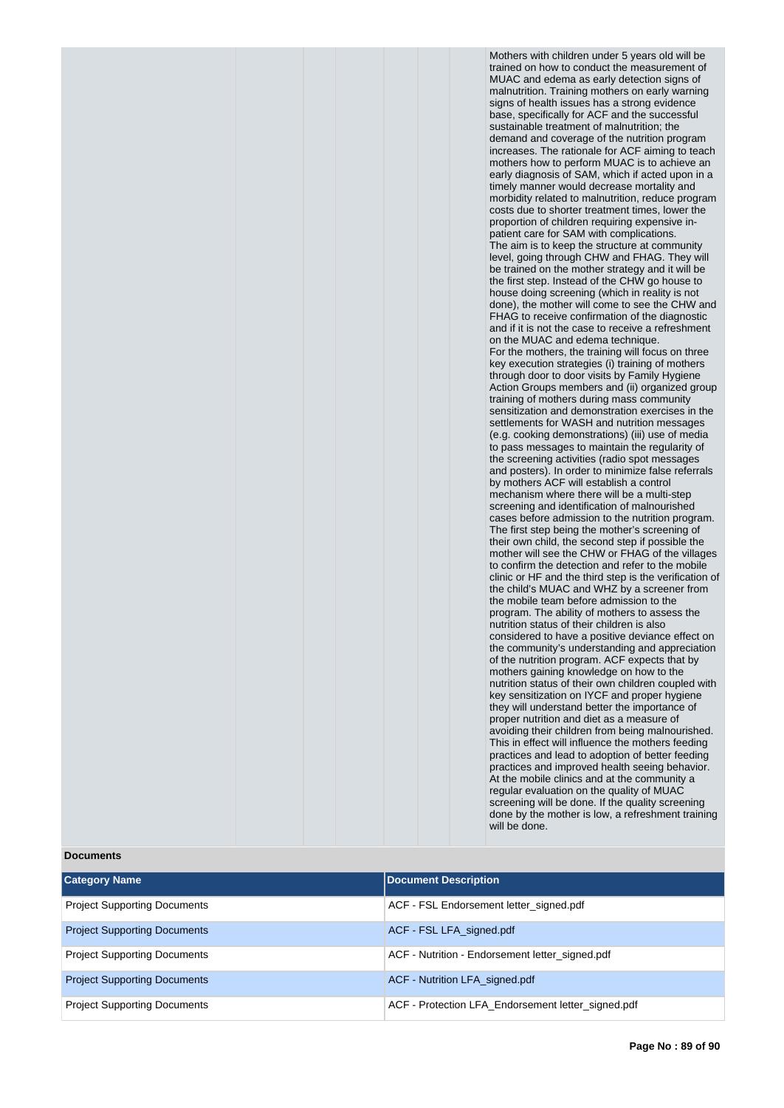Mothers with children under 5 years old will be trained on how to conduct the measurement of MUAC and edema as early detection signs of malnutrition. Training mothers on early warning signs of health issues has a strong evidence base, specifically for ACF and the successful sustainable treatment of malnutrition; the demand and coverage of the nutrition program increases. The rationale for ACF aiming to teach mothers how to perform MUAC is to achieve an early diagnosis of SAM, which if acted upon in a timely manner would decrease mortality and morbidity related to malnutrition, reduce program costs due to shorter treatment times, lower the proportion of children requiring expensive inpatient care for SAM with complications. The aim is to keep the structure at community level, going through CHW and FHAG. They will be trained on the mother strategy and it will be the first step. Instead of the CHW go house to house doing screening (which in reality is not done), the mother will come to see the CHW and FHAG to receive confirmation of the diagnostic and if it is not the case to receive a refreshment on the MUAC and edema technique. For the mothers, the training will focus on three key execution strategies (i) training of mothers through door to door visits by Family Hygiene Action Groups members and (ii) organized group training of mothers during mass community sensitization and demonstration exercises in the settlements for WASH and nutrition messages (e.g. cooking demonstrations) (iii) use of media to pass messages to maintain the regularity of the screening activities (radio spot messages and posters). In order to minimize false referrals by mothers ACF will establish a control mechanism where there will be a multi-step screening and identification of malnourished cases before admission to the nutrition program. The first step being the mother's screening of their own child, the second step if possible the mother will see the CHW or FHAG of the villages to confirm the detection and refer to the mobile clinic or HF and the third step is the verification of the child's MUAC and WHZ by a screener from the mobile team before admission to the program. The ability of mothers to assess the nutrition status of their children is also considered to have a positive deviance effect on the community's understanding and appreciation of the nutrition program. ACF expects that by mothers gaining knowledge on how to the nutrition status of their own children coupled with key sensitization on IYCF and proper hygiene they will understand better the importance of proper nutrition and diet as a measure of avoiding their children from being malnourished. This in effect will influence the mothers feeding practices and lead to adoption of better feeding practices and improved health seeing behavior. At the mobile clinics and at the community a regular evaluation on the quality of MUAC screening will be done. If the quality screening done by the mother is low, a refreshment training will be done.

## **Documents**

| <b>Category Name</b>                | <b>Document Description</b>                        |
|-------------------------------------|----------------------------------------------------|
| <b>Project Supporting Documents</b> | ACF - FSL Endorsement letter signed.pdf            |
| <b>Project Supporting Documents</b> | ACF - FSL LFA signed.pdf                           |
| <b>Project Supporting Documents</b> | ACF - Nutrition - Endorsement letter signed.pdf    |
| <b>Project Supporting Documents</b> | ACF - Nutrition LFA signed.pdf                     |
| <b>Project Supporting Documents</b> | ACF - Protection LFA Endorsement letter signed.pdf |